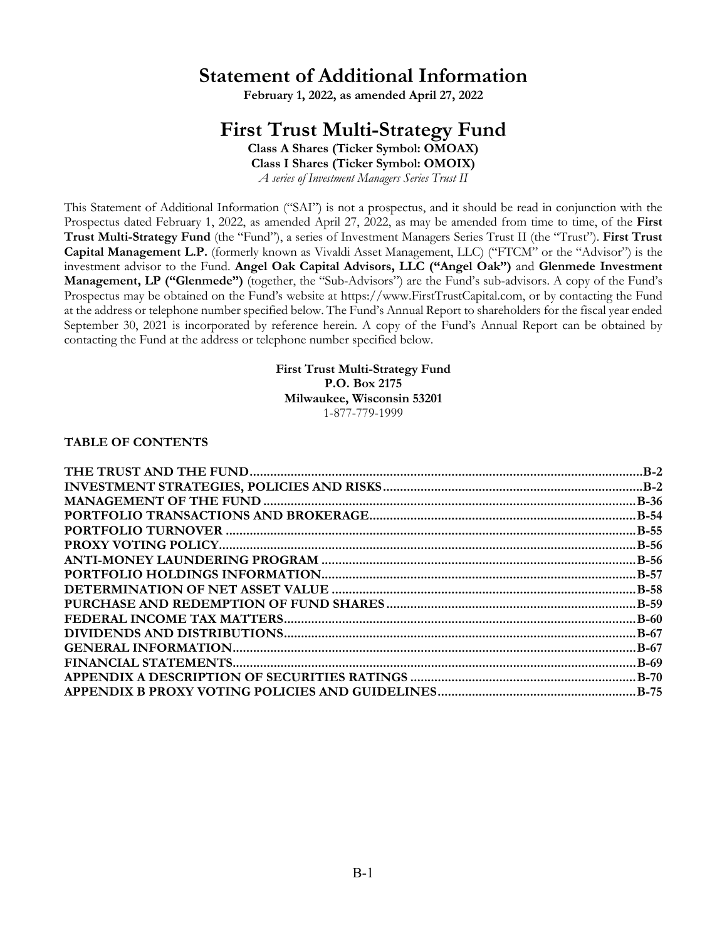# **Statement of Additional Information**

**February 1, 2022, as amended April 27, 2022**

# **First Trust Multi-Strategy Fund**

**Class A Shares (Ticker Symbol: OMOAX) Class I Shares (Ticker Symbol: OMOIX)**

*A series of Investment Managers Series Trust II*

This Statement of Additional Information ("SAI") is not a prospectus, and it should be read in conjunction with the Prospectus dated February 1, 2022, as amended April 27, 2022, as may be amended from time to time, of the **First Trust Multi-Strategy Fund** (the "Fund"), a series of Investment Managers Series Trust II (the "Trust"). **First Trust Capital Management L.P.** (formerly known as Vivaldi Asset Management, LLC) ("FTCM" or the "Advisor") is the investment advisor to the Fund. **Angel Oak Capital Advisors, LLC ("Angel Oak")** and **Glenmede Investment Management, LP ("Glenmede")** (together, the "Sub-Advisors") are the Fund's sub-advisors. A copy of the Fund's Prospectus may be obtained on the Fund's website at https://www.FirstTrustCapital.com, or by contacting the Fund at the address or telephone number specified below. The Fund's Annual Report to shareholders for the fiscal year ended September 30, 2021 is incorporated by reference herein. A copy of the Fund's Annual Report can be obtained by contacting the Fund at the address or telephone number specified below.

#### **First Trust Multi-Strategy Fund P.O. Box 2175 Milwaukee, Wisconsin 53201** 1-877-779-1999

#### **TABLE OF CONTENTS**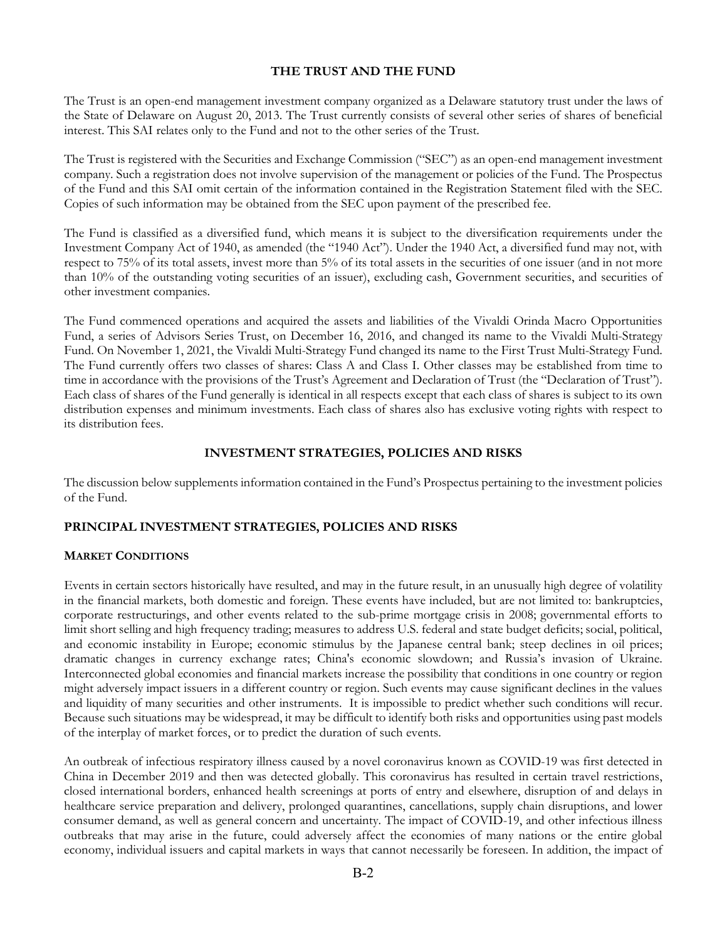# **THE TRUST AND THE FUND**

The Trust is an open-end management investment company organized as a Delaware statutory trust under the laws of the State of Delaware on August 20, 2013. The Trust currently consists of several other series of shares of beneficial interest. This SAI relates only to the Fund and not to the other series of the Trust.

The Trust is registered with the Securities and Exchange Commission ("SEC") as an open-end management investment company. Such a registration does not involve supervision of the management or policies of the Fund. The Prospectus of the Fund and this SAI omit certain of the information contained in the Registration Statement filed with the SEC. Copies of such information may be obtained from the SEC upon payment of the prescribed fee.

The Fund is classified as a diversified fund, which means it is subject to the diversification requirements under the Investment Company Act of 1940, as amended (the "1940 Act"). Under the 1940 Act, a diversified fund may not, with respect to 75% of its total assets, invest more than 5% of its total assets in the securities of one issuer (and in not more than 10% of the outstanding voting securities of an issuer), excluding cash, Government securities, and securities of other investment companies.

The Fund commenced operations and acquired the assets and liabilities of the Vivaldi Orinda Macro Opportunities Fund, a series of Advisors Series Trust, on December 16, 2016, and changed its name to the Vivaldi Multi-Strategy Fund. On November 1, 2021, the Vivaldi Multi-Strategy Fund changed its name to the First Trust Multi-Strategy Fund. The Fund currently offers two classes of shares: Class A and Class I. Other classes may be established from time to time in accordance with the provisions of the Trust's Agreement and Declaration of Trust (the "Declaration of Trust"). Each class of shares of the Fund generally is identical in all respects except that each class of shares is subject to its own distribution expenses and minimum investments. Each class of shares also has exclusive voting rights with respect to its distribution fees.

# **INVESTMENT STRATEGIES, POLICIES AND RISKS**

The discussion below supplements information contained in the Fund's Prospectus pertaining to the investment policies of the Fund.

# **PRINCIPAL INVESTMENT STRATEGIES, POLICIES AND RISKS**

## **MARKET CONDITIONS**

Events in certain sectors historically have resulted, and may in the future result, in an unusually high degree of volatility in the financial markets, both domestic and foreign. These events have included, but are not limited to: bankruptcies, corporate restructurings, and other events related to the sub-prime mortgage crisis in 2008; governmental efforts to limit short selling and high frequency trading; measures to address U.S. federal and state budget deficits; social, political, and economic instability in Europe; economic stimulus by the Japanese central bank; steep declines in oil prices; dramatic changes in currency exchange rates; China's economic slowdown; and Russia's invasion of Ukraine. Interconnected global economies and financial markets increase the possibility that conditions in one country or region might adversely impact issuers in a different country or region. Such events may cause significant declines in the values and liquidity of many securities and other instruments. It is impossible to predict whether such conditions will recur. Because such situations may be widespread, it may be difficult to identify both risks and opportunities using past models of the interplay of market forces, or to predict the duration of such events.

An outbreak of infectious respiratory illness caused by a novel coronavirus known as COVID-19 was first detected in China in December 2019 and then was detected globally. This coronavirus has resulted in certain travel restrictions, closed international borders, enhanced health screenings at ports of entry and elsewhere, disruption of and delays in healthcare service preparation and delivery, prolonged quarantines, cancellations, supply chain disruptions, and lower consumer demand, as well as general concern and uncertainty. The impact of COVID-19, and other infectious illness outbreaks that may arise in the future, could adversely affect the economies of many nations or the entire global economy, individual issuers and capital markets in ways that cannot necessarily be foreseen. In addition, the impact of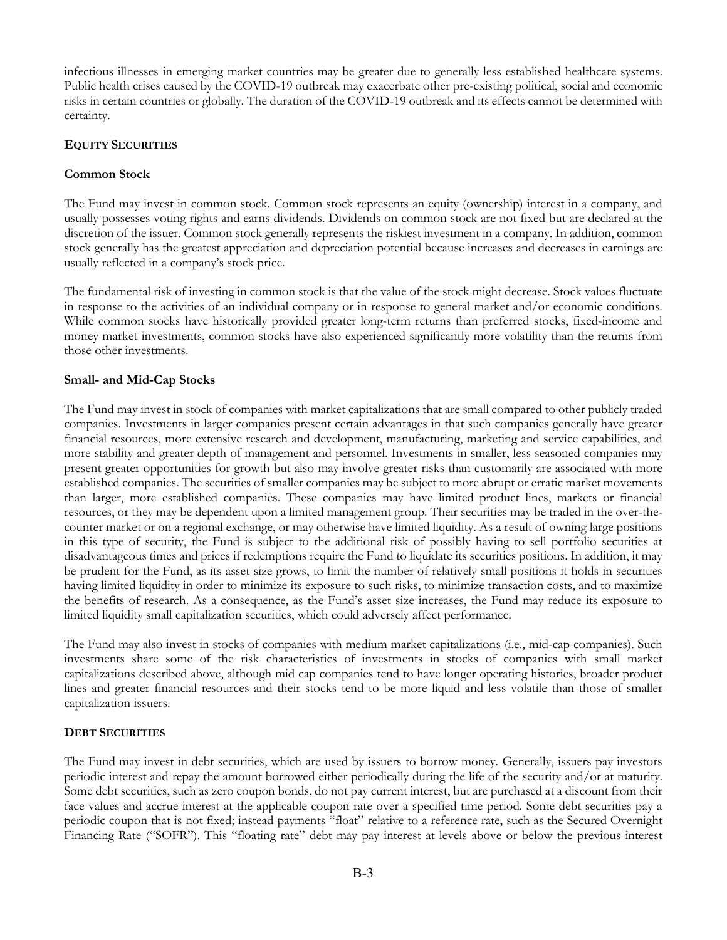infectious illnesses in emerging market countries may be greater due to generally less established healthcare systems. Public health crises caused by the COVID-19 outbreak may exacerbate other pre-existing political, social and economic risks in certain countries or globally. The duration of the COVID-19 outbreak and its effects cannot be determined with certainty.

## **EQUITY SECURITIES**

## **Common Stock**

The Fund may invest in common stock. Common stock represents an equity (ownership) interest in a company, and usually possesses voting rights and earns dividends. Dividends on common stock are not fixed but are declared at the discretion of the issuer. Common stock generally represents the riskiest investment in a company. In addition, common stock generally has the greatest appreciation and depreciation potential because increases and decreases in earnings are usually reflected in a company's stock price.

The fundamental risk of investing in common stock is that the value of the stock might decrease. Stock values fluctuate in response to the activities of an individual company or in response to general market and/or economic conditions. While common stocks have historically provided greater long-term returns than preferred stocks, fixed-income and money market investments, common stocks have also experienced significantly more volatility than the returns from those other investments.

### **Small- and Mid-Cap Stocks**

The Fund may invest in stock of companies with market capitalizations that are small compared to other publicly traded companies. Investments in larger companies present certain advantages in that such companies generally have greater financial resources, more extensive research and development, manufacturing, marketing and service capabilities, and more stability and greater depth of management and personnel. Investments in smaller, less seasoned companies may present greater opportunities for growth but also may involve greater risks than customarily are associated with more established companies. The securities of smaller companies may be subject to more abrupt or erratic market movements than larger, more established companies. These companies may have limited product lines, markets or financial resources, or they may be dependent upon a limited management group. Their securities may be traded in the over-thecounter market or on a regional exchange, or may otherwise have limited liquidity. As a result of owning large positions in this type of security, the Fund is subject to the additional risk of possibly having to sell portfolio securities at disadvantageous times and prices if redemptions require the Fund to liquidate its securities positions. In addition, it may be prudent for the Fund, as its asset size grows, to limit the number of relatively small positions it holds in securities having limited liquidity in order to minimize its exposure to such risks, to minimize transaction costs, and to maximize the benefits of research. As a consequence, as the Fund's asset size increases, the Fund may reduce its exposure to limited liquidity small capitalization securities, which could adversely affect performance.

The Fund may also invest in stocks of companies with medium market capitalizations (i.e., mid-cap companies). Such investments share some of the risk characteristics of investments in stocks of companies with small market capitalizations described above, although mid cap companies tend to have longer operating histories, broader product lines and greater financial resources and their stocks tend to be more liquid and less volatile than those of smaller capitalization issuers.

## **DEBT SECURITIES**

The Fund may invest in debt securities, which are used by issuers to borrow money. Generally, issuers pay investors periodic interest and repay the amount borrowed either periodically during the life of the security and/or at maturity. Some debt securities, such as zero coupon bonds, do not pay current interest, but are purchased at a discount from their face values and accrue interest at the applicable coupon rate over a specified time period. Some debt securities pay a periodic coupon that is not fixed; instead payments "float" relative to a reference rate, such as the Secured Overnight Financing Rate ("SOFR"). This "floating rate" debt may pay interest at levels above or below the previous interest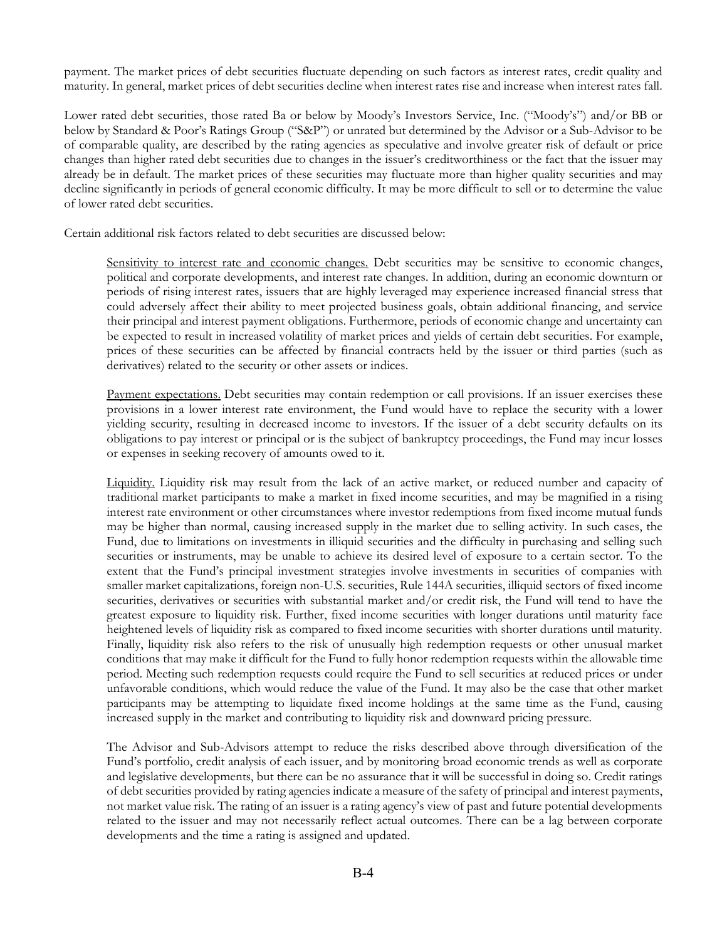payment. The market prices of debt securities fluctuate depending on such factors as interest rates, credit quality and maturity. In general, market prices of debt securities decline when interest rates rise and increase when interest rates fall.

Lower rated debt securities, those rated Ba or below by Moody's Investors Service, Inc. ("Moody's") and/or BB or below by Standard & Poor's Ratings Group ("S&P") or unrated but determined by the Advisor or a Sub-Advisor to be of comparable quality, are described by the rating agencies as speculative and involve greater risk of default or price changes than higher rated debt securities due to changes in the issuer's creditworthiness or the fact that the issuer may already be in default. The market prices of these securities may fluctuate more than higher quality securities and may decline significantly in periods of general economic difficulty. It may be more difficult to sell or to determine the value of lower rated debt securities.

Certain additional risk factors related to debt securities are discussed below:

Sensitivity to interest rate and economic changes. Debt securities may be sensitive to economic changes, political and corporate developments, and interest rate changes. In addition, during an economic downturn or periods of rising interest rates, issuers that are highly leveraged may experience increased financial stress that could adversely affect their ability to meet projected business goals, obtain additional financing, and service their principal and interest payment obligations. Furthermore, periods of economic change and uncertainty can be expected to result in increased volatility of market prices and yields of certain debt securities. For example, prices of these securities can be affected by financial contracts held by the issuer or third parties (such as derivatives) related to the security or other assets or indices.

Payment expectations. Debt securities may contain redemption or call provisions. If an issuer exercises these provisions in a lower interest rate environment, the Fund would have to replace the security with a lower yielding security, resulting in decreased income to investors. If the issuer of a debt security defaults on its obligations to pay interest or principal or is the subject of bankruptcy proceedings, the Fund may incur losses or expenses in seeking recovery of amounts owed to it.

Liquidity. Liquidity risk may result from the lack of an active market, or reduced number and capacity of traditional market participants to make a market in fixed income securities, and may be magnified in a rising interest rate environment or other circumstances where investor redemptions from fixed income mutual funds may be higher than normal, causing increased supply in the market due to selling activity. In such cases, the Fund, due to limitations on investments in illiquid securities and the difficulty in purchasing and selling such securities or instruments, may be unable to achieve its desired level of exposure to a certain sector. To the extent that the Fund's principal investment strategies involve investments in securities of companies with smaller market capitalizations, foreign non-U.S. securities, Rule 144A securities, illiquid sectors of fixed income securities, derivatives or securities with substantial market and/or credit risk, the Fund will tend to have the greatest exposure to liquidity risk. Further, fixed income securities with longer durations until maturity face heightened levels of liquidity risk as compared to fixed income securities with shorter durations until maturity. Finally, liquidity risk also refers to the risk of unusually high redemption requests or other unusual market conditions that may make it difficult for the Fund to fully honor redemption requests within the allowable time period. Meeting such redemption requests could require the Fund to sell securities at reduced prices or under unfavorable conditions, which would reduce the value of the Fund. It may also be the case that other market participants may be attempting to liquidate fixed income holdings at the same time as the Fund, causing increased supply in the market and contributing to liquidity risk and downward pricing pressure.

The Advisor and Sub-Advisors attempt to reduce the risks described above through diversification of the Fund's portfolio, credit analysis of each issuer, and by monitoring broad economic trends as well as corporate and legislative developments, but there can be no assurance that it will be successful in doing so. Credit ratings of debt securities provided by rating agencies indicate a measure of the safety of principal and interest payments, not market value risk. The rating of an issuer is a rating agency's view of past and future potential developments related to the issuer and may not necessarily reflect actual outcomes. There can be a lag between corporate developments and the time a rating is assigned and updated.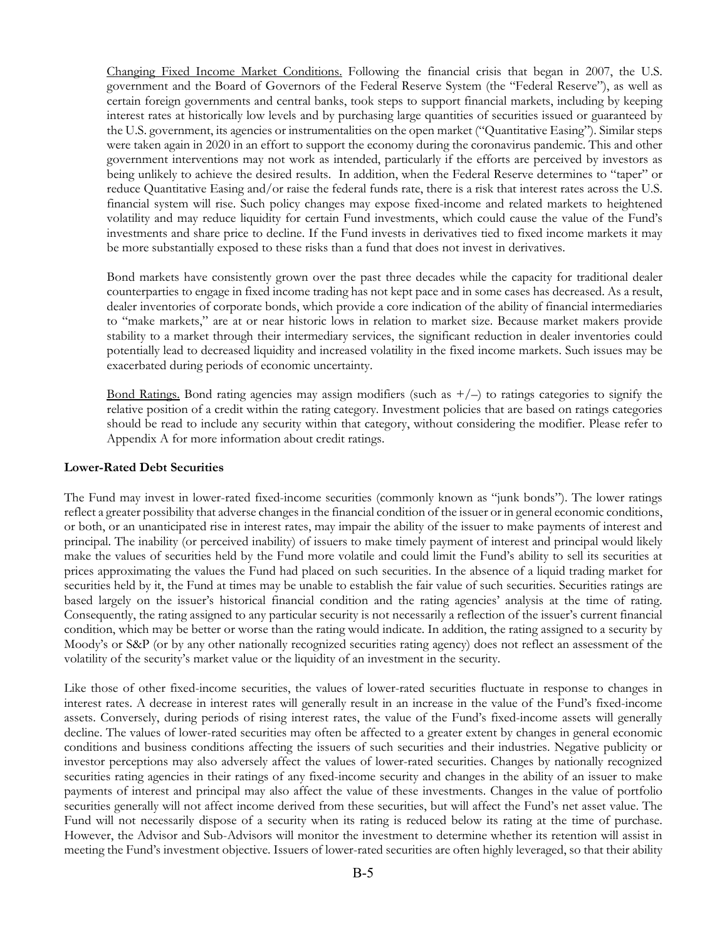Changing Fixed Income Market Conditions. Following the financial crisis that began in 2007, the U.S. government and the Board of Governors of the Federal Reserve System (the "Federal Reserve"), as well as certain foreign governments and central banks, took steps to support financial markets, including by keeping interest rates at historically low levels and by purchasing large quantities of securities issued or guaranteed by the U.S. government, its agencies or instrumentalities on the open market ("Quantitative Easing"). Similar steps were taken again in 2020 in an effort to support the economy during the coronavirus pandemic. This and other government interventions may not work as intended, particularly if the efforts are perceived by investors as being unlikely to achieve the desired results. In addition, when the Federal Reserve determines to "taper" or reduce Quantitative Easing and/or raise the federal funds rate, there is a risk that interest rates across the U.S. financial system will rise. Such policy changes may expose fixed-income and related markets to heightened volatility and may reduce liquidity for certain Fund investments, which could cause the value of the Fund's investments and share price to decline. If the Fund invests in derivatives tied to fixed income markets it may be more substantially exposed to these risks than a fund that does not invest in derivatives.

Bond markets have consistently grown over the past three decades while the capacity for traditional dealer counterparties to engage in fixed income trading has not kept pace and in some cases has decreased. As a result, dealer inventories of corporate bonds, which provide a core indication of the ability of financial intermediaries to "make markets," are at or near historic lows in relation to market size. Because market makers provide stability to a market through their intermediary services, the significant reduction in dealer inventories could potentially lead to decreased liquidity and increased volatility in the fixed income markets. Such issues may be exacerbated during periods of economic uncertainty.

Bond Ratings. Bond rating agencies may assign modifiers (such as  $+/-$ ) to ratings categories to signify the relative position of a credit within the rating category. Investment policies that are based on ratings categories should be read to include any security within that category, without considering the modifier. Please refer to Appendix A for more information about credit ratings.

#### **Lower-Rated Debt Securities**

The Fund may invest in lower-rated fixed-income securities (commonly known as "junk bonds"). The lower ratings reflect a greater possibility that adverse changes in the financial condition of the issuer or in general economic conditions, or both, or an unanticipated rise in interest rates, may impair the ability of the issuer to make payments of interest and principal. The inability (or perceived inability) of issuers to make timely payment of interest and principal would likely make the values of securities held by the Fund more volatile and could limit the Fund's ability to sell its securities at prices approximating the values the Fund had placed on such securities. In the absence of a liquid trading market for securities held by it, the Fund at times may be unable to establish the fair value of such securities. Securities ratings are based largely on the issuer's historical financial condition and the rating agencies' analysis at the time of rating. Consequently, the rating assigned to any particular security is not necessarily a reflection of the issuer's current financial condition, which may be better or worse than the rating would indicate. In addition, the rating assigned to a security by Moody's or S&P (or by any other nationally recognized securities rating agency) does not reflect an assessment of the volatility of the security's market value or the liquidity of an investment in the security.

Like those of other fixed-income securities, the values of lower-rated securities fluctuate in response to changes in interest rates. A decrease in interest rates will generally result in an increase in the value of the Fund's fixed-income assets. Conversely, during periods of rising interest rates, the value of the Fund's fixed-income assets will generally decline. The values of lower-rated securities may often be affected to a greater extent by changes in general economic conditions and business conditions affecting the issuers of such securities and their industries. Negative publicity or investor perceptions may also adversely affect the values of lower-rated securities. Changes by nationally recognized securities rating agencies in their ratings of any fixed-income security and changes in the ability of an issuer to make payments of interest and principal may also affect the value of these investments. Changes in the value of portfolio securities generally will not affect income derived from these securities, but will affect the Fund's net asset value. The Fund will not necessarily dispose of a security when its rating is reduced below its rating at the time of purchase. However, the Advisor and Sub-Advisors will monitor the investment to determine whether its retention will assist in meeting the Fund's investment objective. Issuers of lower-rated securities are often highly leveraged, so that their ability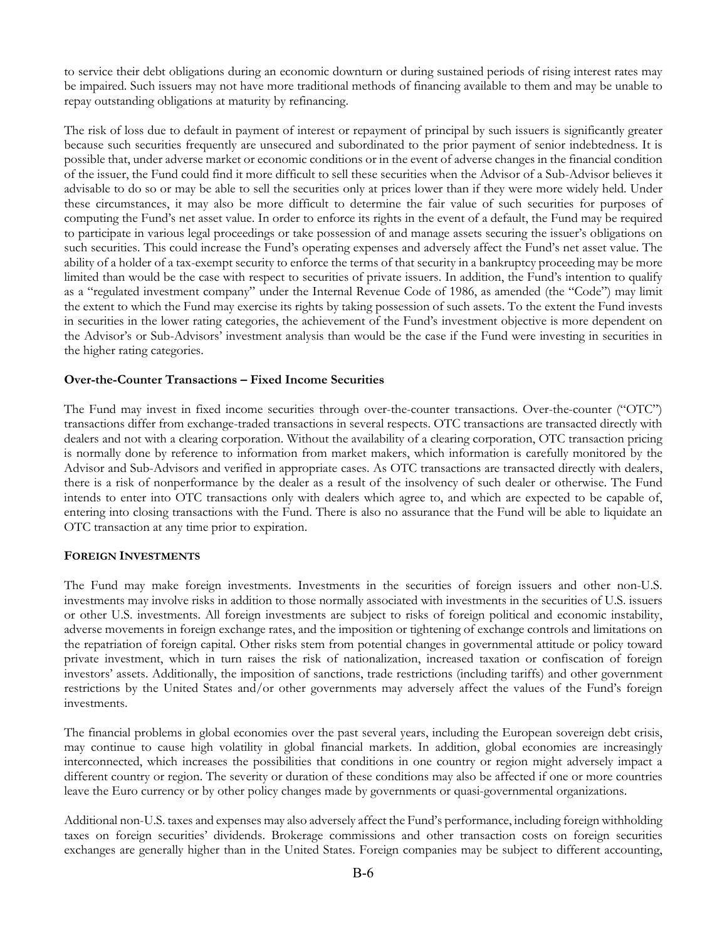to service their debt obligations during an economic downturn or during sustained periods of rising interest rates may be impaired. Such issuers may not have more traditional methods of financing available to them and may be unable to repay outstanding obligations at maturity by refinancing.

The risk of loss due to default in payment of interest or repayment of principal by such issuers is significantly greater because such securities frequently are unsecured and subordinated to the prior payment of senior indebtedness. It is possible that, under adverse market or economic conditions or in the event of adverse changes in the financial condition of the issuer, the Fund could find it more difficult to sell these securities when the Advisor of a Sub-Advisor believes it advisable to do so or may be able to sell the securities only at prices lower than if they were more widely held. Under these circumstances, it may also be more difficult to determine the fair value of such securities for purposes of computing the Fund's net asset value. In order to enforce its rights in the event of a default, the Fund may be required to participate in various legal proceedings or take possession of and manage assets securing the issuer's obligations on such securities. This could increase the Fund's operating expenses and adversely affect the Fund's net asset value. The ability of a holder of a tax-exempt security to enforce the terms of that security in a bankruptcy proceeding may be more limited than would be the case with respect to securities of private issuers. In addition, the Fund's intention to qualify as a "regulated investment company" under the Internal Revenue Code of 1986, as amended (the "Code") may limit the extent to which the Fund may exercise its rights by taking possession of such assets. To the extent the Fund invests in securities in the lower rating categories, the achievement of the Fund's investment objective is more dependent on the Advisor's or Sub-Advisors' investment analysis than would be the case if the Fund were investing in securities in the higher rating categories.

#### **Over-the-Counter Transactions – Fixed Income Securities**

The Fund may invest in fixed income securities through over-the-counter transactions. Over-the-counter ("OTC") transactions differ from exchange-traded transactions in several respects. OTC transactions are transacted directly with dealers and not with a clearing corporation. Without the availability of a clearing corporation, OTC transaction pricing is normally done by reference to information from market makers, which information is carefully monitored by the Advisor and Sub-Advisors and verified in appropriate cases. As OTC transactions are transacted directly with dealers, there is a risk of nonperformance by the dealer as a result of the insolvency of such dealer or otherwise. The Fund intends to enter into OTC transactions only with dealers which agree to, and which are expected to be capable of, entering into closing transactions with the Fund. There is also no assurance that the Fund will be able to liquidate an OTC transaction at any time prior to expiration.

#### **FOREIGN INVESTMENTS**

The Fund may make foreign investments. Investments in the securities of foreign issuers and other non-U.S. investments may involve risks in addition to those normally associated with investments in the securities of U.S. issuers or other U.S. investments. All foreign investments are subject to risks of foreign political and economic instability, adverse movements in foreign exchange rates, and the imposition or tightening of exchange controls and limitations on the repatriation of foreign capital. Other risks stem from potential changes in governmental attitude or policy toward private investment, which in turn raises the risk of nationalization, increased taxation or confiscation of foreign investors' assets. Additionally, the imposition of sanctions, trade restrictions (including tariffs) and other government restrictions by the United States and/or other governments may adversely affect the values of the Fund's foreign investments.

The financial problems in global economies over the past several years, including the European sovereign debt crisis, may continue to cause high volatility in global financial markets. In addition, global economies are increasingly interconnected, which increases the possibilities that conditions in one country or region might adversely impact a different country or region. The severity or duration of these conditions may also be affected if one or more countries leave the Euro currency or by other policy changes made by governments or quasi-governmental organizations.

Additional non-U.S. taxes and expenses may also adversely affect the Fund's performance, including foreign withholding taxes on foreign securities' dividends. Brokerage commissions and other transaction costs on foreign securities exchanges are generally higher than in the United States. Foreign companies may be subject to different accounting,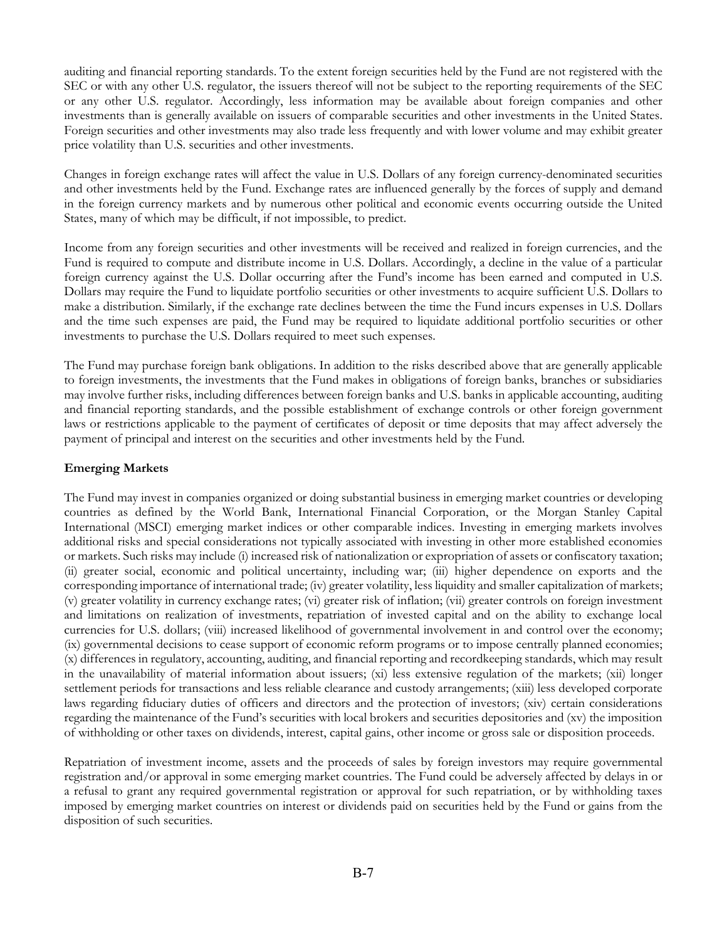auditing and financial reporting standards. To the extent foreign securities held by the Fund are not registered with the SEC or with any other U.S. regulator, the issuers thereof will not be subject to the reporting requirements of the SEC or any other U.S. regulator. Accordingly, less information may be available about foreign companies and other investments than is generally available on issuers of comparable securities and other investments in the United States. Foreign securities and other investments may also trade less frequently and with lower volume and may exhibit greater price volatility than U.S. securities and other investments.

Changes in foreign exchange rates will affect the value in U.S. Dollars of any foreign currency-denominated securities and other investments held by the Fund. Exchange rates are influenced generally by the forces of supply and demand in the foreign currency markets and by numerous other political and economic events occurring outside the United States, many of which may be difficult, if not impossible, to predict.

Income from any foreign securities and other investments will be received and realized in foreign currencies, and the Fund is required to compute and distribute income in U.S. Dollars. Accordingly, a decline in the value of a particular foreign currency against the U.S. Dollar occurring after the Fund's income has been earned and computed in U.S. Dollars may require the Fund to liquidate portfolio securities or other investments to acquire sufficient U.S. Dollars to make a distribution. Similarly, if the exchange rate declines between the time the Fund incurs expenses in U.S. Dollars and the time such expenses are paid, the Fund may be required to liquidate additional portfolio securities or other investments to purchase the U.S. Dollars required to meet such expenses.

The Fund may purchase foreign bank obligations. In addition to the risks described above that are generally applicable to foreign investments, the investments that the Fund makes in obligations of foreign banks, branches or subsidiaries may involve further risks, including differences between foreign banks and U.S. banks in applicable accounting, auditing and financial reporting standards, and the possible establishment of exchange controls or other foreign government laws or restrictions applicable to the payment of certificates of deposit or time deposits that may affect adversely the payment of principal and interest on the securities and other investments held by the Fund.

## **Emerging Markets**

The Fund may invest in companies organized or doing substantial business in emerging market countries or developing countries as defined by the World Bank, International Financial Corporation, or the Morgan Stanley Capital International (MSCI) emerging market indices or other comparable indices. Investing in emerging markets involves additional risks and special considerations not typically associated with investing in other more established economies or markets. Such risks may include (i) increased risk of nationalization or expropriation of assets or confiscatory taxation; (ii) greater social, economic and political uncertainty, including war; (iii) higher dependence on exports and the corresponding importance of international trade; (iv) greater volatility, less liquidity and smaller capitalization of markets; (v) greater volatility in currency exchange rates; (vi) greater risk of inflation; (vii) greater controls on foreign investment and limitations on realization of investments, repatriation of invested capital and on the ability to exchange local currencies for U.S. dollars; (viii) increased likelihood of governmental involvement in and control over the economy; (ix) governmental decisions to cease support of economic reform programs or to impose centrally planned economies; (x) differences in regulatory, accounting, auditing, and financial reporting and recordkeeping standards, which may result in the unavailability of material information about issuers; (xi) less extensive regulation of the markets; (xii) longer settlement periods for transactions and less reliable clearance and custody arrangements; (xiii) less developed corporate laws regarding fiduciary duties of officers and directors and the protection of investors; (xiv) certain considerations regarding the maintenance of the Fund's securities with local brokers and securities depositories and (xv) the imposition of withholding or other taxes on dividends, interest, capital gains, other income or gross sale or disposition proceeds.

Repatriation of investment income, assets and the proceeds of sales by foreign investors may require governmental registration and/or approval in some emerging market countries. The Fund could be adversely affected by delays in or a refusal to grant any required governmental registration or approval for such repatriation, or by withholding taxes imposed by emerging market countries on interest or dividends paid on securities held by the Fund or gains from the disposition of such securities.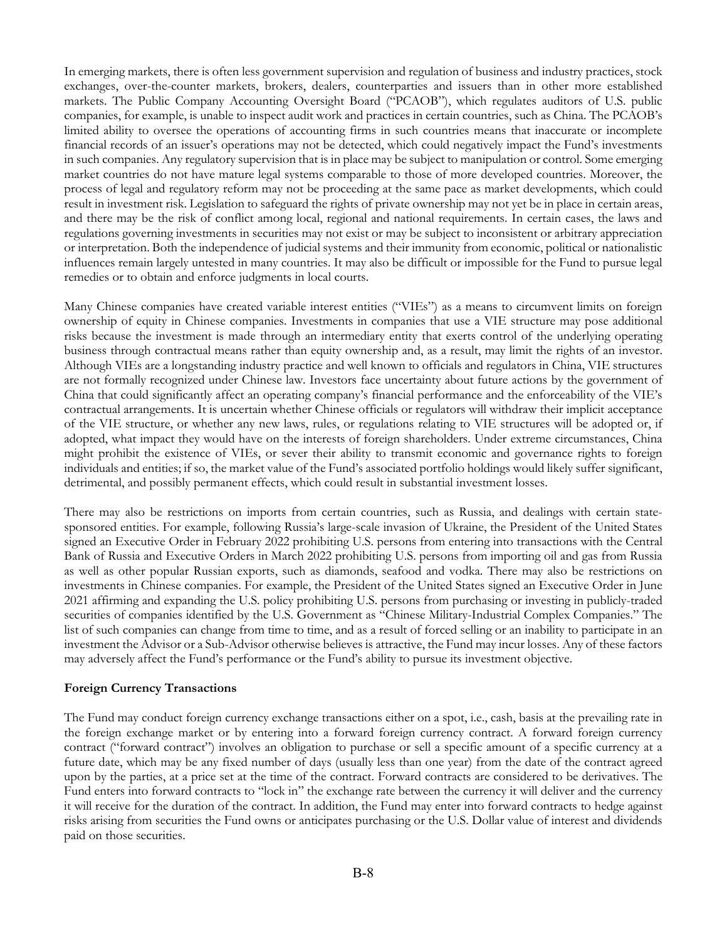In emerging markets, there is often less government supervision and regulation of business and industry practices, stock exchanges, over-the-counter markets, brokers, dealers, counterparties and issuers than in other more established markets. The Public Company Accounting Oversight Board ("PCAOB"), which regulates auditors of U.S. public companies, for example, is unable to inspect audit work and practices in certain countries, such as China. The PCAOB's limited ability to oversee the operations of accounting firms in such countries means that inaccurate or incomplete financial records of an issuer's operations may not be detected, which could negatively impact the Fund's investments in such companies. Any regulatory supervision that is in place may be subject to manipulation or control. Some emerging market countries do not have mature legal systems comparable to those of more developed countries. Moreover, the process of legal and regulatory reform may not be proceeding at the same pace as market developments, which could result in investment risk. Legislation to safeguard the rights of private ownership may not yet be in place in certain areas, and there may be the risk of conflict among local, regional and national requirements. In certain cases, the laws and regulations governing investments in securities may not exist or may be subject to inconsistent or arbitrary appreciation or interpretation. Both the independence of judicial systems and their immunity from economic, political or nationalistic influences remain largely untested in many countries. It may also be difficult or impossible for the Fund to pursue legal remedies or to obtain and enforce judgments in local courts.

Many Chinese companies have created variable interest entities ("VIEs") as a means to circumvent limits on foreign ownership of equity in Chinese companies. Investments in companies that use a VIE structure may pose additional risks because the investment is made through an intermediary entity that exerts control of the underlying operating business through contractual means rather than equity ownership and, as a result, may limit the rights of an investor. Although VIEs are a longstanding industry practice and well known to officials and regulators in China, VIE structures are not formally recognized under Chinese law. Investors face uncertainty about future actions by the government of China that could significantly affect an operating company's financial performance and the enforceability of the VIE's contractual arrangements. It is uncertain whether Chinese officials or regulators will withdraw their implicit acceptance of the VIE structure, or whether any new laws, rules, or regulations relating to VIE structures will be adopted or, if adopted, what impact they would have on the interests of foreign shareholders. Under extreme circumstances, China might prohibit the existence of VIEs, or sever their ability to transmit economic and governance rights to foreign individuals and entities; if so, the market value of the Fund's associated portfolio holdings would likely suffer significant, detrimental, and possibly permanent effects, which could result in substantial investment losses.

There may also be restrictions on imports from certain countries, such as Russia, and dealings with certain statesponsored entities. For example, following Russia's large-scale invasion of Ukraine, the President of the United States signed an Executive Order in February 2022 prohibiting U.S. persons from entering into transactions with the Central Bank of Russia and Executive Orders in March 2022 prohibiting U.S. persons from importing oil and gas from Russia as well as other popular Russian exports, such as diamonds, seafood and vodka. There may also be restrictions on investments in Chinese companies. For example, the President of the United States signed an Executive Order in June 2021 affirming and expanding the U.S. policy prohibiting U.S. persons from purchasing or investing in publicly-traded securities of companies identified by the U.S. Government as "Chinese Military-Industrial Complex Companies." The list of such companies can change from time to time, and as a result of forced selling or an inability to participate in an investment the Advisor or a Sub-Advisor otherwise believes is attractive, the Fund may incur losses. Any of these factors may adversely affect the Fund's performance or the Fund's ability to pursue its investment objective.

#### **Foreign Currency Transactions**

The Fund may conduct foreign currency exchange transactions either on a spot, i.e., cash, basis at the prevailing rate in the foreign exchange market or by entering into a forward foreign currency contract. A forward foreign currency contract ("forward contract") involves an obligation to purchase or sell a specific amount of a specific currency at a future date, which may be any fixed number of days (usually less than one year) from the date of the contract agreed upon by the parties, at a price set at the time of the contract. Forward contracts are considered to be derivatives. The Fund enters into forward contracts to "lock in" the exchange rate between the currency it will deliver and the currency it will receive for the duration of the contract. In addition, the Fund may enter into forward contracts to hedge against risks arising from securities the Fund owns or anticipates purchasing or the U.S. Dollar value of interest and dividends paid on those securities.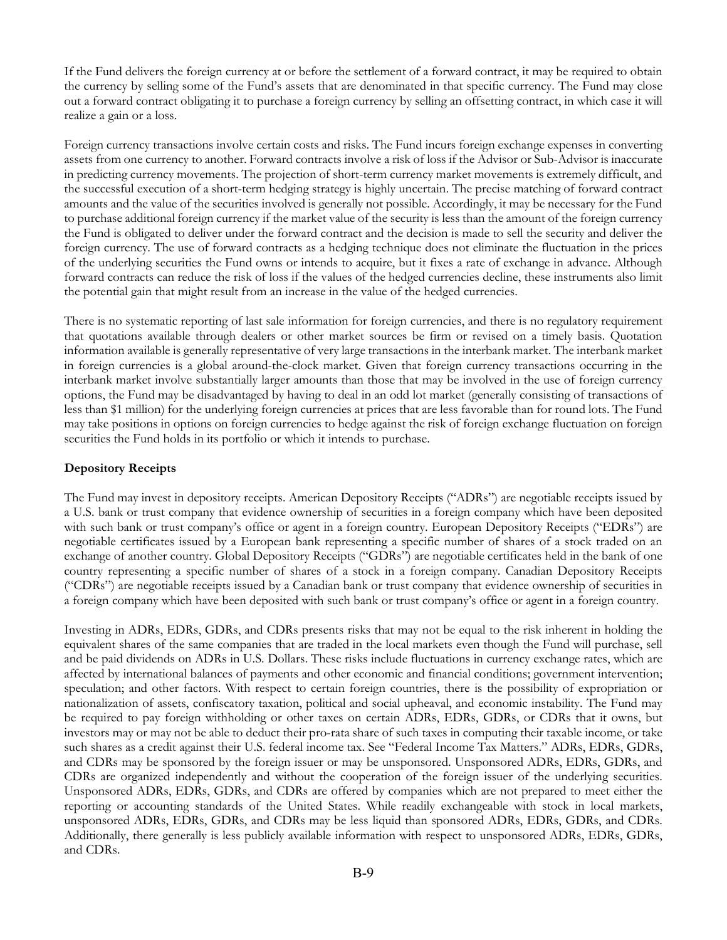If the Fund delivers the foreign currency at or before the settlement of a forward contract, it may be required to obtain the currency by selling some of the Fund's assets that are denominated in that specific currency. The Fund may close out a forward contract obligating it to purchase a foreign currency by selling an offsetting contract, in which case it will realize a gain or a loss.

Foreign currency transactions involve certain costs and risks. The Fund incurs foreign exchange expenses in converting assets from one currency to another. Forward contracts involve a risk of loss if the Advisor or Sub-Advisor is inaccurate in predicting currency movements. The projection of short-term currency market movements is extremely difficult, and the successful execution of a short-term hedging strategy is highly uncertain. The precise matching of forward contract amounts and the value of the securities involved is generally not possible. Accordingly, it may be necessary for the Fund to purchase additional foreign currency if the market value of the security is less than the amount of the foreign currency the Fund is obligated to deliver under the forward contract and the decision is made to sell the security and deliver the foreign currency. The use of forward contracts as a hedging technique does not eliminate the fluctuation in the prices of the underlying securities the Fund owns or intends to acquire, but it fixes a rate of exchange in advance. Although forward contracts can reduce the risk of loss if the values of the hedged currencies decline, these instruments also limit the potential gain that might result from an increase in the value of the hedged currencies.

There is no systematic reporting of last sale information for foreign currencies, and there is no regulatory requirement that quotations available through dealers or other market sources be firm or revised on a timely basis. Quotation information available is generally representative of very large transactions in the interbank market. The interbank market in foreign currencies is a global around-the-clock market. Given that foreign currency transactions occurring in the interbank market involve substantially larger amounts than those that may be involved in the use of foreign currency options, the Fund may be disadvantaged by having to deal in an odd lot market (generally consisting of transactions of less than \$1 million) for the underlying foreign currencies at prices that are less favorable than for round lots. The Fund may take positions in options on foreign currencies to hedge against the risk of foreign exchange fluctuation on foreign securities the Fund holds in its portfolio or which it intends to purchase.

## **Depository Receipts**

The Fund may invest in depository receipts. American Depository Receipts ("ADRs") are negotiable receipts issued by a U.S. bank or trust company that evidence ownership of securities in a foreign company which have been deposited with such bank or trust company's office or agent in a foreign country. European Depository Receipts ("EDRs") are negotiable certificates issued by a European bank representing a specific number of shares of a stock traded on an exchange of another country. Global Depository Receipts ("GDRs") are negotiable certificates held in the bank of one country representing a specific number of shares of a stock in a foreign company. Canadian Depository Receipts ("CDRs") are negotiable receipts issued by a Canadian bank or trust company that evidence ownership of securities in a foreign company which have been deposited with such bank or trust company's office or agent in a foreign country.

Investing in ADRs, EDRs, GDRs, and CDRs presents risks that may not be equal to the risk inherent in holding the equivalent shares of the same companies that are traded in the local markets even though the Fund will purchase, sell and be paid dividends on ADRs in U.S. Dollars. These risks include fluctuations in currency exchange rates, which are affected by international balances of payments and other economic and financial conditions; government intervention; speculation; and other factors. With respect to certain foreign countries, there is the possibility of expropriation or nationalization of assets, confiscatory taxation, political and social upheaval, and economic instability. The Fund may be required to pay foreign withholding or other taxes on certain ADRs, EDRs, GDRs, or CDRs that it owns, but investors may or may not be able to deduct their pro-rata share of such taxes in computing their taxable income, or take such shares as a credit against their U.S. federal income tax. See "Federal Income Tax Matters." ADRs, EDRs, GDRs, and CDRs may be sponsored by the foreign issuer or may be unsponsored. Unsponsored ADRs, EDRs, GDRs, and CDRs are organized independently and without the cooperation of the foreign issuer of the underlying securities. Unsponsored ADRs, EDRs, GDRs, and CDRs are offered by companies which are not prepared to meet either the reporting or accounting standards of the United States. While readily exchangeable with stock in local markets, unsponsored ADRs, EDRs, GDRs, and CDRs may be less liquid than sponsored ADRs, EDRs, GDRs, and CDRs. Additionally, there generally is less publicly available information with respect to unsponsored ADRs, EDRs, GDRs, and CDRs.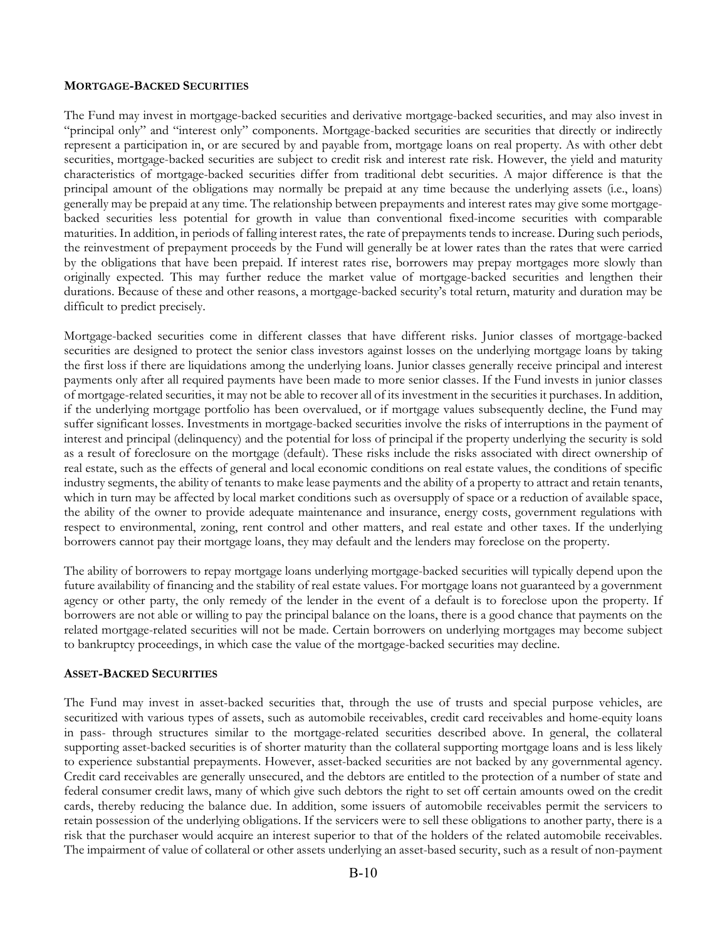#### **MORTGAGE-BACKED SECURITIES**

The Fund may invest in mortgage-backed securities and derivative mortgage-backed securities, and may also invest in "principal only" and "interest only" components. Mortgage-backed securities are securities that directly or indirectly represent a participation in, or are secured by and payable from, mortgage loans on real property. As with other debt securities, mortgage-backed securities are subject to credit risk and interest rate risk. However, the yield and maturity characteristics of mortgage-backed securities differ from traditional debt securities. A major difference is that the principal amount of the obligations may normally be prepaid at any time because the underlying assets (i.e., loans) generally may be prepaid at any time. The relationship between prepayments and interest rates may give some mortgagebacked securities less potential for growth in value than conventional fixed-income securities with comparable maturities. In addition, in periods of falling interest rates, the rate of prepayments tends to increase. During such periods, the reinvestment of prepayment proceeds by the Fund will generally be at lower rates than the rates that were carried by the obligations that have been prepaid. If interest rates rise, borrowers may prepay mortgages more slowly than originally expected. This may further reduce the market value of mortgage-backed securities and lengthen their durations. Because of these and other reasons, a mortgage-backed security's total return, maturity and duration may be difficult to predict precisely.

Mortgage-backed securities come in different classes that have different risks. Junior classes of mortgage-backed securities are designed to protect the senior class investors against losses on the underlying mortgage loans by taking the first loss if there are liquidations among the underlying loans. Junior classes generally receive principal and interest payments only after all required payments have been made to more senior classes. If the Fund invests in junior classes of mortgage-related securities, it may not be able to recover all of its investment in the securities it purchases. In addition, if the underlying mortgage portfolio has been overvalued, or if mortgage values subsequently decline, the Fund may suffer significant losses. Investments in mortgage-backed securities involve the risks of interruptions in the payment of interest and principal (delinquency) and the potential for loss of principal if the property underlying the security is sold as a result of foreclosure on the mortgage (default). These risks include the risks associated with direct ownership of real estate, such as the effects of general and local economic conditions on real estate values, the conditions of specific industry segments, the ability of tenants to make lease payments and the ability of a property to attract and retain tenants, which in turn may be affected by local market conditions such as oversupply of space or a reduction of available space, the ability of the owner to provide adequate maintenance and insurance, energy costs, government regulations with respect to environmental, zoning, rent control and other matters, and real estate and other taxes. If the underlying borrowers cannot pay their mortgage loans, they may default and the lenders may foreclose on the property.

The ability of borrowers to repay mortgage loans underlying mortgage-backed securities will typically depend upon the future availability of financing and the stability of real estate values. For mortgage loans not guaranteed by a government agency or other party, the only remedy of the lender in the event of a default is to foreclose upon the property. If borrowers are not able or willing to pay the principal balance on the loans, there is a good chance that payments on the related mortgage-related securities will not be made. Certain borrowers on underlying mortgages may become subject to bankruptcy proceedings, in which case the value of the mortgage-backed securities may decline.

#### **ASSET-BACKED SECURITIES**

The Fund may invest in asset-backed securities that, through the use of trusts and special purpose vehicles, are securitized with various types of assets, such as automobile receivables, credit card receivables and home-equity loans in pass- through structures similar to the mortgage-related securities described above. In general, the collateral supporting asset-backed securities is of shorter maturity than the collateral supporting mortgage loans and is less likely to experience substantial prepayments. However, asset-backed securities are not backed by any governmental agency. Credit card receivables are generally unsecured, and the debtors are entitled to the protection of a number of state and federal consumer credit laws, many of which give such debtors the right to set off certain amounts owed on the credit cards, thereby reducing the balance due. In addition, some issuers of automobile receivables permit the servicers to retain possession of the underlying obligations. If the servicers were to sell these obligations to another party, there is a risk that the purchaser would acquire an interest superior to that of the holders of the related automobile receivables. The impairment of value of collateral or other assets underlying an asset-based security, such as a result of non-payment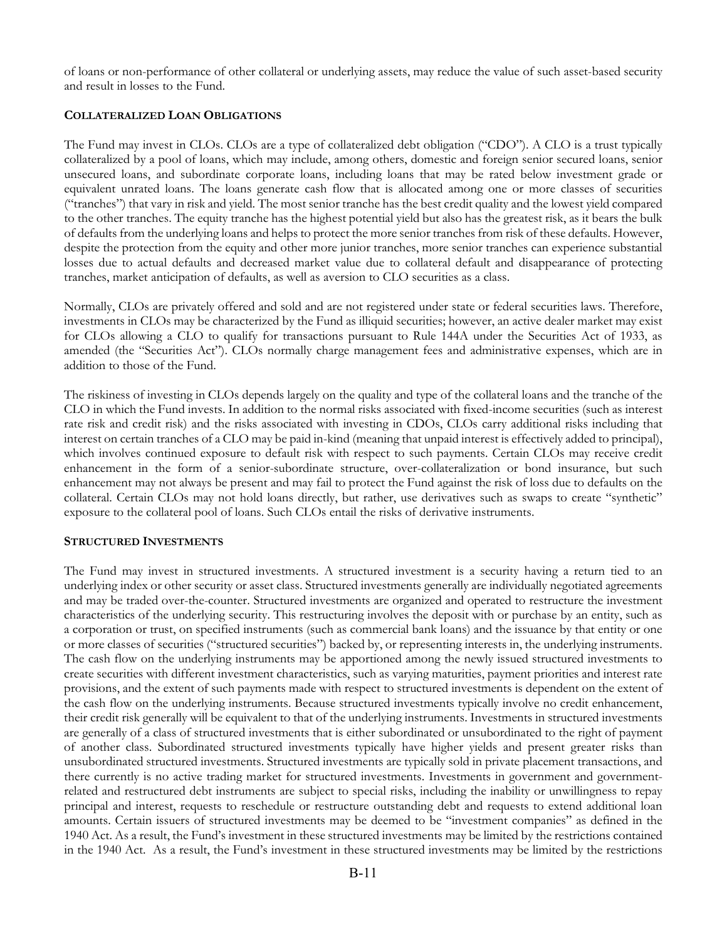of loans or non-performance of other collateral or underlying assets, may reduce the value of such asset-based security and result in losses to the Fund.

## **COLLATERALIZED LOAN OBLIGATIONS**

The Fund may invest in CLOs. CLOs are a type of collateralized debt obligation ("CDO"). A CLO is a trust typically collateralized by a pool of loans, which may include, among others, domestic and foreign senior secured loans, senior unsecured loans, and subordinate corporate loans, including loans that may be rated below investment grade or equivalent unrated loans. The loans generate cash flow that is allocated among one or more classes of securities ("tranches") that vary in risk and yield. The most senior tranche has the best credit quality and the lowest yield compared to the other tranches. The equity tranche has the highest potential yield but also has the greatest risk, as it bears the bulk of defaults from the underlying loans and helps to protect the more senior tranches from risk of these defaults. However, despite the protection from the equity and other more junior tranches, more senior tranches can experience substantial losses due to actual defaults and decreased market value due to collateral default and disappearance of protecting tranches, market anticipation of defaults, as well as aversion to CLO securities as a class.

Normally, CLOs are privately offered and sold and are not registered under state or federal securities laws. Therefore, investments in CLOs may be characterized by the Fund as illiquid securities; however, an active dealer market may exist for CLOs allowing a CLO to qualify for transactions pursuant to Rule 144A under the Securities Act of 1933, as amended (the "Securities Act"). CLOs normally charge management fees and administrative expenses, which are in addition to those of the Fund.

The riskiness of investing in CLOs depends largely on the quality and type of the collateral loans and the tranche of the CLO in which the Fund invests. In addition to the normal risks associated with fixed-income securities (such as interest rate risk and credit risk) and the risks associated with investing in CDOs, CLOs carry additional risks including that interest on certain tranches of a CLO may be paid in-kind (meaning that unpaid interest is effectively added to principal), which involves continued exposure to default risk with respect to such payments. Certain CLOs may receive credit enhancement in the form of a senior-subordinate structure, over-collateralization or bond insurance, but such enhancement may not always be present and may fail to protect the Fund against the risk of loss due to defaults on the collateral. Certain CLOs may not hold loans directly, but rather, use derivatives such as swaps to create "synthetic" exposure to the collateral pool of loans. Such CLOs entail the risks of derivative instruments.

## **STRUCTURED INVESTMENTS**

The Fund may invest in structured investments. A structured investment is a security having a return tied to an underlying index or other security or asset class. Structured investments generally are individually negotiated agreements and may be traded over-the-counter. Structured investments are organized and operated to restructure the investment characteristics of the underlying security. This restructuring involves the deposit with or purchase by an entity, such as a corporation or trust, on specified instruments (such as commercial bank loans) and the issuance by that entity or one or more classes of securities ("structured securities") backed by, or representing interests in, the underlying instruments. The cash flow on the underlying instruments may be apportioned among the newly issued structured investments to create securities with different investment characteristics, such as varying maturities, payment priorities and interest rate provisions, and the extent of such payments made with respect to structured investments is dependent on the extent of the cash flow on the underlying instruments. Because structured investments typically involve no credit enhancement, their credit risk generally will be equivalent to that of the underlying instruments. Investments in structured investments are generally of a class of structured investments that is either subordinated or unsubordinated to the right of payment of another class. Subordinated structured investments typically have higher yields and present greater risks than unsubordinated structured investments. Structured investments are typically sold in private placement transactions, and there currently is no active trading market for structured investments. Investments in government and governmentrelated and restructured debt instruments are subject to special risks, including the inability or unwillingness to repay principal and interest, requests to reschedule or restructure outstanding debt and requests to extend additional loan amounts. Certain issuers of structured investments may be deemed to be "investment companies" as defined in the 1940 Act. As a result, the Fund's investment in these structured investments may be limited by the restrictions contained in the 1940 Act. As a result, the Fund's investment in these structured investments may be limited by the restrictions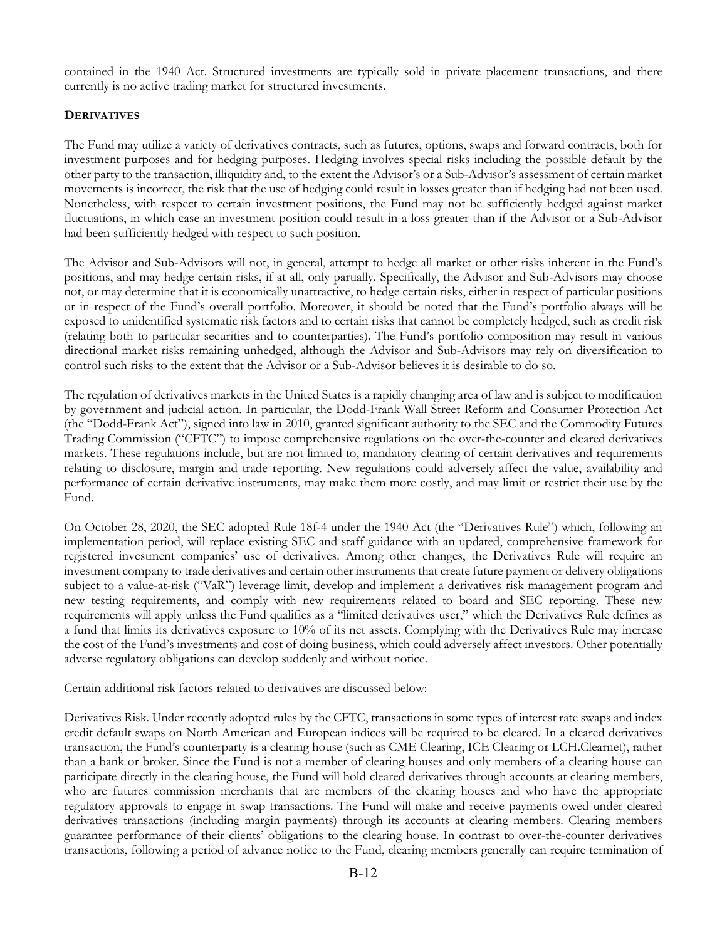contained in the 1940 Act. Structured investments are typically sold in private placement transactions, and there currently is no active trading market for structured investments.

## **DERIVATIVES**

The Fund may utilize a variety of derivatives contracts, such as futures, options, swaps and forward contracts, both for investment purposes and for hedging purposes. Hedging involves special risks including the possible default by the other party to the transaction, illiquidity and, to the extent the Advisor's or a Sub-Advisor's assessment of certain market movements is incorrect, the risk that the use of hedging could result in losses greater than if hedging had not been used. Nonetheless, with respect to certain investment positions, the Fund may not be sufficiently hedged against market fluctuations, in which case an investment position could result in a loss greater than if the Advisor or a Sub-Advisor had been sufficiently hedged with respect to such position.

The Advisor and Sub-Advisors will not, in general, attempt to hedge all market or other risks inherent in the Fund's positions, and may hedge certain risks, if at all, only partially. Specifically, the Advisor and Sub-Advisors may choose not, or may determine that it is economically unattractive, to hedge certain risks, either in respect of particular positions or in respect of the Fund's overall portfolio. Moreover, it should be noted that the Fund's portfolio always will be exposed to unidentified systematic risk factors and to certain risks that cannot be completely hedged, such as credit risk (relating both to particular securities and to counterparties). The Fund's portfolio composition may result in various directional market risks remaining unhedged, although the Advisor and Sub-Advisors may rely on diversification to control such risks to the extent that the Advisor or a Sub-Advisor believes it is desirable to do so.

The regulation of derivatives markets in the United States is a rapidly changing area of law and is subject to modification by government and judicial action. In particular, the Dodd-Frank Wall Street Reform and Consumer Protection Act (the "Dodd-Frank Act"), signed into law in 2010, granted significant authority to the SEC and the Commodity Futures Trading Commission ("CFTC") to impose comprehensive regulations on the over-the-counter and cleared derivatives markets. These regulations include, but are not limited to, mandatory clearing of certain derivatives and requirements relating to disclosure, margin and trade reporting. New regulations could adversely affect the value, availability and performance of certain derivative instruments, may make them more costly, and may limit or restrict their use by the Fund.

On October 28, 2020, the SEC adopted Rule 18f-4 under the 1940 Act (the "Derivatives Rule") which, following an implementation period, will replace existing SEC and staff guidance with an updated, comprehensive framework for registered investment companies' use of derivatives. Among other changes, the Derivatives Rule will require an investment company to trade derivatives and certain other instruments that create future payment or delivery obligations subject to a value-at-risk ("VaR") leverage limit, develop and implement a derivatives risk management program and new testing requirements, and comply with new requirements related to board and SEC reporting. These new requirements will apply unless the Fund qualifies as a "limited derivatives user," which the Derivatives Rule defines as a fund that limits its derivatives exposure to  $10\%$  of its net assets. Complying with the Derivatives Rule may increase the cost of the Fund's investments and cost of doing business, which could adversely affect investors. Other potentially adverse regulatory obligations can develop suddenly and without notice.

Certain additional risk factors related to derivatives are discussed below:

Derivatives Risk. Under recently adopted rules by the CFTC, transactions in some types of interest rate swaps and index credit default swaps on North American and European indices will be required to be cleared. In a cleared derivatives transaction, the Fund's counterparty is a clearing house (such as CME Clearing, ICE Clearing or LCH.Clearnet), rather than a bank or broker. Since the Fund is not a member of clearing houses and only members of a clearing house can participate directly in the clearing house, the Fund will hold cleared derivatives through accounts at clearing members, who are futures commission merchants that are members of the clearing houses and who have the appropriate regulatory approvals to engage in swap transactions. The Fund will make and receive payments owed under cleared derivatives transactions (including margin payments) through its accounts at clearing members. Clearing members guarantee performance of their clients' obligations to the clearing house. In contrast to over-the-counter derivatives transactions, following a period of advance notice to the Fund, clearing members generally can require termination of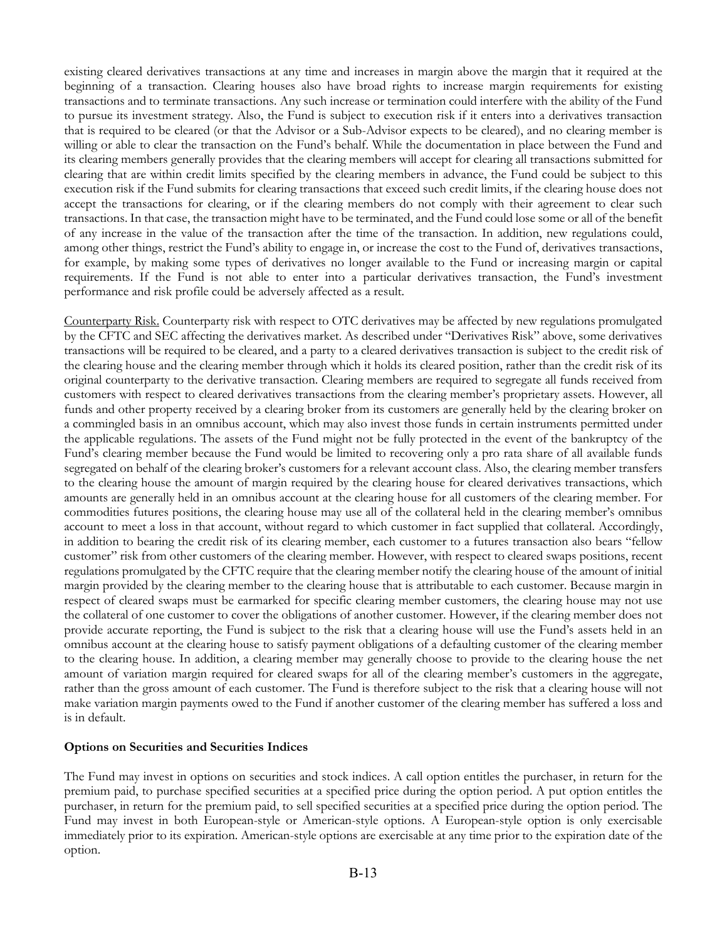existing cleared derivatives transactions at any time and increases in margin above the margin that it required at the beginning of a transaction. Clearing houses also have broad rights to increase margin requirements for existing transactions and to terminate transactions. Any such increase or termination could interfere with the ability of the Fund to pursue its investment strategy. Also, the Fund is subject to execution risk if it enters into a derivatives transaction that is required to be cleared (or that the Advisor or a Sub-Advisor expects to be cleared), and no clearing member is willing or able to clear the transaction on the Fund's behalf. While the documentation in place between the Fund and its clearing members generally provides that the clearing members will accept for clearing all transactions submitted for clearing that are within credit limits specified by the clearing members in advance, the Fund could be subject to this execution risk if the Fund submits for clearing transactions that exceed such credit limits, if the clearing house does not accept the transactions for clearing, or if the clearing members do not comply with their agreement to clear such transactions. In that case, the transaction might have to be terminated, and the Fund could lose some or all of the benefit of any increase in the value of the transaction after the time of the transaction. In addition, new regulations could, among other things, restrict the Fund's ability to engage in, or increase the cost to the Fund of, derivatives transactions, for example, by making some types of derivatives no longer available to the Fund or increasing margin or capital requirements. If the Fund is not able to enter into a particular derivatives transaction, the Fund's investment performance and risk profile could be adversely affected as a result.

Counterparty Risk. Counterparty risk with respect to OTC derivatives may be affected by new regulations promulgated by the CFTC and SEC affecting the derivatives market. As described under "Derivatives Risk" above, some derivatives transactions will be required to be cleared, and a party to a cleared derivatives transaction is subject to the credit risk of the clearing house and the clearing member through which it holds its cleared position, rather than the credit risk of its original counterparty to the derivative transaction. Clearing members are required to segregate all funds received from customers with respect to cleared derivatives transactions from the clearing member's proprietary assets. However, all funds and other property received by a clearing broker from its customers are generally held by the clearing broker on a commingled basis in an omnibus account, which may also invest those funds in certain instruments permitted under the applicable regulations. The assets of the Fund might not be fully protected in the event of the bankruptcy of the Fund's clearing member because the Fund would be limited to recovering only a pro rata share of all available funds segregated on behalf of the clearing broker's customers for a relevant account class. Also, the clearing member transfers to the clearing house the amount of margin required by the clearing house for cleared derivatives transactions, which amounts are generally held in an omnibus account at the clearing house for all customers of the clearing member. For commodities futures positions, the clearing house may use all of the collateral held in the clearing member's omnibus account to meet a loss in that account, without regard to which customer in fact supplied that collateral. Accordingly, in addition to bearing the credit risk of its clearing member, each customer to a futures transaction also bears "fellow customer" risk from other customers of the clearing member. However, with respect to cleared swaps positions, recent regulations promulgated by the CFTC require that the clearing member notify the clearing house of the amount of initial margin provided by the clearing member to the clearing house that is attributable to each customer. Because margin in respect of cleared swaps must be earmarked for specific clearing member customers, the clearing house may not use the collateral of one customer to cover the obligations of another customer. However, if the clearing member does not provide accurate reporting, the Fund is subject to the risk that a clearing house will use the Fund's assets held in an omnibus account at the clearing house to satisfy payment obligations of a defaulting customer of the clearing member to the clearing house. In addition, a clearing member may generally choose to provide to the clearing house the net amount of variation margin required for cleared swaps for all of the clearing member's customers in the aggregate, rather than the gross amount of each customer. The Fund is therefore subject to the risk that a clearing house will not make variation margin payments owed to the Fund if another customer of the clearing member has suffered a loss and is in default.

## **Options on Securities and Securities Indices**

The Fund may invest in options on securities and stock indices. A call option entitles the purchaser, in return for the premium paid, to purchase specified securities at a specified price during the option period. A put option entitles the purchaser, in return for the premium paid, to sell specified securities at a specified price during the option period. The Fund may invest in both European-style or American-style options. A European-style option is only exercisable immediately prior to its expiration. American-style options are exercisable at any time prior to the expiration date of the option.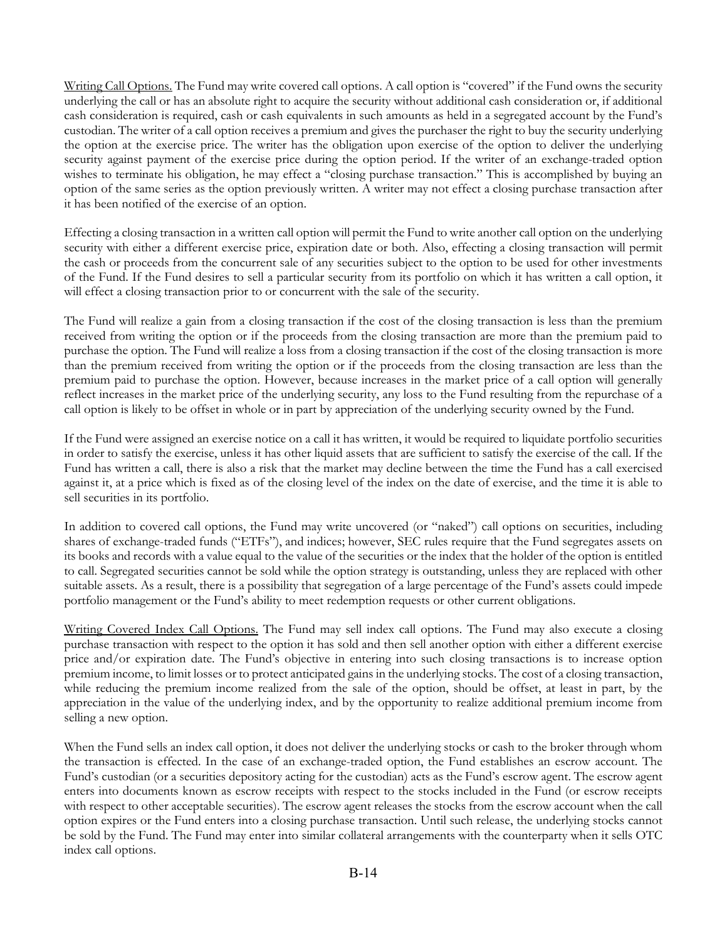Writing Call Options. The Fund may write covered call options. A call option is "covered" if the Fund owns the security underlying the call or has an absolute right to acquire the security without additional cash consideration or, if additional cash consideration is required, cash or cash equivalents in such amounts as held in a segregated account by the Fund's custodian. The writer of a call option receives a premium and gives the purchaser the right to buy the security underlying the option at the exercise price. The writer has the obligation upon exercise of the option to deliver the underlying security against payment of the exercise price during the option period. If the writer of an exchange-traded option wishes to terminate his obligation, he may effect a "closing purchase transaction." This is accomplished by buying an option of the same series as the option previously written. A writer may not effect a closing purchase transaction after it has been notified of the exercise of an option.

Effecting a closing transaction in a written call option will permit the Fund to write another call option on the underlying security with either a different exercise price, expiration date or both. Also, effecting a closing transaction will permit the cash or proceeds from the concurrent sale of any securities subject to the option to be used for other investments of the Fund. If the Fund desires to sell a particular security from its portfolio on which it has written a call option, it will effect a closing transaction prior to or concurrent with the sale of the security.

The Fund will realize a gain from a closing transaction if the cost of the closing transaction is less than the premium received from writing the option or if the proceeds from the closing transaction are more than the premium paid to purchase the option. The Fund will realize a loss from a closing transaction if the cost of the closing transaction is more than the premium received from writing the option or if the proceeds from the closing transaction are less than the premium paid to purchase the option. However, because increases in the market price of a call option will generally reflect increases in the market price of the underlying security, any loss to the Fund resulting from the repurchase of a call option is likely to be offset in whole or in part by appreciation of the underlying security owned by the Fund.

If the Fund were assigned an exercise notice on a call it has written, it would be required to liquidate portfolio securities in order to satisfy the exercise, unless it has other liquid assets that are sufficient to satisfy the exercise of the call. If the Fund has written a call, there is also a risk that the market may decline between the time the Fund has a call exercised against it, at a price which is fixed as of the closing level of the index on the date of exercise, and the time it is able to sell securities in its portfolio.

In addition to covered call options, the Fund may write uncovered (or "naked") call options on securities, including shares of exchange-traded funds ("ETFs"), and indices; however, SEC rules require that the Fund segregates assets on its books and records with a value equal to the value of the securities or the index that the holder of the option is entitled to call. Segregated securities cannot be sold while the option strategy is outstanding, unless they are replaced with other suitable assets. As a result, there is a possibility that segregation of a large percentage of the Fund's assets could impede portfolio management or the Fund's ability to meet redemption requests or other current obligations.

Writing Covered Index Call Options. The Fund may sell index call options. The Fund may also execute a closing purchase transaction with respect to the option it has sold and then sell another option with either a different exercise price and/or expiration date. The Fund's objective in entering into such closing transactions is to increase option premium income, to limit losses or to protect anticipated gains in the underlying stocks. The cost of a closing transaction, while reducing the premium income realized from the sale of the option, should be offset, at least in part, by the appreciation in the value of the underlying index, and by the opportunity to realize additional premium income from selling a new option.

When the Fund sells an index call option, it does not deliver the underlying stocks or cash to the broker through whom the transaction is effected. In the case of an exchange-traded option, the Fund establishes an escrow account. The Fund's custodian (or a securities depository acting for the custodian) acts as the Fund's escrow agent. The escrow agent enters into documents known as escrow receipts with respect to the stocks included in the Fund (or escrow receipts with respect to other acceptable securities). The escrow agent releases the stocks from the escrow account when the call option expires or the Fund enters into a closing purchase transaction. Until such release, the underlying stocks cannot be sold by the Fund. The Fund may enter into similar collateral arrangements with the counterparty when it sells OTC index call options.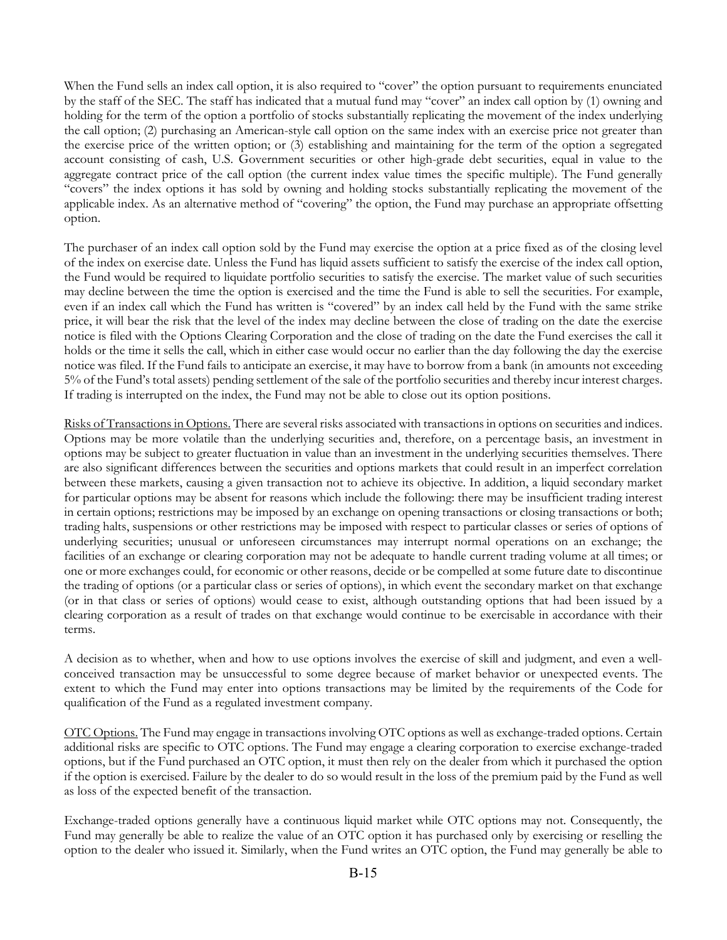When the Fund sells an index call option, it is also required to "cover" the option pursuant to requirements enunciated by the staff of the SEC. The staff has indicated that a mutual fund may "cover" an index call option by (1) owning and holding for the term of the option a portfolio of stocks substantially replicating the movement of the index underlying the call option; (2) purchasing an American-style call option on the same index with an exercise price not greater than the exercise price of the written option; or (3) establishing and maintaining for the term of the option a segregated account consisting of cash, U.S. Government securities or other high-grade debt securities, equal in value to the aggregate contract price of the call option (the current index value times the specific multiple). The Fund generally "covers" the index options it has sold by owning and holding stocks substantially replicating the movement of the applicable index. As an alternative method of "covering" the option, the Fund may purchase an appropriate offsetting option.

The purchaser of an index call option sold by the Fund may exercise the option at a price fixed as of the closing level of the index on exercise date. Unless the Fund has liquid assets sufficient to satisfy the exercise of the index call option, the Fund would be required to liquidate portfolio securities to satisfy the exercise. The market value of such securities may decline between the time the option is exercised and the time the Fund is able to sell the securities. For example, even if an index call which the Fund has written is "covered" by an index call held by the Fund with the same strike price, it will bear the risk that the level of the index may decline between the close of trading on the date the exercise notice is filed with the Options Clearing Corporation and the close of trading on the date the Fund exercises the call it holds or the time it sells the call, which in either case would occur no earlier than the day following the day the exercise notice was filed. If the Fund fails to anticipate an exercise, it may have to borrow from a bank (in amounts not exceeding 5% of the Fund's total assets) pending settlement of the sale of the portfolio securities and thereby incur interest charges. If trading is interrupted on the index, the Fund may not be able to close out its option positions.

Risks of Transactions in Options. There are several risks associated with transactions in options on securities and indices. Options may be more volatile than the underlying securities and, therefore, on a percentage basis, an investment in options may be subject to greater fluctuation in value than an investment in the underlying securities themselves. There are also significant differences between the securities and options markets that could result in an imperfect correlation between these markets, causing a given transaction not to achieve its objective. In addition, a liquid secondary market for particular options may be absent for reasons which include the following: there may be insufficient trading interest in certain options; restrictions may be imposed by an exchange on opening transactions or closing transactions or both; trading halts, suspensions or other restrictions may be imposed with respect to particular classes or series of options of underlying securities; unusual or unforeseen circumstances may interrupt normal operations on an exchange; the facilities of an exchange or clearing corporation may not be adequate to handle current trading volume at all times; or one or more exchanges could, for economic or other reasons, decide or be compelled at some future date to discontinue the trading of options (or a particular class or series of options), in which event the secondary market on that exchange (or in that class or series of options) would cease to exist, although outstanding options that had been issued by a clearing corporation as a result of trades on that exchange would continue to be exercisable in accordance with their terms.

A decision as to whether, when and how to use options involves the exercise of skill and judgment, and even a wellconceived transaction may be unsuccessful to some degree because of market behavior or unexpected events. The extent to which the Fund may enter into options transactions may be limited by the requirements of the Code for qualification of the Fund as a regulated investment company.

OTC Options. The Fund may engage in transactions involving OTC options as well as exchange-traded options. Certain additional risks are specific to OTC options. The Fund may engage a clearing corporation to exercise exchange-traded options, but if the Fund purchased an OTC option, it must then rely on the dealer from which it purchased the option if the option is exercised. Failure by the dealer to do so would result in the loss of the premium paid by the Fund as well as loss of the expected benefit of the transaction.

Exchange-traded options generally have a continuous liquid market while OTC options may not. Consequently, the Fund may generally be able to realize the value of an OTC option it has purchased only by exercising or reselling the option to the dealer who issued it. Similarly, when the Fund writes an OTC option, the Fund may generally be able to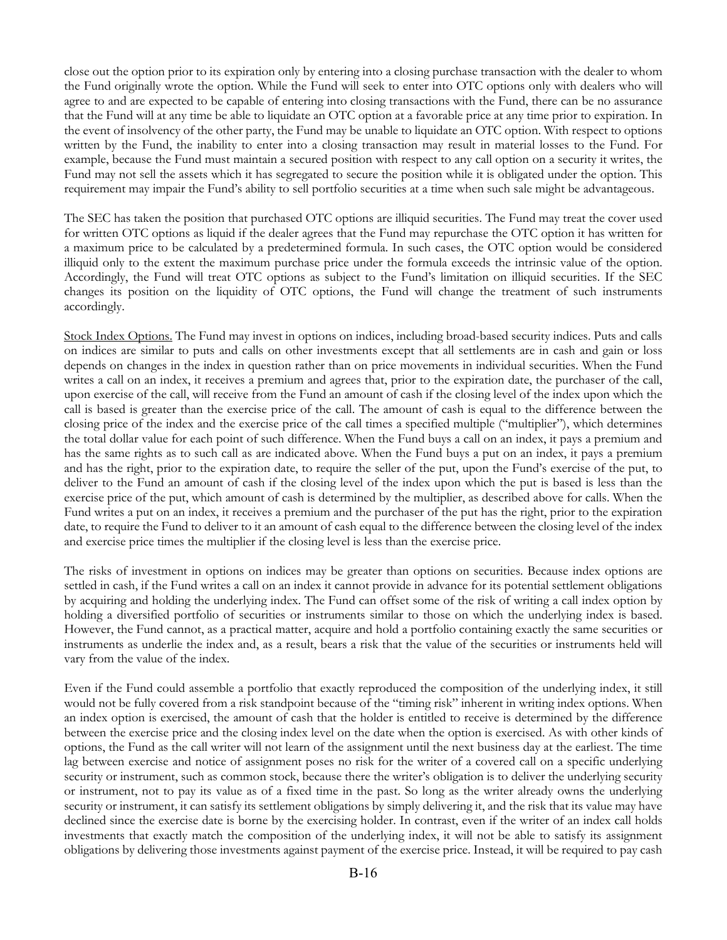close out the option prior to its expiration only by entering into a closing purchase transaction with the dealer to whom the Fund originally wrote the option. While the Fund will seek to enter into OTC options only with dealers who will agree to and are expected to be capable of entering into closing transactions with the Fund, there can be no assurance that the Fund will at any time be able to liquidate an OTC option at a favorable price at any time prior to expiration. In the event of insolvency of the other party, the Fund may be unable to liquidate an OTC option. With respect to options written by the Fund, the inability to enter into a closing transaction may result in material losses to the Fund. For example, because the Fund must maintain a secured position with respect to any call option on a security it writes, the Fund may not sell the assets which it has segregated to secure the position while it is obligated under the option. This requirement may impair the Fund's ability to sell portfolio securities at a time when such sale might be advantageous.

The SEC has taken the position that purchased OTC options are illiquid securities. The Fund may treat the cover used for written OTC options as liquid if the dealer agrees that the Fund may repurchase the OTC option it has written for a maximum price to be calculated by a predetermined formula. In such cases, the OTC option would be considered illiquid only to the extent the maximum purchase price under the formula exceeds the intrinsic value of the option. Accordingly, the Fund will treat OTC options as subject to the Fund's limitation on illiquid securities. If the SEC changes its position on the liquidity of OTC options, the Fund will change the treatment of such instruments accordingly.

Stock Index Options. The Fund may invest in options on indices, including broad-based security indices. Puts and calls on indices are similar to puts and calls on other investments except that all settlements are in cash and gain or loss depends on changes in the index in question rather than on price movements in individual securities. When the Fund writes a call on an index, it receives a premium and agrees that, prior to the expiration date, the purchaser of the call, upon exercise of the call, will receive from the Fund an amount of cash if the closing level of the index upon which the call is based is greater than the exercise price of the call. The amount of cash is equal to the difference between the closing price of the index and the exercise price of the call times a specified multiple ("multiplier"), which determines the total dollar value for each point of such difference. When the Fund buys a call on an index, it pays a premium and has the same rights as to such call as are indicated above. When the Fund buys a put on an index, it pays a premium and has the right, prior to the expiration date, to require the seller of the put, upon the Fund's exercise of the put, to deliver to the Fund an amount of cash if the closing level of the index upon which the put is based is less than the exercise price of the put, which amount of cash is determined by the multiplier, as described above for calls. When the Fund writes a put on an index, it receives a premium and the purchaser of the put has the right, prior to the expiration date, to require the Fund to deliver to it an amount of cash equal to the difference between the closing level of the index and exercise price times the multiplier if the closing level is less than the exercise price.

The risks of investment in options on indices may be greater than options on securities. Because index options are settled in cash, if the Fund writes a call on an index it cannot provide in advance for its potential settlement obligations by acquiring and holding the underlying index. The Fund can offset some of the risk of writing a call index option by holding a diversified portfolio of securities or instruments similar to those on which the underlying index is based. However, the Fund cannot, as a practical matter, acquire and hold a portfolio containing exactly the same securities or instruments as underlie the index and, as a result, bears a risk that the value of the securities or instruments held will vary from the value of the index.

Even if the Fund could assemble a portfolio that exactly reproduced the composition of the underlying index, it still would not be fully covered from a risk standpoint because of the "timing risk" inherent in writing index options. When an index option is exercised, the amount of cash that the holder is entitled to receive is determined by the difference between the exercise price and the closing index level on the date when the option is exercised. As with other kinds of options, the Fund as the call writer will not learn of the assignment until the next business day at the earliest. The time lag between exercise and notice of assignment poses no risk for the writer of a covered call on a specific underlying security or instrument, such as common stock, because there the writer's obligation is to deliver the underlying security or instrument, not to pay its value as of a fixed time in the past. So long as the writer already owns the underlying security or instrument, it can satisfy its settlement obligations by simply delivering it, and the risk that its value may have declined since the exercise date is borne by the exercising holder. In contrast, even if the writer of an index call holds investments that exactly match the composition of the underlying index, it will not be able to satisfy its assignment obligations by delivering those investments against payment of the exercise price. Instead, it will be required to pay cash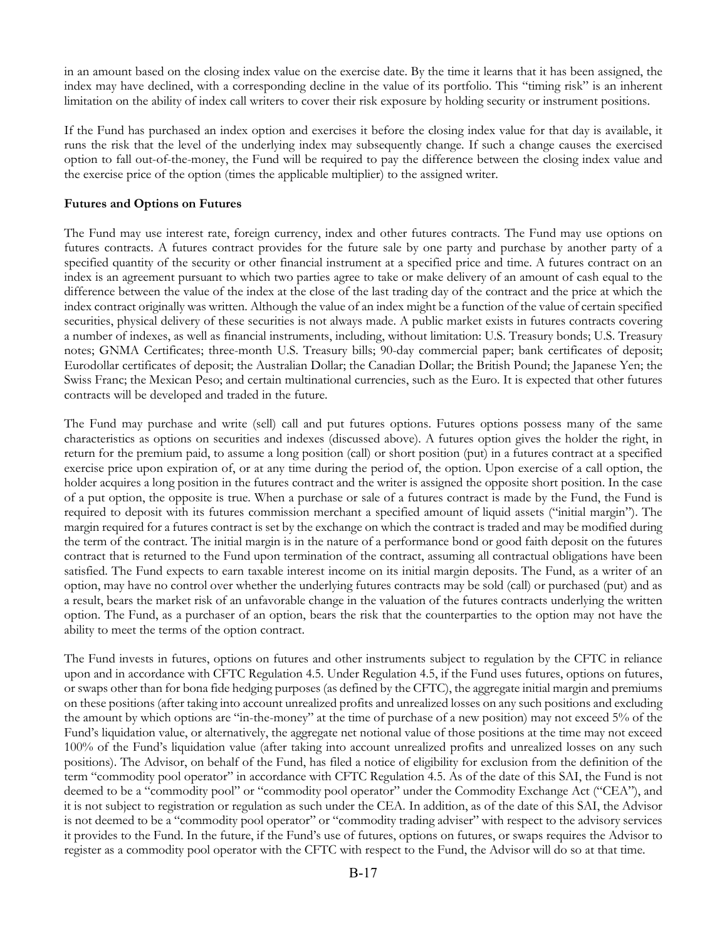in an amount based on the closing index value on the exercise date. By the time it learns that it has been assigned, the index may have declined, with a corresponding decline in the value of its portfolio. This "timing risk" is an inherent limitation on the ability of index call writers to cover their risk exposure by holding security or instrument positions.

If the Fund has purchased an index option and exercises it before the closing index value for that day is available, it runs the risk that the level of the underlying index may subsequently change. If such a change causes the exercised option to fall out-of-the-money, the Fund will be required to pay the difference between the closing index value and the exercise price of the option (times the applicable multiplier) to the assigned writer.

#### **Futures and Options on Futures**

The Fund may use interest rate, foreign currency, index and other futures contracts. The Fund may use options on futures contracts. A futures contract provides for the future sale by one party and purchase by another party of a specified quantity of the security or other financial instrument at a specified price and time. A futures contract on an index is an agreement pursuant to which two parties agree to take or make delivery of an amount of cash equal to the difference between the value of the index at the close of the last trading day of the contract and the price at which the index contract originally was written. Although the value of an index might be a function of the value of certain specified securities, physical delivery of these securities is not always made. A public market exists in futures contracts covering a number of indexes, as well as financial instruments, including, without limitation: U.S. Treasury bonds; U.S. Treasury notes; GNMA Certificates; three-month U.S. Treasury bills; 90-day commercial paper; bank certificates of deposit; Eurodollar certificates of deposit; the Australian Dollar; the Canadian Dollar; the British Pound; the Japanese Yen; the Swiss Franc; the Mexican Peso; and certain multinational currencies, such as the Euro. It is expected that other futures contracts will be developed and traded in the future.

The Fund may purchase and write (sell) call and put futures options. Futures options possess many of the same characteristics as options on securities and indexes (discussed above). A futures option gives the holder the right, in return for the premium paid, to assume a long position (call) or short position (put) in a futures contract at a specified exercise price upon expiration of, or at any time during the period of, the option. Upon exercise of a call option, the holder acquires a long position in the futures contract and the writer is assigned the opposite short position. In the case of a put option, the opposite is true. When a purchase or sale of a futures contract is made by the Fund, the Fund is required to deposit with its futures commission merchant a specified amount of liquid assets ("initial margin"). The margin required for a futures contract is set by the exchange on which the contract is traded and may be modified during the term of the contract. The initial margin is in the nature of a performance bond or good faith deposit on the futures contract that is returned to the Fund upon termination of the contract, assuming all contractual obligations have been satisfied. The Fund expects to earn taxable interest income on its initial margin deposits. The Fund, as a writer of an option, may have no control over whether the underlying futures contracts may be sold (call) or purchased (put) and as a result, bears the market risk of an unfavorable change in the valuation of the futures contracts underlying the written option. The Fund, as a purchaser of an option, bears the risk that the counterparties to the option may not have the ability to meet the terms of the option contract.

The Fund invests in futures, options on futures and other instruments subject to regulation by the CFTC in reliance upon and in accordance with CFTC Regulation 4.5. Under Regulation 4.5, if the Fund uses futures, options on futures, or swaps other than for bona fide hedging purposes (as defined by the CFTC), the aggregate initial margin and premiums on these positions (after taking into account unrealized profits and unrealized losses on any such positions and excluding the amount by which options are "in-the-money" at the time of purchase of a new position) may not exceed 5% of the Fund's liquidation value, or alternatively, the aggregate net notional value of those positions at the time may not exceed 100% of the Fund's liquidation value (after taking into account unrealized profits and unrealized losses on any such positions). The Advisor, on behalf of the Fund, has filed a notice of eligibility for exclusion from the definition of the term "commodity pool operator" in accordance with CFTC Regulation 4.5. As of the date of this SAI, the Fund is not deemed to be a "commodity pool" or "commodity pool operator" under the Commodity Exchange Act ("CEA"), and it is not subject to registration or regulation as such under the CEA. In addition, as of the date of this SAI, the Advisor is not deemed to be a "commodity pool operator" or "commodity trading adviser" with respect to the advisory services it provides to the Fund. In the future, if the Fund's use of futures, options on futures, or swaps requires the Advisor to register as a commodity pool operator with the CFTC with respect to the Fund, the Advisor will do so at that time.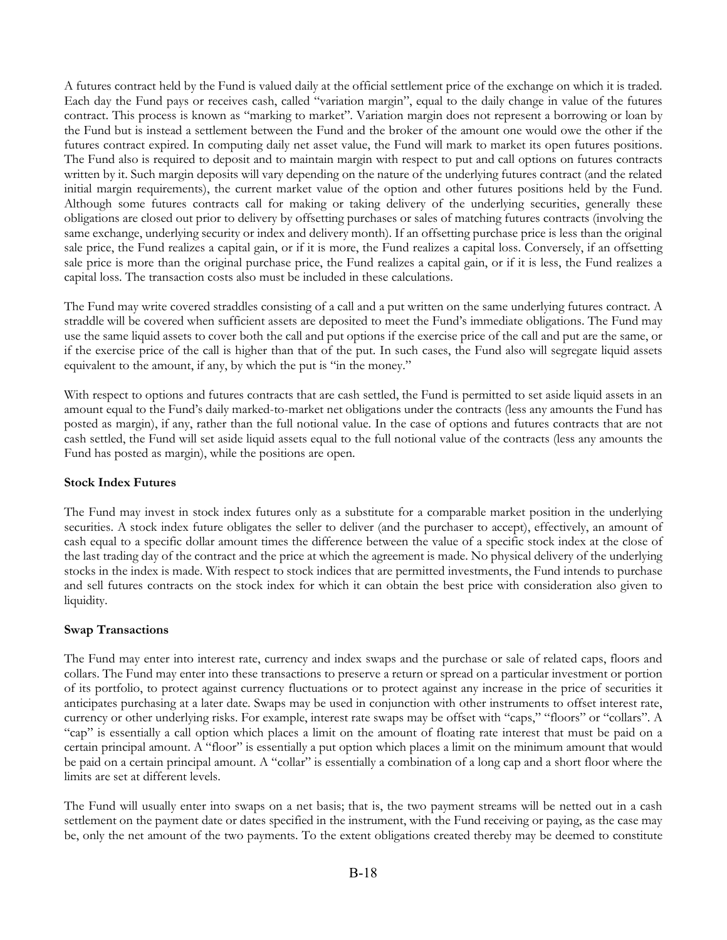A futures contract held by the Fund is valued daily at the official settlement price of the exchange on which it is traded. Each day the Fund pays or receives cash, called "variation margin", equal to the daily change in value of the futures contract. This process is known as "marking to market". Variation margin does not represent a borrowing or loan by the Fund but is instead a settlement between the Fund and the broker of the amount one would owe the other if the futures contract expired. In computing daily net asset value, the Fund will mark to market its open futures positions. The Fund also is required to deposit and to maintain margin with respect to put and call options on futures contracts written by it. Such margin deposits will vary depending on the nature of the underlying futures contract (and the related initial margin requirements), the current market value of the option and other futures positions held by the Fund. Although some futures contracts call for making or taking delivery of the underlying securities, generally these obligations are closed out prior to delivery by offsetting purchases or sales of matching futures contracts (involving the same exchange, underlying security or index and delivery month). If an offsetting purchase price is less than the original sale price, the Fund realizes a capital gain, or if it is more, the Fund realizes a capital loss. Conversely, if an offsetting sale price is more than the original purchase price, the Fund realizes a capital gain, or if it is less, the Fund realizes a capital loss. The transaction costs also must be included in these calculations.

The Fund may write covered straddles consisting of a call and a put written on the same underlying futures contract. A straddle will be covered when sufficient assets are deposited to meet the Fund's immediate obligations. The Fund may use the same liquid assets to cover both the call and put options if the exercise price of the call and put are the same, or if the exercise price of the call is higher than that of the put. In such cases, the Fund also will segregate liquid assets equivalent to the amount, if any, by which the put is "in the money."

With respect to options and futures contracts that are cash settled, the Fund is permitted to set aside liquid assets in an amount equal to the Fund's daily marked-to-market net obligations under the contracts (less any amounts the Fund has posted as margin), if any, rather than the full notional value. In the case of options and futures contracts that are not cash settled, the Fund will set aside liquid assets equal to the full notional value of the contracts (less any amounts the Fund has posted as margin), while the positions are open.

## **Stock Index Futures**

The Fund may invest in stock index futures only as a substitute for a comparable market position in the underlying securities. A stock index future obligates the seller to deliver (and the purchaser to accept), effectively, an amount of cash equal to a specific dollar amount times the difference between the value of a specific stock index at the close of the last trading day of the contract and the price at which the agreement is made. No physical delivery of the underlying stocks in the index is made. With respect to stock indices that are permitted investments, the Fund intends to purchase and sell futures contracts on the stock index for which it can obtain the best price with consideration also given to liquidity.

## **Swap Transactions**

The Fund may enter into interest rate, currency and index swaps and the purchase or sale of related caps, floors and collars. The Fund may enter into these transactions to preserve a return or spread on a particular investment or portion of its portfolio, to protect against currency fluctuations or to protect against any increase in the price of securities it anticipates purchasing at a later date. Swaps may be used in conjunction with other instruments to offset interest rate, currency or other underlying risks. For example, interest rate swaps may be offset with "caps," "floors" or "collars". A "cap" is essentially a call option which places a limit on the amount of floating rate interest that must be paid on a certain principal amount. A "floor" is essentially a put option which places a limit on the minimum amount that would be paid on a certain principal amount. A "collar" is essentially a combination of a long cap and a short floor where the limits are set at different levels.

The Fund will usually enter into swaps on a net basis; that is, the two payment streams will be netted out in a cash settlement on the payment date or dates specified in the instrument, with the Fund receiving or paying, as the case may be, only the net amount of the two payments. To the extent obligations created thereby may be deemed to constitute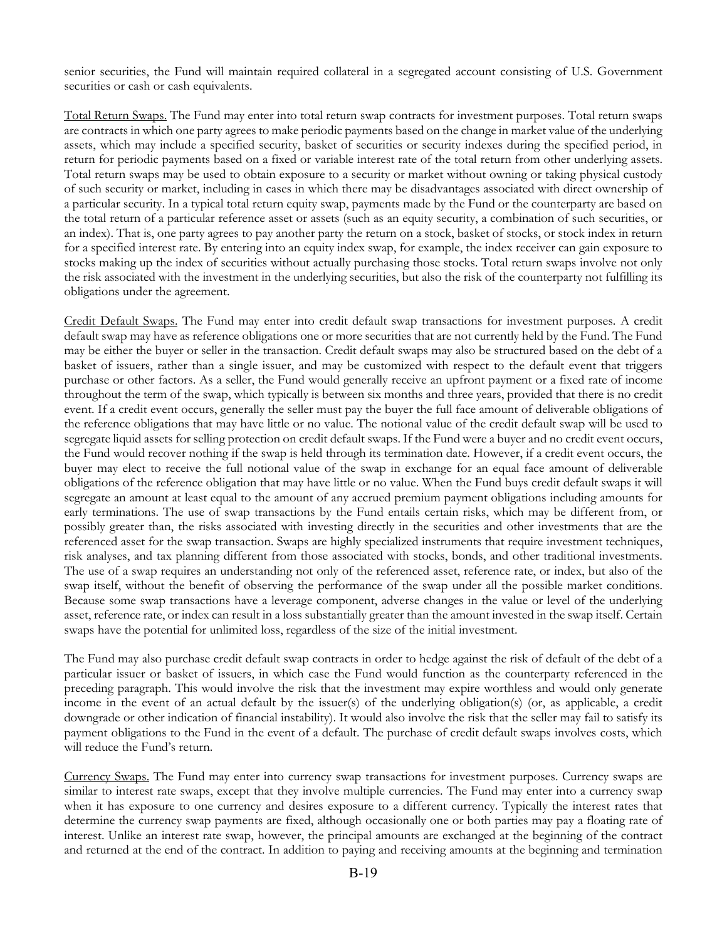senior securities, the Fund will maintain required collateral in a segregated account consisting of U.S. Government securities or cash or cash equivalents.

Total Return Swaps. The Fund may enter into total return swap contracts for investment purposes. Total return swaps are contracts in which one party agrees to make periodic payments based on the change in market value of the underlying assets, which may include a specified security, basket of securities or security indexes during the specified period, in return for periodic payments based on a fixed or variable interest rate of the total return from other underlying assets. Total return swaps may be used to obtain exposure to a security or market without owning or taking physical custody of such security or market, including in cases in which there may be disadvantages associated with direct ownership of a particular security. In a typical total return equity swap, payments made by the Fund or the counterparty are based on the total return of a particular reference asset or assets (such as an equity security, a combination of such securities, or an index). That is, one party agrees to pay another party the return on a stock, basket of stocks, or stock index in return for a specified interest rate. By entering into an equity index swap, for example, the index receiver can gain exposure to stocks making up the index of securities without actually purchasing those stocks. Total return swaps involve not only the risk associated with the investment in the underlying securities, but also the risk of the counterparty not fulfilling its obligations under the agreement.

Credit Default Swaps. The Fund may enter into credit default swap transactions for investment purposes. A credit default swap may have as reference obligations one or more securities that are not currently held by the Fund. The Fund may be either the buyer or seller in the transaction. Credit default swaps may also be structured based on the debt of a basket of issuers, rather than a single issuer, and may be customized with respect to the default event that triggers purchase or other factors. As a seller, the Fund would generally receive an upfront payment or a fixed rate of income throughout the term of the swap, which typically is between six months and three years, provided that there is no credit event. If a credit event occurs, generally the seller must pay the buyer the full face amount of deliverable obligations of the reference obligations that may have little or no value. The notional value of the credit default swap will be used to segregate liquid assets for selling protection on credit default swaps. If the Fund were a buyer and no credit event occurs, the Fund would recover nothing if the swap is held through its termination date. However, if a credit event occurs, the buyer may elect to receive the full notional value of the swap in exchange for an equal face amount of deliverable obligations of the reference obligation that may have little or no value. When the Fund buys credit default swaps it will segregate an amount at least equal to the amount of any accrued premium payment obligations including amounts for early terminations. The use of swap transactions by the Fund entails certain risks, which may be different from, or possibly greater than, the risks associated with investing directly in the securities and other investments that are the referenced asset for the swap transaction. Swaps are highly specialized instruments that require investment techniques, risk analyses, and tax planning different from those associated with stocks, bonds, and other traditional investments. The use of a swap requires an understanding not only of the referenced asset, reference rate, or index, but also of the swap itself, without the benefit of observing the performance of the swap under all the possible market conditions. Because some swap transactions have a leverage component, adverse changes in the value or level of the underlying asset, reference rate, or index can result in a loss substantially greater than the amount invested in the swap itself. Certain swaps have the potential for unlimited loss, regardless of the size of the initial investment.

The Fund may also purchase credit default swap contracts in order to hedge against the risk of default of the debt of a particular issuer or basket of issuers, in which case the Fund would function as the counterparty referenced in the preceding paragraph. This would involve the risk that the investment may expire worthless and would only generate income in the event of an actual default by the issuer(s) of the underlying obligation(s) (or, as applicable, a credit downgrade or other indication of financial instability). It would also involve the risk that the seller may fail to satisfy its payment obligations to the Fund in the event of a default. The purchase of credit default swaps involves costs, which will reduce the Fund's return.

Currency Swaps. The Fund may enter into currency swap transactions for investment purposes. Currency swaps are similar to interest rate swaps, except that they involve multiple currencies. The Fund may enter into a currency swap when it has exposure to one currency and desires exposure to a different currency. Typically the interest rates that determine the currency swap payments are fixed, although occasionally one or both parties may pay a floating rate of interest. Unlike an interest rate swap, however, the principal amounts are exchanged at the beginning of the contract and returned at the end of the contract. In addition to paying and receiving amounts at the beginning and termination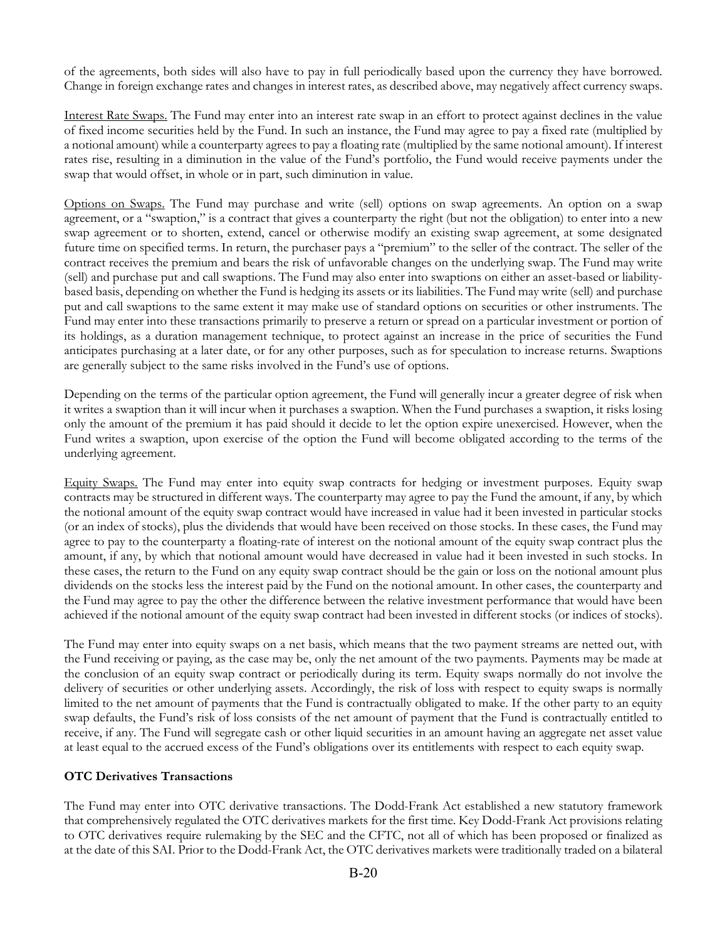of the agreements, both sides will also have to pay in full periodically based upon the currency they have borrowed. Change in foreign exchange rates and changes in interest rates, as described above, may negatively affect currency swaps.

Interest Rate Swaps. The Fund may enter into an interest rate swap in an effort to protect against declines in the value of fixed income securities held by the Fund. In such an instance, the Fund may agree to pay a fixed rate (multiplied by a notional amount) while a counterparty agrees to pay a floating rate (multiplied by the same notional amount). If interest rates rise, resulting in a diminution in the value of the Fund's portfolio, the Fund would receive payments under the swap that would offset, in whole or in part, such diminution in value.

Options on Swaps. The Fund may purchase and write (sell) options on swap agreements. An option on a swap agreement, or a "swaption," is a contract that gives a counterparty the right (but not the obligation) to enter into a new swap agreement or to shorten, extend, cancel or otherwise modify an existing swap agreement, at some designated future time on specified terms. In return, the purchaser pays a "premium" to the seller of the contract. The seller of the contract receives the premium and bears the risk of unfavorable changes on the underlying swap. The Fund may write (sell) and purchase put and call swaptions. The Fund may also enter into swaptions on either an asset-based or liabilitybased basis, depending on whether the Fund is hedging its assets or its liabilities. The Fund may write (sell) and purchase put and call swaptions to the same extent it may make use of standard options on securities or other instruments. The Fund may enter into these transactions primarily to preserve a return or spread on a particular investment or portion of its holdings, as a duration management technique, to protect against an increase in the price of securities the Fund anticipates purchasing at a later date, or for any other purposes, such as for speculation to increase returns. Swaptions are generally subject to the same risks involved in the Fund's use of options.

Depending on the terms of the particular option agreement, the Fund will generally incur a greater degree of risk when it writes a swaption than it will incur when it purchases a swaption. When the Fund purchases a swaption, it risks losing only the amount of the premium it has paid should it decide to let the option expire unexercised. However, when the Fund writes a swaption, upon exercise of the option the Fund will become obligated according to the terms of the underlying agreement.

Equity Swaps. The Fund may enter into equity swap contracts for hedging or investment purposes. Equity swap contracts may be structured in different ways. The counterparty may agree to pay the Fund the amount, if any, by which the notional amount of the equity swap contract would have increased in value had it been invested in particular stocks (or an index of stocks), plus the dividends that would have been received on those stocks. In these cases, the Fund may agree to pay to the counterparty a floating-rate of interest on the notional amount of the equity swap contract plus the amount, if any, by which that notional amount would have decreased in value had it been invested in such stocks. In these cases, the return to the Fund on any equity swap contract should be the gain or loss on the notional amount plus dividends on the stocks less the interest paid by the Fund on the notional amount. In other cases, the counterparty and the Fund may agree to pay the other the difference between the relative investment performance that would have been achieved if the notional amount of the equity swap contract had been invested in different stocks (or indices of stocks).

The Fund may enter into equity swaps on a net basis, which means that the two payment streams are netted out, with the Fund receiving or paying, as the case may be, only the net amount of the two payments. Payments may be made at the conclusion of an equity swap contract or periodically during its term. Equity swaps normally do not involve the delivery of securities or other underlying assets. Accordingly, the risk of loss with respect to equity swaps is normally limited to the net amount of payments that the Fund is contractually obligated to make. If the other party to an equity swap defaults, the Fund's risk of loss consists of the net amount of payment that the Fund is contractually entitled to receive, if any. The Fund will segregate cash or other liquid securities in an amount having an aggregate net asset value at least equal to the accrued excess of the Fund's obligations over its entitlements with respect to each equity swap.

## **OTC Derivatives Transactions**

The Fund may enter into OTC derivative transactions. The Dodd-Frank Act established a new statutory framework that comprehensively regulated the OTC derivatives markets for the first time. Key Dodd-Frank Act provisions relating to OTC derivatives require rulemaking by the SEC and the CFTC, not all of which has been proposed or finalized as at the date of this SAI. Prior to the Dodd-Frank Act, the OTC derivatives markets were traditionally traded on a bilateral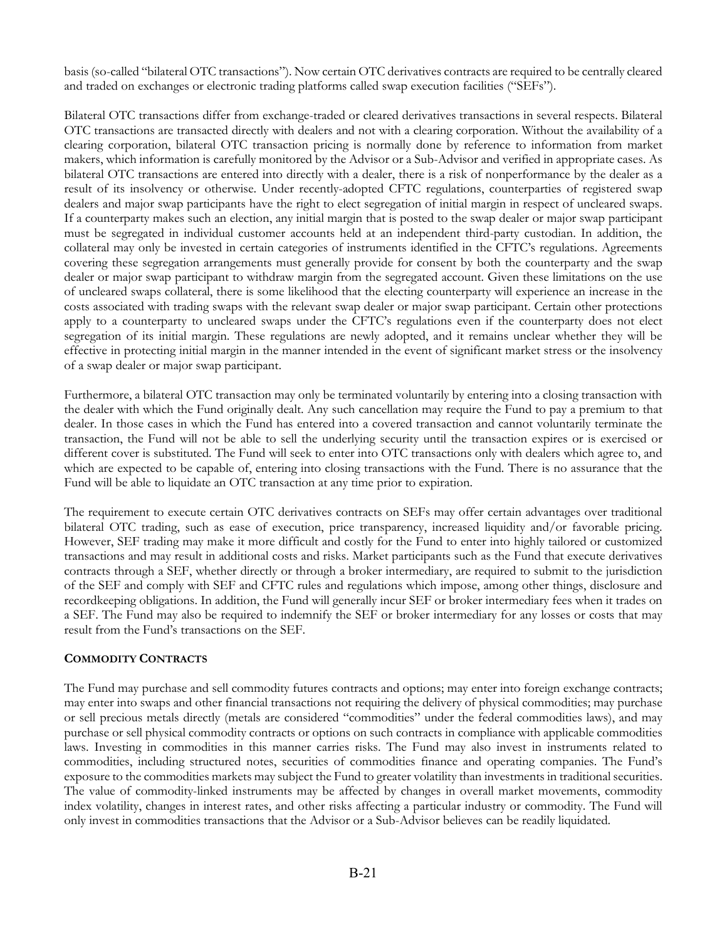basis (so-called "bilateral OTC transactions"). Now certain OTC derivatives contracts are required to be centrally cleared and traded on exchanges or electronic trading platforms called swap execution facilities ("SEFs").

Bilateral OTC transactions differ from exchange-traded or cleared derivatives transactions in several respects. Bilateral OTC transactions are transacted directly with dealers and not with a clearing corporation. Without the availability of a clearing corporation, bilateral OTC transaction pricing is normally done by reference to information from market makers, which information is carefully monitored by the Advisor or a Sub-Advisor and verified in appropriate cases. As bilateral OTC transactions are entered into directly with a dealer, there is a risk of nonperformance by the dealer as a result of its insolvency or otherwise. Under recently-adopted CFTC regulations, counterparties of registered swap dealers and major swap participants have the right to elect segregation of initial margin in respect of uncleared swaps. If a counterparty makes such an election, any initial margin that is posted to the swap dealer or major swap participant must be segregated in individual customer accounts held at an independent third-party custodian. In addition, the collateral may only be invested in certain categories of instruments identified in the CFTC's regulations. Agreements covering these segregation arrangements must generally provide for consent by both the counterparty and the swap dealer or major swap participant to withdraw margin from the segregated account. Given these limitations on the use of uncleared swaps collateral, there is some likelihood that the electing counterparty will experience an increase in the costs associated with trading swaps with the relevant swap dealer or major swap participant. Certain other protections apply to a counterparty to uncleared swaps under the CFTC's regulations even if the counterparty does not elect segregation of its initial margin. These regulations are newly adopted, and it remains unclear whether they will be effective in protecting initial margin in the manner intended in the event of significant market stress or the insolvency of a swap dealer or major swap participant.

Furthermore, a bilateral OTC transaction may only be terminated voluntarily by entering into a closing transaction with the dealer with which the Fund originally dealt. Any such cancellation may require the Fund to pay a premium to that dealer. In those cases in which the Fund has entered into a covered transaction and cannot voluntarily terminate the transaction, the Fund will not be able to sell the underlying security until the transaction expires or is exercised or different cover is substituted. The Fund will seek to enter into OTC transactions only with dealers which agree to, and which are expected to be capable of, entering into closing transactions with the Fund. There is no assurance that the Fund will be able to liquidate an OTC transaction at any time prior to expiration.

The requirement to execute certain OTC derivatives contracts on SEFs may offer certain advantages over traditional bilateral OTC trading, such as ease of execution, price transparency, increased liquidity and/or favorable pricing. However, SEF trading may make it more difficult and costly for the Fund to enter into highly tailored or customized transactions and may result in additional costs and risks. Market participants such as the Fund that execute derivatives contracts through a SEF, whether directly or through a broker intermediary, are required to submit to the jurisdiction of the SEF and comply with SEF and CFTC rules and regulations which impose, among other things, disclosure and recordkeeping obligations. In addition, the Fund will generally incur SEF or broker intermediary fees when it trades on a SEF. The Fund may also be required to indemnify the SEF or broker intermediary for any losses or costs that may result from the Fund's transactions on the SEF.

## **COMMODITY CONTRACTS**

The Fund may purchase and sell commodity futures contracts and options; may enter into foreign exchange contracts; may enter into swaps and other financial transactions not requiring the delivery of physical commodities; may purchase or sell precious metals directly (metals are considered "commodities" under the federal commodities laws), and may purchase or sell physical commodity contracts or options on such contracts in compliance with applicable commodities laws. Investing in commodities in this manner carries risks. The Fund may also invest in instruments related to commodities, including structured notes, securities of commodities finance and operating companies. The Fund's exposure to the commodities markets may subject the Fund to greater volatility than investments in traditional securities. The value of commodity-linked instruments may be affected by changes in overall market movements, commodity index volatility, changes in interest rates, and other risks affecting a particular industry or commodity. The Fund will only invest in commodities transactions that the Advisor or a Sub-Advisor believes can be readily liquidated.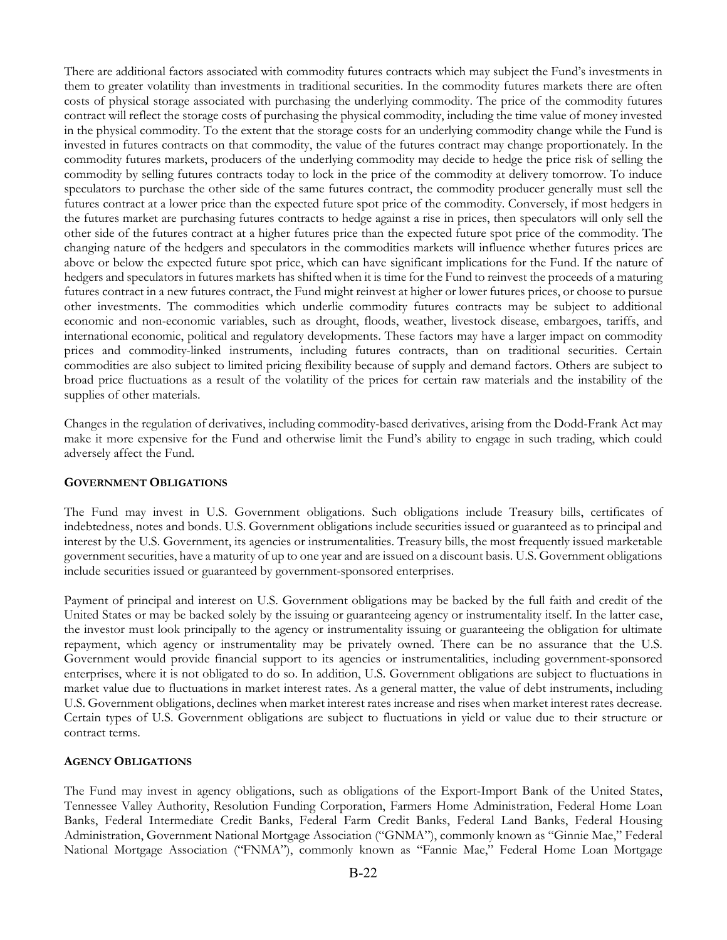There are additional factors associated with commodity futures contracts which may subject the Fund's investments in them to greater volatility than investments in traditional securities. In the commodity futures markets there are often costs of physical storage associated with purchasing the underlying commodity. The price of the commodity futures contract will reflect the storage costs of purchasing the physical commodity, including the time value of money invested in the physical commodity. To the extent that the storage costs for an underlying commodity change while the Fund is invested in futures contracts on that commodity, the value of the futures contract may change proportionately. In the commodity futures markets, producers of the underlying commodity may decide to hedge the price risk of selling the commodity by selling futures contracts today to lock in the price of the commodity at delivery tomorrow. To induce speculators to purchase the other side of the same futures contract, the commodity producer generally must sell the futures contract at a lower price than the expected future spot price of the commodity. Conversely, if most hedgers in the futures market are purchasing futures contracts to hedge against a rise in prices, then speculators will only sell the other side of the futures contract at a higher futures price than the expected future spot price of the commodity. The changing nature of the hedgers and speculators in the commodities markets will influence whether futures prices are above or below the expected future spot price, which can have significant implications for the Fund. If the nature of hedgers and speculators in futures markets has shifted when it is time for the Fund to reinvest the proceeds of a maturing futures contract in a new futures contract, the Fund might reinvest at higher or lower futures prices, or choose to pursue other investments. The commodities which underlie commodity futures contracts may be subject to additional economic and non-economic variables, such as drought, floods, weather, livestock disease, embargoes, tariffs, and international economic, political and regulatory developments. These factors may have a larger impact on commodity prices and commodity-linked instruments, including futures contracts, than on traditional securities. Certain commodities are also subject to limited pricing flexibility because of supply and demand factors. Others are subject to broad price fluctuations as a result of the volatility of the prices for certain raw materials and the instability of the supplies of other materials.

Changes in the regulation of derivatives, including commodity-based derivatives, arising from the Dodd-Frank Act may make it more expensive for the Fund and otherwise limit the Fund's ability to engage in such trading, which could adversely affect the Fund.

#### **GOVERNMENT OBLIGATIONS**

The Fund may invest in U.S. Government obligations. Such obligations include Treasury bills, certificates of indebtedness, notes and bonds. U.S. Government obligations include securities issued or guaranteed as to principal and interest by the U.S. Government, its agencies or instrumentalities. Treasury bills, the most frequently issued marketable government securities, have a maturity of up to one year and are issued on a discount basis. U.S. Government obligations include securities issued or guaranteed by government-sponsored enterprises.

Payment of principal and interest on U.S. Government obligations may be backed by the full faith and credit of the United States or may be backed solely by the issuing or guaranteeing agency or instrumentality itself. In the latter case, the investor must look principally to the agency or instrumentality issuing or guaranteeing the obligation for ultimate repayment, which agency or instrumentality may be privately owned. There can be no assurance that the U.S. Government would provide financial support to its agencies or instrumentalities, including government-sponsored enterprises, where it is not obligated to do so. In addition, U.S. Government obligations are subject to fluctuations in market value due to fluctuations in market interest rates. As a general matter, the value of debt instruments, including U.S. Government obligations, declines when market interest rates increase and rises when market interest rates decrease. Certain types of U.S. Government obligations are subject to fluctuations in yield or value due to their structure or contract terms.

## **AGENCY OBLIGATIONS**

The Fund may invest in agency obligations, such as obligations of the Export-Import Bank of the United States, Tennessee Valley Authority, Resolution Funding Corporation, Farmers Home Administration, Federal Home Loan Banks, Federal Intermediate Credit Banks, Federal Farm Credit Banks, Federal Land Banks, Federal Housing Administration, Government National Mortgage Association ("GNMA"), commonly known as "Ginnie Mae," Federal National Mortgage Association ("FNMA"), commonly known as "Fannie Mae," Federal Home Loan Mortgage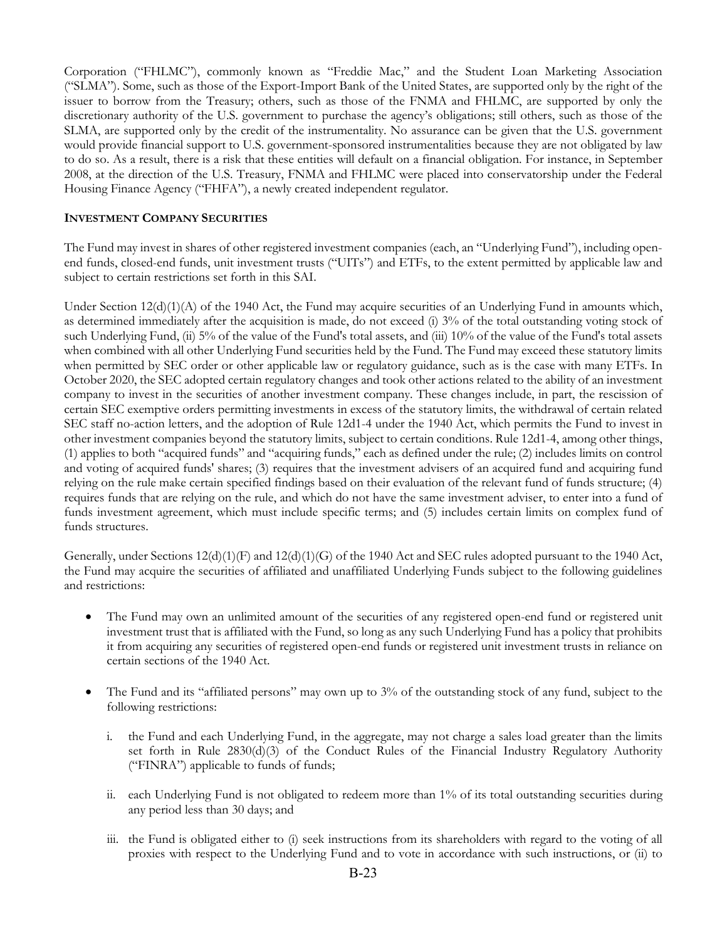Corporation ("FHLMC"), commonly known as "Freddie Mac," and the Student Loan Marketing Association ("SLMA"). Some, such as those of the Export-Import Bank of the United States, are supported only by the right of the issuer to borrow from the Treasury; others, such as those of the FNMA and FHLMC, are supported by only the discretionary authority of the U.S. government to purchase the agency's obligations; still others, such as those of the SLMA, are supported only by the credit of the instrumentality. No assurance can be given that the U.S. government would provide financial support to U.S. government-sponsored instrumentalities because they are not obligated by law to do so. As a result, there is a risk that these entities will default on a financial obligation. For instance, in September 2008, at the direction of the U.S. Treasury, FNMA and FHLMC were placed into conservatorship under the Federal Housing Finance Agency ("FHFA"), a newly created independent regulator.

### **INVESTMENT COMPANY SECURITIES**

The Fund may invest in shares of other registered investment companies (each, an "Underlying Fund"), including openend funds, closed-end funds, unit investment trusts ("UITs") and ETFs, to the extent permitted by applicable law and subject to certain restrictions set forth in this SAI.

Under Section 12(d)(1)(A) of the 1940 Act, the Fund may acquire securities of an Underlying Fund in amounts which, as determined immediately after the acquisition is made, do not exceed (i) 3% of the total outstanding voting stock of such Underlying Fund, (ii) 5% of the value of the Fund's total assets, and (iii) 10% of the value of the Fund's total assets when combined with all other Underlying Fund securities held by the Fund. The Fund may exceed these statutory limits when permitted by SEC order or other applicable law or regulatory guidance, such as is the case with many ETFs. In October 2020, the SEC adopted certain regulatory changes and took other actions related to the ability of an investment company to invest in the securities of another investment company. These changes include, in part, the rescission of certain SEC exemptive orders permitting investments in excess of the statutory limits, the withdrawal of certain related SEC staff no-action letters, and the adoption of Rule 12d1-4 under the 1940 Act, which permits the Fund to invest in other investment companies beyond the statutory limits, subject to certain conditions. Rule 12d1-4, among other things, (1) applies to both "acquired funds" and "acquiring funds," each as defined under the rule; (2) includes limits on control and voting of acquired funds' shares; (3) requires that the investment advisers of an acquired fund and acquiring fund relying on the rule make certain specified findings based on their evaluation of the relevant fund of funds structure; (4) requires funds that are relying on the rule, and which do not have the same investment adviser, to enter into a fund of funds investment agreement, which must include specific terms; and (5) includes certain limits on complex fund of funds structures.

Generally, under Sections 12(d)(1)(F) and 12(d)(1)(G) of the 1940 Act and SEC rules adopted pursuant to the 1940 Act, the Fund may acquire the securities of affiliated and unaffiliated Underlying Funds subject to the following guidelines and restrictions:

- The Fund may own an unlimited amount of the securities of any registered open-end fund or registered unit investment trust that is affiliated with the Fund, so long as any such Underlying Fund has a policy that prohibits it from acquiring any securities of registered open-end funds or registered unit investment trusts in reliance on certain sections of the 1940 Act.
- The Fund and its "affiliated persons" may own up to 3% of the outstanding stock of any fund, subject to the following restrictions:
	- i. the Fund and each Underlying Fund, in the aggregate, may not charge a sales load greater than the limits set forth in Rule 2830(d)(3) of the Conduct Rules of the Financial Industry Regulatory Authority ("FINRA") applicable to funds of funds;
	- ii. each Underlying Fund is not obligated to redeem more than 1% of its total outstanding securities during any period less than 30 days; and
	- iii. the Fund is obligated either to (i) seek instructions from its shareholders with regard to the voting of all proxies with respect to the Underlying Fund and to vote in accordance with such instructions, or (ii) to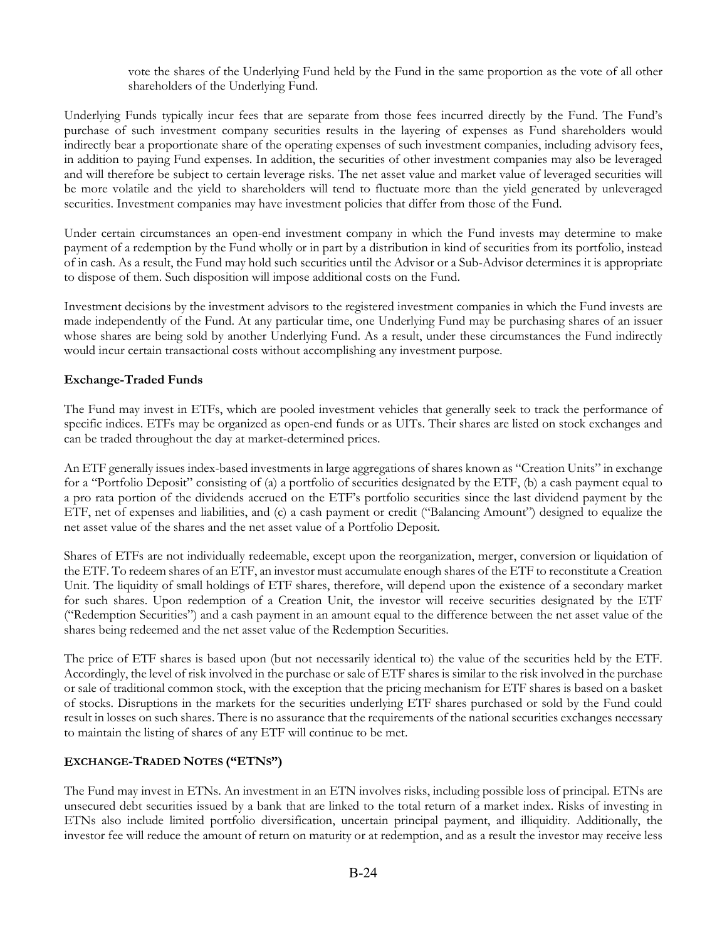vote the shares of the Underlying Fund held by the Fund in the same proportion as the vote of all other shareholders of the Underlying Fund.

Underlying Funds typically incur fees that are separate from those fees incurred directly by the Fund. The Fund's purchase of such investment company securities results in the layering of expenses as Fund shareholders would indirectly bear a proportionate share of the operating expenses of such investment companies, including advisory fees, in addition to paying Fund expenses. In addition, the securities of other investment companies may also be leveraged and will therefore be subject to certain leverage risks. The net asset value and market value of leveraged securities will be more volatile and the yield to shareholders will tend to fluctuate more than the yield generated by unleveraged securities. Investment companies may have investment policies that differ from those of the Fund.

Under certain circumstances an open-end investment company in which the Fund invests may determine to make payment of a redemption by the Fund wholly or in part by a distribution in kind of securities from its portfolio, instead of in cash. As a result, the Fund may hold such securities until the Advisor or a Sub-Advisor determines it is appropriate to dispose of them. Such disposition will impose additional costs on the Fund.

Investment decisions by the investment advisors to the registered investment companies in which the Fund invests are made independently of the Fund. At any particular time, one Underlying Fund may be purchasing shares of an issuer whose shares are being sold by another Underlying Fund. As a result, under these circumstances the Fund indirectly would incur certain transactional costs without accomplishing any investment purpose.

## **Exchange-Traded Funds**

The Fund may invest in ETFs, which are pooled investment vehicles that generally seek to track the performance of specific indices. ETFs may be organized as open-end funds or as UITs. Their shares are listed on stock exchanges and can be traded throughout the day at market-determined prices.

An ETF generally issues index-based investments in large aggregations of shares known as "Creation Units" in exchange for a "Portfolio Deposit" consisting of (a) a portfolio of securities designated by the ETF, (b) a cash payment equal to a pro rata portion of the dividends accrued on the ETF's portfolio securities since the last dividend payment by the ETF, net of expenses and liabilities, and (c) a cash payment or credit ("Balancing Amount") designed to equalize the net asset value of the shares and the net asset value of a Portfolio Deposit.

Shares of ETFs are not individually redeemable, except upon the reorganization, merger, conversion or liquidation of the ETF. To redeem shares of an ETF, an investor must accumulate enough shares of the ETF to reconstitute a Creation Unit. The liquidity of small holdings of ETF shares, therefore, will depend upon the existence of a secondary market for such shares. Upon redemption of a Creation Unit, the investor will receive securities designated by the ETF ("Redemption Securities") and a cash payment in an amount equal to the difference between the net asset value of the shares being redeemed and the net asset value of the Redemption Securities.

The price of ETF shares is based upon (but not necessarily identical to) the value of the securities held by the ETF. Accordingly, the level of risk involved in the purchase or sale of ETF shares is similar to the risk involved in the purchase or sale of traditional common stock, with the exception that the pricing mechanism for ETF shares is based on a basket of stocks. Disruptions in the markets for the securities underlying ETF shares purchased or sold by the Fund could result in losses on such shares. There is no assurance that the requirements of the national securities exchanges necessary to maintain the listing of shares of any ETF will continue to be met.

## **EXCHANGE-TRADED NOTES ("ETNS")**

The Fund may invest in ETNs. An investment in an ETN involves risks, including possible loss of principal. ETNs are unsecured debt securities issued by a bank that are linked to the total return of a market index. Risks of investing in ETNs also include limited portfolio diversification, uncertain principal payment, and illiquidity. Additionally, the investor fee will reduce the amount of return on maturity or at redemption, and as a result the investor may receive less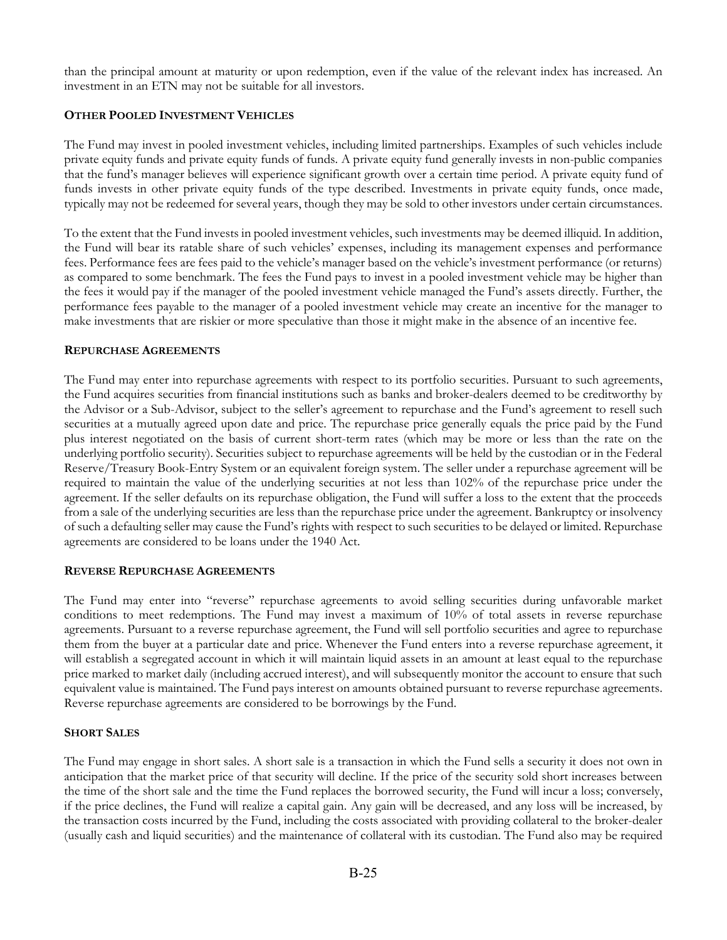than the principal amount at maturity or upon redemption, even if the value of the relevant index has increased. An investment in an ETN may not be suitable for all investors.

## **OTHER POOLED INVESTMENT VEHICLES**

The Fund may invest in pooled investment vehicles, including limited partnerships. Examples of such vehicles include private equity funds and private equity funds of funds. A private equity fund generally invests in non-public companies that the fund's manager believes will experience significant growth over a certain time period. A private equity fund of funds invests in other private equity funds of the type described. Investments in private equity funds, once made, typically may not be redeemed for several years, though they may be sold to other investors under certain circumstances.

To the extent that the Fund invests in pooled investment vehicles, such investments may be deemed illiquid. In addition, the Fund will bear its ratable share of such vehicles' expenses, including its management expenses and performance fees. Performance fees are fees paid to the vehicle's manager based on the vehicle's investment performance (or returns) as compared to some benchmark. The fees the Fund pays to invest in a pooled investment vehicle may be higher than the fees it would pay if the manager of the pooled investment vehicle managed the Fund's assets directly. Further, the performance fees payable to the manager of a pooled investment vehicle may create an incentive for the manager to make investments that are riskier or more speculative than those it might make in the absence of an incentive fee.

#### **REPURCHASE AGREEMENTS**

The Fund may enter into repurchase agreements with respect to its portfolio securities. Pursuant to such agreements, the Fund acquires securities from financial institutions such as banks and broker-dealers deemed to be creditworthy by the Advisor or a Sub-Advisor, subject to the seller's agreement to repurchase and the Fund's agreement to resell such securities at a mutually agreed upon date and price. The repurchase price generally equals the price paid by the Fund plus interest negotiated on the basis of current short-term rates (which may be more or less than the rate on the underlying portfolio security). Securities subject to repurchase agreements will be held by the custodian or in the Federal Reserve/Treasury Book-Entry System or an equivalent foreign system. The seller under a repurchase agreement will be required to maintain the value of the underlying securities at not less than 102% of the repurchase price under the agreement. If the seller defaults on its repurchase obligation, the Fund will suffer a loss to the extent that the proceeds from a sale of the underlying securities are less than the repurchase price under the agreement. Bankruptcy or insolvency of such a defaulting seller may cause the Fund's rights with respect to such securities to be delayed or limited. Repurchase agreements are considered to be loans under the 1940 Act.

#### **REVERSE REPURCHASE AGREEMENTS**

The Fund may enter into "reverse" repurchase agreements to avoid selling securities during unfavorable market conditions to meet redemptions. The Fund may invest a maximum of 10% of total assets in reverse repurchase agreements. Pursuant to a reverse repurchase agreement, the Fund will sell portfolio securities and agree to repurchase them from the buyer at a particular date and price. Whenever the Fund enters into a reverse repurchase agreement, it will establish a segregated account in which it will maintain liquid assets in an amount at least equal to the repurchase price marked to market daily (including accrued interest), and will subsequently monitor the account to ensure that such equivalent value is maintained. The Fund pays interest on amounts obtained pursuant to reverse repurchase agreements. Reverse repurchase agreements are considered to be borrowings by the Fund.

#### **SHORT SALES**

The Fund may engage in short sales. A short sale is a transaction in which the Fund sells a security it does not own in anticipation that the market price of that security will decline. If the price of the security sold short increases between the time of the short sale and the time the Fund replaces the borrowed security, the Fund will incur a loss; conversely, if the price declines, the Fund will realize a capital gain. Any gain will be decreased, and any loss will be increased, by the transaction costs incurred by the Fund, including the costs associated with providing collateral to the broker-dealer (usually cash and liquid securities) and the maintenance of collateral with its custodian. The Fund also may be required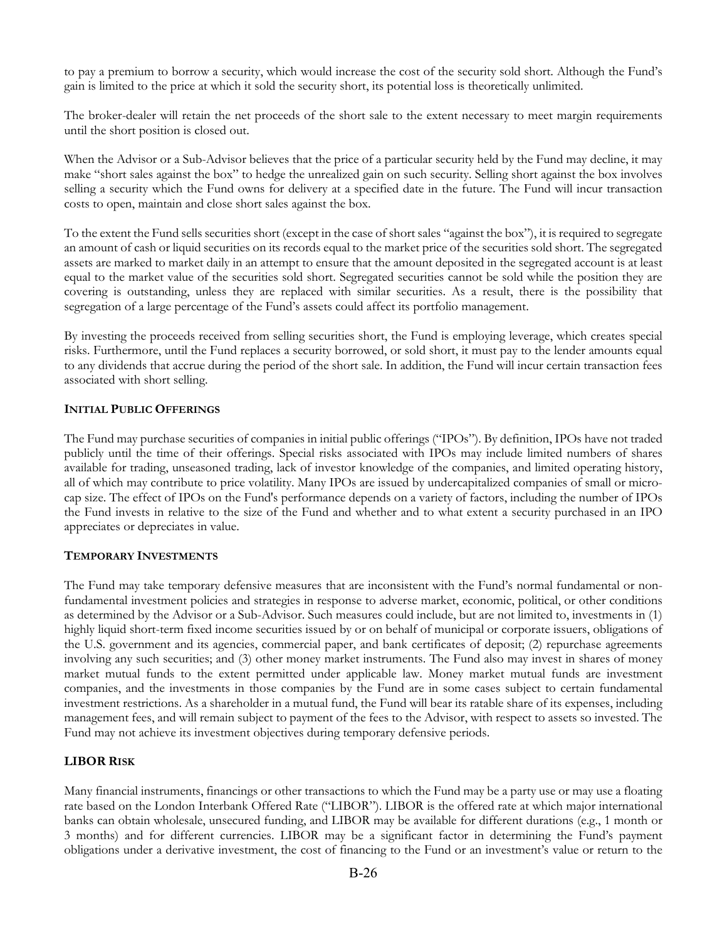to pay a premium to borrow a security, which would increase the cost of the security sold short. Although the Fund's gain is limited to the price at which it sold the security short, its potential loss is theoretically unlimited.

The broker-dealer will retain the net proceeds of the short sale to the extent necessary to meet margin requirements until the short position is closed out.

When the Advisor or a Sub-Advisor believes that the price of a particular security held by the Fund may decline, it may make "short sales against the box" to hedge the unrealized gain on such security. Selling short against the box involves selling a security which the Fund owns for delivery at a specified date in the future. The Fund will incur transaction costs to open, maintain and close short sales against the box.

To the extent the Fund sells securities short (except in the case of short sales "against the box"), it is required to segregate an amount of cash or liquid securities on its records equal to the market price of the securities sold short. The segregated assets are marked to market daily in an attempt to ensure that the amount deposited in the segregated account is at least equal to the market value of the securities sold short. Segregated securities cannot be sold while the position they are covering is outstanding, unless they are replaced with similar securities. As a result, there is the possibility that segregation of a large percentage of the Fund's assets could affect its portfolio management.

By investing the proceeds received from selling securities short, the Fund is employing leverage, which creates special risks. Furthermore, until the Fund replaces a security borrowed, or sold short, it must pay to the lender amounts equal to any dividends that accrue during the period of the short sale. In addition, the Fund will incur certain transaction fees associated with short selling.

### **INITIAL PUBLIC OFFERINGS**

The Fund may purchase securities of companies in initial public offerings ("IPOs"). By definition, IPOs have not traded publicly until the time of their offerings. Special risks associated with IPOs may include limited numbers of shares available for trading, unseasoned trading, lack of investor knowledge of the companies, and limited operating history, all of which may contribute to price volatility. Many IPOs are issued by undercapitalized companies of small or microcap size. The effect of IPOs on the Fund's performance depends on a variety of factors, including the number of IPOs the Fund invests in relative to the size of the Fund and whether and to what extent a security purchased in an IPO appreciates or depreciates in value.

#### **TEMPORARY INVESTMENTS**

The Fund may take temporary defensive measures that are inconsistent with the Fund's normal fundamental or nonfundamental investment policies and strategies in response to adverse market, economic, political, or other conditions as determined by the Advisor or a Sub-Advisor. Such measures could include, but are not limited to, investments in (1) highly liquid short-term fixed income securities issued by or on behalf of municipal or corporate issuers, obligations of the U.S. government and its agencies, commercial paper, and bank certificates of deposit; (2) repurchase agreements involving any such securities; and (3) other money market instruments. The Fund also may invest in shares of money market mutual funds to the extent permitted under applicable law. Money market mutual funds are investment companies, and the investments in those companies by the Fund are in some cases subject to certain fundamental investment restrictions. As a shareholder in a mutual fund, the Fund will bear its ratable share of its expenses, including management fees, and will remain subject to payment of the fees to the Advisor, with respect to assets so invested. The Fund may not achieve its investment objectives during temporary defensive periods.

## **LIBOR RISK**

Many financial instruments, financings or other transactions to which the Fund may be a party use or may use a floating rate based on the London Interbank Offered Rate ("LIBOR"). LIBOR is the offered rate at which major international banks can obtain wholesale, unsecured funding, and LIBOR may be available for different durations (e.g., 1 month or 3 months) and for different currencies. LIBOR may be a significant factor in determining the Fund's payment obligations under a derivative investment, the cost of financing to the Fund or an investment's value or return to the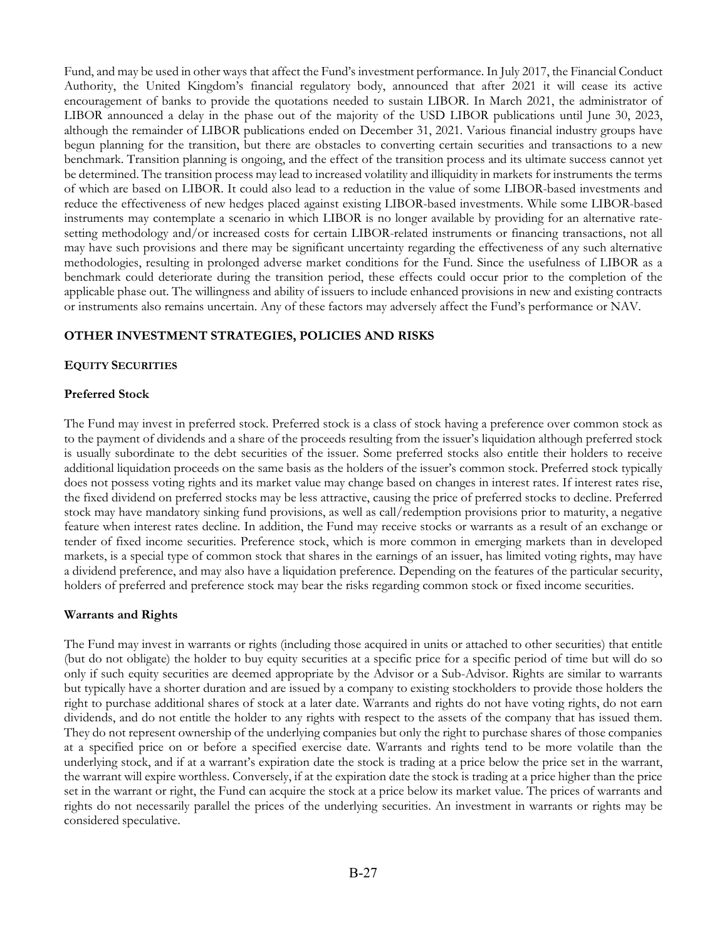Fund, and may be used in other ways that affect the Fund's investment performance. In July 2017, the Financial Conduct Authority, the United Kingdom's financial regulatory body, announced that after 2021 it will cease its active encouragement of banks to provide the quotations needed to sustain LIBOR. In March 2021, the administrator of LIBOR announced a delay in the phase out of the majority of the USD LIBOR publications until June 30, 2023, although the remainder of LIBOR publications ended on December 31, 2021. Various financial industry groups have begun planning for the transition, but there are obstacles to converting certain securities and transactions to a new benchmark. Transition planning is ongoing, and the effect of the transition process and its ultimate success cannot yet be determined. The transition process may lead to increased volatility and illiquidity in markets for instruments the terms of which are based on LIBOR. It could also lead to a reduction in the value of some LIBOR-based investments and reduce the effectiveness of new hedges placed against existing LIBOR-based investments. While some LIBOR-based instruments may contemplate a scenario in which LIBOR is no longer available by providing for an alternative ratesetting methodology and/or increased costs for certain LIBOR-related instruments or financing transactions, not all may have such provisions and there may be significant uncertainty regarding the effectiveness of any such alternative methodologies, resulting in prolonged adverse market conditions for the Fund. Since the usefulness of LIBOR as a benchmark could deteriorate during the transition period, these effects could occur prior to the completion of the applicable phase out. The willingness and ability of issuers to include enhanced provisions in new and existing contracts or instruments also remains uncertain. Any of these factors may adversely affect the Fund's performance or NAV.

# **OTHER INVESTMENT STRATEGIES, POLICIES AND RISKS**

## **EQUITY SECURITIES**

## **Preferred Stock**

The Fund may invest in preferred stock. Preferred stock is a class of stock having a preference over common stock as to the payment of dividends and a share of the proceeds resulting from the issuer's liquidation although preferred stock is usually subordinate to the debt securities of the issuer. Some preferred stocks also entitle their holders to receive additional liquidation proceeds on the same basis as the holders of the issuer's common stock. Preferred stock typically does not possess voting rights and its market value may change based on changes in interest rates. If interest rates rise, the fixed dividend on preferred stocks may be less attractive, causing the price of preferred stocks to decline. Preferred stock may have mandatory sinking fund provisions, as well as call/redemption provisions prior to maturity, a negative feature when interest rates decline. In addition, the Fund may receive stocks or warrants as a result of an exchange or tender of fixed income securities. Preference stock, which is more common in emerging markets than in developed markets, is a special type of common stock that shares in the earnings of an issuer, has limited voting rights, may have a dividend preference, and may also have a liquidation preference. Depending on the features of the particular security, holders of preferred and preference stock may bear the risks regarding common stock or fixed income securities.

## **Warrants and Rights**

The Fund may invest in warrants or rights (including those acquired in units or attached to other securities) that entitle (but do not obligate) the holder to buy equity securities at a specific price for a specific period of time but will do so only if such equity securities are deemed appropriate by the Advisor or a Sub-Advisor. Rights are similar to warrants but typically have a shorter duration and are issued by a company to existing stockholders to provide those holders the right to purchase additional shares of stock at a later date. Warrants and rights do not have voting rights, do not earn dividends, and do not entitle the holder to any rights with respect to the assets of the company that has issued them. They do not represent ownership of the underlying companies but only the right to purchase shares of those companies at a specified price on or before a specified exercise date. Warrants and rights tend to be more volatile than the underlying stock, and if at a warrant's expiration date the stock is trading at a price below the price set in the warrant, the warrant will expire worthless. Conversely, if at the expiration date the stock is trading at a price higher than the price set in the warrant or right, the Fund can acquire the stock at a price below its market value. The prices of warrants and rights do not necessarily parallel the prices of the underlying securities. An investment in warrants or rights may be considered speculative.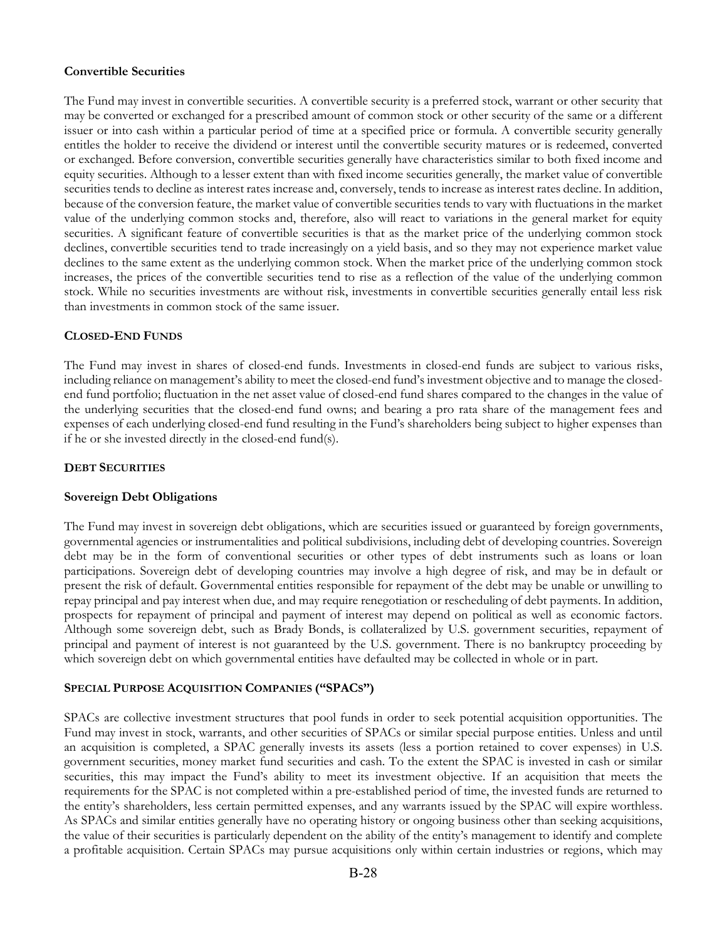# **Convertible Securities**

The Fund may invest in convertible securities. A convertible security is a preferred stock, warrant or other security that may be converted or exchanged for a prescribed amount of common stock or other security of the same or a different issuer or into cash within a particular period of time at a specified price or formula. A convertible security generally entitles the holder to receive the dividend or interest until the convertible security matures or is redeemed, converted or exchanged. Before conversion, convertible securities generally have characteristics similar to both fixed income and equity securities. Although to a lesser extent than with fixed income securities generally, the market value of convertible securities tends to decline as interest rates increase and, conversely, tends to increase as interest rates decline. In addition, because of the conversion feature, the market value of convertible securities tends to vary with fluctuations in the market value of the underlying common stocks and, therefore, also will react to variations in the general market for equity securities. A significant feature of convertible securities is that as the market price of the underlying common stock declines, convertible securities tend to trade increasingly on a yield basis, and so they may not experience market value declines to the same extent as the underlying common stock. When the market price of the underlying common stock increases, the prices of the convertible securities tend to rise as a reflection of the value of the underlying common stock. While no securities investments are without risk, investments in convertible securities generally entail less risk than investments in common stock of the same issuer.

## **CLOSED-END FUNDS**

The Fund may invest in shares of closed-end funds. Investments in closed-end funds are subject to various risks, including reliance on management's ability to meet the closed-end fund's investment objective and to manage the closedend fund portfolio; fluctuation in the net asset value of closed-end fund shares compared to the changes in the value of the underlying securities that the closed-end fund owns; and bearing a pro rata share of the management fees and expenses of each underlying closed-end fund resulting in the Fund's shareholders being subject to higher expenses than if he or she invested directly in the closed-end fund(s).

# **DEBT SECURITIES**

## **Sovereign Debt Obligations**

The Fund may invest in sovereign debt obligations, which are securities issued or guaranteed by foreign governments, governmental agencies or instrumentalities and political subdivisions, including debt of developing countries. Sovereign debt may be in the form of conventional securities or other types of debt instruments such as loans or loan participations. Sovereign debt of developing countries may involve a high degree of risk, and may be in default or present the risk of default. Governmental entities responsible for repayment of the debt may be unable or unwilling to repay principal and pay interest when due, and may require renegotiation or rescheduling of debt payments. In addition, prospects for repayment of principal and payment of interest may depend on political as well as economic factors. Although some sovereign debt, such as Brady Bonds, is collateralized by U.S. government securities, repayment of principal and payment of interest is not guaranteed by the U.S. government. There is no bankruptcy proceeding by which sovereign debt on which governmental entities have defaulted may be collected in whole or in part.

## **SPECIAL PURPOSE ACQUISITION COMPANIES ("SPACS")**

SPACs are collective investment structures that pool funds in order to seek potential acquisition opportunities. The Fund may invest in stock, warrants, and other securities of SPACs or similar special purpose entities. Unless and until an acquisition is completed, a SPAC generally invests its assets (less a portion retained to cover expenses) in U.S. government securities, money market fund securities and cash. To the extent the SPAC is invested in cash or similar securities, this may impact the Fund's ability to meet its investment objective. If an acquisition that meets the requirements for the SPAC is not completed within a pre-established period of time, the invested funds are returned to the entity's shareholders, less certain permitted expenses, and any warrants issued by the SPAC will expire worthless. As SPACs and similar entities generally have no operating history or ongoing business other than seeking acquisitions, the value of their securities is particularly dependent on the ability of the entity's management to identify and complete a profitable acquisition. Certain SPACs may pursue acquisitions only within certain industries or regions, which may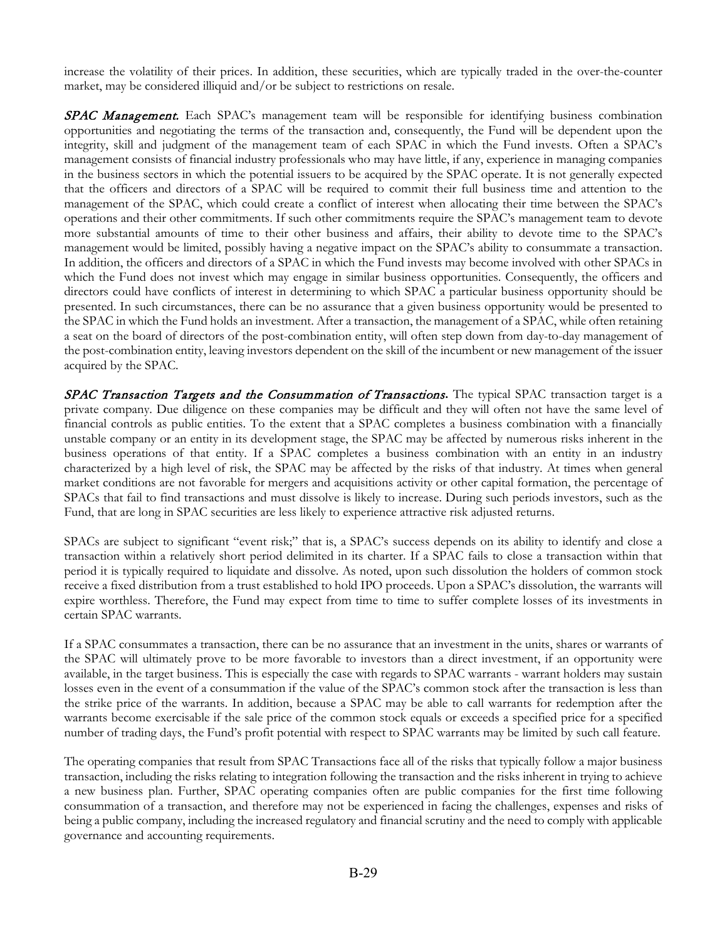increase the volatility of their prices. In addition, these securities, which are typically traded in the over-the-counter market, may be considered illiquid and/or be subject to restrictions on resale.

**SPAC Management.** Each SPAC's management team will be responsible for identifying business combination opportunities and negotiating the terms of the transaction and, consequently, the Fund will be dependent upon the integrity, skill and judgment of the management team of each SPAC in which the Fund invests. Often a SPAC's management consists of financial industry professionals who may have little, if any, experience in managing companies in the business sectors in which the potential issuers to be acquired by the SPAC operate. It is not generally expected that the officers and directors of a SPAC will be required to commit their full business time and attention to the management of the SPAC, which could create a conflict of interest when allocating their time between the SPAC's operations and their other commitments. If such other commitments require the SPAC's management team to devote more substantial amounts of time to their other business and affairs, their ability to devote time to the SPAC's management would be limited, possibly having a negative impact on the SPAC's ability to consummate a transaction. In addition, the officers and directors of a SPAC in which the Fund invests may become involved with other SPACs in which the Fund does not invest which may engage in similar business opportunities. Consequently, the officers and directors could have conflicts of interest in determining to which SPAC a particular business opportunity should be presented. In such circumstances, there can be no assurance that a given business opportunity would be presented to the SPAC in which the Fund holds an investment. After a transaction, the management of a SPAC, while often retaining a seat on the board of directors of the post-combination entity, will often step down from day-to-day management of the post-combination entity, leaving investors dependent on the skill of the incumbent or new management of the issuer acquired by the SPAC.

SPAC Transaction Targets and the Consummation of Transactions**.** The typical SPAC transaction target is a private company. Due diligence on these companies may be difficult and they will often not have the same level of financial controls as public entities. To the extent that a SPAC completes a business combination with a financially unstable company or an entity in its development stage, the SPAC may be affected by numerous risks inherent in the business operations of that entity. If a SPAC completes a business combination with an entity in an industry characterized by a high level of risk, the SPAC may be affected by the risks of that industry. At times when general market conditions are not favorable for mergers and acquisitions activity or other capital formation, the percentage of SPACs that fail to find transactions and must dissolve is likely to increase. During such periods investors, such as the Fund, that are long in SPAC securities are less likely to experience attractive risk adjusted returns.

SPACs are subject to significant "event risk;" that is, a SPAC's success depends on its ability to identify and close a transaction within a relatively short period delimited in its charter. If a SPAC fails to close a transaction within that period it is typically required to liquidate and dissolve. As noted, upon such dissolution the holders of common stock receive a fixed distribution from a trust established to hold IPO proceeds. Upon a SPAC's dissolution, the warrants will expire worthless. Therefore, the Fund may expect from time to time to suffer complete losses of its investments in certain SPAC warrants.

If a SPAC consummates a transaction, there can be no assurance that an investment in the units, shares or warrants of the SPAC will ultimately prove to be more favorable to investors than a direct investment, if an opportunity were available, in the target business. This is especially the case with regards to SPAC warrants - warrant holders may sustain losses even in the event of a consummation if the value of the SPAC's common stock after the transaction is less than the strike price of the warrants. In addition, because a SPAC may be able to call warrants for redemption after the warrants become exercisable if the sale price of the common stock equals or exceeds a specified price for a specified number of trading days, the Fund's profit potential with respect to SPAC warrants may be limited by such call feature.

The operating companies that result from SPAC Transactions face all of the risks that typically follow a major business transaction, including the risks relating to integration following the transaction and the risks inherent in trying to achieve a new business plan. Further, SPAC operating companies often are public companies for the first time following consummation of a transaction, and therefore may not be experienced in facing the challenges, expenses and risks of being a public company, including the increased regulatory and financial scrutiny and the need to comply with applicable governance and accounting requirements.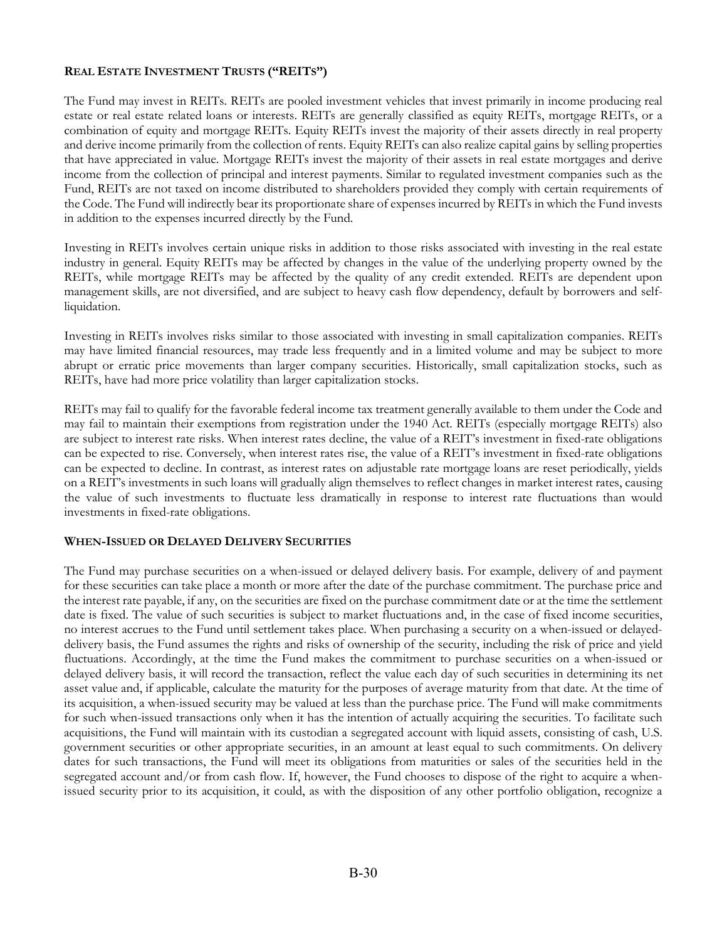# **REAL ESTATE INVESTMENT TRUSTS ("REITS")**

The Fund may invest in REITs. REITs are pooled investment vehicles that invest primarily in income producing real estate or real estate related loans or interests. REITs are generally classified as equity REITs, mortgage REITs, or a combination of equity and mortgage REITs. Equity REITs invest the majority of their assets directly in real property and derive income primarily from the collection of rents. Equity REITs can also realize capital gains by selling properties that have appreciated in value. Mortgage REITs invest the majority of their assets in real estate mortgages and derive income from the collection of principal and interest payments. Similar to regulated investment companies such as the Fund, REITs are not taxed on income distributed to shareholders provided they comply with certain requirements of the Code. The Fund will indirectly bear its proportionate share of expenses incurred by REITs in which the Fund invests in addition to the expenses incurred directly by the Fund.

Investing in REITs involves certain unique risks in addition to those risks associated with investing in the real estate industry in general. Equity REITs may be affected by changes in the value of the underlying property owned by the REITs, while mortgage REITs may be affected by the quality of any credit extended. REITs are dependent upon management skills, are not diversified, and are subject to heavy cash flow dependency, default by borrowers and selfliquidation.

Investing in REITs involves risks similar to those associated with investing in small capitalization companies. REITs may have limited financial resources, may trade less frequently and in a limited volume and may be subject to more abrupt or erratic price movements than larger company securities. Historically, small capitalization stocks, such as REITs, have had more price volatility than larger capitalization stocks.

REITs may fail to qualify for the favorable federal income tax treatment generally available to them under the Code and may fail to maintain their exemptions from registration under the 1940 Act. REITs (especially mortgage REITs) also are subject to interest rate risks. When interest rates decline, the value of a REIT's investment in fixed-rate obligations can be expected to rise. Conversely, when interest rates rise, the value of a REIT's investment in fixed-rate obligations can be expected to decline. In contrast, as interest rates on adjustable rate mortgage loans are reset periodically, yields on a REIT's investments in such loans will gradually align themselves to reflect changes in market interest rates, causing the value of such investments to fluctuate less dramatically in response to interest rate fluctuations than would investments in fixed-rate obligations.

## **WHEN-ISSUED OR DELAYED DELIVERY SECURITIES**

The Fund may purchase securities on a when-issued or delayed delivery basis. For example, delivery of and payment for these securities can take place a month or more after the date of the purchase commitment. The purchase price and the interest rate payable, if any, on the securities are fixed on the purchase commitment date or at the time the settlement date is fixed. The value of such securities is subject to market fluctuations and, in the case of fixed income securities, no interest accrues to the Fund until settlement takes place. When purchasing a security on a when-issued or delayeddelivery basis, the Fund assumes the rights and risks of ownership of the security, including the risk of price and yield fluctuations. Accordingly, at the time the Fund makes the commitment to purchase securities on a when-issued or delayed delivery basis, it will record the transaction, reflect the value each day of such securities in determining its net asset value and, if applicable, calculate the maturity for the purposes of average maturity from that date. At the time of its acquisition, a when-issued security may be valued at less than the purchase price. The Fund will make commitments for such when-issued transactions only when it has the intention of actually acquiring the securities. To facilitate such acquisitions, the Fund will maintain with its custodian a segregated account with liquid assets, consisting of cash, U.S. government securities or other appropriate securities, in an amount at least equal to such commitments. On delivery dates for such transactions, the Fund will meet its obligations from maturities or sales of the securities held in the segregated account and/or from cash flow. If, however, the Fund chooses to dispose of the right to acquire a whenissued security prior to its acquisition, it could, as with the disposition of any other portfolio obligation, recognize a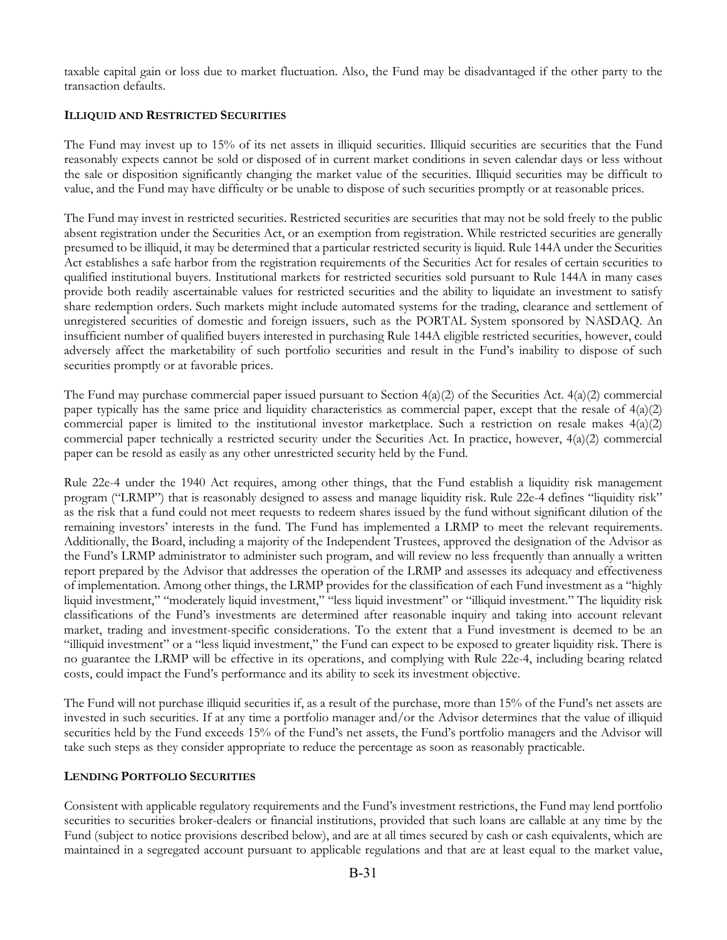taxable capital gain or loss due to market fluctuation. Also, the Fund may be disadvantaged if the other party to the transaction defaults.

### **ILLIQUID AND RESTRICTED SECURITIES**

The Fund may invest up to 15% of its net assets in illiquid securities. Illiquid securities are securities that the Fund reasonably expects cannot be sold or disposed of in current market conditions in seven calendar days or less without the sale or disposition significantly changing the market value of the securities. Illiquid securities may be difficult to value, and the Fund may have difficulty or be unable to dispose of such securities promptly or at reasonable prices.

The Fund may invest in restricted securities. Restricted securities are securities that may not be sold freely to the public absent registration under the Securities Act, or an exemption from registration. While restricted securities are generally presumed to be illiquid, it may be determined that a particular restricted security is liquid. Rule 144A under the Securities Act establishes a safe harbor from the registration requirements of the Securities Act for resales of certain securities to qualified institutional buyers. Institutional markets for restricted securities sold pursuant to Rule 144A in many cases provide both readily ascertainable values for restricted securities and the ability to liquidate an investment to satisfy share redemption orders. Such markets might include automated systems for the trading, clearance and settlement of unregistered securities of domestic and foreign issuers, such as the PORTAL System sponsored by NASDAQ. An insufficient number of qualified buyers interested in purchasing Rule 144A eligible restricted securities, however, could adversely affect the marketability of such portfolio securities and result in the Fund's inability to dispose of such securities promptly or at favorable prices.

The Fund may purchase commercial paper issued pursuant to Section  $4(a)(2)$  of the Securities Act.  $4(a)(2)$  commercial paper typically has the same price and liquidity characteristics as commercial paper, except that the resale of  $4(a)(2)$ commercial paper is limited to the institutional investor marketplace. Such a restriction on resale makes  $4(a)(2)$ commercial paper technically a restricted security under the Securities Act. In practice, however, 4(a)(2) commercial paper can be resold as easily as any other unrestricted security held by the Fund.

Rule 22e-4 under the 1940 Act requires, among other things, that the Fund establish a liquidity risk management program ("LRMP") that is reasonably designed to assess and manage liquidity risk. Rule 22e-4 defines "liquidity risk" as the risk that a fund could not meet requests to redeem shares issued by the fund without significant dilution of the remaining investors' interests in the fund. The Fund has implemented a LRMP to meet the relevant requirements. Additionally, the Board, including a majority of the Independent Trustees, approved the designation of the Advisor as the Fund's LRMP administrator to administer such program, and will review no less frequently than annually a written report prepared by the Advisor that addresses the operation of the LRMP and assesses its adequacy and effectiveness of implementation. Among other things, the LRMP provides for the classification of each Fund investment as a "highly liquid investment," "moderately liquid investment," "less liquid investment" or "illiquid investment." The liquidity risk classifications of the Fund's investments are determined after reasonable inquiry and taking into account relevant market, trading and investment-specific considerations. To the extent that a Fund investment is deemed to be an "illiquid investment" or a "less liquid investment," the Fund can expect to be exposed to greater liquidity risk. There is no guarantee the LRMP will be effective in its operations, and complying with Rule 22e-4, including bearing related costs, could impact the Fund's performance and its ability to seek its investment objective.

The Fund will not purchase illiquid securities if, as a result of the purchase, more than 15% of the Fund's net assets are invested in such securities. If at any time a portfolio manager and/or the Advisor determines that the value of illiquid securities held by the Fund exceeds 15% of the Fund's net assets, the Fund's portfolio managers and the Advisor will take such steps as they consider appropriate to reduce the percentage as soon as reasonably practicable.

#### **LENDING PORTFOLIO SECURITIES**

Consistent with applicable regulatory requirements and the Fund's investment restrictions, the Fund may lend portfolio securities to securities broker-dealers or financial institutions, provided that such loans are callable at any time by the Fund (subject to notice provisions described below), and are at all times secured by cash or cash equivalents, which are maintained in a segregated account pursuant to applicable regulations and that are at least equal to the market value,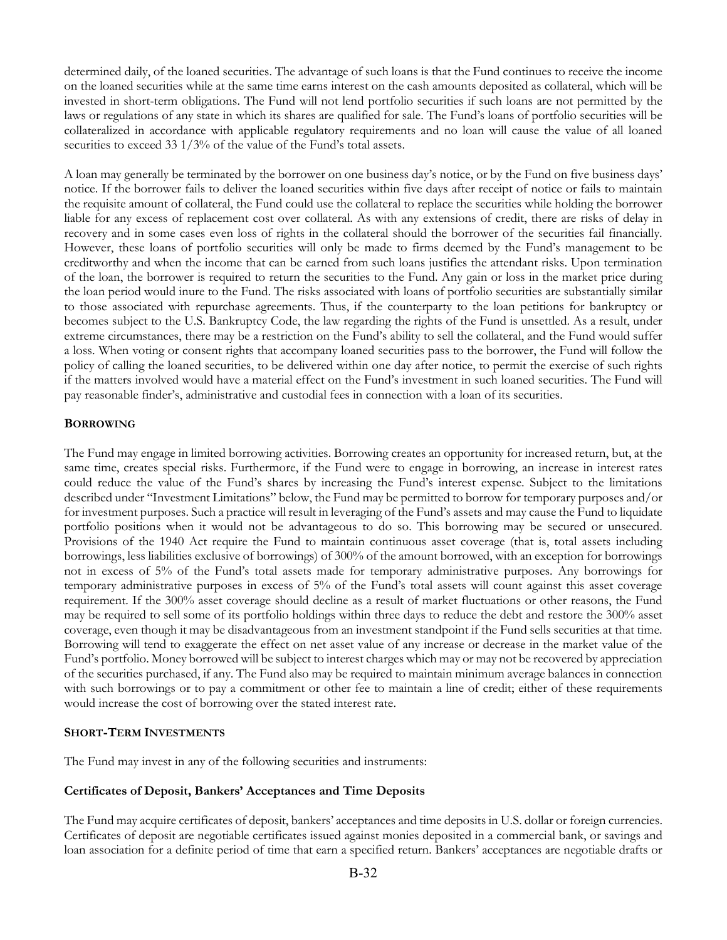determined daily, of the loaned securities. The advantage of such loans is that the Fund continues to receive the income on the loaned securities while at the same time earns interest on the cash amounts deposited as collateral, which will be invested in short-term obligations. The Fund will not lend portfolio securities if such loans are not permitted by the laws or regulations of any state in which its shares are qualified for sale. The Fund's loans of portfolio securities will be collateralized in accordance with applicable regulatory requirements and no loan will cause the value of all loaned securities to exceed 33 1/3% of the value of the Fund's total assets.

A loan may generally be terminated by the borrower on one business day's notice, or by the Fund on five business days' notice. If the borrower fails to deliver the loaned securities within five days after receipt of notice or fails to maintain the requisite amount of collateral, the Fund could use the collateral to replace the securities while holding the borrower liable for any excess of replacement cost over collateral. As with any extensions of credit, there are risks of delay in recovery and in some cases even loss of rights in the collateral should the borrower of the securities fail financially. However, these loans of portfolio securities will only be made to firms deemed by the Fund's management to be creditworthy and when the income that can be earned from such loans justifies the attendant risks. Upon termination of the loan, the borrower is required to return the securities to the Fund. Any gain or loss in the market price during the loan period would inure to the Fund. The risks associated with loans of portfolio securities are substantially similar to those associated with repurchase agreements. Thus, if the counterparty to the loan petitions for bankruptcy or becomes subject to the U.S. Bankruptcy Code, the law regarding the rights of the Fund is unsettled. As a result, under extreme circumstances, there may be a restriction on the Fund's ability to sell the collateral, and the Fund would suffer a loss. When voting or consent rights that accompany loaned securities pass to the borrower, the Fund will follow the policy of calling the loaned securities, to be delivered within one day after notice, to permit the exercise of such rights if the matters involved would have a material effect on the Fund's investment in such loaned securities. The Fund will pay reasonable finder's, administrative and custodial fees in connection with a loan of its securities.

### **BORROWING**

The Fund may engage in limited borrowing activities. Borrowing creates an opportunity for increased return, but, at the same time, creates special risks. Furthermore, if the Fund were to engage in borrowing, an increase in interest rates could reduce the value of the Fund's shares by increasing the Fund's interest expense. Subject to the limitations described under "Investment Limitations" below, the Fund may be permitted to borrow for temporary purposes and/or for investment purposes. Such a practice will result in leveraging of the Fund's assets and may cause the Fund to liquidate portfolio positions when it would not be advantageous to do so. This borrowing may be secured or unsecured. Provisions of the 1940 Act require the Fund to maintain continuous asset coverage (that is, total assets including borrowings, less liabilities exclusive of borrowings) of 300% of the amount borrowed, with an exception for borrowings not in excess of 5% of the Fund's total assets made for temporary administrative purposes. Any borrowings for temporary administrative purposes in excess of 5% of the Fund's total assets will count against this asset coverage requirement. If the 300% asset coverage should decline as a result of market fluctuations or other reasons, the Fund may be required to sell some of its portfolio holdings within three days to reduce the debt and restore the 300% asset coverage, even though it may be disadvantageous from an investment standpoint if the Fund sells securities at that time. Borrowing will tend to exaggerate the effect on net asset value of any increase or decrease in the market value of the Fund's portfolio. Money borrowed will be subject to interest charges which may or may not be recovered by appreciation of the securities purchased, if any. The Fund also may be required to maintain minimum average balances in connection with such borrowings or to pay a commitment or other fee to maintain a line of credit; either of these requirements would increase the cost of borrowing over the stated interest rate.

#### **SHORT-TERM INVESTMENTS**

The Fund may invest in any of the following securities and instruments:

#### **Certificates of Deposit, Bankers' Acceptances and Time Deposits**

The Fund may acquire certificates of deposit, bankers' acceptances and time deposits in U.S. dollar or foreign currencies. Certificates of deposit are negotiable certificates issued against monies deposited in a commercial bank, or savings and loan association for a definite period of time that earn a specified return. Bankers' acceptances are negotiable drafts or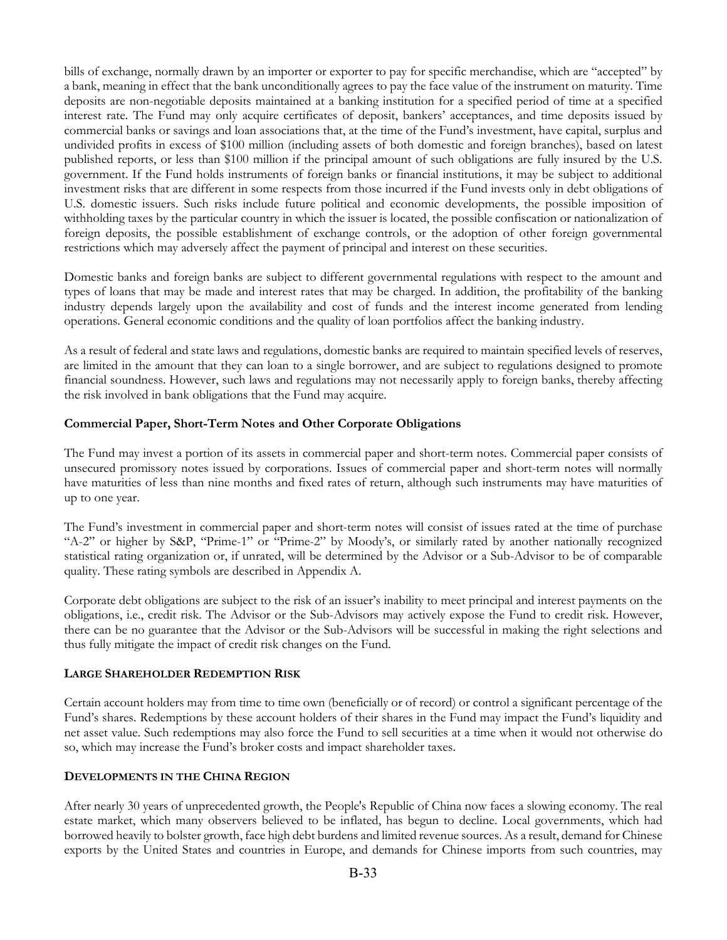bills of exchange, normally drawn by an importer or exporter to pay for specific merchandise, which are "accepted" by a bank, meaning in effect that the bank unconditionally agrees to pay the face value of the instrument on maturity. Time deposits are non-negotiable deposits maintained at a banking institution for a specified period of time at a specified interest rate. The Fund may only acquire certificates of deposit, bankers' acceptances, and time deposits issued by commercial banks or savings and loan associations that, at the time of the Fund's investment, have capital, surplus and undivided profits in excess of \$100 million (including assets of both domestic and foreign branches), based on latest published reports, or less than \$100 million if the principal amount of such obligations are fully insured by the U.S. government. If the Fund holds instruments of foreign banks or financial institutions, it may be subject to additional investment risks that are different in some respects from those incurred if the Fund invests only in debt obligations of U.S. domestic issuers. Such risks include future political and economic developments, the possible imposition of withholding taxes by the particular country in which the issuer is located, the possible confiscation or nationalization of foreign deposits, the possible establishment of exchange controls, or the adoption of other foreign governmental restrictions which may adversely affect the payment of principal and interest on these securities.

Domestic banks and foreign banks are subject to different governmental regulations with respect to the amount and types of loans that may be made and interest rates that may be charged. In addition, the profitability of the banking industry depends largely upon the availability and cost of funds and the interest income generated from lending operations. General economic conditions and the quality of loan portfolios affect the banking industry.

As a result of federal and state laws and regulations, domestic banks are required to maintain specified levels of reserves, are limited in the amount that they can loan to a single borrower, and are subject to regulations designed to promote financial soundness. However, such laws and regulations may not necessarily apply to foreign banks, thereby affecting the risk involved in bank obligations that the Fund may acquire.

# **Commercial Paper, Short-Term Notes and Other Corporate Obligations**

The Fund may invest a portion of its assets in commercial paper and short-term notes. Commercial paper consists of unsecured promissory notes issued by corporations. Issues of commercial paper and short-term notes will normally have maturities of less than nine months and fixed rates of return, although such instruments may have maturities of up to one year.

The Fund's investment in commercial paper and short-term notes will consist of issues rated at the time of purchase "A-2" or higher by S&P, "Prime-1" or "Prime-2" by Moody's, or similarly rated by another nationally recognized statistical rating organization or, if unrated, will be determined by the Advisor or a Sub-Advisor to be of comparable quality. These rating symbols are described in Appendix A.

Corporate debt obligations are subject to the risk of an issuer's inability to meet principal and interest payments on the obligations, i.e., credit risk. The Advisor or the Sub-Advisors may actively expose the Fund to credit risk. However, there can be no guarantee that the Advisor or the Sub-Advisors will be successful in making the right selections and thus fully mitigate the impact of credit risk changes on the Fund.

## **LARGE SHAREHOLDER REDEMPTION RISK**

Certain account holders may from time to time own (beneficially or of record) or control a significant percentage of the Fund's shares. Redemptions by these account holders of their shares in the Fund may impact the Fund's liquidity and net asset value. Such redemptions may also force the Fund to sell securities at a time when it would not otherwise do so, which may increase the Fund's broker costs and impact shareholder taxes.

## **DEVELOPMENTS IN THE CHINA REGION**

After nearly 30 years of unprecedented growth, the People's Republic of China now faces a slowing economy. The real estate market, which many observers believed to be inflated, has begun to decline. Local governments, which had borrowed heavily to bolster growth, face high debt burdens and limited revenue sources. As a result, demand for Chinese exports by the United States and countries in Europe, and demands for Chinese imports from such countries, may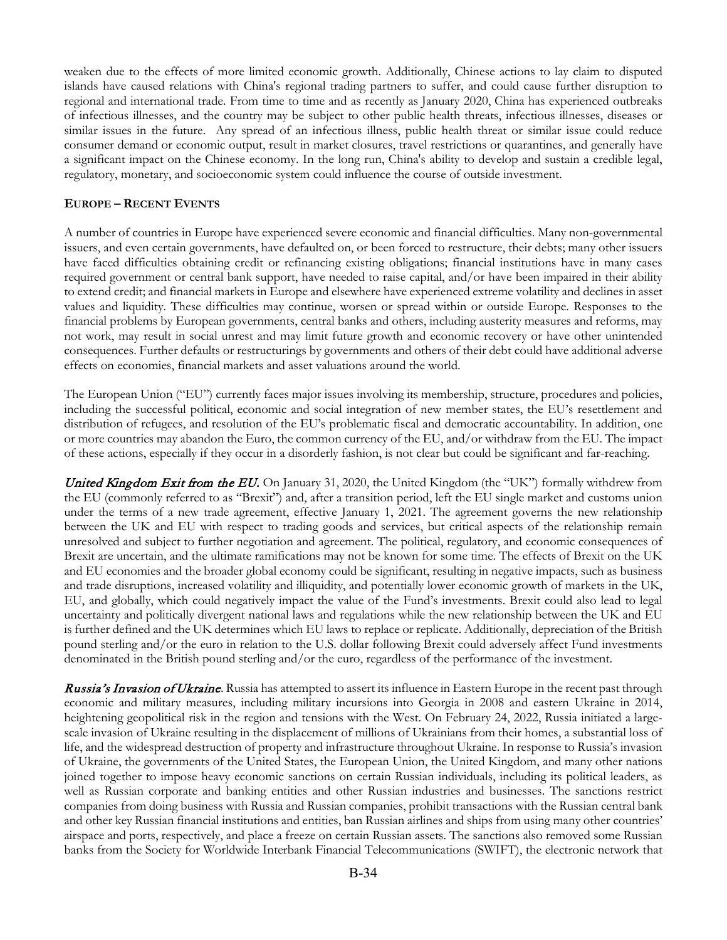weaken due to the effects of more limited economic growth. Additionally, Chinese actions to lay claim to disputed islands have caused relations with China's regional trading partners to suffer, and could cause further disruption to regional and international trade. From time to time and as recently as January 2020, China has experienced outbreaks of infectious illnesses, and the country may be subject to other public health threats, infectious illnesses, diseases or similar issues in the future. Any spread of an infectious illness, public health threat or similar issue could reduce consumer demand or economic output, result in market closures, travel restrictions or quarantines, and generally have a significant impact on the Chinese economy. In the long run, China's ability to develop and sustain a credible legal, regulatory, monetary, and socioeconomic system could influence the course of outside investment.

### **EUROPE – RECENT EVENTS**

A number of countries in Europe have experienced severe economic and financial difficulties. Many non-governmental issuers, and even certain governments, have defaulted on, or been forced to restructure, their debts; many other issuers have faced difficulties obtaining credit or refinancing existing obligations; financial institutions have in many cases required government or central bank support, have needed to raise capital, and/or have been impaired in their ability to extend credit; and financial markets in Europe and elsewhere have experienced extreme volatility and declines in asset values and liquidity. These difficulties may continue, worsen or spread within or outside Europe. Responses to the financial problems by European governments, central banks and others, including austerity measures and reforms, may not work, may result in social unrest and may limit future growth and economic recovery or have other unintended consequences. Further defaults or restructurings by governments and others of their debt could have additional adverse effects on economies, financial markets and asset valuations around the world.

The European Union ("EU") currently faces major issues involving its membership, structure, procedures and policies, including the successful political, economic and social integration of new member states, the EU's resettlement and distribution of refugees, and resolution of the EU's problematic fiscal and democratic accountability. In addition, one or more countries may abandon the Euro, the common currency of the EU, and/or withdraw from the EU. The impact of these actions, especially if they occur in a disorderly fashion, is not clear but could be significant and far-reaching.

United Kingdom Exit from the EU. On January 31, 2020, the United Kingdom (the "UK") formally withdrew from the EU (commonly referred to as "Brexit") and, after a transition period, left the EU single market and customs union under the terms of a new trade agreement, effective January 1, 2021. The agreement governs the new relationship between the UK and EU with respect to trading goods and services, but critical aspects of the relationship remain unresolved and subject to further negotiation and agreement. The political, regulatory, and economic consequences of Brexit are uncertain, and the ultimate ramifications may not be known for some time. The effects of Brexit on the UK and EU economies and the broader global economy could be significant, resulting in negative impacts, such as business and trade disruptions, increased volatility and illiquidity, and potentially lower economic growth of markets in the UK, EU, and globally, which could negatively impact the value of the Fund's investments. Brexit could also lead to legal uncertainty and politically divergent national laws and regulations while the new relationship between the UK and EU is further defined and the UK determines which EU laws to replace or replicate. Additionally, depreciation of the British pound sterling and/or the euro in relation to the U.S. dollar following Brexit could adversely affect Fund investments denominated in the British pound sterling and/or the euro, regardless of the performance of the investment.

Russia's Invasion of Ukraine. Russia has attempted to assert its influence in Eastern Europe in the recent past through economic and military measures, including military incursions into Georgia in 2008 and eastern Ukraine in 2014, heightening geopolitical risk in the region and tensions with the West. On February 24, 2022, Russia initiated a largescale invasion of Ukraine resulting in the displacement of millions of Ukrainians from their homes, a substantial loss of life, and the widespread destruction of property and infrastructure throughout Ukraine. In response to Russia's invasion of Ukraine, the governments of the United States, the European Union, the United Kingdom, and many other nations joined together to impose heavy economic sanctions on certain Russian individuals, including its political leaders, as well as Russian corporate and banking entities and other Russian industries and businesses. The sanctions restrict companies from doing business with Russia and Russian companies, prohibit transactions with the Russian central bank and other key Russian financial institutions and entities, ban Russian airlines and ships from using many other countries' airspace and ports, respectively, and place a freeze on certain Russian assets. The sanctions also removed some Russian banks from the Society for Worldwide Interbank Financial Telecommunications (SWIFT), the electronic network that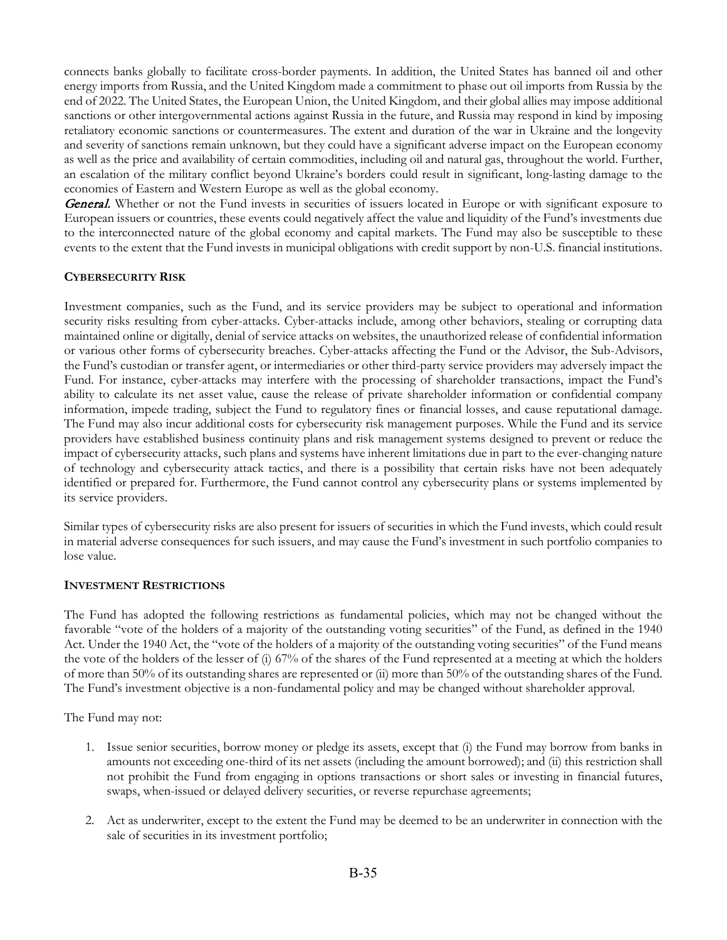connects banks globally to facilitate cross-border payments. In addition, the United States has banned oil and other energy imports from Russia, and the United Kingdom made a commitment to phase out oil imports from Russia by the end of 2022. The United States, the European Union, the United Kingdom, and their global allies may impose additional sanctions or other intergovernmental actions against Russia in the future, and Russia may respond in kind by imposing retaliatory economic sanctions or countermeasures. The extent and duration of the war in Ukraine and the longevity and severity of sanctions remain unknown, but they could have a significant adverse impact on the European economy as well as the price and availability of certain commodities, including oil and natural gas, throughout the world. Further, an escalation of the military conflict beyond Ukraine's borders could result in significant, long-lasting damage to the economies of Eastern and Western Europe as well as the global economy.

**General.** Whether or not the Fund invests in securities of issuers located in Europe or with significant exposure to European issuers or countries, these events could negatively affect the value and liquidity of the Fund's investments due to the interconnected nature of the global economy and capital markets. The Fund may also be susceptible to these events to the extent that the Fund invests in municipal obligations with credit support by non-U.S. financial institutions.

# **CYBERSECURITY RISK**

Investment companies, such as the Fund, and its service providers may be subject to operational and information security risks resulting from cyber-attacks. Cyber-attacks include, among other behaviors, stealing or corrupting data maintained online or digitally, denial of service attacks on websites, the unauthorized release of confidential information or various other forms of cybersecurity breaches. Cyber-attacks affecting the Fund or the Advisor, the Sub-Advisors, the Fund's custodian or transfer agent, or intermediaries or other third-party service providers may adversely impact the Fund. For instance, cyber-attacks may interfere with the processing of shareholder transactions, impact the Fund's ability to calculate its net asset value, cause the release of private shareholder information or confidential company information, impede trading, subject the Fund to regulatory fines or financial losses, and cause reputational damage. The Fund may also incur additional costs for cybersecurity risk management purposes. While the Fund and its service providers have established business continuity plans and risk management systems designed to prevent or reduce the impact of cybersecurity attacks, such plans and systems have inherent limitations due in part to the ever-changing nature of technology and cybersecurity attack tactics, and there is a possibility that certain risks have not been adequately identified or prepared for. Furthermore, the Fund cannot control any cybersecurity plans or systems implemented by its service providers.

Similar types of cybersecurity risks are also present for issuers of securities in which the Fund invests, which could result in material adverse consequences for such issuers, and may cause the Fund's investment in such portfolio companies to lose value.

## **INVESTMENT RESTRICTIONS**

The Fund has adopted the following restrictions as fundamental policies, which may not be changed without the favorable "vote of the holders of a majority of the outstanding voting securities" of the Fund, as defined in the 1940 Act. Under the 1940 Act, the "vote of the holders of a majority of the outstanding voting securities" of the Fund means the vote of the holders of the lesser of (i) 67% of the shares of the Fund represented at a meeting at which the holders of more than 50% of its outstanding shares are represented or (ii) more than 50% of the outstanding shares of the Fund. The Fund's investment objective is a non-fundamental policy and may be changed without shareholder approval.

The Fund may not:

- 1. Issue senior securities, borrow money or pledge its assets, except that (i) the Fund may borrow from banks in amounts not exceeding one-third of its net assets (including the amount borrowed); and (ii) this restriction shall not prohibit the Fund from engaging in options transactions or short sales or investing in financial futures, swaps, when-issued or delayed delivery securities, or reverse repurchase agreements;
- 2. Act as underwriter, except to the extent the Fund may be deemed to be an underwriter in connection with the sale of securities in its investment portfolio;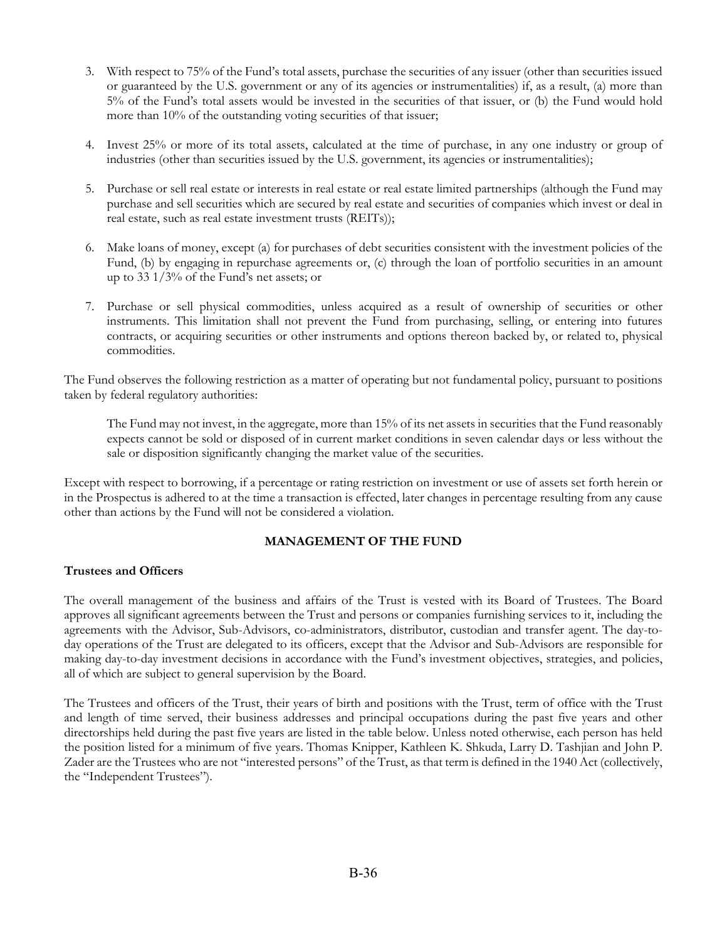- 3. With respect to 75% of the Fund's total assets, purchase the securities of any issuer (other than securities issued or guaranteed by the U.S. government or any of its agencies or instrumentalities) if, as a result, (a) more than 5% of the Fund's total assets would be invested in the securities of that issuer, or (b) the Fund would hold more than 10% of the outstanding voting securities of that issuer;
- 4. Invest 25% or more of its total assets, calculated at the time of purchase, in any one industry or group of industries (other than securities issued by the U.S. government, its agencies or instrumentalities);
- 5. Purchase or sell real estate or interests in real estate or real estate limited partnerships (although the Fund may purchase and sell securities which are secured by real estate and securities of companies which invest or deal in real estate, such as real estate investment trusts (REITs));
- 6. Make loans of money, except (a) for purchases of debt securities consistent with the investment policies of the Fund, (b) by engaging in repurchase agreements or, (c) through the loan of portfolio securities in an amount up to 33 1/3% of the Fund's net assets; or
- 7. Purchase or sell physical commodities, unless acquired as a result of ownership of securities or other instruments. This limitation shall not prevent the Fund from purchasing, selling, or entering into futures contracts, or acquiring securities or other instruments and options thereon backed by, or related to, physical commodities.

The Fund observes the following restriction as a matter of operating but not fundamental policy, pursuant to positions taken by federal regulatory authorities:

The Fund may not invest, in the aggregate, more than 15% of its net assets in securities that the Fund reasonably expects cannot be sold or disposed of in current market conditions in seven calendar days or less without the sale or disposition significantly changing the market value of the securities.

Except with respect to borrowing, if a percentage or rating restriction on investment or use of assets set forth herein or in the Prospectus is adhered to at the time a transaction is effected, later changes in percentage resulting from any cause other than actions by the Fund will not be considered a violation.

## **MANAGEMENT OF THE FUND**

## **Trustees and Officers**

The overall management of the business and affairs of the Trust is vested with its Board of Trustees. The Board approves all significant agreements between the Trust and persons or companies furnishing services to it, including the agreements with the Advisor, Sub-Advisors, co-administrators, distributor, custodian and transfer agent. The day-today operations of the Trust are delegated to its officers, except that the Advisor and Sub-Advisors are responsible for making day-to-day investment decisions in accordance with the Fund's investment objectives, strategies, and policies, all of which are subject to general supervision by the Board.

The Trustees and officers of the Trust, their years of birth and positions with the Trust, term of office with the Trust and length of time served, their business addresses and principal occupations during the past five years and other directorships held during the past five years are listed in the table below. Unless noted otherwise, each person has held the position listed for a minimum of five years. Thomas Knipper, Kathleen K. Shkuda, Larry D. Tashjian and John P. Zader are the Trustees who are not "interested persons" of the Trust, as that term is defined in the 1940 Act (collectively, the "Independent Trustees").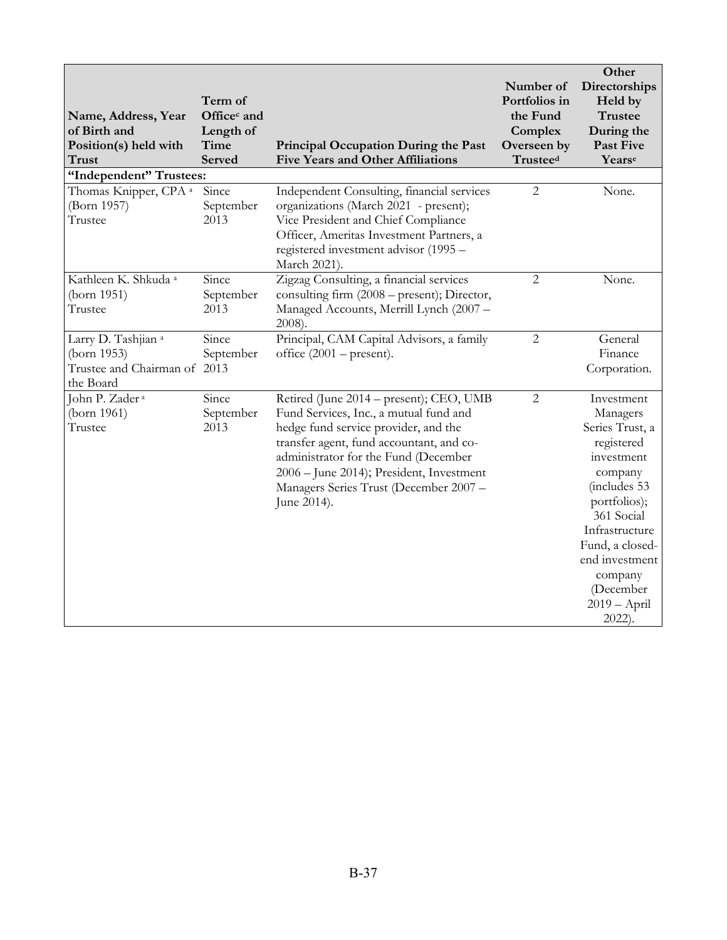| Name, Address, Year<br>of Birth and<br>Position(s) held with<br><b>Trust</b>               | Term of<br>Office <sup>c</sup> and<br>Length of<br>Time<br><b>Served</b> | Principal Occupation During the Past<br><b>Five Years and Other Affiliations</b>                                                                                                                                                                                                                                   | Number of<br>Portfolios in<br>the Fund<br>Complex<br>Overseen by<br>Trusteed | Other<br>Directorships<br>Held by<br><b>Trustee</b><br>During the<br>Past Five<br>Yearse                                                                                                                                                     |
|--------------------------------------------------------------------------------------------|--------------------------------------------------------------------------|--------------------------------------------------------------------------------------------------------------------------------------------------------------------------------------------------------------------------------------------------------------------------------------------------------------------|------------------------------------------------------------------------------|----------------------------------------------------------------------------------------------------------------------------------------------------------------------------------------------------------------------------------------------|
| "Independent" Trustees:                                                                    |                                                                          |                                                                                                                                                                                                                                                                                                                    |                                                                              |                                                                                                                                                                                                                                              |
| Thomas Knipper, CPA a<br>(Born 1957)<br>Trustee                                            | Since<br>September<br>2013                                               | Independent Consulting, financial services<br>organizations (March 2021 - present);<br>Vice President and Chief Compliance<br>Officer, Ameritas Investment Partners, a<br>registered investment advisor (1995 -<br>March 2021).                                                                                    | $\overline{2}$                                                               | None.                                                                                                                                                                                                                                        |
| Kathleen K. Shkuda <sup>a</sup><br>(born 1951)<br>Trustee                                  | Since<br>September<br>2013                                               | Zigzag Consulting, a financial services<br>consulting firm (2008 – present); Director,<br>Managed Accounts, Merrill Lynch (2007 -<br>2008).                                                                                                                                                                        | $\overline{c}$                                                               | None.                                                                                                                                                                                                                                        |
| Larry D. Tashjian <sup>a</sup><br>(born 1953)<br>Trustee and Chairman of 2013<br>the Board | Since<br>September                                                       | Principal, CAM Capital Advisors, a family<br>office $(2001 - present)$ .                                                                                                                                                                                                                                           | $\overline{2}$                                                               | General<br>Finance<br>Corporation.                                                                                                                                                                                                           |
| John P. Zader <sup>a</sup><br>(born 1961)<br>Trustee                                       | Since<br>September<br>2013                                               | Retired (June 2014 – present); CEO, UMB<br>Fund Services, Inc., a mutual fund and<br>hedge fund service provider, and the<br>transfer agent, fund accountant, and co-<br>administrator for the Fund (December<br>2006 - June 2014); President, Investment<br>Managers Series Trust (December 2007 -<br>June 2014). | $\overline{2}$                                                               | Investment<br>Managers<br>Series Trust, a<br>registered<br>investment<br>company<br>(includes 53<br>portfolios);<br>361 Social<br>Infrastructure<br>Fund, a closed-<br>end investment<br>company<br>(December<br>$2019 - April$<br>$2022$ ). |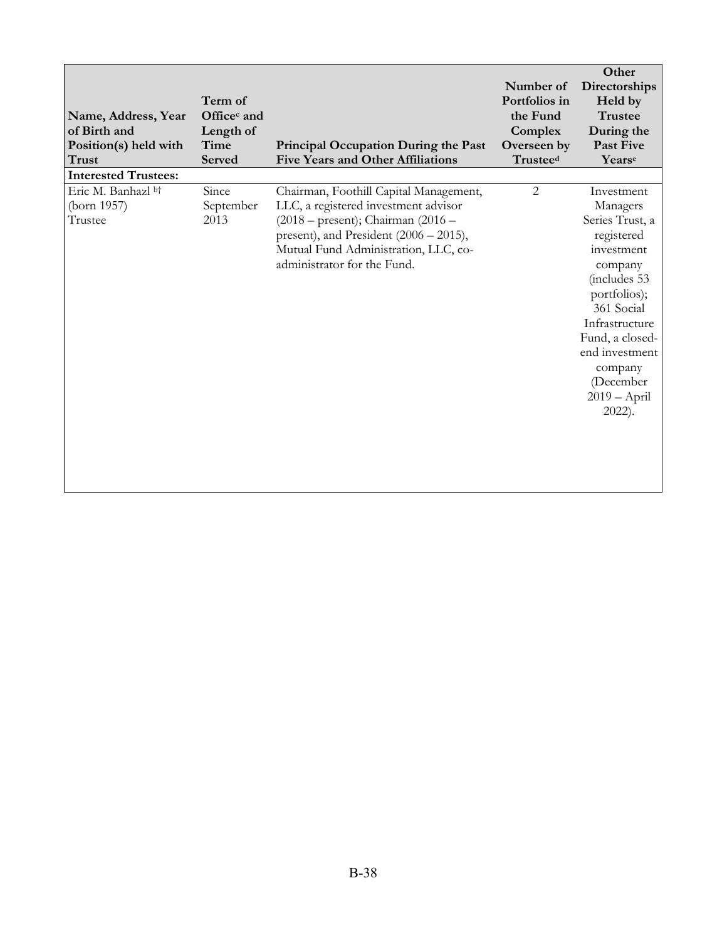| Name, Address, Year<br>of Birth and<br>Position(s) held with<br><b>Trust</b><br><b>Interested Trustees:</b> | Term of<br>Office <sup>c</sup> and<br>Length of<br>Time<br><b>Served</b> | Principal Occupation During the Past<br><b>Five Years and Other Affiliations</b>                                                                                                                                                           | Number of<br>Portfolios in<br>the Fund<br>Complex<br>Overseen by<br>Trusteed | Other<br>Directorships<br>Held by<br><b>Trustee</b><br>During the<br>Past Five<br>Yearse                                                                                                                                                     |
|-------------------------------------------------------------------------------------------------------------|--------------------------------------------------------------------------|--------------------------------------------------------------------------------------------------------------------------------------------------------------------------------------------------------------------------------------------|------------------------------------------------------------------------------|----------------------------------------------------------------------------------------------------------------------------------------------------------------------------------------------------------------------------------------------|
| Eric M. Banhazl bt<br>(born 1957)<br>Trustee                                                                | Since<br>September<br>2013                                               | Chairman, Foothill Capital Management,<br>LLC, a registered investment advisor<br>$(2018 - present)$ ; Chairman $(2016 -$<br>present), and President (2006 – 2015),<br>Mutual Fund Administration, LLC, co-<br>administrator for the Fund. | $\overline{2}$                                                               | Investment<br>Managers<br>Series Trust, a<br>registered<br>investment<br>company<br>(includes 53<br>portfolios);<br>361 Social<br>Infrastructure<br>Fund, a closed-<br>end investment<br>company<br>(December<br>$2019 - April$<br>$2022$ ). |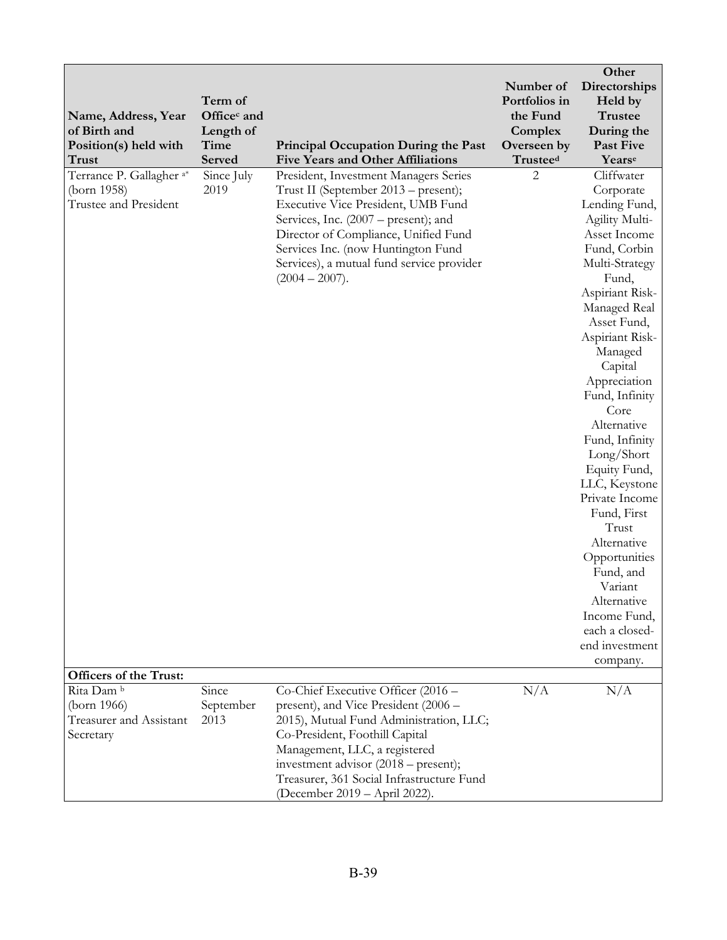| Name, Address, Year<br>of Birth and<br>Position(s) held with<br>Trust                                         | Term of<br>Office <sup>c</sup> and<br>Length of<br>Time<br>Served | <b>Principal Occupation During the Past</b><br><b>Five Years and Other Affiliations</b>                                                                                                                                                                                                                        | Number of<br>Portfolios in<br>the Fund<br>Complex<br>Overseen by<br>Trusteed | Other<br>Directorships<br>Held by<br>Trustee<br>During the<br><b>Past Five</b><br>Yearse                                                                                                                                                                                                                                                                                                                                                                                                                                    |
|---------------------------------------------------------------------------------------------------------------|-------------------------------------------------------------------|----------------------------------------------------------------------------------------------------------------------------------------------------------------------------------------------------------------------------------------------------------------------------------------------------------------|------------------------------------------------------------------------------|-----------------------------------------------------------------------------------------------------------------------------------------------------------------------------------------------------------------------------------------------------------------------------------------------------------------------------------------------------------------------------------------------------------------------------------------------------------------------------------------------------------------------------|
| Terrance P. Gallagher a*<br>(born 1958)<br>Trustee and President                                              | Since July<br>2019                                                | President, Investment Managers Series<br>Trust II (September 2013 – present);<br>Executive Vice President, UMB Fund<br>Services, Inc. (2007 – present); and<br>Director of Compliance, Unified Fund<br>Services Inc. (now Huntington Fund<br>Services), a mutual fund service provider<br>$(2004 - 2007).$     | 2                                                                            | Cliffwater<br>Corporate<br>Lending Fund,<br>Agility Multi-<br>Asset Income<br>Fund, Corbin<br>Multi-Strategy<br>Fund,<br>Aspiriant Risk-<br>Managed Real<br>Asset Fund,<br>Aspiriant Risk-<br>Managed<br>Capital<br>Appreciation<br>Fund, Infinity<br>Core<br>Alternative<br>Fund, Infinity<br>Long/Short<br>Equity Fund,<br>LLC, Keystone<br>Private Income<br>Fund, First<br>Trust<br>Alternative<br>Opportunities<br>Fund, and<br>Variant<br>Alternative<br>Income Fund,<br>each a closed-<br>end investment<br>company. |
| <b>Officers of the Trust:</b><br>Rita Dam <sup>b</sup><br>(born 1966)<br>Treasurer and Assistant<br>Secretary | Since<br>September<br>2013                                        | Co-Chief Executive Officer (2016 -<br>present), and Vice President (2006 -<br>2015), Mutual Fund Administration, LLC;<br>Co-President, Foothill Capital<br>Management, LLC, a registered<br>investment advisor (2018 – present);<br>Treasurer, 361 Social Infrastructure Fund<br>(December 2019 – April 2022). | N/A                                                                          | N/A                                                                                                                                                                                                                                                                                                                                                                                                                                                                                                                         |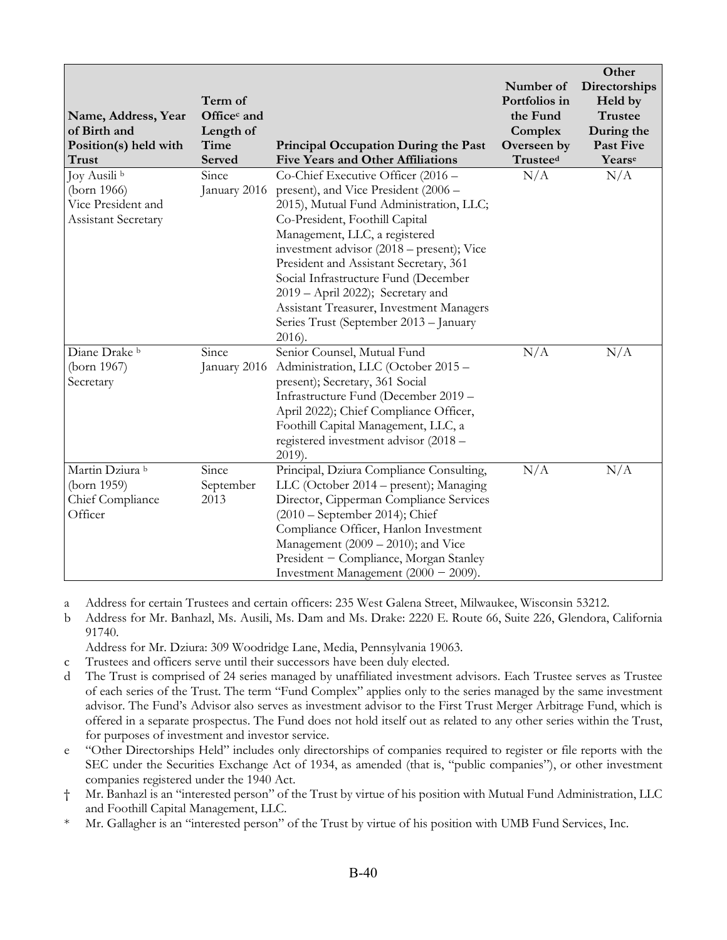| Name, Address, Year<br>of Birth and<br>Position(s) held with<br>Trust                      | Term of<br>Office <sup>c</sup> and<br>Length of<br>Time<br>Served | <b>Principal Occupation During the Past</b><br><b>Five Years and Other Affiliations</b>                                                                                                                                                                                                                                                                                                                                                                      | Number of<br>Portfolios in<br>the Fund<br>Complex<br>Overseen by<br>Trusteed | Other<br>Directorships<br>Held by<br><b>Trustee</b><br>During the<br><b>Past Five</b><br>Yearse |
|--------------------------------------------------------------------------------------------|-------------------------------------------------------------------|--------------------------------------------------------------------------------------------------------------------------------------------------------------------------------------------------------------------------------------------------------------------------------------------------------------------------------------------------------------------------------------------------------------------------------------------------------------|------------------------------------------------------------------------------|-------------------------------------------------------------------------------------------------|
| Joy Ausili <sup>b</sup><br>(born 1966)<br>Vice President and<br><b>Assistant Secretary</b> | Since<br>January 2016                                             | Co-Chief Executive Officer (2016 -<br>present), and Vice President (2006 -<br>2015), Mutual Fund Administration, LLC;<br>Co-President, Foothill Capital<br>Management, LLC, a registered<br>investment advisor (2018 – present); Vice<br>President and Assistant Secretary, 361<br>Social Infrastructure Fund (December<br>2019 - April 2022); Secretary and<br>Assistant Treasurer, Investment Managers<br>Series Trust (September 2013 - January<br>2016). | N/A                                                                          | N/A                                                                                             |
| Diane Drake b<br>(born 1967)<br>Secretary                                                  | Since<br>January 2016                                             | Senior Counsel, Mutual Fund<br>Administration, LLC (October 2015 -<br>present); Secretary, 361 Social<br>Infrastructure Fund (December 2019 -<br>April 2022); Chief Compliance Officer,<br>Foothill Capital Management, LLC, a<br>registered investment advisor (2018 -<br>2019).                                                                                                                                                                            | N/A                                                                          | N/A                                                                                             |
| Martin Dziura b<br>(born 1959)<br>Chief Compliance<br>Officer                              | Since<br>September<br>2013                                        | Principal, Dziura Compliance Consulting,<br>LLC (October 2014 – present); Managing<br>Director, Cipperman Compliance Services<br>$(2010 - September 2014)$ ; Chief<br>Compliance Officer, Hanlon Investment<br>Management (2009 – 2010); and Vice<br>President - Compliance, Morgan Stanley<br>Investment Management $(2000 - 2009)$ .                                                                                                                       | N/A                                                                          | N/A                                                                                             |

- a Address for certain Trustees and certain officers: 235 West Galena Street, Milwaukee, Wisconsin 53212.
- b Address for Mr. Banhazl, Ms. Ausili, Ms. Dam and Ms. Drake: 2220 E. Route 66, Suite 226, Glendora, California 91740.
	- Address for Mr. Dziura: 309 Woodridge Lane, Media, Pennsylvania 19063.
- c Trustees and officers serve until their successors have been duly elected.
- d The Trust is comprised of 24 series managed by unaffiliated investment advisors. Each Trustee serves as Trustee of each series of the Trust. The term "Fund Complex" applies only to the series managed by the same investment advisor. The Fund's Advisor also serves as investment advisor to the First Trust Merger Arbitrage Fund, which is offered in a separate prospectus. The Fund does not hold itself out as related to any other series within the Trust, for purposes of investment and investor service.
- e "Other Directorships Held" includes only directorships of companies required to register or file reports with the SEC under the Securities Exchange Act of 1934, as amended (that is, "public companies"), or other investment companies registered under the 1940 Act.
- † Mr. Banhazl is an "interested person" of the Trust by virtue of his position with Mutual Fund Administration, LLC and Foothill Capital Management, LLC.
- \* Mr. Gallagher is an "interested person" of the Trust by virtue of his position with UMB Fund Services, Inc.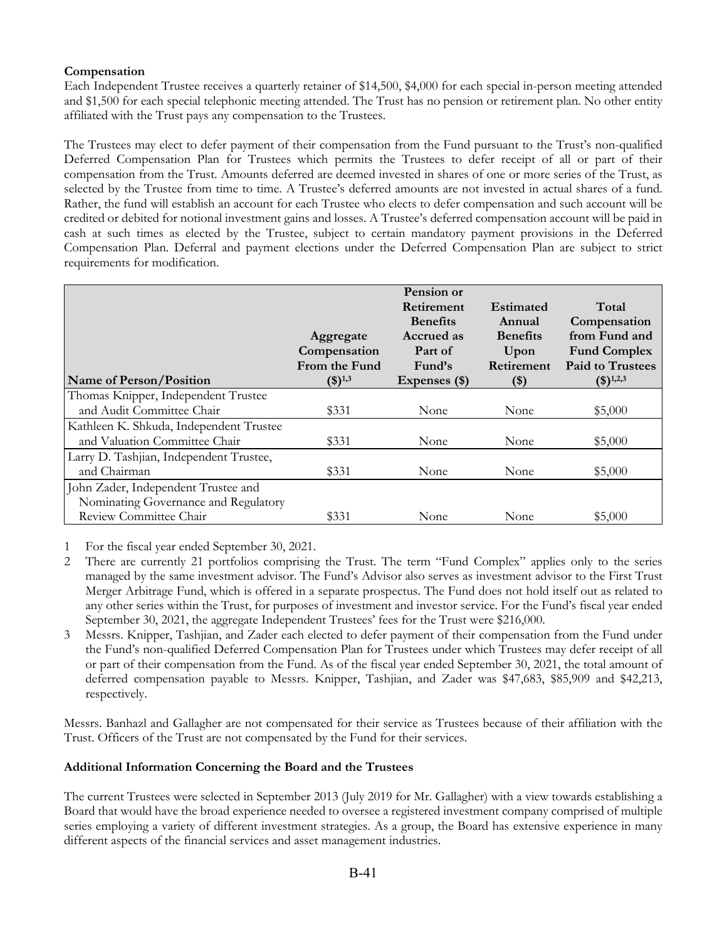# **Compensation**

Each Independent Trustee receives a quarterly retainer of \$14,500, \$4,000 for each special in-person meeting attended and \$1,500 for each special telephonic meeting attended. The Trust has no pension or retirement plan. No other entity affiliated with the Trust pays any compensation to the Trustees.

The Trustees may elect to defer payment of their compensation from the Fund pursuant to the Trust's non-qualified Deferred Compensation Plan for Trustees which permits the Trustees to defer receipt of all or part of their compensation from the Trust. Amounts deferred are deemed invested in shares of one or more series of the Trust, as selected by the Trustee from time to time. A Trustee's deferred amounts are not invested in actual shares of a fund. Rather, the fund will establish an account for each Trustee who elects to defer compensation and such account will be credited or debited for notional investment gains and losses. A Trustee's deferred compensation account will be paid in cash at such times as elected by the Trustee, subject to certain mandatory payment provisions in the Deferred Compensation Plan. Deferral and payment elections under the Deferred Compensation Plan are subject to strict requirements for modification.

| Name of Person/Position                                                                               | Aggregate<br>Compensation<br>From the Fund<br>$({\$})^{1,3}$ | Pension or<br><b>Retirement</b><br><b>Benefits</b><br>Accrued as<br>Part of<br>Fund's<br>Expenses (\$) | <b>Estimated</b><br>Annual<br><b>Benefits</b><br>Upon<br><b>Retirement</b><br>$($ \$) | Total<br>Compensation<br>from Fund and<br><b>Fund Complex</b><br><b>Paid to Trustees</b><br>$({\$})^{1,2,3}$ |
|-------------------------------------------------------------------------------------------------------|--------------------------------------------------------------|--------------------------------------------------------------------------------------------------------|---------------------------------------------------------------------------------------|--------------------------------------------------------------------------------------------------------------|
| Thomas Knipper, Independent Trustee<br>and Audit Committee Chair                                      | \$331                                                        | None                                                                                                   | None                                                                                  | \$5,000                                                                                                      |
| Kathleen K. Shkuda, Independent Trustee<br>and Valuation Committee Chair                              | \$331                                                        | None                                                                                                   | None                                                                                  | \$5,000                                                                                                      |
| Larry D. Tashjian, Independent Trustee,<br>and Chairman                                               | \$331                                                        | None                                                                                                   | None                                                                                  | \$5,000                                                                                                      |
| John Zader, Independent Trustee and<br>Nominating Governance and Regulatory<br>Review Committee Chair | \$331                                                        | None                                                                                                   | None                                                                                  | \$5,000                                                                                                      |

1 For the fiscal year ended September 30, 2021.

- 2 There are currently 21 portfolios comprising the Trust. The term "Fund Complex" applies only to the series managed by the same investment advisor. The Fund's Advisor also serves as investment advisor to the First Trust Merger Arbitrage Fund, which is offered in a separate prospectus. The Fund does not hold itself out as related to any other series within the Trust, for purposes of investment and investor service. For the Fund's fiscal year ended September 30, 2021, the aggregate Independent Trustees' fees for the Trust were \$216,000.
- 3 Messrs. Knipper, Tashjian, and Zader each elected to defer payment of their compensation from the Fund under the Fund's non-qualified Deferred Compensation Plan for Trustees under which Trustees may defer receipt of all or part of their compensation from the Fund. As of the fiscal year ended September 30, 2021, the total amount of deferred compensation payable to Messrs. Knipper, Tashjian, and Zader was \$47,683, \$85,909 and \$42,213, respectively.

Messrs. Banhazl and Gallagher are not compensated for their service as Trustees because of their affiliation with the Trust. Officers of the Trust are not compensated by the Fund for their services.

## **Additional Information Concerning the Board and the Trustees**

The current Trustees were selected in September 2013 (July 2019 for Mr. Gallagher) with a view towards establishing a Board that would have the broad experience needed to oversee a registered investment company comprised of multiple series employing a variety of different investment strategies. As a group, the Board has extensive experience in many different aspects of the financial services and asset management industries.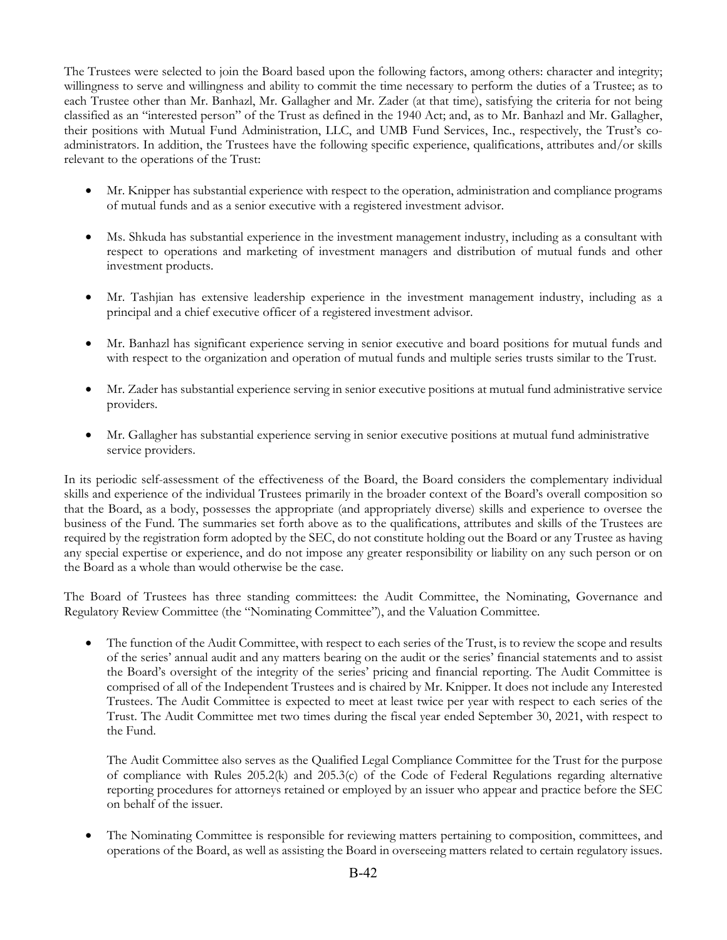The Trustees were selected to join the Board based upon the following factors, among others: character and integrity; willingness to serve and willingness and ability to commit the time necessary to perform the duties of a Trustee; as to each Trustee other than Mr. Banhazl, Mr. Gallagher and Mr. Zader (at that time), satisfying the criteria for not being classified as an "interested person" of the Trust as defined in the 1940 Act; and, as to Mr. Banhazl and Mr. Gallagher, their positions with Mutual Fund Administration, LLC, and UMB Fund Services, Inc., respectively, the Trust's coadministrators. In addition, the Trustees have the following specific experience, qualifications, attributes and/or skills relevant to the operations of the Trust:

- Mr. Knipper has substantial experience with respect to the operation, administration and compliance programs of mutual funds and as a senior executive with a registered investment advisor.
- Ms. Shkuda has substantial experience in the investment management industry, including as a consultant with respect to operations and marketing of investment managers and distribution of mutual funds and other investment products.
- Mr. Tashjian has extensive leadership experience in the investment management industry, including as a principal and a chief executive officer of a registered investment advisor.
- Mr. Banhazl has significant experience serving in senior executive and board positions for mutual funds and with respect to the organization and operation of mutual funds and multiple series trusts similar to the Trust.
- Mr. Zader has substantial experience serving in senior executive positions at mutual fund administrative service providers.
- Mr. Gallagher has substantial experience serving in senior executive positions at mutual fund administrative service providers.

In its periodic self-assessment of the effectiveness of the Board, the Board considers the complementary individual skills and experience of the individual Trustees primarily in the broader context of the Board's overall composition so that the Board, as a body, possesses the appropriate (and appropriately diverse) skills and experience to oversee the business of the Fund. The summaries set forth above as to the qualifications, attributes and skills of the Trustees are required by the registration form adopted by the SEC, do not constitute holding out the Board or any Trustee as having any special expertise or experience, and do not impose any greater responsibility or liability on any such person or on the Board as a whole than would otherwise be the case.

The Board of Trustees has three standing committees: the Audit Committee, the Nominating, Governance and Regulatory Review Committee (the "Nominating Committee"), and the Valuation Committee.

• The function of the Audit Committee, with respect to each series of the Trust, is to review the scope and results of the series' annual audit and any matters bearing on the audit or the series' financial statements and to assist the Board's oversight of the integrity of the series' pricing and financial reporting. The Audit Committee is comprised of all of the Independent Trustees and is chaired by Mr. Knipper. It does not include any Interested Trustees. The Audit Committee is expected to meet at least twice per year with respect to each series of the Trust. The Audit Committee met two times during the fiscal year ended September 30, 2021, with respect to the Fund.

The Audit Committee also serves as the Qualified Legal Compliance Committee for the Trust for the purpose of compliance with Rules 205.2(k) and 205.3(c) of the Code of Federal Regulations regarding alternative reporting procedures for attorneys retained or employed by an issuer who appear and practice before the SEC on behalf of the issuer.

• The Nominating Committee is responsible for reviewing matters pertaining to composition, committees, and operations of the Board, as well as assisting the Board in overseeing matters related to certain regulatory issues.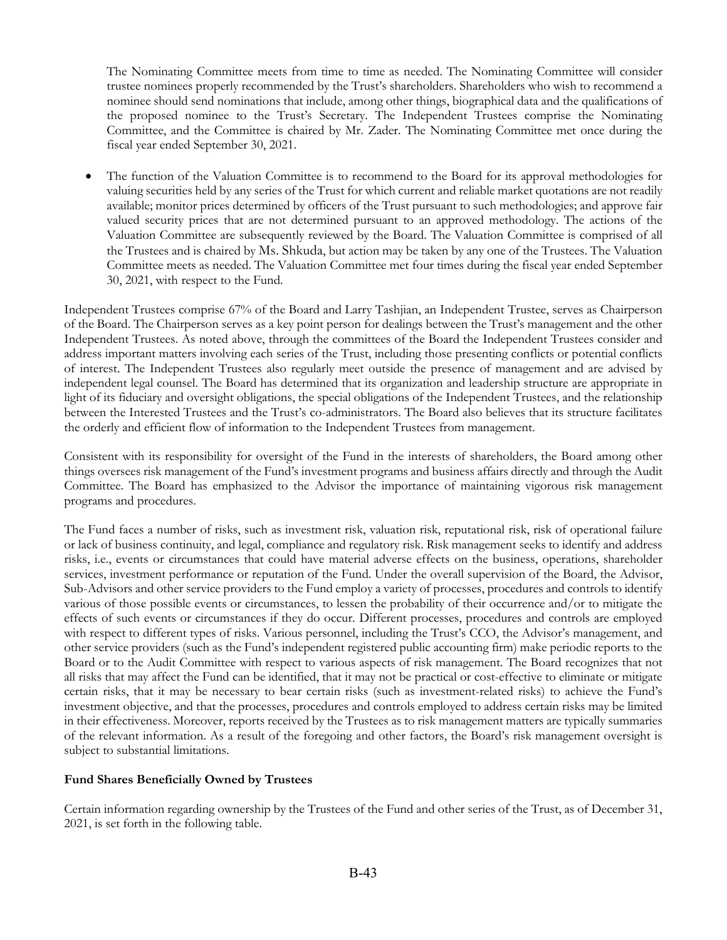The Nominating Committee meets from time to time as needed. The Nominating Committee will consider trustee nominees properly recommended by the Trust's shareholders. Shareholders who wish to recommend a nominee should send nominations that include, among other things, biographical data and the qualifications of the proposed nominee to the Trust's Secretary. The Independent Trustees comprise the Nominating Committee, and the Committee is chaired by Mr. Zader. The Nominating Committee met once during the fiscal year ended September 30, 2021.

The function of the Valuation Committee is to recommend to the Board for its approval methodologies for valuing securities held by any series of the Trust for which current and reliable market quotations are not readily available; monitor prices determined by officers of the Trust pursuant to such methodologies; and approve fair valued security prices that are not determined pursuant to an approved methodology. The actions of the Valuation Committee are subsequently reviewed by the Board. The Valuation Committee is comprised of all the Trustees and is chaired by Ms. Shkuda, but action may be taken by any one of the Trustees. The Valuation Committee meets as needed. The Valuation Committee met four times during the fiscal year ended September 30, 2021, with respect to the Fund.

Independent Trustees comprise 67% of the Board and Larry Tashjian, an Independent Trustee, serves as Chairperson of the Board. The Chairperson serves as a key point person for dealings between the Trust's management and the other Independent Trustees. As noted above, through the committees of the Board the Independent Trustees consider and address important matters involving each series of the Trust, including those presenting conflicts or potential conflicts of interest. The Independent Trustees also regularly meet outside the presence of management and are advised by independent legal counsel. The Board has determined that its organization and leadership structure are appropriate in light of its fiduciary and oversight obligations, the special obligations of the Independent Trustees, and the relationship between the Interested Trustees and the Trust's co-administrators. The Board also believes that its structure facilitates the orderly and efficient flow of information to the Independent Trustees from management.

Consistent with its responsibility for oversight of the Fund in the interests of shareholders, the Board among other things oversees risk management of the Fund's investment programs and business affairs directly and through the Audit Committee. The Board has emphasized to the Advisor the importance of maintaining vigorous risk management programs and procedures.

The Fund faces a number of risks, such as investment risk, valuation risk, reputational risk, risk of operational failure or lack of business continuity, and legal, compliance and regulatory risk. Risk management seeks to identify and address risks, i.e., events or circumstances that could have material adverse effects on the business, operations, shareholder services, investment performance or reputation of the Fund. Under the overall supervision of the Board, the Advisor, Sub-Advisors and other service providers to the Fund employ a variety of processes, procedures and controls to identify various of those possible events or circumstances, to lessen the probability of their occurrence and/or to mitigate the effects of such events or circumstances if they do occur. Different processes, procedures and controls are employed with respect to different types of risks. Various personnel, including the Trust's CCO, the Advisor's management, and other service providers (such as the Fund's independent registered public accounting firm) make periodic reports to the Board or to the Audit Committee with respect to various aspects of risk management. The Board recognizes that not all risks that may affect the Fund can be identified, that it may not be practical or cost-effective to eliminate or mitigate certain risks, that it may be necessary to bear certain risks (such as investment-related risks) to achieve the Fund's investment objective, and that the processes, procedures and controls employed to address certain risks may be limited in their effectiveness. Moreover, reports received by the Trustees as to risk management matters are typically summaries of the relevant information. As a result of the foregoing and other factors, the Board's risk management oversight is subject to substantial limitations.

## **Fund Shares Beneficially Owned by Trustees**

Certain information regarding ownership by the Trustees of the Fund and other series of the Trust, as of December 31, 2021, is set forth in the following table.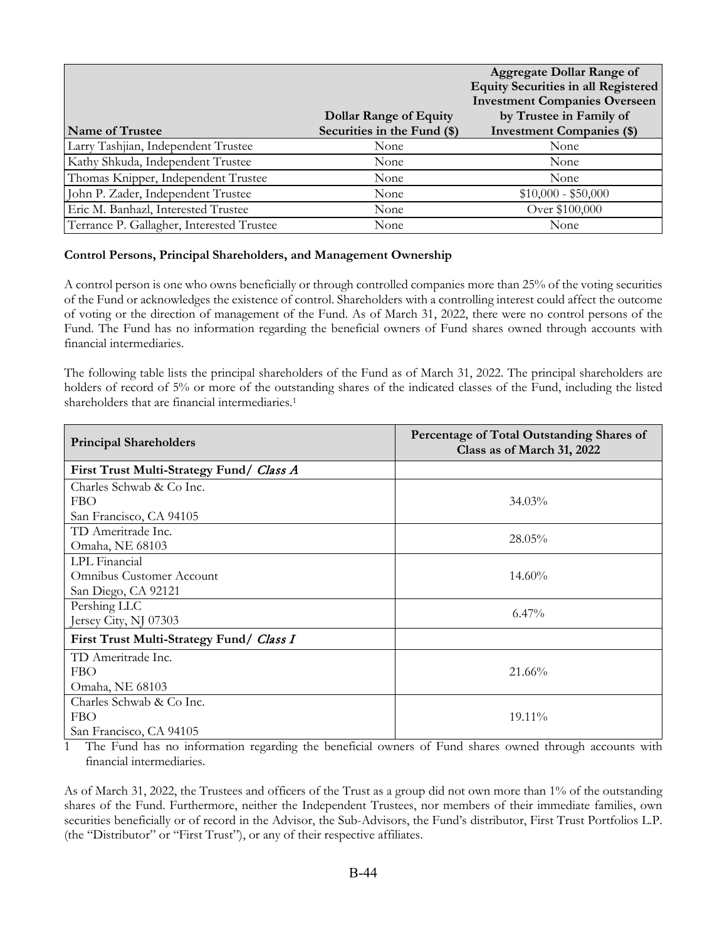|                                           | <b>Dollar Range of Equity</b> | <b>Aggregate Dollar Range of</b><br>Equity Securities in all Registered<br><b>Investment Companies Overseen</b><br>by Trustee in Family of |
|-------------------------------------------|-------------------------------|--------------------------------------------------------------------------------------------------------------------------------------------|
| Name of Trustee                           | Securities in the Fund (\$)   | <b>Investment Companies (\$)</b>                                                                                                           |
| Larry Tashjian, Independent Trustee       | None                          | None                                                                                                                                       |
| Kathy Shkuda, Independent Trustee         | None                          | None                                                                                                                                       |
| Thomas Knipper, Independent Trustee       | None                          | None                                                                                                                                       |
| John P. Zader, Independent Trustee        | None                          | $$10,000 - $50,000$                                                                                                                        |
| Eric M. Banhazl, Interested Trustee       | None                          | Over \$100,000                                                                                                                             |
| Terrance P. Gallagher, Interested Trustee | None                          | None                                                                                                                                       |

## **Control Persons, Principal Shareholders, and Management Ownership**

A control person is one who owns beneficially or through controlled companies more than 25% of the voting securities of the Fund or acknowledges the existence of control. Shareholders with a controlling interest could affect the outcome of voting or the direction of management of the Fund. As of March 31, 2022, there were no control persons of the Fund. The Fund has no information regarding the beneficial owners of Fund shares owned through accounts with financial intermediaries.

The following table lists the principal shareholders of the Fund as of March 31, 2022. The principal shareholders are holders of record of 5% or more of the outstanding shares of the indicated classes of the Fund, including the listed shareholders that are financial intermediaries.1

| <b>Principal Shareholders</b>            | Percentage of Total Outstanding Shares of<br>Class as of March 31, 2022 |
|------------------------------------------|-------------------------------------------------------------------------|
| First Trust Multi-Strategy Fund/ Class A |                                                                         |
| Charles Schwab & Co Inc.                 |                                                                         |
| <b>FBO</b>                               | 34.03%                                                                  |
| San Francisco, CA 94105                  |                                                                         |
| TD Ameritrade Inc.                       | 28.05%                                                                  |
| Omaha, NE 68103                          |                                                                         |
| LPL Financial                            |                                                                         |
| <b>Omnibus Customer Account</b>          | $14.60\%$                                                               |
| San Diego, CA 92121                      |                                                                         |
| Pershing LLC                             | $6.47\%$                                                                |
| Jersey City, NJ 07303                    |                                                                         |
| First Trust Multi-Strategy Fund/ Class I |                                                                         |
| TD Ameritrade Inc.                       |                                                                         |
| <b>FBO</b>                               | 21.66%                                                                  |
| Omaha, NE 68103                          |                                                                         |
| Charles Schwab & Co Inc.                 |                                                                         |
| <b>FBO</b>                               | 19.11%                                                                  |
| San Francisco, CA 94105                  |                                                                         |

1 The Fund has no information regarding the beneficial owners of Fund shares owned through accounts with financial intermediaries.

As of March 31, 2022, the Trustees and officers of the Trust as a group did not own more than 1% of the outstanding shares of the Fund. Furthermore, neither the Independent Trustees, nor members of their immediate families, own securities beneficially or of record in the Advisor, the Sub-Advisors, the Fund's distributor, First Trust Portfolios L.P. (the "Distributor" or "First Trust"), or any of their respective affiliates.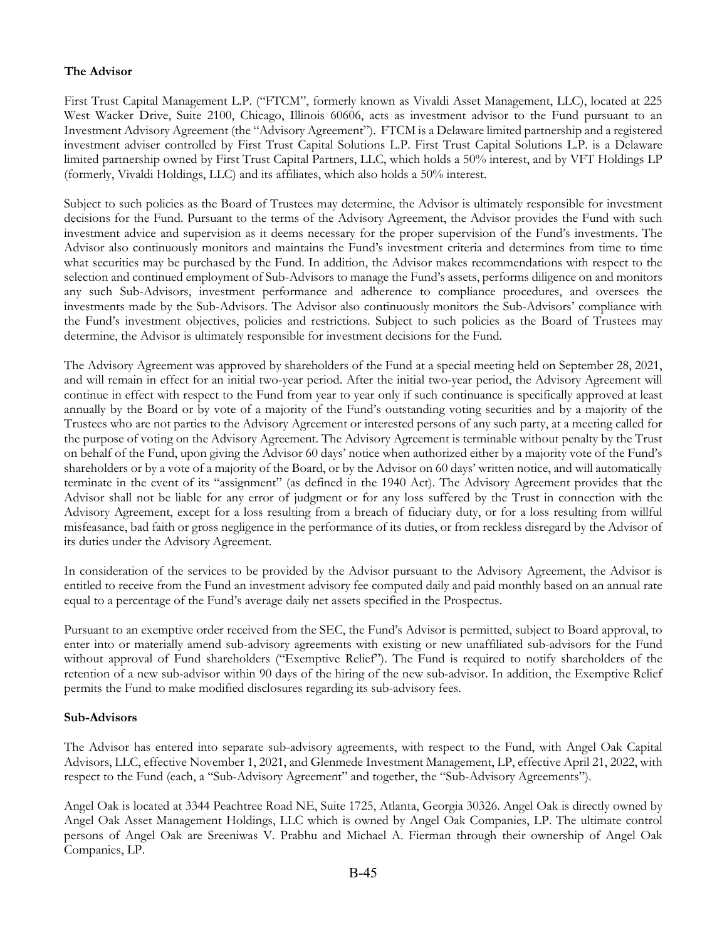# **The Advisor**

First Trust Capital Management L.P. ("FTCM", formerly known as Vivaldi Asset Management, LLC), located at 225 West Wacker Drive, Suite 2100, Chicago, Illinois 60606, acts as investment advisor to the Fund pursuant to an Investment Advisory Agreement (the "Advisory Agreement"). FTCM is a Delaware limited partnership and a registered investment adviser controlled by First Trust Capital Solutions L.P. First Trust Capital Solutions L.P. is a Delaware limited partnership owned by First Trust Capital Partners, LLC, which holds a 50% interest, and by VFT Holdings LP (formerly, Vivaldi Holdings, LLC) and its affiliates, which also holds a 50% interest.

Subject to such policies as the Board of Trustees may determine, the Advisor is ultimately responsible for investment decisions for the Fund. Pursuant to the terms of the Advisory Agreement, the Advisor provides the Fund with such investment advice and supervision as it deems necessary for the proper supervision of the Fund's investments. The Advisor also continuously monitors and maintains the Fund's investment criteria and determines from time to time what securities may be purchased by the Fund. In addition, the Advisor makes recommendations with respect to the selection and continued employment of Sub-Advisors to manage the Fund's assets, performs diligence on and monitors any such Sub-Advisors, investment performance and adherence to compliance procedures, and oversees the investments made by the Sub-Advisors. The Advisor also continuously monitors the Sub-Advisors' compliance with the Fund's investment objectives, policies and restrictions. Subject to such policies as the Board of Trustees may determine, the Advisor is ultimately responsible for investment decisions for the Fund.

The Advisory Agreement was approved by shareholders of the Fund at a special meeting held on September 28, 2021, and will remain in effect for an initial two-year period. After the initial two-year period, the Advisory Agreement will continue in effect with respect to the Fund from year to year only if such continuance is specifically approved at least annually by the Board or by vote of a majority of the Fund's outstanding voting securities and by a majority of the Trustees who are not parties to the Advisory Agreement or interested persons of any such party, at a meeting called for the purpose of voting on the Advisory Agreement. The Advisory Agreement is terminable without penalty by the Trust on behalf of the Fund, upon giving the Advisor 60 days' notice when authorized either by a majority vote of the Fund's shareholders or by a vote of a majority of the Board, or by the Advisor on 60 days' written notice, and will automatically terminate in the event of its "assignment" (as defined in the 1940 Act). The Advisory Agreement provides that the Advisor shall not be liable for any error of judgment or for any loss suffered by the Trust in connection with the Advisory Agreement, except for a loss resulting from a breach of fiduciary duty, or for a loss resulting from willful misfeasance, bad faith or gross negligence in the performance of its duties, or from reckless disregard by the Advisor of its duties under the Advisory Agreement.

In consideration of the services to be provided by the Advisor pursuant to the Advisory Agreement, the Advisor is entitled to receive from the Fund an investment advisory fee computed daily and paid monthly based on an annual rate equal to a percentage of the Fund's average daily net assets specified in the Prospectus.

Pursuant to an exemptive order received from the SEC, the Fund's Advisor is permitted, subject to Board approval, to enter into or materially amend sub-advisory agreements with existing or new unaffiliated sub-advisors for the Fund without approval of Fund shareholders ("Exemptive Relief"). The Fund is required to notify shareholders of the retention of a new sub-advisor within 90 days of the hiring of the new sub-advisor. In addition, the Exemptive Relief permits the Fund to make modified disclosures regarding its sub-advisory fees.

## **Sub-Advisors**

The Advisor has entered into separate sub-advisory agreements, with respect to the Fund, with Angel Oak Capital Advisors, LLC, effective November 1, 2021, and Glenmede Investment Management, LP, effective April 21, 2022, with respect to the Fund (each, a "Sub-Advisory Agreement" and together, the "Sub-Advisory Agreements").

Angel Oak is located at 3344 Peachtree Road NE, Suite 1725, Atlanta, Georgia 30326. Angel Oak is directly owned by Angel Oak Asset Management Holdings, LLC which is owned by Angel Oak Companies, LP. The ultimate control persons of Angel Oak are Sreeniwas V. Prabhu and Michael A. Fierman through their ownership of Angel Oak Companies, LP.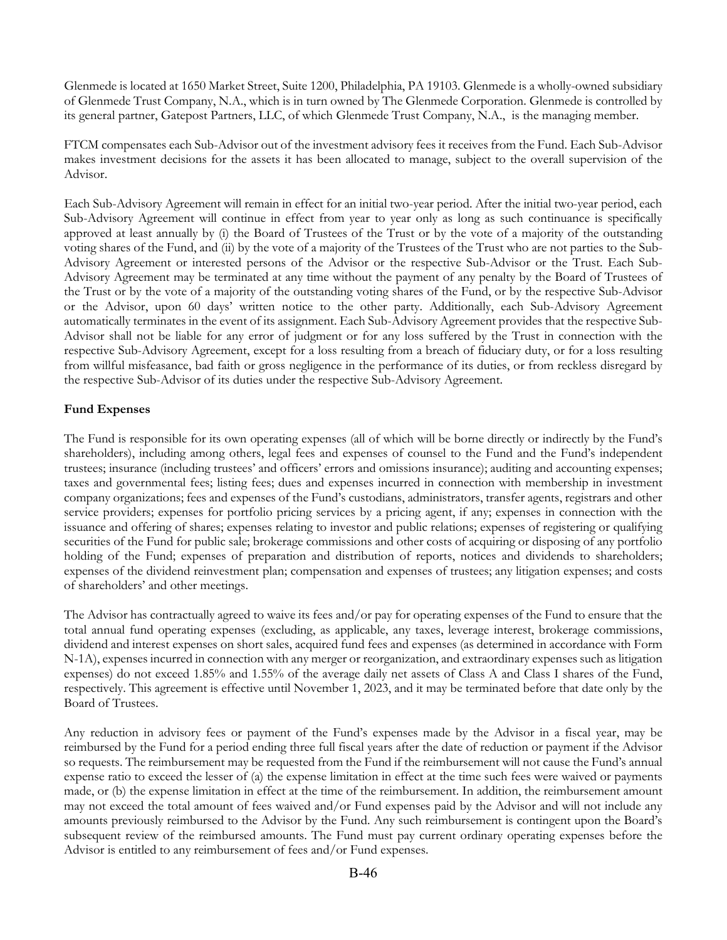Glenmede is located at 1650 Market Street, Suite 1200, Philadelphia, PA 19103. Glenmede is a wholly-owned subsidiary of Glenmede Trust Company, N.A., which is in turn owned by The Glenmede Corporation. Glenmede is controlled by its general partner, Gatepost Partners, LLC, of which Glenmede Trust Company, N.A., is the managing member.

FTCM compensates each Sub-Advisor out of the investment advisory fees it receives from the Fund. Each Sub-Advisor makes investment decisions for the assets it has been allocated to manage, subject to the overall supervision of the Advisor.

Each Sub-Advisory Agreement will remain in effect for an initial two-year period. After the initial two-year period, each Sub-Advisory Agreement will continue in effect from year to year only as long as such continuance is specifically approved at least annually by (i) the Board of Trustees of the Trust or by the vote of a majority of the outstanding voting shares of the Fund, and (ii) by the vote of a majority of the Trustees of the Trust who are not parties to the Sub-Advisory Agreement or interested persons of the Advisor or the respective Sub-Advisor or the Trust. Each Sub-Advisory Agreement may be terminated at any time without the payment of any penalty by the Board of Trustees of the Trust or by the vote of a majority of the outstanding voting shares of the Fund, or by the respective Sub-Advisor or the Advisor, upon 60 days' written notice to the other party. Additionally, each Sub-Advisory Agreement automatically terminates in the event of its assignment. Each Sub-Advisory Agreement provides that the respective Sub-Advisor shall not be liable for any error of judgment or for any loss suffered by the Trust in connection with the respective Sub-Advisory Agreement, except for a loss resulting from a breach of fiduciary duty, or for a loss resulting from willful misfeasance, bad faith or gross negligence in the performance of its duties, or from reckless disregard by the respective Sub-Advisor of its duties under the respective Sub-Advisory Agreement.

# **Fund Expenses**

The Fund is responsible for its own operating expenses (all of which will be borne directly or indirectly by the Fund's shareholders), including among others, legal fees and expenses of counsel to the Fund and the Fund's independent trustees; insurance (including trustees' and officers' errors and omissions insurance); auditing and accounting expenses; taxes and governmental fees; listing fees; dues and expenses incurred in connection with membership in investment company organizations; fees and expenses of the Fund's custodians, administrators, transfer agents, registrars and other service providers; expenses for portfolio pricing services by a pricing agent, if any; expenses in connection with the issuance and offering of shares; expenses relating to investor and public relations; expenses of registering or qualifying securities of the Fund for public sale; brokerage commissions and other costs of acquiring or disposing of any portfolio holding of the Fund; expenses of preparation and distribution of reports, notices and dividends to shareholders; expenses of the dividend reinvestment plan; compensation and expenses of trustees; any litigation expenses; and costs of shareholders' and other meetings.

The Advisor has contractually agreed to waive its fees and/or pay for operating expenses of the Fund to ensure that the total annual fund operating expenses (excluding, as applicable, any taxes, leverage interest, brokerage commissions, dividend and interest expenses on short sales, acquired fund fees and expenses (as determined in accordance with Form N-1A), expenses incurred in connection with any merger or reorganization, and extraordinary expenses such as litigation expenses) do not exceed 1.85% and 1.55% of the average daily net assets of Class A and Class I shares of the Fund, respectively. This agreement is effective until November 1, 2023, and it may be terminated before that date only by the Board of Trustees.

Any reduction in advisory fees or payment of the Fund's expenses made by the Advisor in a fiscal year, may be reimbursed by the Fund for a period ending three full fiscal years after the date of reduction or payment if the Advisor so requests. The reimbursement may be requested from the Fund if the reimbursement will not cause the Fund's annual expense ratio to exceed the lesser of (a) the expense limitation in effect at the time such fees were waived or payments made, or (b) the expense limitation in effect at the time of the reimbursement. In addition, the reimbursement amount may not exceed the total amount of fees waived and/or Fund expenses paid by the Advisor and will not include any amounts previously reimbursed to the Advisor by the Fund. Any such reimbursement is contingent upon the Board's subsequent review of the reimbursed amounts. The Fund must pay current ordinary operating expenses before the Advisor is entitled to any reimbursement of fees and/or Fund expenses.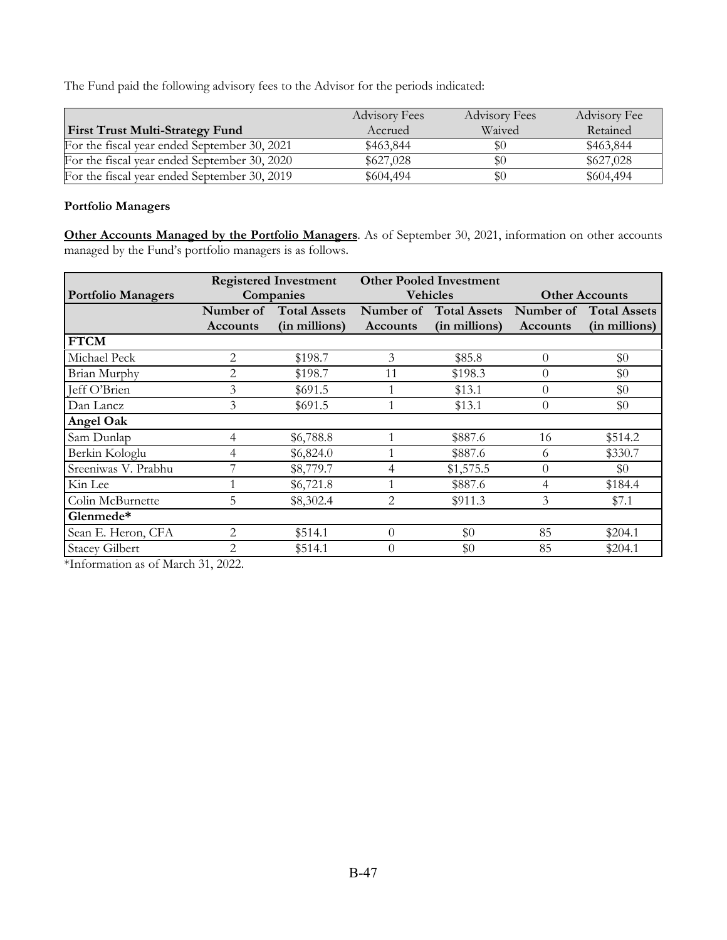The Fund paid the following advisory fees to the Advisor for the periods indicated:

|                                              | <b>Advisory Fees</b> | <b>Advisory Fees</b> | Advisory Fee |
|----------------------------------------------|----------------------|----------------------|--------------|
| <b>First Trust Multi-Strategy Fund</b>       | Accrued              | Waived               | Retained     |
| For the fiscal year ended September 30, 2021 | \$463,844            | $\$0$                | \$463,844    |
| For the fiscal year ended September 30, 2020 | \$627,028            | $\$0$                | \$627,028    |
| For the fiscal year ended September 30, 2019 | \$604,494            | $\$0$                | \$604,494    |

# **Portfolio Managers**

**Other Accounts Managed by the Portfolio Managers**. As of September 30, 2021, information on other accounts managed by the Fund's portfolio managers is as follows.

|                           | <b>Registered Investment</b> |                     |                | <b>Other Pooled Investment</b> |                       |                               |
|---------------------------|------------------------------|---------------------|----------------|--------------------------------|-----------------------|-------------------------------|
| <b>Portfolio Managers</b> |                              | Companies           |                | <b>Vehicles</b>                | <b>Other Accounts</b> |                               |
|                           | Number of                    | <b>Total Assets</b> | Number of      | <b>Total Assets</b>            |                       | <b>Number of</b> Total Assets |
|                           | <b>Accounts</b>              | (in millions)       | Accounts       | (in millions)                  | Accounts              | (in millions)                 |
| <b>FTCM</b>               |                              |                     |                |                                |                       |                               |
| Michael Peck              | 2                            | \$198.7             | 3              | \$85.8                         | $\theta$              | \$0                           |
| Brian Murphy              | 2                            | \$198.7             | 11             | \$198.3                        | 0                     | \$0                           |
| Jeff O'Brien              | 3                            | \$691.5             |                | \$13.1                         | 0                     | \$0                           |
| Dan Lancz                 | 3                            | \$691.5             |                | \$13.1                         | $\overline{0}$        | \$0                           |
| Angel Oak                 |                              |                     |                |                                |                       |                               |
| Sam Dunlap                | 4                            | \$6,788.8           |                | \$887.6                        | 16                    | \$514.2                       |
| Berkin Kologlu            |                              | \$6,824.0           |                | \$887.6                        | 6                     | \$330.7                       |
| Sreeniwas V. Prabhu       |                              | \$8,779.7           | 4              | \$1,575.5                      | $\theta$              | \$0                           |
| Kin Lee                   |                              | \$6,721.8           |                | \$887.6                        | 4                     | \$184.4                       |
| Colin McBurnette          | 5                            | \$8,302.4           | $\overline{2}$ | \$911.3                        | 3                     | \$7.1                         |
| Glenmede*                 |                              |                     |                |                                |                       |                               |
| Sean E. Heron, CFA        | 2                            | \$514.1             | $\Omega$       | \$0                            | 85                    | \$204.1                       |
| <b>Stacey Gilbert</b>     | 2                            | \$514.1             | $\Omega$       | \$0                            | 85                    | \$204.1                       |

\*Information as of March 31, 2022.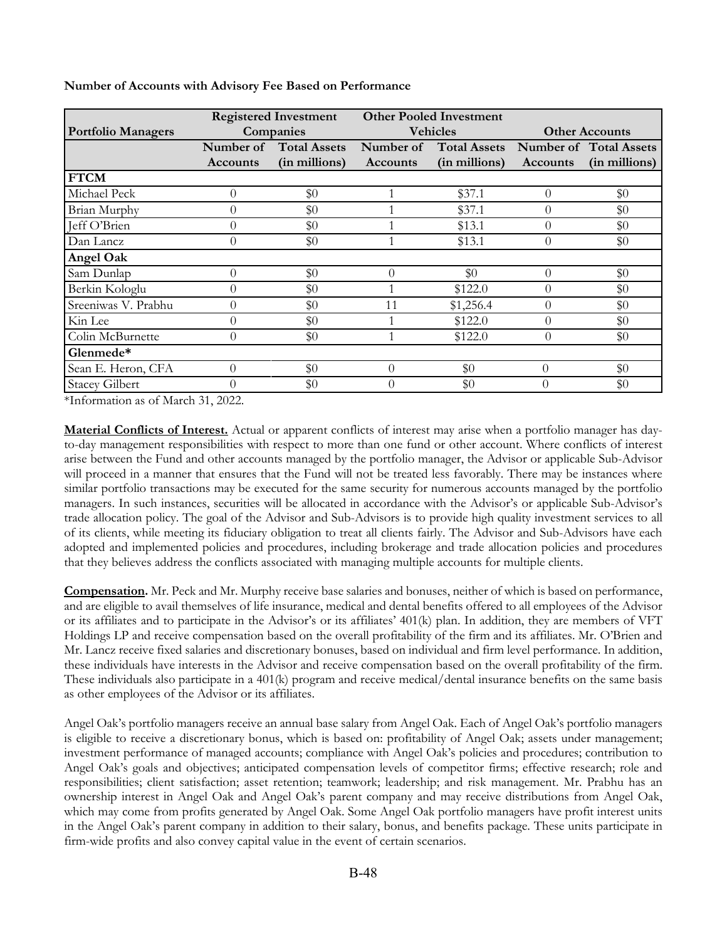|  |  |  |  | Number of Accounts with Advisory Fee Based on Performance |  |
|--|--|--|--|-----------------------------------------------------------|--|
|  |  |  |  |                                                           |  |

|                           | <b>Registered Investment</b> |                        |          | <b>Other Pooled Investment</b> |                       |                               |
|---------------------------|------------------------------|------------------------|----------|--------------------------------|-----------------------|-------------------------------|
| <b>Portfolio Managers</b> |                              | Companies              |          | <b>Vehicles</b>                | <b>Other Accounts</b> |                               |
|                           |                              | Number of Total Assets |          | Number of Total Assets         |                       | <b>Number of Total Assets</b> |
|                           | Accounts                     | (in millions)          | Accounts | (in millions)                  | Accounts              | (in millions)                 |
| <b>FTCM</b>               |                              |                        |          |                                |                       |                               |
| Michael Peck              | $\theta$                     | $\$0$                  |          | \$37.1                         | $\theta$              | \$0                           |
| Brian Murphy              | $\Omega$                     | \$0                    |          | \$37.1                         | $\theta$              | \$0                           |
| Jeff O'Brien              | $\Omega$                     | \$0                    |          | \$13.1                         | $\Omega$              | \$0                           |
| Dan Lancz                 | $\theta$                     | \$0                    |          | \$13.1                         | $\theta$              | \$0                           |
| Angel Oak                 |                              |                        |          |                                |                       |                               |
| Sam Dunlap                | 0                            | \$0                    | 0        | $\$0$                          | $\theta$              | \$0                           |
| Berkin Kologlu            | 0                            | \$0                    |          | \$122.0                        | $\theta$              | \$0                           |
| Sreeniwas V. Prabhu       | 0                            | \$0                    | 11       | \$1,256.4                      | $\theta$              | \$0                           |
| Kin Lee                   | $\theta$                     | $\$0$                  |          | \$122.0                        | $\theta$              | \$0                           |
| Colin McBurnette          | $\theta$                     | \$0                    |          | \$122.0                        | $\theta$              | \$0                           |
| Glenmede*                 |                              |                        |          |                                |                       |                               |
| Sean E. Heron, CFA        | 0                            | \$0                    | $\Omega$ | \$0                            | $\theta$              | \$0                           |
| <b>Stacey Gilbert</b>     | 0                            | \$0                    |          | \$0                            | $\theta$              | \$0                           |

\*Information as of March 31, 2022.

**Material Conflicts of Interest.** Actual or apparent conflicts of interest may arise when a portfolio manager has dayto-day management responsibilities with respect to more than one fund or other account. Where conflicts of interest arise between the Fund and other accounts managed by the portfolio manager, the Advisor or applicable Sub-Advisor will proceed in a manner that ensures that the Fund will not be treated less favorably. There may be instances where similar portfolio transactions may be executed for the same security for numerous accounts managed by the portfolio managers. In such instances, securities will be allocated in accordance with the Advisor's or applicable Sub-Advisor's trade allocation policy. The goal of the Advisor and Sub-Advisors is to provide high quality investment services to all of its clients, while meeting its fiduciary obligation to treat all clients fairly. The Advisor and Sub-Advisors have each adopted and implemented policies and procedures, including brokerage and trade allocation policies and procedures that they believes address the conflicts associated with managing multiple accounts for multiple clients.

**Compensation.** Mr. Peck and Mr. Murphy receive base salaries and bonuses, neither of which is based on performance, and are eligible to avail themselves of life insurance, medical and dental benefits offered to all employees of the Advisor or its affiliates and to participate in the Advisor's or its affiliates' 401(k) plan. In addition, they are members of VFT Holdings LP and receive compensation based on the overall profitability of the firm and its affiliates. Mr. O'Brien and Mr. Lancz receive fixed salaries and discretionary bonuses, based on individual and firm level performance. In addition, these individuals have interests in the Advisor and receive compensation based on the overall profitability of the firm. These individuals also participate in a 401(k) program and receive medical/dental insurance benefits on the same basis as other employees of the Advisor or its affiliates.

Angel Oak's portfolio managers receive an annual base salary from Angel Oak. Each of Angel Oak's portfolio managers is eligible to receive a discretionary bonus, which is based on: profitability of Angel Oak; assets under management; investment performance of managed accounts; compliance with Angel Oak's policies and procedures; contribution to Angel Oak's goals and objectives; anticipated compensation levels of competitor firms; effective research; role and responsibilities; client satisfaction; asset retention; teamwork; leadership; and risk management. Mr. Prabhu has an ownership interest in Angel Oak and Angel Oak's parent company and may receive distributions from Angel Oak, which may come from profits generated by Angel Oak. Some Angel Oak portfolio managers have profit interest units in the Angel Oak's parent company in addition to their salary, bonus, and benefits package. These units participate in firm-wide profits and also convey capital value in the event of certain scenarios.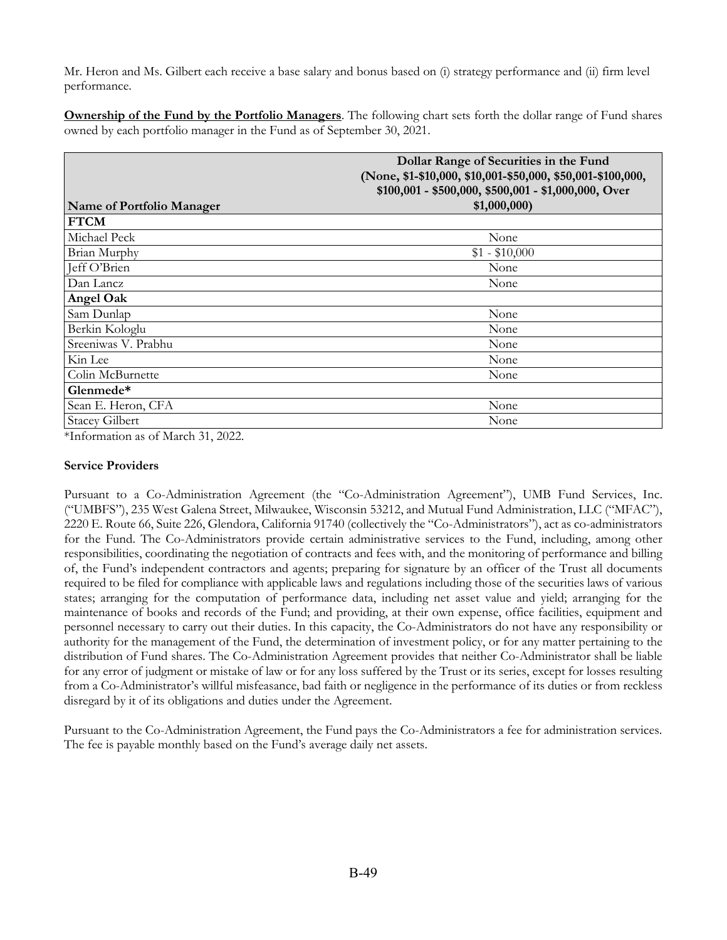Mr. Heron and Ms. Gilbert each receive a base salary and bonus based on (i) strategy performance and (ii) firm level performance.

**Ownership of the Fund by the Portfolio Managers**. The following chart sets forth the dollar range of Fund shares owned by each portfolio manager in the Fund as of September 30, 2021.

| Name of Portfolio Manager | Dollar Range of Securities in the Fund<br>(None, \$1-\$10,000, \$10,001-\$50,000, \$50,001-\$100,000,<br>\$100,001 - \$500,000, \$500,001 - \$1,000,000, Over<br>\$1,000,000 |
|---------------------------|------------------------------------------------------------------------------------------------------------------------------------------------------------------------------|
| <b>FTCM</b>               |                                                                                                                                                                              |
| Michael Peck              | None                                                                                                                                                                         |
| Brian Murphy              | $$1 - $10,000$                                                                                                                                                               |
| Jeff O'Brien              | None                                                                                                                                                                         |
| Dan Lancz                 | None                                                                                                                                                                         |
| Angel Oak                 |                                                                                                                                                                              |
| Sam Dunlap                | None                                                                                                                                                                         |
| Berkin Kologlu            | None                                                                                                                                                                         |
| Sreeniwas V. Prabhu       | None                                                                                                                                                                         |
| Kin Lee                   | None                                                                                                                                                                         |
| Colin McBurnette          | None                                                                                                                                                                         |
| Glenmede*                 |                                                                                                                                                                              |
| Sean E. Heron, CFA        | None                                                                                                                                                                         |
| <b>Stacey Gilbert</b>     | None                                                                                                                                                                         |

\*Information as of March 31, 2022.

#### **Service Providers**

Pursuant to a Co-Administration Agreement (the "Co-Administration Agreement"), UMB Fund Services, Inc. ("UMBFS"), 235 West Galena Street, Milwaukee, Wisconsin 53212, and Mutual Fund Administration, LLC ("MFAC"), 2220 E. Route 66, Suite 226, Glendora, California 91740 (collectively the "Co-Administrators"), act as co-administrators for the Fund. The Co-Administrators provide certain administrative services to the Fund, including, among other responsibilities, coordinating the negotiation of contracts and fees with, and the monitoring of performance and billing of, the Fund's independent contractors and agents; preparing for signature by an officer of the Trust all documents required to be filed for compliance with applicable laws and regulations including those of the securities laws of various states; arranging for the computation of performance data, including net asset value and yield; arranging for the maintenance of books and records of the Fund; and providing, at their own expense, office facilities, equipment and personnel necessary to carry out their duties. In this capacity, the Co-Administrators do not have any responsibility or authority for the management of the Fund, the determination of investment policy, or for any matter pertaining to the distribution of Fund shares. The Co-Administration Agreement provides that neither Co-Administrator shall be liable for any error of judgment or mistake of law or for any loss suffered by the Trust or its series, except for losses resulting from a Co-Administrator's willful misfeasance, bad faith or negligence in the performance of its duties or from reckless disregard by it of its obligations and duties under the Agreement.

Pursuant to the Co-Administration Agreement, the Fund pays the Co-Administrators a fee for administration services. The fee is payable monthly based on the Fund's average daily net assets.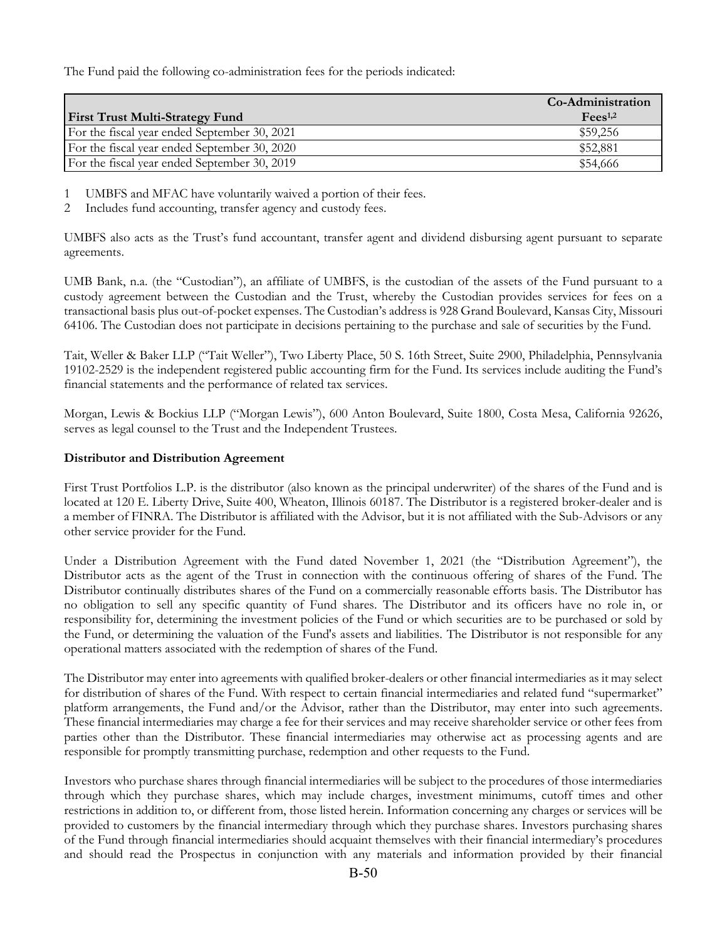The Fund paid the following co-administration fees for the periods indicated:

|                                              | Co-Administration          |
|----------------------------------------------|----------------------------|
| <b>First Trust Multi-Strategy Fund</b>       | $\text{Fe}e\text{s}^{1,2}$ |
| For the fiscal year ended September 30, 2021 | \$59,256                   |
| For the fiscal year ended September 30, 2020 | \$52,881                   |
| For the fiscal year ended September 30, 2019 | \$54,666                   |

1 UMBFS and MFAC have voluntarily waived a portion of their fees.

2 Includes fund accounting, transfer agency and custody fees.

UMBFS also acts as the Trust's fund accountant, transfer agent and dividend disbursing agent pursuant to separate agreements.

UMB Bank, n.a. (the "Custodian"), an affiliate of UMBFS, is the custodian of the assets of the Fund pursuant to a custody agreement between the Custodian and the Trust, whereby the Custodian provides services for fees on a transactional basis plus out-of-pocket expenses. The Custodian's address is 928 Grand Boulevard, Kansas City, Missouri 64106. The Custodian does not participate in decisions pertaining to the purchase and sale of securities by the Fund.

Tait, Weller & Baker LLP ("Tait Weller"), Two Liberty Place, 50 S. 16th Street, Suite 2900, Philadelphia, Pennsylvania 19102-2529 is the independent registered public accounting firm for the Fund. Its services include auditing the Fund's financial statements and the performance of related tax services.

Morgan, Lewis & Bockius LLP ("Morgan Lewis"), 600 Anton Boulevard, Suite 1800, Costa Mesa, California 92626, serves as legal counsel to the Trust and the Independent Trustees.

## **Distributor and Distribution Agreement**

First Trust Portfolios L.P. is the distributor (also known as the principal underwriter) of the shares of the Fund and is located at 120 E. Liberty Drive, Suite 400, Wheaton, Illinois 60187. The Distributor is a registered broker-dealer and is a member of FINRA. The Distributor is affiliated with the Advisor, but it is not affiliated with the Sub-Advisors or any other service provider for the Fund.

Under a Distribution Agreement with the Fund dated November 1, 2021 (the "Distribution Agreement"), the Distributor acts as the agent of the Trust in connection with the continuous offering of shares of the Fund. The Distributor continually distributes shares of the Fund on a commercially reasonable efforts basis. The Distributor has no obligation to sell any specific quantity of Fund shares. The Distributor and its officers have no role in, or responsibility for, determining the investment policies of the Fund or which securities are to be purchased or sold by the Fund, or determining the valuation of the Fund's assets and liabilities. The Distributor is not responsible for any operational matters associated with the redemption of shares of the Fund.

The Distributor may enter into agreements with qualified broker-dealers or other financial intermediaries as it may select for distribution of shares of the Fund. With respect to certain financial intermediaries and related fund "supermarket" platform arrangements, the Fund and/or the Advisor, rather than the Distributor, may enter into such agreements. These financial intermediaries may charge a fee for their services and may receive shareholder service or other fees from parties other than the Distributor. These financial intermediaries may otherwise act as processing agents and are responsible for promptly transmitting purchase, redemption and other requests to the Fund.

Investors who purchase shares through financial intermediaries will be subject to the procedures of those intermediaries through which they purchase shares, which may include charges, investment minimums, cutoff times and other restrictions in addition to, or different from, those listed herein. Information concerning any charges or services will be provided to customers by the financial intermediary through which they purchase shares. Investors purchasing shares of the Fund through financial intermediaries should acquaint themselves with their financial intermediary's procedures and should read the Prospectus in conjunction with any materials and information provided by their financial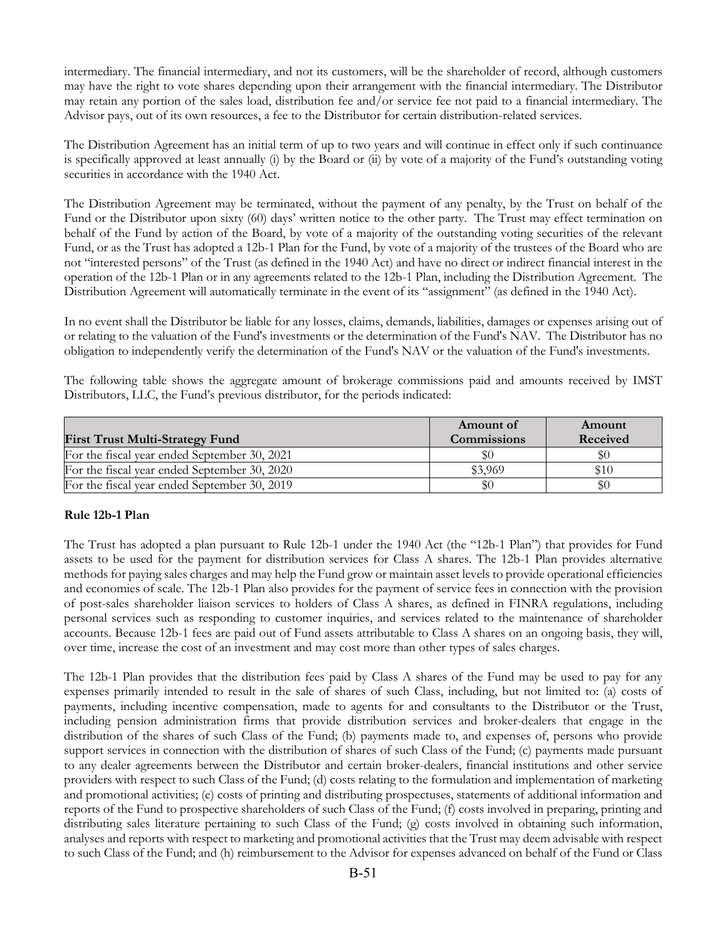intermediary. The financial intermediary, and not its customers, will be the shareholder of record, although customers may have the right to vote shares depending upon their arrangement with the financial intermediary. The Distributor may retain any portion of the sales load, distribution fee and/or service fee not paid to a financial intermediary. The Advisor pays, out of its own resources, a fee to the Distributor for certain distribution-related services.

The Distribution Agreement has an initial term of up to two years and will continue in effect only if such continuance is specifically approved at least annually (i) by the Board or (ii) by vote of a majority of the Fund's outstanding voting securities in accordance with the 1940 Act.

The Distribution Agreement may be terminated, without the payment of any penalty, by the Trust on behalf of the Fund or the Distributor upon sixty (60) days' written notice to the other party. The Trust may effect termination on behalf of the Fund by action of the Board, by vote of a majority of the outstanding voting securities of the relevant Fund, or as the Trust has adopted a 12b-1 Plan for the Fund, by vote of a majority of the trustees of the Board who are not "interested persons" of the Trust (as defined in the 1940 Act) and have no direct or indirect financial interest in the operation of the 12b-1 Plan or in any agreements related to the 12b-1 Plan, including the Distribution Agreement. The Distribution Agreement will automatically terminate in the event of its "assignment" (as defined in the 1940 Act).

In no event shall the Distributor be liable for any losses, claims, demands, liabilities, damages or expenses arising out of or relating to the valuation of the Fund's investments or the determination of the Fund's NAV. The Distributor has no obligation to independently verify the determination of the Fund's NAV or the valuation of the Fund's investments.

The following table shows the aggregate amount of brokerage commissions paid and amounts received by IMST Distributors, LLC, the Fund's previous distributor, for the periods indicated:

| <b>First Trust Multi-Strategy Fund</b>       | Amount of<br><b>Commissions</b> | Amount<br>Received |
|----------------------------------------------|---------------------------------|--------------------|
| For the fiscal year ended September 30, 2021 |                                 |                    |
| For the fiscal year ended September 30, 2020 | \$3,969                         | 510                |
| For the fiscal year ended September 30, 2019 | \$0                             | \$0                |

#### **Rule 12b-1 Plan**

The Trust has adopted a plan pursuant to Rule 12b-1 under the 1940 Act (the "12b-1 Plan") that provides for Fund assets to be used for the payment for distribution services for Class A shares. The 12b-1 Plan provides alternative methods for paying sales charges and may help the Fund grow or maintain asset levels to provide operational efficiencies and economies of scale. The 12b-1 Plan also provides for the payment of service fees in connection with the provision of post-sales shareholder liaison services to holders of Class A shares, as defined in FINRA regulations, including personal services such as responding to customer inquiries, and services related to the maintenance of shareholder accounts. Because 12b-1 fees are paid out of Fund assets attributable to Class A shares on an ongoing basis, they will, over time, increase the cost of an investment and may cost more than other types of sales charges.

The 12b-1 Plan provides that the distribution fees paid by Class A shares of the Fund may be used to pay for any expenses primarily intended to result in the sale of shares of such Class, including, but not limited to: (a) costs of payments, including incentive compensation, made to agents for and consultants to the Distributor or the Trust, including pension administration firms that provide distribution services and broker-dealers that engage in the distribution of the shares of such Class of the Fund; (b) payments made to, and expenses of, persons who provide support services in connection with the distribution of shares of such Class of the Fund; (c) payments made pursuant to any dealer agreements between the Distributor and certain broker-dealers, financial institutions and other service providers with respect to such Class of the Fund; (d) costs relating to the formulation and implementation of marketing and promotional activities; (e) costs of printing and distributing prospectuses, statements of additional information and reports of the Fund to prospective shareholders of such Class of the Fund; (f) costs involved in preparing, printing and distributing sales literature pertaining to such Class of the Fund; (g) costs involved in obtaining such information, analyses and reports with respect to marketing and promotional activities that the Trust may deem advisable with respect to such Class of the Fund; and (h) reimbursement to the Advisor for expenses advanced on behalf of the Fund or Class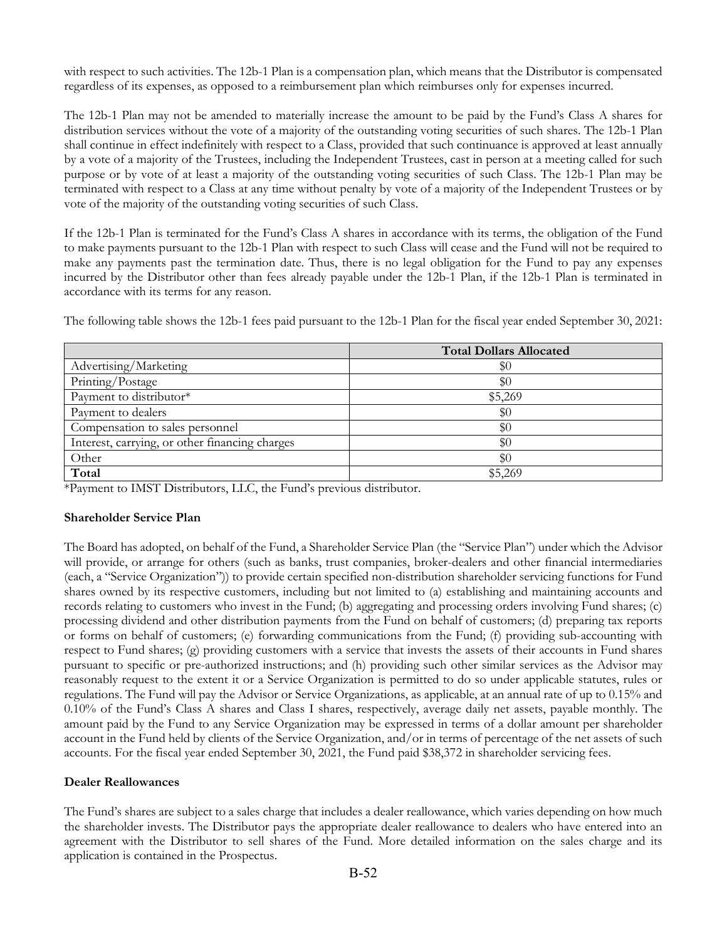with respect to such activities. The 12b-1 Plan is a compensation plan, which means that the Distributor is compensated regardless of its expenses, as opposed to a reimbursement plan which reimburses only for expenses incurred.

The 12b-1 Plan may not be amended to materially increase the amount to be paid by the Fund's Class A shares for distribution services without the vote of a majority of the outstanding voting securities of such shares. The 12b-1 Plan shall continue in effect indefinitely with respect to a Class, provided that such continuance is approved at least annually by a vote of a majority of the Trustees, including the Independent Trustees, cast in person at a meeting called for such purpose or by vote of at least a majority of the outstanding voting securities of such Class. The 12b-1 Plan may be terminated with respect to a Class at any time without penalty by vote of a majority of the Independent Trustees or by vote of the majority of the outstanding voting securities of such Class.

If the 12b-1 Plan is terminated for the Fund's Class A shares in accordance with its terms, the obligation of the Fund to make payments pursuant to the 12b-1 Plan with respect to such Class will cease and the Fund will not be required to make any payments past the termination date. Thus, there is no legal obligation for the Fund to pay any expenses incurred by the Distributor other than fees already payable under the 12b-1 Plan, if the 12b-1 Plan is terminated in accordance with its terms for any reason.

The following table shows the 12b-1 fees paid pursuant to the 12b-1 Plan for the fiscal year ended September 30, 2021:

|                                                | <b>Total Dollars Allocated</b> |
|------------------------------------------------|--------------------------------|
| Advertising/Marketing                          | \$0                            |
| Printing/Postage                               | \$0                            |
| Payment to distributor*                        | \$5,269                        |
| Payment to dealers                             | \$0                            |
| Compensation to sales personnel                | $\$0$                          |
| Interest, carrying, or other financing charges | $\$0$                          |
| Other                                          | $\$0$                          |
| Total                                          | \$5,269                        |

\*Payment to IMST Distributors, LLC, the Fund's previous distributor.

#### **Shareholder Service Plan**

The Board has adopted, on behalf of the Fund, a Shareholder Service Plan (the "Service Plan") under which the Advisor will provide, or arrange for others (such as banks, trust companies, broker-dealers and other financial intermediaries (each, a "Service Organization")) to provide certain specified non-distribution shareholder servicing functions for Fund shares owned by its respective customers, including but not limited to (a) establishing and maintaining accounts and records relating to customers who invest in the Fund; (b) aggregating and processing orders involving Fund shares; (c) processing dividend and other distribution payments from the Fund on behalf of customers; (d) preparing tax reports or forms on behalf of customers; (e) forwarding communications from the Fund; (f) providing sub-accounting with respect to Fund shares; (g) providing customers with a service that invests the assets of their accounts in Fund shares pursuant to specific or pre-authorized instructions; and (h) providing such other similar services as the Advisor may reasonably request to the extent it or a Service Organization is permitted to do so under applicable statutes, rules or regulations. The Fund will pay the Advisor or Service Organizations, as applicable, at an annual rate of up to 0.15% and 0.10% of the Fund's Class A shares and Class I shares, respectively, average daily net assets, payable monthly. The amount paid by the Fund to any Service Organization may be expressed in terms of a dollar amount per shareholder account in the Fund held by clients of the Service Organization, and/or in terms of percentage of the net assets of such accounts. For the fiscal year ended September 30, 2021, the Fund paid \$38,372 in shareholder servicing fees.

## **Dealer Reallowances**

The Fund's shares are subject to a sales charge that includes a dealer reallowance, which varies depending on how much the shareholder invests. The Distributor pays the appropriate dealer reallowance to dealers who have entered into an agreement with the Distributor to sell shares of the Fund. More detailed information on the sales charge and its application is contained in the Prospectus.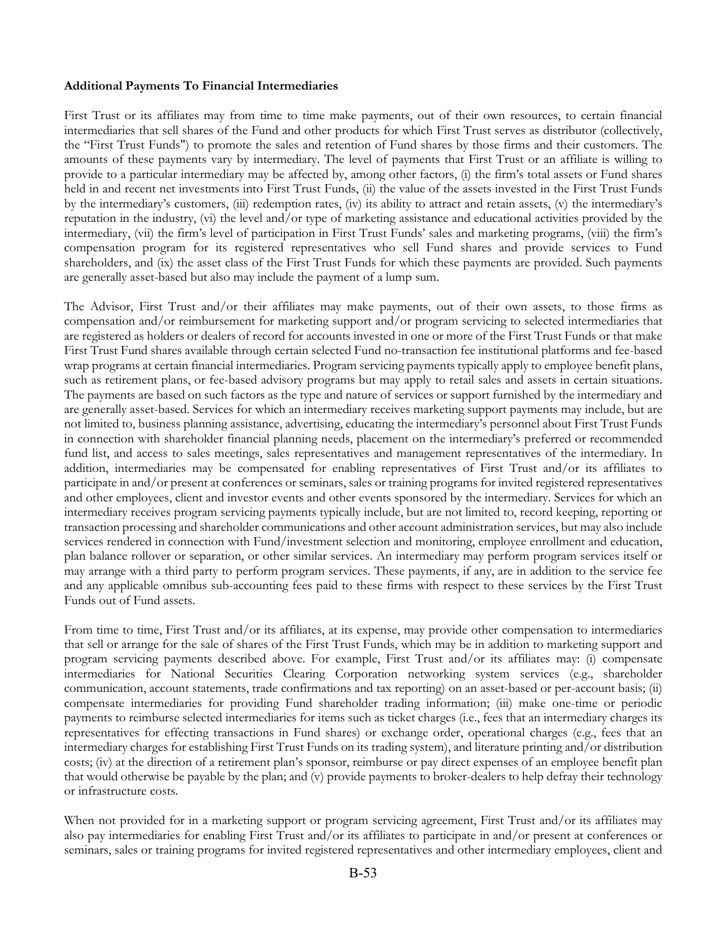#### **Additional Payments To Financial Intermediaries**

First Trust or its affiliates may from time to time make payments, out of their own resources, to certain financial intermediaries that sell shares of the Fund and other products for which First Trust serves as distributor (collectively, the "First Trust Funds") to promote the sales and retention of Fund shares by those firms and their customers. The amounts of these payments vary by intermediary. The level of payments that First Trust or an affiliate is willing to provide to a particular intermediary may be affected by, among other factors, (i) the firm's total assets or Fund shares held in and recent net investments into First Trust Funds, (ii) the value of the assets invested in the First Trust Funds by the intermediary's customers, (iii) redemption rates, (iv) its ability to attract and retain assets, (v) the intermediary's reputation in the industry, (vi) the level and/or type of marketing assistance and educational activities provided by the intermediary, (vii) the firm's level of participation in First Trust Funds' sales and marketing programs, (viii) the firm's compensation program for its registered representatives who sell Fund shares and provide services to Fund shareholders, and (ix) the asset class of the First Trust Funds for which these payments are provided. Such payments are generally asset-based but also may include the payment of a lump sum.

The Advisor, First Trust and/or their affiliates may make payments, out of their own assets, to those firms as compensation and/or reimbursement for marketing support and/or program servicing to selected intermediaries that are registered as holders or dealers of record for accounts invested in one or more of the First Trust Funds or that make First Trust Fund shares available through certain selected Fund no-transaction fee institutional platforms and fee-based wrap programs at certain financial intermediaries. Program servicing payments typically apply to employee benefit plans, such as retirement plans, or fee-based advisory programs but may apply to retail sales and assets in certain situations. The payments are based on such factors as the type and nature of services or support furnished by the intermediary and are generally asset-based. Services for which an intermediary receives marketing support payments may include, but are not limited to, business planning assistance, advertising, educating the intermediary's personnel about First Trust Funds in connection with shareholder financial planning needs, placement on the intermediary's preferred or recommended fund list, and access to sales meetings, sales representatives and management representatives of the intermediary. In addition, intermediaries may be compensated for enabling representatives of First Trust and/or its affiliates to participate in and/or present at conferences or seminars, sales or training programs for invited registered representatives and other employees, client and investor events and other events sponsored by the intermediary. Services for which an intermediary receives program servicing payments typically include, but are not limited to, record keeping, reporting or transaction processing and shareholder communications and other account administration services, but may also include services rendered in connection with Fund/investment selection and monitoring, employee enrollment and education, plan balance rollover or separation, or other similar services. An intermediary may perform program services itself or may arrange with a third party to perform program services. These payments, if any, are in addition to the service fee and any applicable omnibus sub-accounting fees paid to these firms with respect to these services by the First Trust Funds out of Fund assets.

From time to time, First Trust and/or its affiliates, at its expense, may provide other compensation to intermediaries that sell or arrange for the sale of shares of the First Trust Funds, which may be in addition to marketing support and program servicing payments described above. For example, First Trust and/or its affiliates may: (i) compensate intermediaries for National Securities Clearing Corporation networking system services (e.g., shareholder communication, account statements, trade confirmations and tax reporting) on an asset-based or per-account basis; (ii) compensate intermediaries for providing Fund shareholder trading information; (iii) make one-time or periodic payments to reimburse selected intermediaries for items such as ticket charges (i.e., fees that an intermediary charges its representatives for effecting transactions in Fund shares) or exchange order, operational charges (e.g., fees that an intermediary charges for establishing First Trust Funds on its trading system), and literature printing and/or distribution costs; (iv) at the direction of a retirement plan's sponsor, reimburse or pay direct expenses of an employee benefit plan that would otherwise be payable by the plan; and (v) provide payments to broker-dealers to help defray their technology or infrastructure costs.

When not provided for in a marketing support or program servicing agreement, First Trust and/or its affiliates may also pay intermediaries for enabling First Trust and/or its affiliates to participate in and/or present at conferences or seminars, sales or training programs for invited registered representatives and other intermediary employees, client and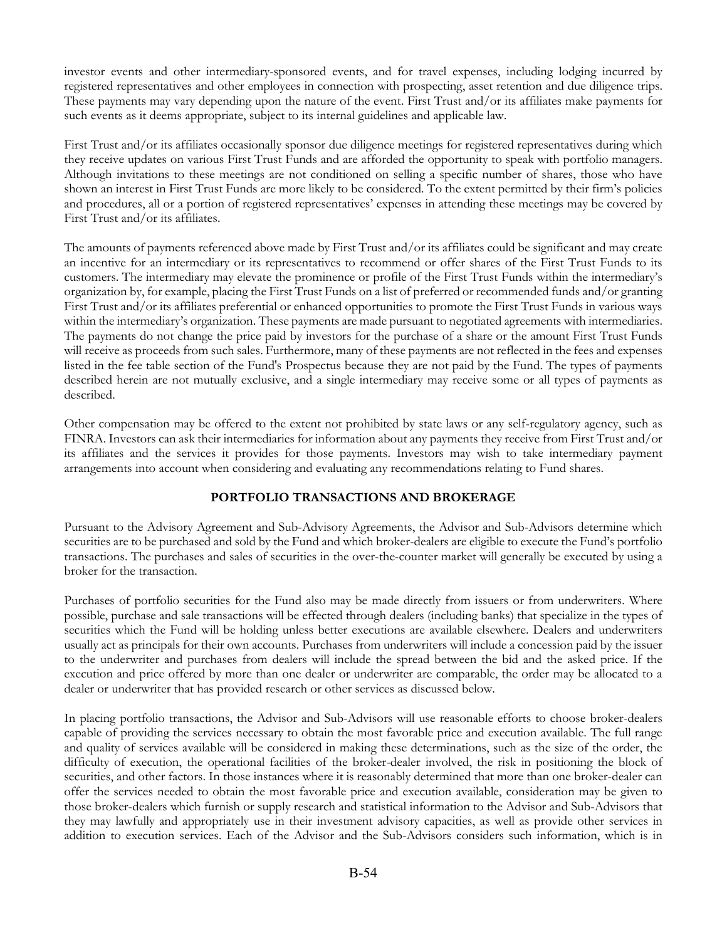investor events and other intermediary-sponsored events, and for travel expenses, including lodging incurred by registered representatives and other employees in connection with prospecting, asset retention and due diligence trips. These payments may vary depending upon the nature of the event. First Trust and/or its affiliates make payments for such events as it deems appropriate, subject to its internal guidelines and applicable law.

First Trust and/or its affiliates occasionally sponsor due diligence meetings for registered representatives during which they receive updates on various First Trust Funds and are afforded the opportunity to speak with portfolio managers. Although invitations to these meetings are not conditioned on selling a specific number of shares, those who have shown an interest in First Trust Funds are more likely to be considered. To the extent permitted by their firm's policies and procedures, all or a portion of registered representatives' expenses in attending these meetings may be covered by First Trust and/or its affiliates.

The amounts of payments referenced above made by First Trust and/or its affiliates could be significant and may create an incentive for an intermediary or its representatives to recommend or offer shares of the First Trust Funds to its customers. The intermediary may elevate the prominence or profile of the First Trust Funds within the intermediary's organization by, for example, placing the First Trust Funds on a list of preferred or recommended funds and/or granting First Trust and/or its affiliates preferential or enhanced opportunities to promote the First Trust Funds in various ways within the intermediary's organization. These payments are made pursuant to negotiated agreements with intermediaries. The payments do not change the price paid by investors for the purchase of a share or the amount First Trust Funds will receive as proceeds from such sales. Furthermore, many of these payments are not reflected in the fees and expenses listed in the fee table section of the Fund's Prospectus because they are not paid by the Fund. The types of payments described herein are not mutually exclusive, and a single intermediary may receive some or all types of payments as described.

Other compensation may be offered to the extent not prohibited by state laws or any self-regulatory agency, such as FINRA. Investors can ask their intermediaries for information about any payments they receive from First Trust and/or its affiliates and the services it provides for those payments. Investors may wish to take intermediary payment arrangements into account when considering and evaluating any recommendations relating to Fund shares.

## **PORTFOLIO TRANSACTIONS AND BROKERAGE**

Pursuant to the Advisory Agreement and Sub-Advisory Agreements, the Advisor and Sub-Advisors determine which securities are to be purchased and sold by the Fund and which broker-dealers are eligible to execute the Fund's portfolio transactions. The purchases and sales of securities in the over-the-counter market will generally be executed by using a broker for the transaction.

Purchases of portfolio securities for the Fund also may be made directly from issuers or from underwriters. Where possible, purchase and sale transactions will be effected through dealers (including banks) that specialize in the types of securities which the Fund will be holding unless better executions are available elsewhere. Dealers and underwriters usually act as principals for their own accounts. Purchases from underwriters will include a concession paid by the issuer to the underwriter and purchases from dealers will include the spread between the bid and the asked price. If the execution and price offered by more than one dealer or underwriter are comparable, the order may be allocated to a dealer or underwriter that has provided research or other services as discussed below.

In placing portfolio transactions, the Advisor and Sub-Advisors will use reasonable efforts to choose broker-dealers capable of providing the services necessary to obtain the most favorable price and execution available. The full range and quality of services available will be considered in making these determinations, such as the size of the order, the difficulty of execution, the operational facilities of the broker-dealer involved, the risk in positioning the block of securities, and other factors. In those instances where it is reasonably determined that more than one broker-dealer can offer the services needed to obtain the most favorable price and execution available, consideration may be given to those broker-dealers which furnish or supply research and statistical information to the Advisor and Sub-Advisors that they may lawfully and appropriately use in their investment advisory capacities, as well as provide other services in addition to execution services. Each of the Advisor and the Sub-Advisors considers such information, which is in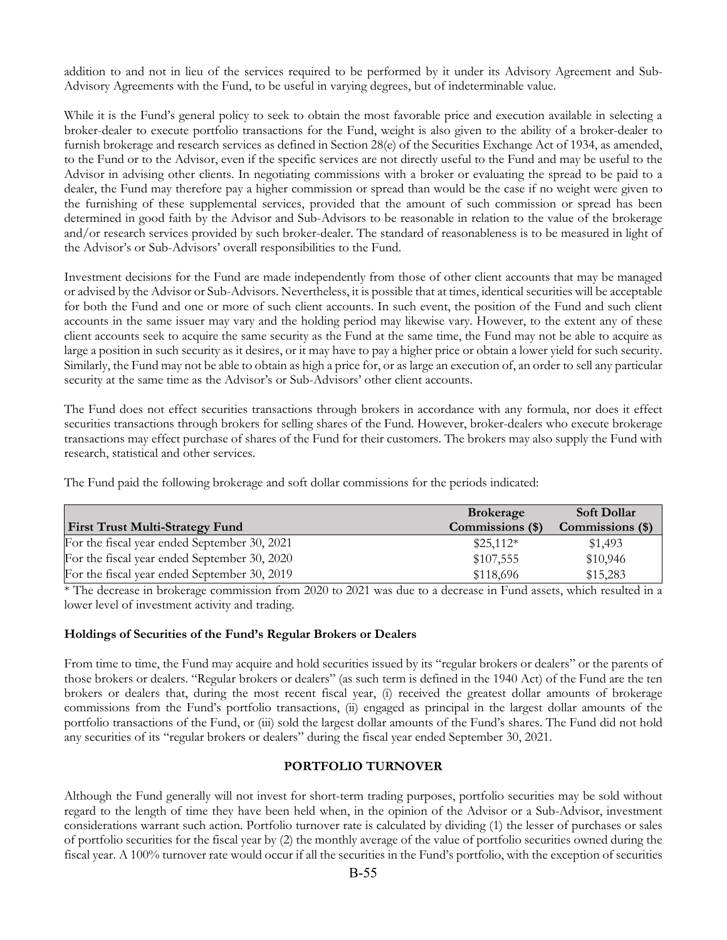addition to and not in lieu of the services required to be performed by it under its Advisory Agreement and Sub-Advisory Agreements with the Fund, to be useful in varying degrees, but of indeterminable value.

While it is the Fund's general policy to seek to obtain the most favorable price and execution available in selecting a broker-dealer to execute portfolio transactions for the Fund, weight is also given to the ability of a broker-dealer to furnish brokerage and research services as defined in Section 28(e) of the Securities Exchange Act of 1934, as amended, to the Fund or to the Advisor, even if the specific services are not directly useful to the Fund and may be useful to the Advisor in advising other clients. In negotiating commissions with a broker or evaluating the spread to be paid to a dealer, the Fund may therefore pay a higher commission or spread than would be the case if no weight were given to the furnishing of these supplemental services, provided that the amount of such commission or spread has been determined in good faith by the Advisor and Sub-Advisors to be reasonable in relation to the value of the brokerage and/or research services provided by such broker-dealer. The standard of reasonableness is to be measured in light of the Advisor's or Sub-Advisors' overall responsibilities to the Fund.

Investment decisions for the Fund are made independently from those of other client accounts that may be managed or advised by the Advisor or Sub-Advisors. Nevertheless, it is possible that at times, identical securities will be acceptable for both the Fund and one or more of such client accounts. In such event, the position of the Fund and such client accounts in the same issuer may vary and the holding period may likewise vary. However, to the extent any of these client accounts seek to acquire the same security as the Fund at the same time, the Fund may not be able to acquire as large a position in such security as it desires, or it may have to pay a higher price or obtain a lower yield for such security. Similarly, the Fund may not be able to obtain as high a price for, or as large an execution of, an order to sell any particular security at the same time as the Advisor's or Sub-Advisors' other client accounts.

The Fund does not effect securities transactions through brokers in accordance with any formula, nor does it effect securities transactions through brokers for selling shares of the Fund. However, broker-dealers who execute brokerage transactions may effect purchase of shares of the Fund for their customers. The brokers may also supply the Fund with research, statistical and other services.

The Fund paid the following brokerage and soft dollar commissions for the periods indicated:

|                                              | <b>Brokerage</b> | <b>Soft Dollar</b> |
|----------------------------------------------|------------------|--------------------|
| <b>First Trust Multi-Strategy Fund</b>       | Commissions (\$) | Commissions (\$)   |
| For the fiscal year ended September 30, 2021 | $$25,112*$       | \$1,493            |
| For the fiscal year ended September 30, 2020 | \$107,555        | \$10,946           |
| For the fiscal year ended September 30, 2019 | \$118,696        | \$15,283           |

\* The decrease in brokerage commission from 2020 to 2021 was due to a decrease in Fund assets, which resulted in a lower level of investment activity and trading.

#### **Holdings of Securities of the Fund's Regular Brokers or Dealers**

From time to time, the Fund may acquire and hold securities issued by its "regular brokers or dealers" or the parents of those brokers or dealers. "Regular brokers or dealers" (as such term is defined in the 1940 Act) of the Fund are the ten brokers or dealers that, during the most recent fiscal year, (i) received the greatest dollar amounts of brokerage commissions from the Fund's portfolio transactions, (ii) engaged as principal in the largest dollar amounts of the portfolio transactions of the Fund, or (iii) sold the largest dollar amounts of the Fund's shares. The Fund did not hold any securities of its "regular brokers or dealers" during the fiscal year ended September 30, 2021.

## **PORTFOLIO TURNOVER**

Although the Fund generally will not invest for short-term trading purposes, portfolio securities may be sold without regard to the length of time they have been held when, in the opinion of the Advisor or a Sub-Advisor, investment considerations warrant such action. Portfolio turnover rate is calculated by dividing (1) the lesser of purchases or sales of portfolio securities for the fiscal year by (2) the monthly average of the value of portfolio securities owned during the fiscal year. A 100% turnover rate would occur if all the securities in the Fund's portfolio, with the exception of securities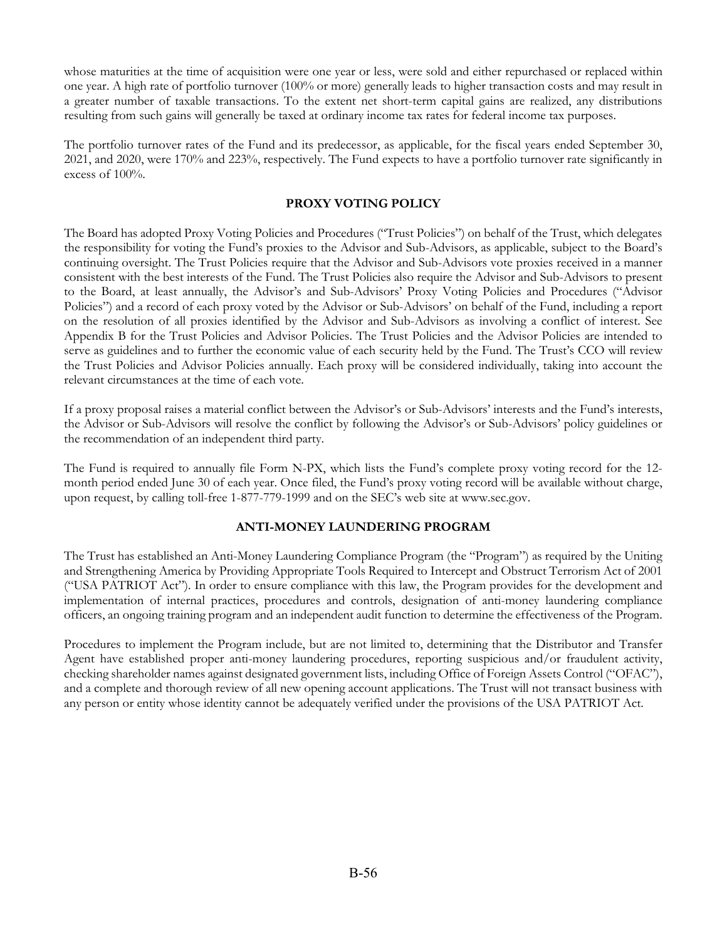whose maturities at the time of acquisition were one year or less, were sold and either repurchased or replaced within one year. A high rate of portfolio turnover (100% or more) generally leads to higher transaction costs and may result in a greater number of taxable transactions. To the extent net short-term capital gains are realized, any distributions resulting from such gains will generally be taxed at ordinary income tax rates for federal income tax purposes.

The portfolio turnover rates of the Fund and its predecessor, as applicable, for the fiscal years ended September 30, 2021, and 2020, were 170% and 223%, respectively. The Fund expects to have a portfolio turnover rate significantly in excess of 100%.

#### **PROXY VOTING POLICY**

The Board has adopted Proxy Voting Policies and Procedures ("Trust Policies") on behalf of the Trust, which delegates the responsibility for voting the Fund's proxies to the Advisor and Sub-Advisors, as applicable, subject to the Board's continuing oversight. The Trust Policies require that the Advisor and Sub-Advisors vote proxies received in a manner consistent with the best interests of the Fund. The Trust Policies also require the Advisor and Sub-Advisors to present to the Board, at least annually, the Advisor's and Sub-Advisors' Proxy Voting Policies and Procedures ("Advisor Policies") and a record of each proxy voted by the Advisor or Sub-Advisors' on behalf of the Fund, including a report on the resolution of all proxies identified by the Advisor and Sub-Advisors as involving a conflict of interest. See Appendix B for the Trust Policies and Advisor Policies. The Trust Policies and the Advisor Policies are intended to serve as guidelines and to further the economic value of each security held by the Fund. The Trust's CCO will review the Trust Policies and Advisor Policies annually. Each proxy will be considered individually, taking into account the relevant circumstances at the time of each vote.

If a proxy proposal raises a material conflict between the Advisor's or Sub-Advisors' interests and the Fund's interests, the Advisor or Sub-Advisors will resolve the conflict by following the Advisor's or Sub-Advisors' policy guidelines or the recommendation of an independent third party.

The Fund is required to annually file Form N-PX, which lists the Fund's complete proxy voting record for the 12 month period ended June 30 of each year. Once filed, the Fund's proxy voting record will be available without charge, upon request, by calling toll-free 1-877-779-1999 and on the SEC's web site at www.sec.gov.

## **ANTI-MONEY LAUNDERING PROGRAM**

The Trust has established an Anti-Money Laundering Compliance Program (the "Program") as required by the Uniting and Strengthening America by Providing Appropriate Tools Required to Intercept and Obstruct Terrorism Act of 2001 ("USA PATRIOT Act"). In order to ensure compliance with this law, the Program provides for the development and implementation of internal practices, procedures and controls, designation of anti-money laundering compliance officers, an ongoing training program and an independent audit function to determine the effectiveness of the Program.

Procedures to implement the Program include, but are not limited to, determining that the Distributor and Transfer Agent have established proper anti-money laundering procedures, reporting suspicious and/or fraudulent activity, checking shareholder names against designated government lists, including Office of Foreign Assets Control ("OFAC"), and a complete and thorough review of all new opening account applications. The Trust will not transact business with any person or entity whose identity cannot be adequately verified under the provisions of the USA PATRIOT Act.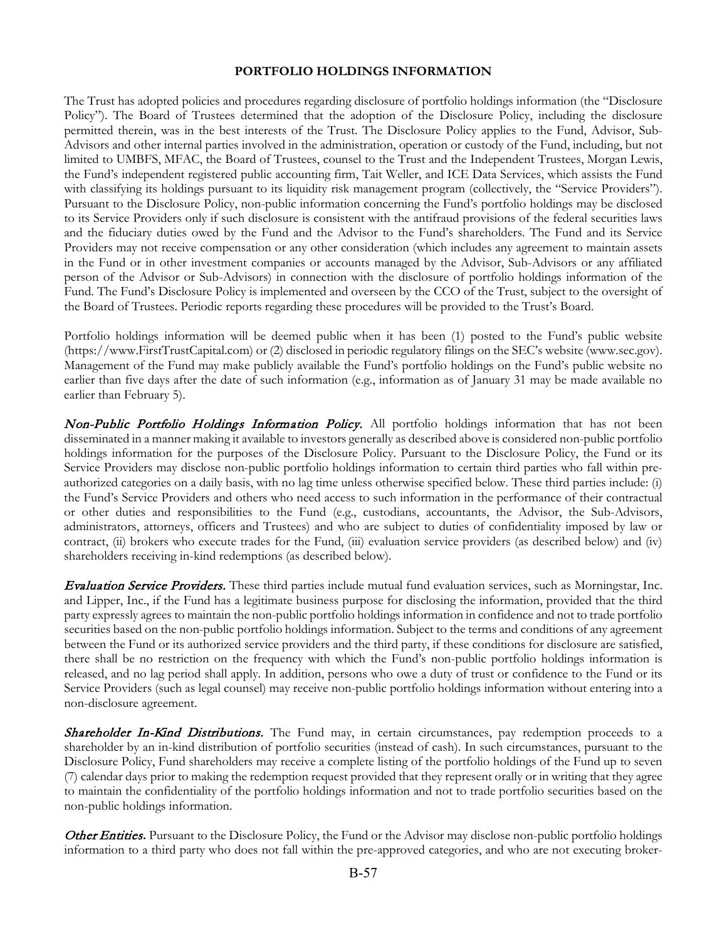#### **PORTFOLIO HOLDINGS INFORMATION**

The Trust has adopted policies and procedures regarding disclosure of portfolio holdings information (the "Disclosure Policy"). The Board of Trustees determined that the adoption of the Disclosure Policy, including the disclosure permitted therein, was in the best interests of the Trust. The Disclosure Policy applies to the Fund, Advisor, Sub-Advisors and other internal parties involved in the administration, operation or custody of the Fund, including, but not limited to UMBFS, MFAC, the Board of Trustees, counsel to the Trust and the Independent Trustees, Morgan Lewis, the Fund's independent registered public accounting firm, Tait Weller, and ICE Data Services, which assists the Fund with classifying its holdings pursuant to its liquidity risk management program (collectively, the "Service Providers"). Pursuant to the Disclosure Policy, non-public information concerning the Fund's portfolio holdings may be disclosed to its Service Providers only if such disclosure is consistent with the antifraud provisions of the federal securities laws and the fiduciary duties owed by the Fund and the Advisor to the Fund's shareholders. The Fund and its Service Providers may not receive compensation or any other consideration (which includes any agreement to maintain assets in the Fund or in other investment companies or accounts managed by the Advisor, Sub-Advisors or any affiliated person of the Advisor or Sub-Advisors) in connection with the disclosure of portfolio holdings information of the Fund. The Fund's Disclosure Policy is implemented and overseen by the CCO of the Trust, subject to the oversight of the Board of Trustees. Periodic reports regarding these procedures will be provided to the Trust's Board.

Portfolio holdings information will be deemed public when it has been (1) posted to the Fund's public website (https://www.FirstTrustCapital.com) or (2) disclosed in periodic regulatory filings on the SEC's website (www.sec.gov). Management of the Fund may make publicly available the Fund's portfolio holdings on the Fund's public website no earlier than five days after the date of such information (e.g., information as of January 31 may be made available no earlier than February 5).

Non-Public Portfolio Holdings Information Policy. All portfolio holdings information that has not been disseminated in a manner making it available to investors generally as described above is considered non-public portfolio holdings information for the purposes of the Disclosure Policy. Pursuant to the Disclosure Policy, the Fund or its Service Providers may disclose non-public portfolio holdings information to certain third parties who fall within preauthorized categories on a daily basis, with no lag time unless otherwise specified below. These third parties include: (i) the Fund's Service Providers and others who need access to such information in the performance of their contractual or other duties and responsibilities to the Fund (e.g., custodians, accountants, the Advisor, the Sub-Advisors, administrators, attorneys, officers and Trustees) and who are subject to duties of confidentiality imposed by law or contract, (ii) brokers who execute trades for the Fund, (iii) evaluation service providers (as described below) and (iv) shareholders receiving in-kind redemptions (as described below).

Evaluation Service Providers. These third parties include mutual fund evaluation services, such as Morningstar, Inc. and Lipper, Inc., if the Fund has a legitimate business purpose for disclosing the information, provided that the third party expressly agrees to maintain the non-public portfolio holdings information in confidence and not to trade portfolio securities based on the non-public portfolio holdings information. Subject to the terms and conditions of any agreement between the Fund or its authorized service providers and the third party, if these conditions for disclosure are satisfied, there shall be no restriction on the frequency with which the Fund's non-public portfolio holdings information is released, and no lag period shall apply. In addition, persons who owe a duty of trust or confidence to the Fund or its Service Providers (such as legal counsel) may receive non-public portfolio holdings information without entering into a non-disclosure agreement.

**Shareholder In-Kind Distributions.** The Fund may, in certain circumstances, pay redemption proceeds to a shareholder by an in-kind distribution of portfolio securities (instead of cash). In such circumstances, pursuant to the Disclosure Policy, Fund shareholders may receive a complete listing of the portfolio holdings of the Fund up to seven (7) calendar days prior to making the redemption request provided that they represent orally or in writing that they agree to maintain the confidentiality of the portfolio holdings information and not to trade portfolio securities based on the non-public holdings information.

Other Entities**.** Pursuant to the Disclosure Policy, the Fund or the Advisor may disclose non-public portfolio holdings information to a third party who does not fall within the pre-approved categories, and who are not executing broker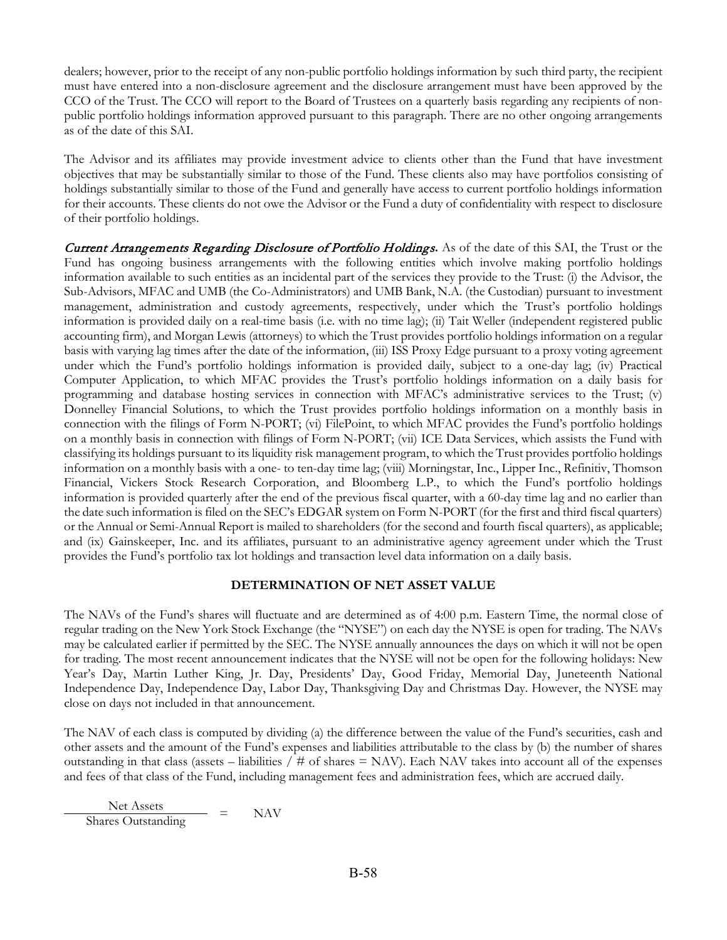dealers; however, prior to the receipt of any non-public portfolio holdings information by such third party, the recipient must have entered into a non-disclosure agreement and the disclosure arrangement must have been approved by the CCO of the Trust. The CCO will report to the Board of Trustees on a quarterly basis regarding any recipients of nonpublic portfolio holdings information approved pursuant to this paragraph. There are no other ongoing arrangements as of the date of this SAI.

The Advisor and its affiliates may provide investment advice to clients other than the Fund that have investment objectives that may be substantially similar to those of the Fund. These clients also may have portfolios consisting of holdings substantially similar to those of the Fund and generally have access to current portfolio holdings information for their accounts. These clients do not owe the Advisor or the Fund a duty of confidentiality with respect to disclosure of their portfolio holdings.

Current Arrangements Regarding Disclosure of Portfolio Holdings**.** As of the date of this SAI, the Trust or the Fund has ongoing business arrangements with the following entities which involve making portfolio holdings information available to such entities as an incidental part of the services they provide to the Trust: (i) the Advisor, the Sub-Advisors, MFAC and UMB (the Co-Administrators) and UMB Bank, N.A. (the Custodian) pursuant to investment management, administration and custody agreements, respectively, under which the Trust's portfolio holdings information is provided daily on a real-time basis (i.e. with no time lag); (ii) Tait Weller (independent registered public accounting firm), and Morgan Lewis (attorneys) to which the Trust provides portfolio holdings information on a regular basis with varying lag times after the date of the information, (iii) ISS Proxy Edge pursuant to a proxy voting agreement under which the Fund's portfolio holdings information is provided daily, subject to a one-day lag; (iv) Practical Computer Application, to which MFAC provides the Trust's portfolio holdings information on a daily basis for programming and database hosting services in connection with MFAC's administrative services to the Trust; (v) Donnelley Financial Solutions, to which the Trust provides portfolio holdings information on a monthly basis in connection with the filings of Form N-PORT; (vi) FilePoint, to which MFAC provides the Fund's portfolio holdings on a monthly basis in connection with filings of Form N-PORT; (vii) ICE Data Services, which assists the Fund with classifying its holdings pursuant to its liquidity risk management program, to which the Trust provides portfolio holdings information on a monthly basis with a one- to ten-day time lag; (viii) Morningstar, Inc., Lipper Inc., Refinitiv, Thomson Financial, Vickers Stock Research Corporation, and Bloomberg L.P., to which the Fund's portfolio holdings information is provided quarterly after the end of the previous fiscal quarter, with a 60-day time lag and no earlier than the date such information is filed on the SEC's EDGAR system on Form N-PORT (for the first and third fiscal quarters) or the Annual or Semi-Annual Report is mailed to shareholders (for the second and fourth fiscal quarters), as applicable; and (ix) Gainskeeper, Inc. and its affiliates, pursuant to an administrative agency agreement under which the Trust provides the Fund's portfolio tax lot holdings and transaction level data information on a daily basis.

## **DETERMINATION OF NET ASSET VALUE**

The NAVs of the Fund's shares will fluctuate and are determined as of 4:00 p.m. Eastern Time, the normal close of regular trading on the New York Stock Exchange (the "NYSE") on each day the NYSE is open for trading. The NAVs may be calculated earlier if permitted by the SEC. The NYSE annually announces the days on which it will not be open for trading. The most recent announcement indicates that the NYSE will not be open for the following holidays: New Year's Day, Martin Luther King, Jr. Day, Presidents' Day, Good Friday, Memorial Day, Juneteenth National Independence Day, Independence Day, Labor Day, Thanksgiving Day and Christmas Day. However, the NYSE may close on days not included in that announcement.

The NAV of each class is computed by dividing (a) the difference between the value of the Fund's securities, cash and other assets and the amount of the Fund's expenses and liabilities attributable to the class by (b) the number of shares outstanding in that class (assets  $-$  liabilities /  $\#$  of shares  $=$  NAV). Each NAV takes into account all of the expenses and fees of that class of the Fund, including management fees and administration fees, which are accrued daily.

Net Assets = NAV<br>Shares Outstanding = NAV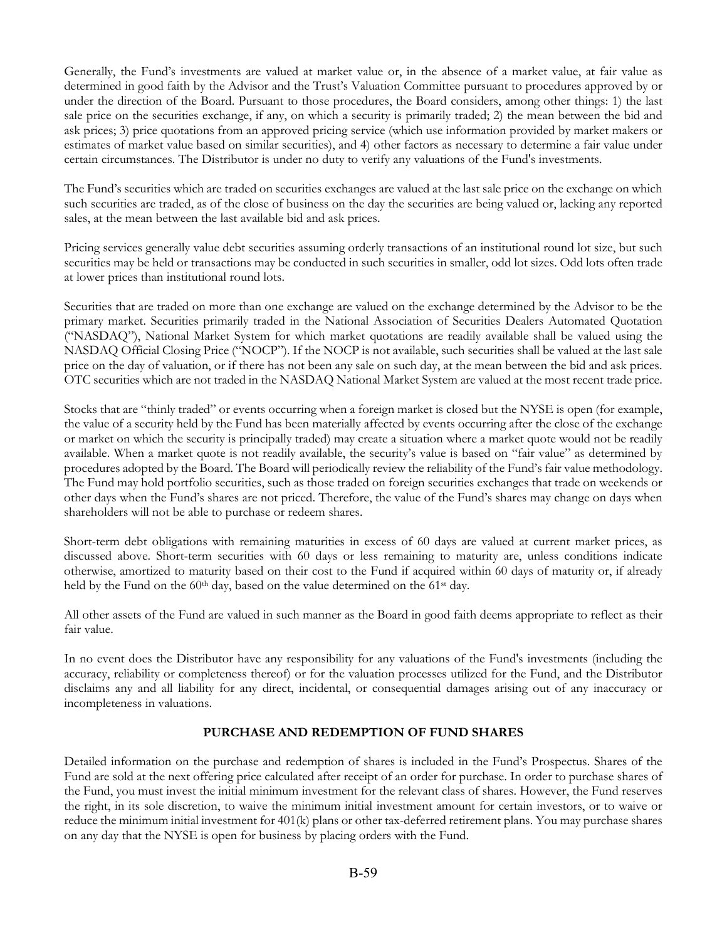Generally, the Fund's investments are valued at market value or, in the absence of a market value, at fair value as determined in good faith by the Advisor and the Trust's Valuation Committee pursuant to procedures approved by or under the direction of the Board. Pursuant to those procedures, the Board considers, among other things: 1) the last sale price on the securities exchange, if any, on which a security is primarily traded; 2) the mean between the bid and ask prices; 3) price quotations from an approved pricing service (which use information provided by market makers or estimates of market value based on similar securities), and 4) other factors as necessary to determine a fair value under certain circumstances. The Distributor is under no duty to verify any valuations of the Fund's investments.

The Fund's securities which are traded on securities exchanges are valued at the last sale price on the exchange on which such securities are traded, as of the close of business on the day the securities are being valued or, lacking any reported sales, at the mean between the last available bid and ask prices.

Pricing services generally value debt securities assuming orderly transactions of an institutional round lot size, but such securities may be held or transactions may be conducted in such securities in smaller, odd lot sizes. Odd lots often trade at lower prices than institutional round lots.

Securities that are traded on more than one exchange are valued on the exchange determined by the Advisor to be the primary market. Securities primarily traded in the National Association of Securities Dealers Automated Quotation ("NASDAQ"), National Market System for which market quotations are readily available shall be valued using the NASDAQ Official Closing Price ("NOCP"). If the NOCP is not available, such securities shall be valued at the last sale price on the day of valuation, or if there has not been any sale on such day, at the mean between the bid and ask prices. OTC securities which are not traded in the NASDAQ National Market System are valued at the most recent trade price.

Stocks that are "thinly traded" or events occurring when a foreign market is closed but the NYSE is open (for example, the value of a security held by the Fund has been materially affected by events occurring after the close of the exchange or market on which the security is principally traded) may create a situation where a market quote would not be readily available. When a market quote is not readily available, the security's value is based on "fair value" as determined by procedures adopted by the Board. The Board will periodically review the reliability of the Fund's fair value methodology. The Fund may hold portfolio securities, such as those traded on foreign securities exchanges that trade on weekends or other days when the Fund's shares are not priced. Therefore, the value of the Fund's shares may change on days when shareholders will not be able to purchase or redeem shares.

Short-term debt obligations with remaining maturities in excess of 60 days are valued at current market prices, as discussed above. Short-term securities with 60 days or less remaining to maturity are, unless conditions indicate otherwise, amortized to maturity based on their cost to the Fund if acquired within 60 days of maturity or, if already held by the Fund on the  $60<sup>th</sup>$  day, based on the value determined on the  $61<sup>st</sup>$  day.

All other assets of the Fund are valued in such manner as the Board in good faith deems appropriate to reflect as their fair value.

In no event does the Distributor have any responsibility for any valuations of the Fund's investments (including the accuracy, reliability or completeness thereof) or for the valuation processes utilized for the Fund, and the Distributor disclaims any and all liability for any direct, incidental, or consequential damages arising out of any inaccuracy or incompleteness in valuations.

## **PURCHASE AND REDEMPTION OF FUND SHARES**

Detailed information on the purchase and redemption of shares is included in the Fund's Prospectus. Shares of the Fund are sold at the next offering price calculated after receipt of an order for purchase. In order to purchase shares of the Fund, you must invest the initial minimum investment for the relevant class of shares. However, the Fund reserves the right, in its sole discretion, to waive the minimum initial investment amount for certain investors, or to waive or reduce the minimum initial investment for 401(k) plans or other tax-deferred retirement plans. You may purchase shares on any day that the NYSE is open for business by placing orders with the Fund.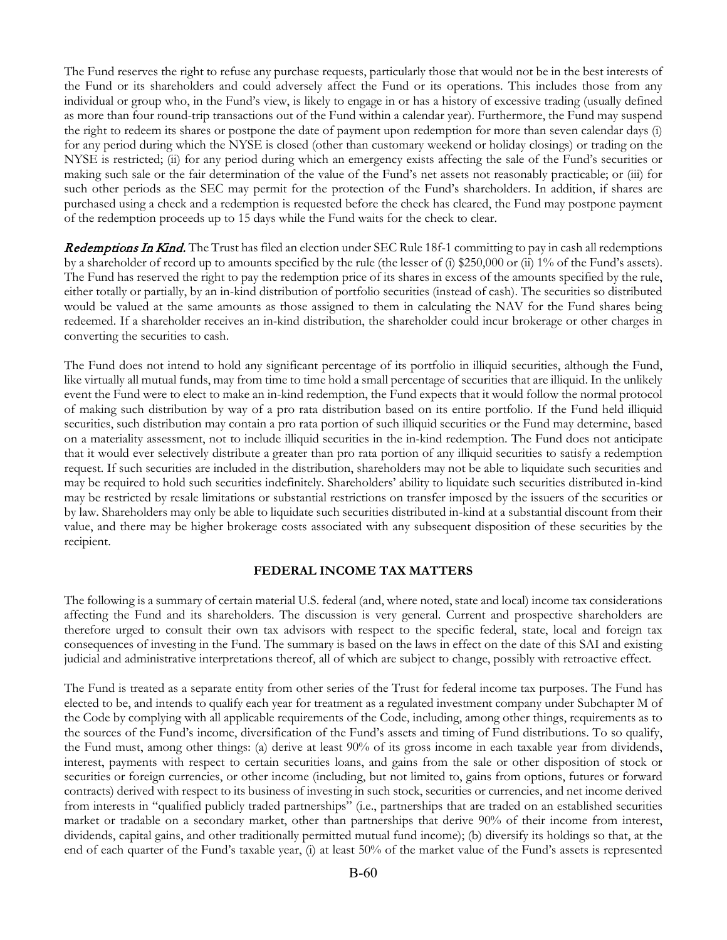The Fund reserves the right to refuse any purchase requests, particularly those that would not be in the best interests of the Fund or its shareholders and could adversely affect the Fund or its operations. This includes those from any individual or group who, in the Fund's view, is likely to engage in or has a history of excessive trading (usually defined as more than four round-trip transactions out of the Fund within a calendar year). Furthermore, the Fund may suspend the right to redeem its shares or postpone the date of payment upon redemption for more than seven calendar days (i) for any period during which the NYSE is closed (other than customary weekend or holiday closings) or trading on the NYSE is restricted; (ii) for any period during which an emergency exists affecting the sale of the Fund's securities or making such sale or the fair determination of the value of the Fund's net assets not reasonably practicable; or (iii) for such other periods as the SEC may permit for the protection of the Fund's shareholders. In addition, if shares are purchased using a check and a redemption is requested before the check has cleared, the Fund may postpone payment of the redemption proceeds up to 15 days while the Fund waits for the check to clear.

Redemptions In Kind. The Trust has filed an election under SEC Rule 18f-1 committing to pay in cash all redemptions by a shareholder of record up to amounts specified by the rule (the lesser of (i) \$250,000 or (ii) 1% of the Fund's assets). The Fund has reserved the right to pay the redemption price of its shares in excess of the amounts specified by the rule, either totally or partially, by an in-kind distribution of portfolio securities (instead of cash). The securities so distributed would be valued at the same amounts as those assigned to them in calculating the NAV for the Fund shares being redeemed. If a shareholder receives an in-kind distribution, the shareholder could incur brokerage or other charges in converting the securities to cash.

The Fund does not intend to hold any significant percentage of its portfolio in illiquid securities, although the Fund, like virtually all mutual funds, may from time to time hold a small percentage of securities that are illiquid. In the unlikely event the Fund were to elect to make an in-kind redemption, the Fund expects that it would follow the normal protocol of making such distribution by way of a pro rata distribution based on its entire portfolio. If the Fund held illiquid securities, such distribution may contain a pro rata portion of such illiquid securities or the Fund may determine, based on a materiality assessment, not to include illiquid securities in the in-kind redemption. The Fund does not anticipate that it would ever selectively distribute a greater than pro rata portion of any illiquid securities to satisfy a redemption request. If such securities are included in the distribution, shareholders may not be able to liquidate such securities and may be required to hold such securities indefinitely. Shareholders' ability to liquidate such securities distributed in-kind may be restricted by resale limitations or substantial restrictions on transfer imposed by the issuers of the securities or by law. Shareholders may only be able to liquidate such securities distributed in-kind at a substantial discount from their value, and there may be higher brokerage costs associated with any subsequent disposition of these securities by the recipient.

#### **FEDERAL INCOME TAX MATTERS**

The following is a summary of certain material U.S. federal (and, where noted, state and local) income tax considerations affecting the Fund and its shareholders. The discussion is very general. Current and prospective shareholders are therefore urged to consult their own tax advisors with respect to the specific federal, state, local and foreign tax consequences of investing in the Fund. The summary is based on the laws in effect on the date of this SAI and existing judicial and administrative interpretations thereof, all of which are subject to change, possibly with retroactive effect.

The Fund is treated as a separate entity from other series of the Trust for federal income tax purposes. The Fund has elected to be, and intends to qualify each year for treatment as a regulated investment company under Subchapter M of the Code by complying with all applicable requirements of the Code, including, among other things, requirements as to the sources of the Fund's income, diversification of the Fund's assets and timing of Fund distributions. To so qualify, the Fund must, among other things: (a) derive at least 90% of its gross income in each taxable year from dividends, interest, payments with respect to certain securities loans, and gains from the sale or other disposition of stock or securities or foreign currencies, or other income (including, but not limited to, gains from options, futures or forward contracts) derived with respect to its business of investing in such stock, securities or currencies, and net income derived from interests in "qualified publicly traded partnerships" (i.e., partnerships that are traded on an established securities market or tradable on a secondary market, other than partnerships that derive 90% of their income from interest, dividends, capital gains, and other traditionally permitted mutual fund income); (b) diversify its holdings so that, at the end of each quarter of the Fund's taxable year, (i) at least 50% of the market value of the Fund's assets is represented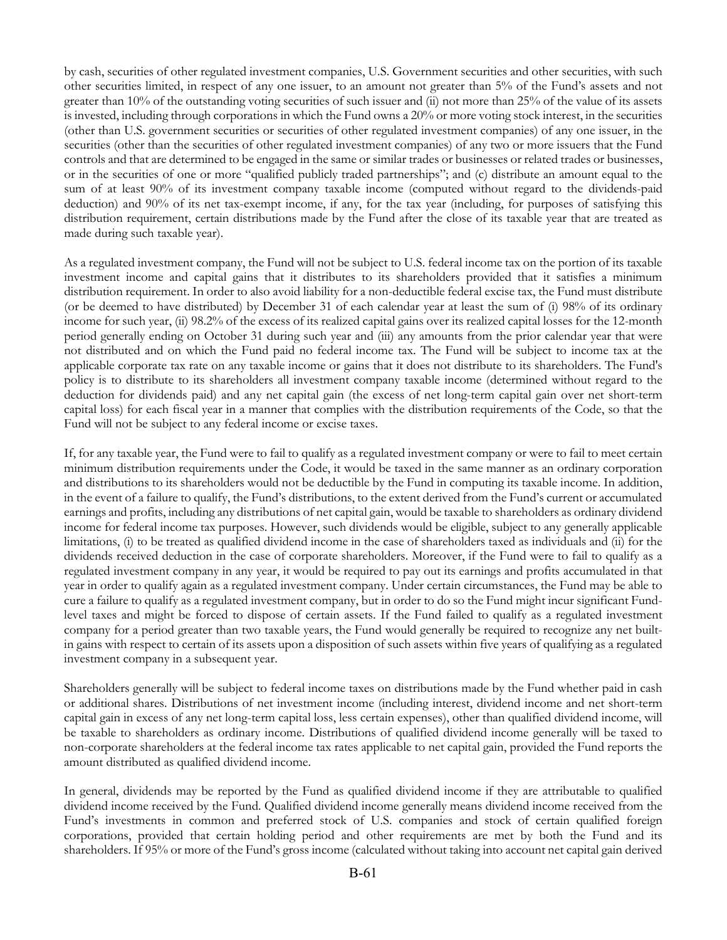by cash, securities of other regulated investment companies, U.S. Government securities and other securities, with such other securities limited, in respect of any one issuer, to an amount not greater than 5% of the Fund's assets and not greater than 10% of the outstanding voting securities of such issuer and (ii) not more than 25% of the value of its assets is invested, including through corporations in which the Fund owns a 20% or more voting stock interest, in the securities (other than U.S. government securities or securities of other regulated investment companies) of any one issuer, in the securities (other than the securities of other regulated investment companies) of any two or more issuers that the Fund controls and that are determined to be engaged in the same or similar trades or businesses or related trades or businesses, or in the securities of one or more "qualified publicly traded partnerships"; and (c) distribute an amount equal to the sum of at least 90% of its investment company taxable income (computed without regard to the dividends-paid deduction) and 90% of its net tax-exempt income, if any, for the tax year (including, for purposes of satisfying this distribution requirement, certain distributions made by the Fund after the close of its taxable year that are treated as made during such taxable year).

As a regulated investment company, the Fund will not be subject to U.S. federal income tax on the portion of its taxable investment income and capital gains that it distributes to its shareholders provided that it satisfies a minimum distribution requirement. In order to also avoid liability for a non-deductible federal excise tax, the Fund must distribute (or be deemed to have distributed) by December 31 of each calendar year at least the sum of (i) 98% of its ordinary income for such year, (ii) 98.2% of the excess of its realized capital gains over its realized capital losses for the 12-month period generally ending on October 31 during such year and (iii) any amounts from the prior calendar year that were not distributed and on which the Fund paid no federal income tax. The Fund will be subject to income tax at the applicable corporate tax rate on any taxable income or gains that it does not distribute to its shareholders. The Fund's policy is to distribute to its shareholders all investment company taxable income (determined without regard to the deduction for dividends paid) and any net capital gain (the excess of net long-term capital gain over net short-term capital loss) for each fiscal year in a manner that complies with the distribution requirements of the Code, so that the Fund will not be subject to any federal income or excise taxes.

If, for any taxable year, the Fund were to fail to qualify as a regulated investment company or were to fail to meet certain minimum distribution requirements under the Code, it would be taxed in the same manner as an ordinary corporation and distributions to its shareholders would not be deductible by the Fund in computing its taxable income. In addition, in the event of a failure to qualify, the Fund's distributions, to the extent derived from the Fund's current or accumulated earnings and profits, including any distributions of net capital gain, would be taxable to shareholders as ordinary dividend income for federal income tax purposes. However, such dividends would be eligible, subject to any generally applicable limitations, (i) to be treated as qualified dividend income in the case of shareholders taxed as individuals and (ii) for the dividends received deduction in the case of corporate shareholders. Moreover, if the Fund were to fail to qualify as a regulated investment company in any year, it would be required to pay out its earnings and profits accumulated in that year in order to qualify again as a regulated investment company. Under certain circumstances, the Fund may be able to cure a failure to qualify as a regulated investment company, but in order to do so the Fund might incur significant Fundlevel taxes and might be forced to dispose of certain assets. If the Fund failed to qualify as a regulated investment company for a period greater than two taxable years, the Fund would generally be required to recognize any net builtin gains with respect to certain of its assets upon a disposition of such assets within five years of qualifying as a regulated investment company in a subsequent year.

Shareholders generally will be subject to federal income taxes on distributions made by the Fund whether paid in cash or additional shares. Distributions of net investment income (including interest, dividend income and net short-term capital gain in excess of any net long-term capital loss, less certain expenses), other than qualified dividend income, will be taxable to shareholders as ordinary income. Distributions of qualified dividend income generally will be taxed to non-corporate shareholders at the federal income tax rates applicable to net capital gain, provided the Fund reports the amount distributed as qualified dividend income.

In general, dividends may be reported by the Fund as qualified dividend income if they are attributable to qualified dividend income received by the Fund. Qualified dividend income generally means dividend income received from the Fund's investments in common and preferred stock of U.S. companies and stock of certain qualified foreign corporations, provided that certain holding period and other requirements are met by both the Fund and its shareholders. If 95% or more of the Fund's gross income (calculated without taking into account net capital gain derived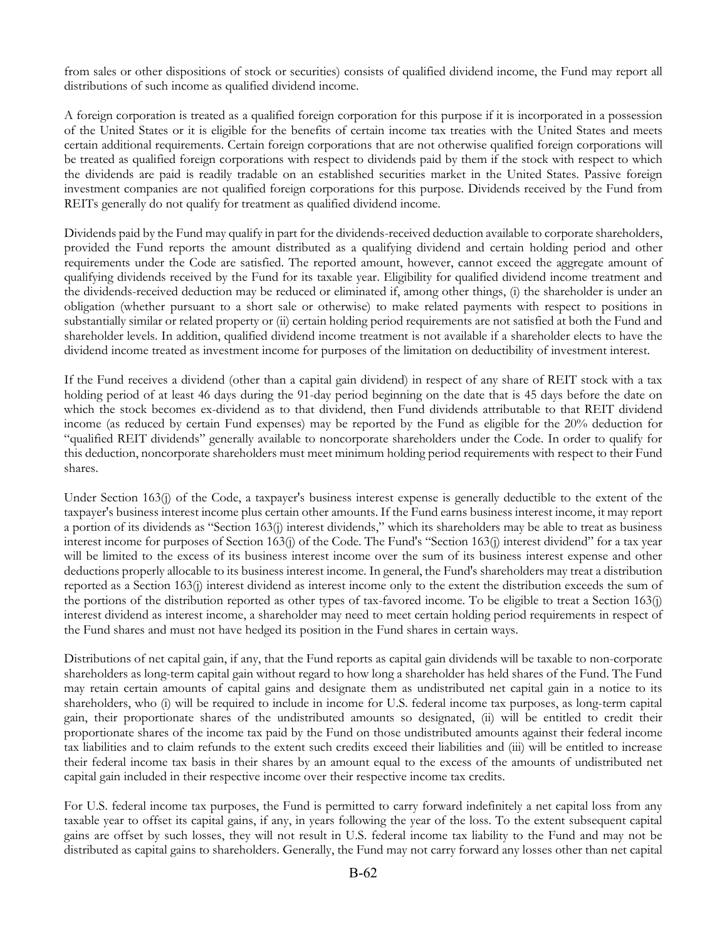from sales or other dispositions of stock or securities) consists of qualified dividend income, the Fund may report all distributions of such income as qualified dividend income.

A foreign corporation is treated as a qualified foreign corporation for this purpose if it is incorporated in a possession of the United States or it is eligible for the benefits of certain income tax treaties with the United States and meets certain additional requirements. Certain foreign corporations that are not otherwise qualified foreign corporations will be treated as qualified foreign corporations with respect to dividends paid by them if the stock with respect to which the dividends are paid is readily tradable on an established securities market in the United States. Passive foreign investment companies are not qualified foreign corporations for this purpose. Dividends received by the Fund from REITs generally do not qualify for treatment as qualified dividend income.

Dividends paid by the Fund may qualify in part for the dividends-received deduction available to corporate shareholders, provided the Fund reports the amount distributed as a qualifying dividend and certain holding period and other requirements under the Code are satisfied. The reported amount, however, cannot exceed the aggregate amount of qualifying dividends received by the Fund for its taxable year. Eligibility for qualified dividend income treatment and the dividends-received deduction may be reduced or eliminated if, among other things, (i) the shareholder is under an obligation (whether pursuant to a short sale or otherwise) to make related payments with respect to positions in substantially similar or related property or (ii) certain holding period requirements are not satisfied at both the Fund and shareholder levels. In addition, qualified dividend income treatment is not available if a shareholder elects to have the dividend income treated as investment income for purposes of the limitation on deductibility of investment interest.

If the Fund receives a dividend (other than a capital gain dividend) in respect of any share of REIT stock with a tax holding period of at least 46 days during the 91-day period beginning on the date that is 45 days before the date on which the stock becomes ex-dividend as to that dividend, then Fund dividends attributable to that REIT dividend income (as reduced by certain Fund expenses) may be reported by the Fund as eligible for the 20% deduction for "qualified REIT dividends" generally available to noncorporate shareholders under the Code. In order to qualify for this deduction, noncorporate shareholders must meet minimum holding period requirements with respect to their Fund shares.

Under Section 163(j) of the Code, a taxpayer's business interest expense is generally deductible to the extent of the taxpayer's business interest income plus certain other amounts. If the Fund earns business interest income, it may report a portion of its dividends as "Section 163(j) interest dividends," which its shareholders may be able to treat as business interest income for purposes of Section 163(j) of the Code. The Fund's "Section 163(j) interest dividend" for a tax year will be limited to the excess of its business interest income over the sum of its business interest expense and other deductions properly allocable to its business interest income. In general, the Fund's shareholders may treat a distribution reported as a Section 163(j) interest dividend as interest income only to the extent the distribution exceeds the sum of the portions of the distribution reported as other types of tax-favored income. To be eligible to treat a Section 163(j) interest dividend as interest income, a shareholder may need to meet certain holding period requirements in respect of the Fund shares and must not have hedged its position in the Fund shares in certain ways.

Distributions of net capital gain, if any, that the Fund reports as capital gain dividends will be taxable to non-corporate shareholders as long-term capital gain without regard to how long a shareholder has held shares of the Fund. The Fund may retain certain amounts of capital gains and designate them as undistributed net capital gain in a notice to its shareholders, who (i) will be required to include in income for U.S. federal income tax purposes, as long-term capital gain, their proportionate shares of the undistributed amounts so designated, (ii) will be entitled to credit their proportionate shares of the income tax paid by the Fund on those undistributed amounts against their federal income tax liabilities and to claim refunds to the extent such credits exceed their liabilities and (iii) will be entitled to increase their federal income tax basis in their shares by an amount equal to the excess of the amounts of undistributed net capital gain included in their respective income over their respective income tax credits.

For U.S. federal income tax purposes, the Fund is permitted to carry forward indefinitely a net capital loss from any taxable year to offset its capital gains, if any, in years following the year of the loss. To the extent subsequent capital gains are offset by such losses, they will not result in U.S. federal income tax liability to the Fund and may not be distributed as capital gains to shareholders. Generally, the Fund may not carry forward any losses other than net capital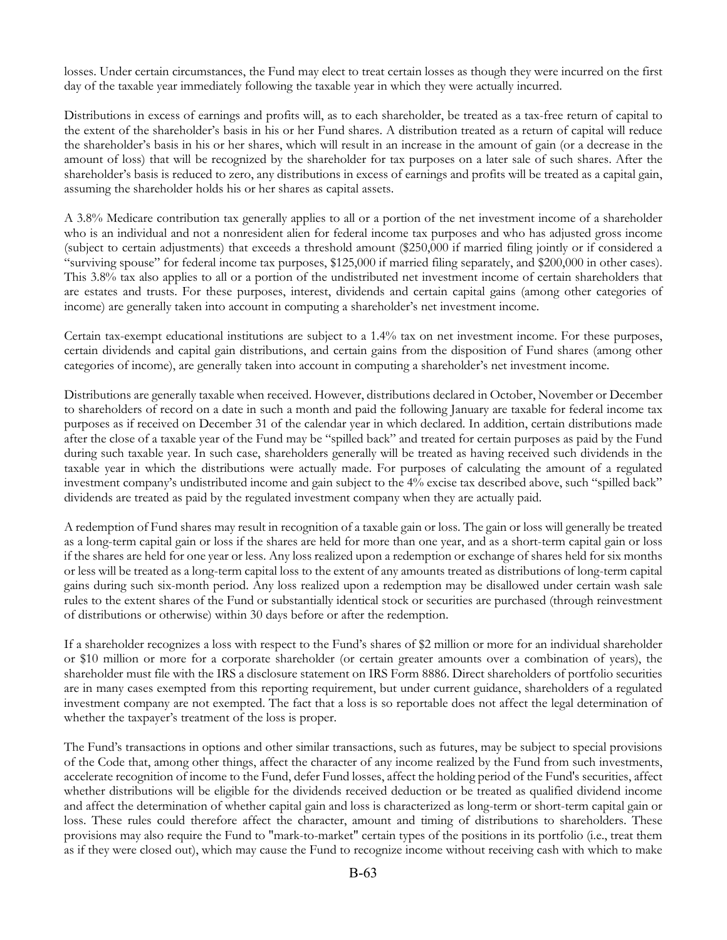losses. Under certain circumstances, the Fund may elect to treat certain losses as though they were incurred on the first day of the taxable year immediately following the taxable year in which they were actually incurred.

Distributions in excess of earnings and profits will, as to each shareholder, be treated as a tax-free return of capital to the extent of the shareholder's basis in his or her Fund shares. A distribution treated as a return of capital will reduce the shareholder's basis in his or her shares, which will result in an increase in the amount of gain (or a decrease in the amount of loss) that will be recognized by the shareholder for tax purposes on a later sale of such shares. After the shareholder's basis is reduced to zero, any distributions in excess of earnings and profits will be treated as a capital gain, assuming the shareholder holds his or her shares as capital assets.

A 3.8% Medicare contribution tax generally applies to all or a portion of the net investment income of a shareholder who is an individual and not a nonresident alien for federal income tax purposes and who has adjusted gross income (subject to certain adjustments) that exceeds a threshold amount (\$250,000 if married filing jointly or if considered a "surviving spouse" for federal income tax purposes, \$125,000 if married filing separately, and \$200,000 in other cases). This 3.8% tax also applies to all or a portion of the undistributed net investment income of certain shareholders that are estates and trusts. For these purposes, interest, dividends and certain capital gains (among other categories of income) are generally taken into account in computing a shareholder's net investment income.

Certain tax-exempt educational institutions are subject to a 1.4% tax on net investment income. For these purposes, certain dividends and capital gain distributions, and certain gains from the disposition of Fund shares (among other categories of income), are generally taken into account in computing a shareholder's net investment income.

Distributions are generally taxable when received. However, distributions declared in October, November or December to shareholders of record on a date in such a month and paid the following January are taxable for federal income tax purposes as if received on December 31 of the calendar year in which declared. In addition, certain distributions made after the close of a taxable year of the Fund may be "spilled back" and treated for certain purposes as paid by the Fund during such taxable year. In such case, shareholders generally will be treated as having received such dividends in the taxable year in which the distributions were actually made. For purposes of calculating the amount of a regulated investment company's undistributed income and gain subject to the 4% excise tax described above, such "spilled back" dividends are treated as paid by the regulated investment company when they are actually paid.

A redemption of Fund shares may result in recognition of a taxable gain or loss. The gain or loss will generally be treated as a long-term capital gain or loss if the shares are held for more than one year, and as a short-term capital gain or loss if the shares are held for one year or less. Any loss realized upon a redemption or exchange of shares held for six months or less will be treated as a long-term capital loss to the extent of any amounts treated as distributions of long-term capital gains during such six-month period. Any loss realized upon a redemption may be disallowed under certain wash sale rules to the extent shares of the Fund or substantially identical stock or securities are purchased (through reinvestment of distributions or otherwise) within 30 days before or after the redemption.

If a shareholder recognizes a loss with respect to the Fund's shares of \$2 million or more for an individual shareholder or \$10 million or more for a corporate shareholder (or certain greater amounts over a combination of years), the shareholder must file with the IRS a disclosure statement on IRS Form 8886. Direct shareholders of portfolio securities are in many cases exempted from this reporting requirement, but under current guidance, shareholders of a regulated investment company are not exempted. The fact that a loss is so reportable does not affect the legal determination of whether the taxpayer's treatment of the loss is proper.

The Fund's transactions in options and other similar transactions, such as futures, may be subject to special provisions of the Code that, among other things, affect the character of any income realized by the Fund from such investments, accelerate recognition of income to the Fund, defer Fund losses, affect the holding period of the Fund's securities, affect whether distributions will be eligible for the dividends received deduction or be treated as qualified dividend income and affect the determination of whether capital gain and loss is characterized as long-term or short-term capital gain or loss. These rules could therefore affect the character, amount and timing of distributions to shareholders. These provisions may also require the Fund to "mark-to-market" certain types of the positions in its portfolio (i.e., treat them as if they were closed out), which may cause the Fund to recognize income without receiving cash with which to make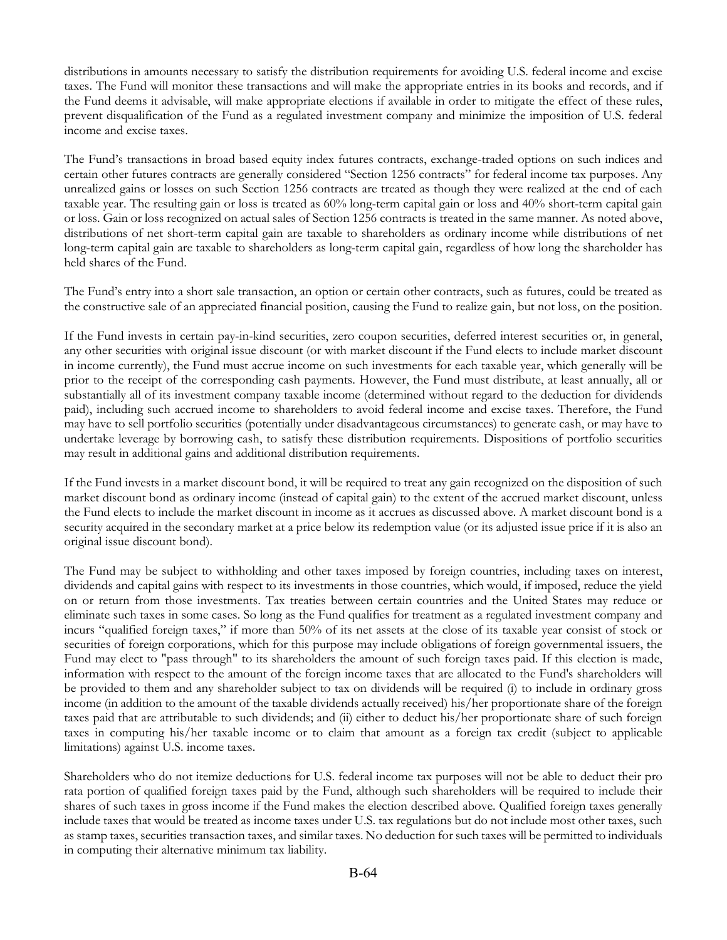distributions in amounts necessary to satisfy the distribution requirements for avoiding U.S. federal income and excise taxes. The Fund will monitor these transactions and will make the appropriate entries in its books and records, and if the Fund deems it advisable, will make appropriate elections if available in order to mitigate the effect of these rules, prevent disqualification of the Fund as a regulated investment company and minimize the imposition of U.S. federal income and excise taxes.

The Fund's transactions in broad based equity index futures contracts, exchange-traded options on such indices and certain other futures contracts are generally considered "Section 1256 contracts" for federal income tax purposes. Any unrealized gains or losses on such Section 1256 contracts are treated as though they were realized at the end of each taxable year. The resulting gain or loss is treated as 60% long-term capital gain or loss and 40% short-term capital gain or loss. Gain or loss recognized on actual sales of Section 1256 contracts is treated in the same manner. As noted above, distributions of net short-term capital gain are taxable to shareholders as ordinary income while distributions of net long-term capital gain are taxable to shareholders as long-term capital gain, regardless of how long the shareholder has held shares of the Fund.

The Fund's entry into a short sale transaction, an option or certain other contracts, such as futures, could be treated as the constructive sale of an appreciated financial position, causing the Fund to realize gain, but not loss, on the position.

If the Fund invests in certain pay-in-kind securities, zero coupon securities, deferred interest securities or, in general, any other securities with original issue discount (or with market discount if the Fund elects to include market discount in income currently), the Fund must accrue income on such investments for each taxable year, which generally will be prior to the receipt of the corresponding cash payments. However, the Fund must distribute, at least annually, all or substantially all of its investment company taxable income (determined without regard to the deduction for dividends paid), including such accrued income to shareholders to avoid federal income and excise taxes. Therefore, the Fund may have to sell portfolio securities (potentially under disadvantageous circumstances) to generate cash, or may have to undertake leverage by borrowing cash, to satisfy these distribution requirements. Dispositions of portfolio securities may result in additional gains and additional distribution requirements.

If the Fund invests in a market discount bond, it will be required to treat any gain recognized on the disposition of such market discount bond as ordinary income (instead of capital gain) to the extent of the accrued market discount, unless the Fund elects to include the market discount in income as it accrues as discussed above. A market discount bond is a security acquired in the secondary market at a price below its redemption value (or its adjusted issue price if it is also an original issue discount bond).

The Fund may be subject to withholding and other taxes imposed by foreign countries, including taxes on interest, dividends and capital gains with respect to its investments in those countries, which would, if imposed, reduce the yield on or return from those investments. Tax treaties between certain countries and the United States may reduce or eliminate such taxes in some cases. So long as the Fund qualifies for treatment as a regulated investment company and incurs "qualified foreign taxes," if more than 50% of its net assets at the close of its taxable year consist of stock or securities of foreign corporations, which for this purpose may include obligations of foreign governmental issuers, the Fund may elect to "pass through" to its shareholders the amount of such foreign taxes paid. If this election is made, information with respect to the amount of the foreign income taxes that are allocated to the Fund's shareholders will be provided to them and any shareholder subject to tax on dividends will be required (i) to include in ordinary gross income (in addition to the amount of the taxable dividends actually received) his/her proportionate share of the foreign taxes paid that are attributable to such dividends; and (ii) either to deduct his/her proportionate share of such foreign taxes in computing his/her taxable income or to claim that amount as a foreign tax credit (subject to applicable limitations) against U.S. income taxes.

Shareholders who do not itemize deductions for U.S. federal income tax purposes will not be able to deduct their pro rata portion of qualified foreign taxes paid by the Fund, although such shareholders will be required to include their shares of such taxes in gross income if the Fund makes the election described above. Qualified foreign taxes generally include taxes that would be treated as income taxes under U.S. tax regulations but do not include most other taxes, such as stamp taxes, securities transaction taxes, and similar taxes. No deduction for such taxes will be permitted to individuals in computing their alternative minimum tax liability.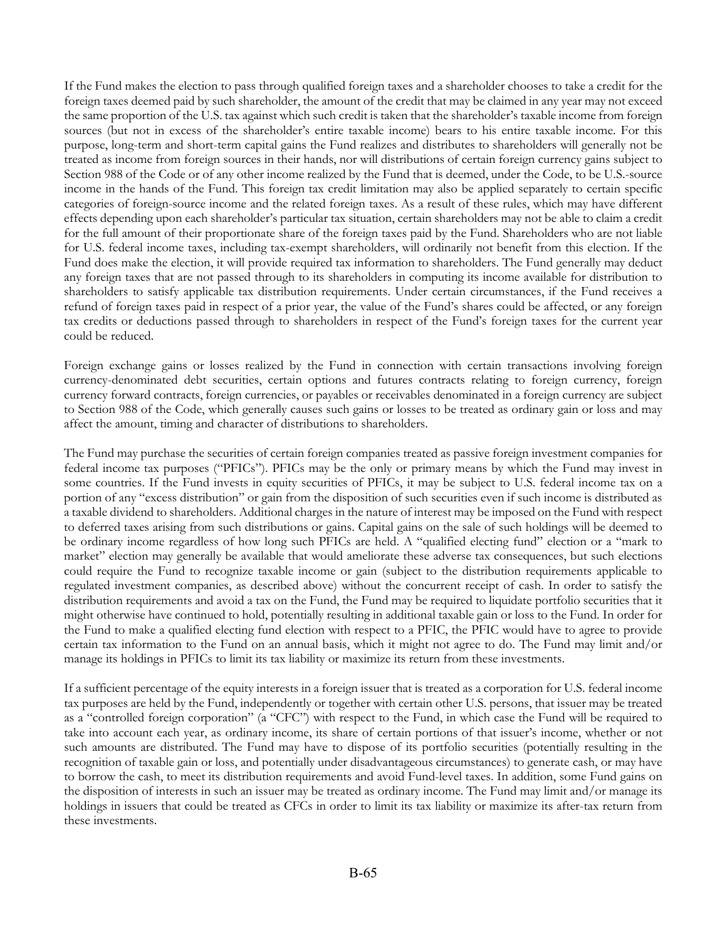If the Fund makes the election to pass through qualified foreign taxes and a shareholder chooses to take a credit for the foreign taxes deemed paid by such shareholder, the amount of the credit that may be claimed in any year may not exceed the same proportion of the U.S. tax against which such credit is taken that the shareholder's taxable income from foreign sources (but not in excess of the shareholder's entire taxable income) bears to his entire taxable income. For this purpose, long-term and short-term capital gains the Fund realizes and distributes to shareholders will generally not be treated as income from foreign sources in their hands, nor will distributions of certain foreign currency gains subject to Section 988 of the Code or of any other income realized by the Fund that is deemed, under the Code, to be U.S.-source income in the hands of the Fund. This foreign tax credit limitation may also be applied separately to certain specific categories of foreign-source income and the related foreign taxes. As a result of these rules, which may have different effects depending upon each shareholder's particular tax situation, certain shareholders may not be able to claim a credit for the full amount of their proportionate share of the foreign taxes paid by the Fund. Shareholders who are not liable for U.S. federal income taxes, including tax-exempt shareholders, will ordinarily not benefit from this election. If the Fund does make the election, it will provide required tax information to shareholders. The Fund generally may deduct any foreign taxes that are not passed through to its shareholders in computing its income available for distribution to shareholders to satisfy applicable tax distribution requirements. Under certain circumstances, if the Fund receives a refund of foreign taxes paid in respect of a prior year, the value of the Fund's shares could be affected, or any foreign tax credits or deductions passed through to shareholders in respect of the Fund's foreign taxes for the current year could be reduced.

Foreign exchange gains or losses realized by the Fund in connection with certain transactions involving foreign currency-denominated debt securities, certain options and futures contracts relating to foreign currency, foreign currency forward contracts, foreign currencies, or payables or receivables denominated in a foreign currency are subject to Section 988 of the Code, which generally causes such gains or losses to be treated as ordinary gain or loss and may affect the amount, timing and character of distributions to shareholders.

The Fund may purchase the securities of certain foreign companies treated as passive foreign investment companies for federal income tax purposes ("PFICs"). PFICs may be the only or primary means by which the Fund may invest in some countries. If the Fund invests in equity securities of PFICs, it may be subject to U.S. federal income tax on a portion of any "excess distribution" or gain from the disposition of such securities even if such income is distributed as a taxable dividend to shareholders. Additional charges in the nature of interest may be imposed on the Fund with respect to deferred taxes arising from such distributions or gains. Capital gains on the sale of such holdings will be deemed to be ordinary income regardless of how long such PFICs are held. A "qualified electing fund" election or a "mark to market" election may generally be available that would ameliorate these adverse tax consequences, but such elections could require the Fund to recognize taxable income or gain (subject to the distribution requirements applicable to regulated investment companies, as described above) without the concurrent receipt of cash. In order to satisfy the distribution requirements and avoid a tax on the Fund, the Fund may be required to liquidate portfolio securities that it might otherwise have continued to hold, potentially resulting in additional taxable gain or loss to the Fund. In order for the Fund to make a qualified electing fund election with respect to a PFIC, the PFIC would have to agree to provide certain tax information to the Fund on an annual basis, which it might not agree to do. The Fund may limit and/or manage its holdings in PFICs to limit its tax liability or maximize its return from these investments.

If a sufficient percentage of the equity interests in a foreign issuer that is treated as a corporation for U.S. federal income tax purposes are held by the Fund, independently or together with certain other U.S. persons, that issuer may be treated as a "controlled foreign corporation" (a "CFC") with respect to the Fund, in which case the Fund will be required to take into account each year, as ordinary income, its share of certain portions of that issuer's income, whether or not such amounts are distributed. The Fund may have to dispose of its portfolio securities (potentially resulting in the recognition of taxable gain or loss, and potentially under disadvantageous circumstances) to generate cash, or may have to borrow the cash, to meet its distribution requirements and avoid Fund-level taxes. In addition, some Fund gains on the disposition of interests in such an issuer may be treated as ordinary income. The Fund may limit and/or manage its holdings in issuers that could be treated as CFCs in order to limit its tax liability or maximize its after-tax return from these investments.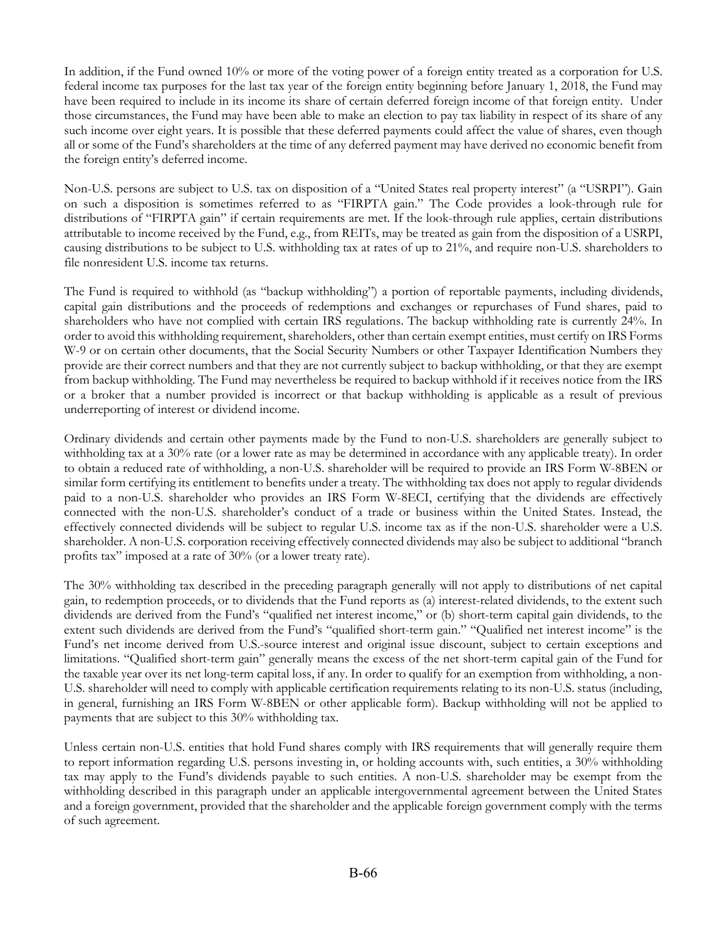In addition, if the Fund owned 10% or more of the voting power of a foreign entity treated as a corporation for U.S. federal income tax purposes for the last tax year of the foreign entity beginning before January 1, 2018, the Fund may have been required to include in its income its share of certain deferred foreign income of that foreign entity. Under those circumstances, the Fund may have been able to make an election to pay tax liability in respect of its share of any such income over eight years. It is possible that these deferred payments could affect the value of shares, even though all or some of the Fund's shareholders at the time of any deferred payment may have derived no economic benefit from the foreign entity's deferred income.

Non-U.S. persons are subject to U.S. tax on disposition of a "United States real property interest" (a "USRPI"). Gain on such a disposition is sometimes referred to as "FIRPTA gain." The Code provides a look-through rule for distributions of "FIRPTA gain" if certain requirements are met. If the look-through rule applies, certain distributions attributable to income received by the Fund, e.g., from REITs, may be treated as gain from the disposition of a USRPI, causing distributions to be subject to U.S. withholding tax at rates of up to 21%, and require non-U.S. shareholders to file nonresident U.S. income tax returns.

The Fund is required to withhold (as "backup withholding") a portion of reportable payments, including dividends, capital gain distributions and the proceeds of redemptions and exchanges or repurchases of Fund shares, paid to shareholders who have not complied with certain IRS regulations. The backup withholding rate is currently 24%. In order to avoid this withholding requirement, shareholders, other than certain exempt entities, must certify on IRS Forms W-9 or on certain other documents, that the Social Security Numbers or other Taxpayer Identification Numbers they provide are their correct numbers and that they are not currently subject to backup withholding, or that they are exempt from backup withholding. The Fund may nevertheless be required to backup withhold if it receives notice from the IRS or a broker that a number provided is incorrect or that backup withholding is applicable as a result of previous underreporting of interest or dividend income.

Ordinary dividends and certain other payments made by the Fund to non-U.S. shareholders are generally subject to withholding tax at a 30% rate (or a lower rate as may be determined in accordance with any applicable treaty). In order to obtain a reduced rate of withholding, a non-U.S. shareholder will be required to provide an IRS Form W-8BEN or similar form certifying its entitlement to benefits under a treaty. The withholding tax does not apply to regular dividends paid to a non-U.S. shareholder who provides an IRS Form W-8ECI, certifying that the dividends are effectively connected with the non-U.S. shareholder's conduct of a trade or business within the United States. Instead, the effectively connected dividends will be subject to regular U.S. income tax as if the non-U.S. shareholder were a U.S. shareholder. A non-U.S. corporation receiving effectively connected dividends may also be subject to additional "branch profits tax" imposed at a rate of 30% (or a lower treaty rate).

The 30% withholding tax described in the preceding paragraph generally will not apply to distributions of net capital gain, to redemption proceeds, or to dividends that the Fund reports as (a) interest-related dividends, to the extent such dividends are derived from the Fund's "qualified net interest income," or (b) short-term capital gain dividends, to the extent such dividends are derived from the Fund's "qualified short-term gain." "Qualified net interest income" is the Fund's net income derived from U.S.-source interest and original issue discount, subject to certain exceptions and limitations. "Qualified short-term gain" generally means the excess of the net short-term capital gain of the Fund for the taxable year over its net long-term capital loss, if any. In order to qualify for an exemption from withholding, a non-U.S. shareholder will need to comply with applicable certification requirements relating to its non-U.S. status (including, in general, furnishing an IRS Form W-8BEN or other applicable form). Backup withholding will not be applied to payments that are subject to this 30% withholding tax.

Unless certain non-U.S. entities that hold Fund shares comply with IRS requirements that will generally require them to report information regarding U.S. persons investing in, or holding accounts with, such entities, a 30% withholding tax may apply to the Fund's dividends payable to such entities. A non-U.S. shareholder may be exempt from the withholding described in this paragraph under an applicable intergovernmental agreement between the United States and a foreign government, provided that the shareholder and the applicable foreign government comply with the terms of such agreement.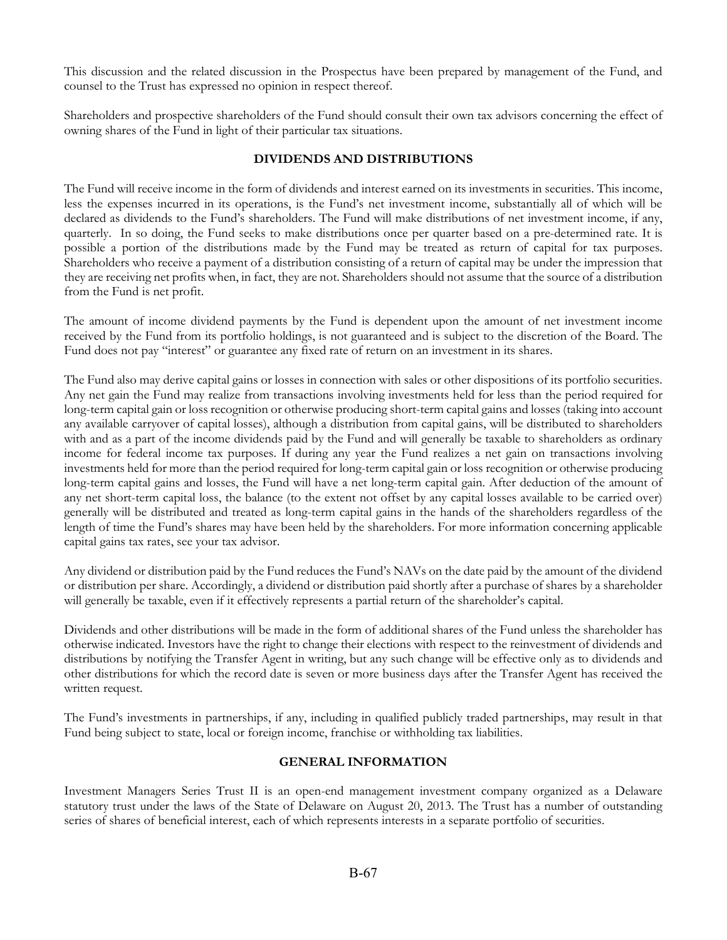This discussion and the related discussion in the Prospectus have been prepared by management of the Fund, and counsel to the Trust has expressed no opinion in respect thereof.

Shareholders and prospective shareholders of the Fund should consult their own tax advisors concerning the effect of owning shares of the Fund in light of their particular tax situations.

#### **DIVIDENDS AND DISTRIBUTIONS**

The Fund will receive income in the form of dividends and interest earned on its investments in securities. This income, less the expenses incurred in its operations, is the Fund's net investment income, substantially all of which will be declared as dividends to the Fund's shareholders. The Fund will make distributions of net investment income, if any, quarterly. In so doing, the Fund seeks to make distributions once per quarter based on a pre-determined rate. It is possible a portion of the distributions made by the Fund may be treated as return of capital for tax purposes. Shareholders who receive a payment of a distribution consisting of a return of capital may be under the impression that they are receiving net profits when, in fact, they are not. Shareholders should not assume that the source of a distribution from the Fund is net profit.

The amount of income dividend payments by the Fund is dependent upon the amount of net investment income received by the Fund from its portfolio holdings, is not guaranteed and is subject to the discretion of the Board. The Fund does not pay "interest" or guarantee any fixed rate of return on an investment in its shares.

The Fund also may derive capital gains or losses in connection with sales or other dispositions of its portfolio securities. Any net gain the Fund may realize from transactions involving investments held for less than the period required for long-term capital gain or loss recognition or otherwise producing short-term capital gains and losses (taking into account any available carryover of capital losses), although a distribution from capital gains, will be distributed to shareholders with and as a part of the income dividends paid by the Fund and will generally be taxable to shareholders as ordinary income for federal income tax purposes. If during any year the Fund realizes a net gain on transactions involving investments held for more than the period required for long-term capital gain or loss recognition or otherwise producing long-term capital gains and losses, the Fund will have a net long-term capital gain. After deduction of the amount of any net short-term capital loss, the balance (to the extent not offset by any capital losses available to be carried over) generally will be distributed and treated as long-term capital gains in the hands of the shareholders regardless of the length of time the Fund's shares may have been held by the shareholders. For more information concerning applicable capital gains tax rates, see your tax advisor.

Any dividend or distribution paid by the Fund reduces the Fund's NAVs on the date paid by the amount of the dividend or distribution per share. Accordingly, a dividend or distribution paid shortly after a purchase of shares by a shareholder will generally be taxable, even if it effectively represents a partial return of the shareholder's capital.

Dividends and other distributions will be made in the form of additional shares of the Fund unless the shareholder has otherwise indicated. Investors have the right to change their elections with respect to the reinvestment of dividends and distributions by notifying the Transfer Agent in writing, but any such change will be effective only as to dividends and other distributions for which the record date is seven or more business days after the Transfer Agent has received the written request.

The Fund's investments in partnerships, if any, including in qualified publicly traded partnerships, may result in that Fund being subject to state, local or foreign income, franchise or withholding tax liabilities.

## **GENERAL INFORMATION**

Investment Managers Series Trust II is an open-end management investment company organized as a Delaware statutory trust under the laws of the State of Delaware on August 20, 2013. The Trust has a number of outstanding series of shares of beneficial interest, each of which represents interests in a separate portfolio of securities.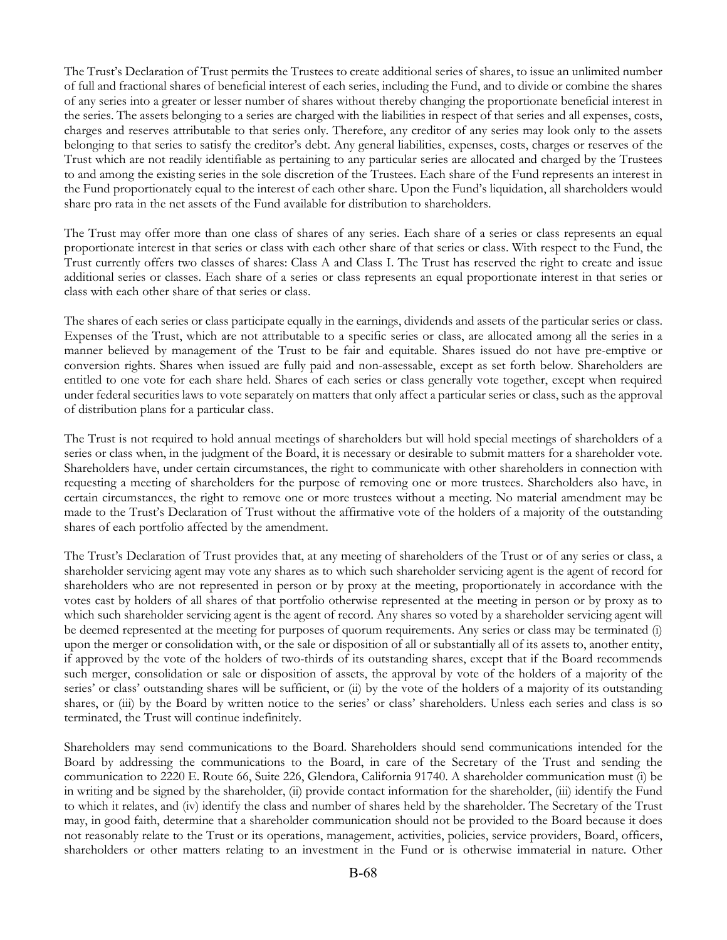The Trust's Declaration of Trust permits the Trustees to create additional series of shares, to issue an unlimited number of full and fractional shares of beneficial interest of each series, including the Fund, and to divide or combine the shares of any series into a greater or lesser number of shares without thereby changing the proportionate beneficial interest in the series. The assets belonging to a series are charged with the liabilities in respect of that series and all expenses, costs, charges and reserves attributable to that series only. Therefore, any creditor of any series may look only to the assets belonging to that series to satisfy the creditor's debt. Any general liabilities, expenses, costs, charges or reserves of the Trust which are not readily identifiable as pertaining to any particular series are allocated and charged by the Trustees to and among the existing series in the sole discretion of the Trustees. Each share of the Fund represents an interest in the Fund proportionately equal to the interest of each other share. Upon the Fund's liquidation, all shareholders would share pro rata in the net assets of the Fund available for distribution to shareholders.

The Trust may offer more than one class of shares of any series. Each share of a series or class represents an equal proportionate interest in that series or class with each other share of that series or class. With respect to the Fund, the Trust currently offers two classes of shares: Class A and Class I. The Trust has reserved the right to create and issue additional series or classes. Each share of a series or class represents an equal proportionate interest in that series or class with each other share of that series or class.

The shares of each series or class participate equally in the earnings, dividends and assets of the particular series or class. Expenses of the Trust, which are not attributable to a specific series or class, are allocated among all the series in a manner believed by management of the Trust to be fair and equitable. Shares issued do not have pre-emptive or conversion rights. Shares when issued are fully paid and non-assessable, except as set forth below. Shareholders are entitled to one vote for each share held. Shares of each series or class generally vote together, except when required under federal securities laws to vote separately on matters that only affect a particular series or class, such as the approval of distribution plans for a particular class.

The Trust is not required to hold annual meetings of shareholders but will hold special meetings of shareholders of a series or class when, in the judgment of the Board, it is necessary or desirable to submit matters for a shareholder vote. Shareholders have, under certain circumstances, the right to communicate with other shareholders in connection with requesting a meeting of shareholders for the purpose of removing one or more trustees. Shareholders also have, in certain circumstances, the right to remove one or more trustees without a meeting. No material amendment may be made to the Trust's Declaration of Trust without the affirmative vote of the holders of a majority of the outstanding shares of each portfolio affected by the amendment.

The Trust's Declaration of Trust provides that, at any meeting of shareholders of the Trust or of any series or class, a shareholder servicing agent may vote any shares as to which such shareholder servicing agent is the agent of record for shareholders who are not represented in person or by proxy at the meeting, proportionately in accordance with the votes cast by holders of all shares of that portfolio otherwise represented at the meeting in person or by proxy as to which such shareholder servicing agent is the agent of record. Any shares so voted by a shareholder servicing agent will be deemed represented at the meeting for purposes of quorum requirements. Any series or class may be terminated (i) upon the merger or consolidation with, or the sale or disposition of all or substantially all of its assets to, another entity, if approved by the vote of the holders of two-thirds of its outstanding shares, except that if the Board recommends such merger, consolidation or sale or disposition of assets, the approval by vote of the holders of a majority of the series' or class' outstanding shares will be sufficient, or (ii) by the vote of the holders of a majority of its outstanding shares, or (iii) by the Board by written notice to the series' or class' shareholders. Unless each series and class is so terminated, the Trust will continue indefinitely.

Shareholders may send communications to the Board. Shareholders should send communications intended for the Board by addressing the communications to the Board, in care of the Secretary of the Trust and sending the communication to 2220 E. Route 66, Suite 226, Glendora, California 91740. A shareholder communication must (i) be in writing and be signed by the shareholder, (ii) provide contact information for the shareholder, (iii) identify the Fund to which it relates, and (iv) identify the class and number of shares held by the shareholder. The Secretary of the Trust may, in good faith, determine that a shareholder communication should not be provided to the Board because it does not reasonably relate to the Trust or its operations, management, activities, policies, service providers, Board, officers, shareholders or other matters relating to an investment in the Fund or is otherwise immaterial in nature. Other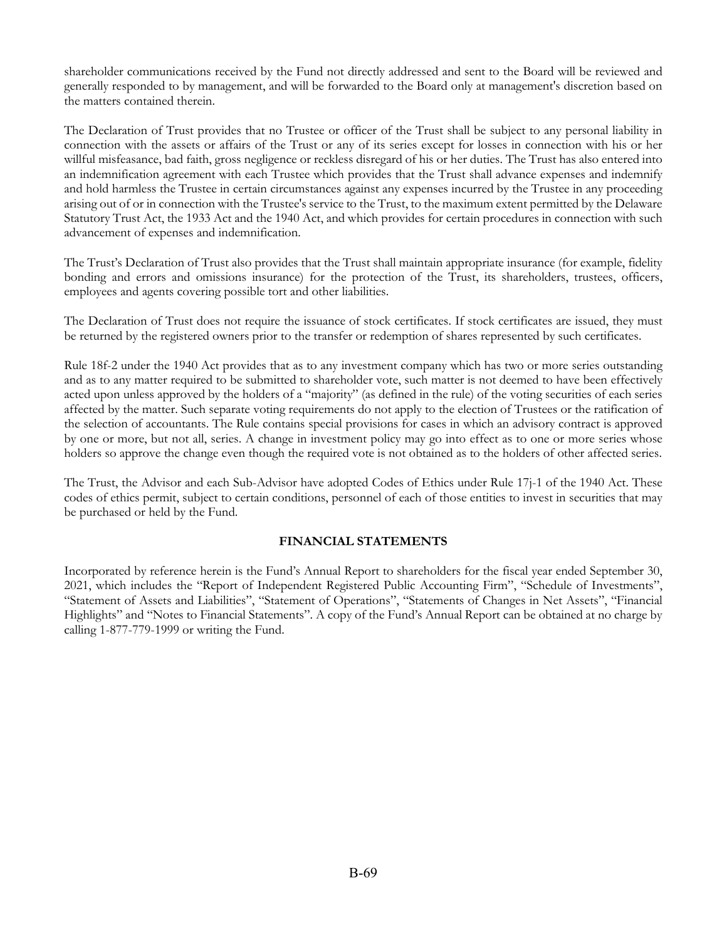shareholder communications received by the Fund not directly addressed and sent to the Board will be reviewed and generally responded to by management, and will be forwarded to the Board only at management's discretion based on the matters contained therein.

The Declaration of Trust provides that no Trustee or officer of the Trust shall be subject to any personal liability in connection with the assets or affairs of the Trust or any of its series except for losses in connection with his or her willful misfeasance, bad faith, gross negligence or reckless disregard of his or her duties. The Trust has also entered into an indemnification agreement with each Trustee which provides that the Trust shall advance expenses and indemnify and hold harmless the Trustee in certain circumstances against any expenses incurred by the Trustee in any proceeding arising out of or in connection with the Trustee's service to the Trust, to the maximum extent permitted by the Delaware Statutory Trust Act, the 1933 Act and the 1940 Act, and which provides for certain procedures in connection with such advancement of expenses and indemnification.

The Trust's Declaration of Trust also provides that the Trust shall maintain appropriate insurance (for example, fidelity bonding and errors and omissions insurance) for the protection of the Trust, its shareholders, trustees, officers, employees and agents covering possible tort and other liabilities.

The Declaration of Trust does not require the issuance of stock certificates. If stock certificates are issued, they must be returned by the registered owners prior to the transfer or redemption of shares represented by such certificates.

Rule 18f-2 under the 1940 Act provides that as to any investment company which has two or more series outstanding and as to any matter required to be submitted to shareholder vote, such matter is not deemed to have been effectively acted upon unless approved by the holders of a "majority" (as defined in the rule) of the voting securities of each series affected by the matter. Such separate voting requirements do not apply to the election of Trustees or the ratification of the selection of accountants. The Rule contains special provisions for cases in which an advisory contract is approved by one or more, but not all, series. A change in investment policy may go into effect as to one or more series whose holders so approve the change even though the required vote is not obtained as to the holders of other affected series.

The Trust, the Advisor and each Sub-Advisor have adopted Codes of Ethics under Rule 17j-1 of the 1940 Act. These codes of ethics permit, subject to certain conditions, personnel of each of those entities to invest in securities that may be purchased or held by the Fund.

## **FINANCIAL STATEMENTS**

Incorporated by reference herein is the Fund's Annual Report to shareholders for the fiscal year ended September 30, 2021, which includes the "Report of Independent Registered Public Accounting Firm", "Schedule of Investments", "Statement of Assets and Liabilities", "Statement of Operations", "Statements of Changes in Net Assets", "Financial Highlights" and "Notes to Financial Statements". A copy of the Fund's Annual Report can be obtained at no charge by calling 1-877-779-1999 or writing the Fund.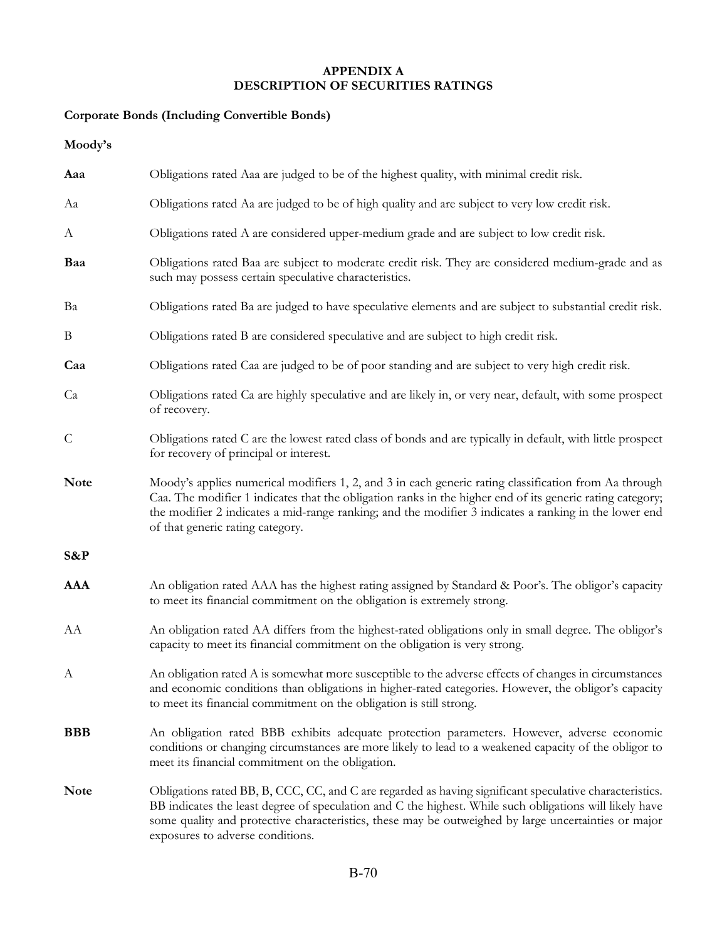## **APPENDIX A DESCRIPTION OF SECURITIES RATINGS**

# **Corporate Bonds (Including Convertible Bonds)**

**Moody's**

| Aaa              | Obligations rated Aaa are judged to be of the highest quality, with minimal credit risk.                                                                                                                                                                                                                                                                        |
|------------------|-----------------------------------------------------------------------------------------------------------------------------------------------------------------------------------------------------------------------------------------------------------------------------------------------------------------------------------------------------------------|
| Aa               | Obligations rated Aa are judged to be of high quality and are subject to very low credit risk.                                                                                                                                                                                                                                                                  |
| A                | Obligations rated A are considered upper-medium grade and are subject to low credit risk.                                                                                                                                                                                                                                                                       |
| Baa              | Obligations rated Baa are subject to moderate credit risk. They are considered medium-grade and as<br>such may possess certain speculative characteristics.                                                                                                                                                                                                     |
| Ba               | Obligations rated Ba are judged to have speculative elements and are subject to substantial credit risk.                                                                                                                                                                                                                                                        |
| $\, {\bf B}$     | Obligations rated B are considered speculative and are subject to high credit risk.                                                                                                                                                                                                                                                                             |
| Caa              | Obligations rated Caa are judged to be of poor standing and are subject to very high credit risk.                                                                                                                                                                                                                                                               |
| Ca               | Obligations rated Ca are highly speculative and are likely in, or very near, default, with some prospect<br>of recovery.                                                                                                                                                                                                                                        |
| $\mathsf{C}$     | Obligations rated C are the lowest rated class of bonds and are typically in default, with little prospect<br>for recovery of principal or interest.                                                                                                                                                                                                            |
| <b>Note</b>      | Moody's applies numerical modifiers 1, 2, and 3 in each generic rating classification from Aa through<br>Caa. The modifier 1 indicates that the obligation ranks in the higher end of its generic rating category;<br>the modifier 2 indicates a mid-range ranking; and the modifier 3 indicates a ranking in the lower end<br>of that generic rating category. |
| S&P              |                                                                                                                                                                                                                                                                                                                                                                 |
| <b>AAA</b>       | An obligation rated AAA has the highest rating assigned by Standard & Poor's. The obligor's capacity<br>to meet its financial commitment on the obligation is extremely strong.                                                                                                                                                                                 |
| AA               | An obligation rated AA differs from the highest-rated obligations only in small degree. The obligor's<br>capacity to meet its financial commitment on the obligation is very strong.                                                                                                                                                                            |
| $\boldsymbol{A}$ | An obligation rated A is somewhat more susceptible to the adverse effects of changes in circumstances<br>and economic conditions than obligations in higher-rated categories. However, the obligor's capacity<br>to meet its financial commitment on the obligation is still strong.                                                                            |
| <b>BBB</b>       | An obligation rated BBB exhibits adequate protection parameters. However, adverse economic<br>conditions or changing circumstances are more likely to lead to a weakened capacity of the obligor to<br>meet its financial commitment on the obligation.                                                                                                         |
| <b>Note</b>      | Obligations rated BB, B, CCC, CC, and C are regarded as having significant speculative characteristics.<br>BB indicates the least degree of speculation and C the highest. While such obligations will likely have<br>some quality and protective characteristics, these may be outweighed by large uncertainties or major<br>exposures to adverse conditions.  |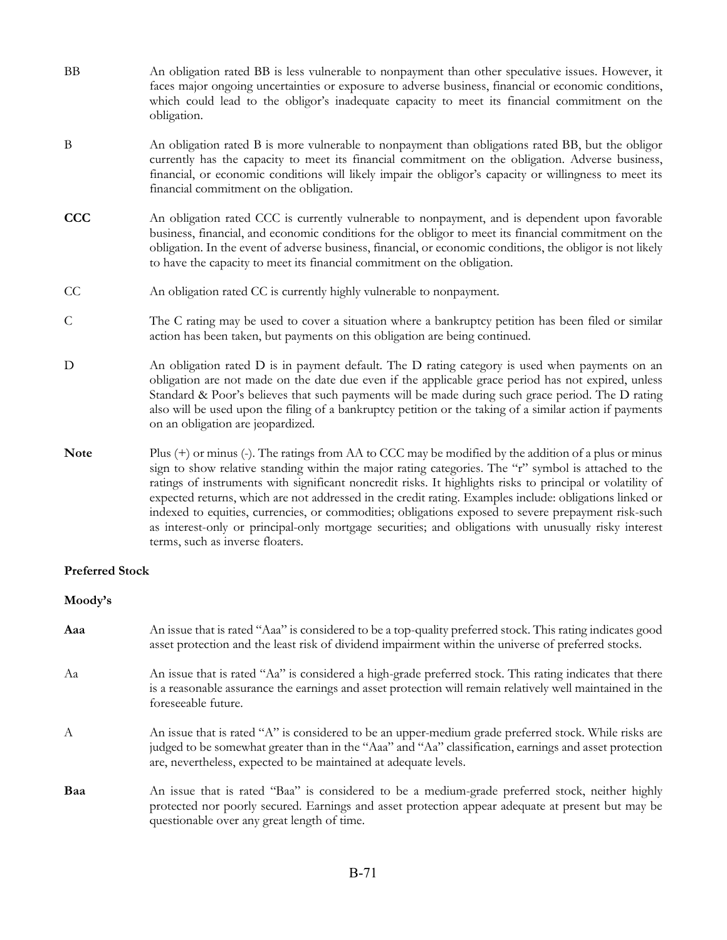| <b>BB</b>     | An obligation rated BB is less vulnerable to nonpayment than other speculative issues. However, it<br>faces major ongoing uncertainties or exposure to adverse business, financial or economic conditions,<br>which could lead to the obligor's inadequate capacity to meet its financial commitment on the<br>obligation.                                                                                                                                                                                                                                                                                                                                                                     |
|---------------|------------------------------------------------------------------------------------------------------------------------------------------------------------------------------------------------------------------------------------------------------------------------------------------------------------------------------------------------------------------------------------------------------------------------------------------------------------------------------------------------------------------------------------------------------------------------------------------------------------------------------------------------------------------------------------------------|
| B             | An obligation rated B is more vulnerable to nonpayment than obligations rated BB, but the obligor<br>currently has the capacity to meet its financial commitment on the obligation. Adverse business,<br>financial, or economic conditions will likely impair the obligor's capacity or willingness to meet its<br>financial commitment on the obligation.                                                                                                                                                                                                                                                                                                                                     |
| CCC           | An obligation rated CCC is currently vulnerable to nonpayment, and is dependent upon favorable<br>business, financial, and economic conditions for the obligor to meet its financial commitment on the<br>obligation. In the event of adverse business, financial, or economic conditions, the obligor is not likely<br>to have the capacity to meet its financial commitment on the obligation.                                                                                                                                                                                                                                                                                               |
| CC            | An obligation rated CC is currently highly vulnerable to nonpayment.                                                                                                                                                                                                                                                                                                                                                                                                                                                                                                                                                                                                                           |
| $\mathcal{C}$ | The C rating may be used to cover a situation where a bankruptcy petition has been filed or similar<br>action has been taken, but payments on this obligation are being continued.                                                                                                                                                                                                                                                                                                                                                                                                                                                                                                             |
| D             | An obligation rated D is in payment default. The D rating category is used when payments on an<br>obligation are not made on the date due even if the applicable grace period has not expired, unless<br>Standard & Poor's believes that such payments will be made during such grace period. The D rating<br>also will be used upon the filing of a bankruptcy petition or the taking of a similar action if payments<br>on an obligation are jeopardized.                                                                                                                                                                                                                                    |
| <b>Note</b>   | Plus $(+)$ or minus $(.)$ . The ratings from AA to CCC may be modified by the addition of a plus or minus<br>sign to show relative standing within the major rating categories. The "r" symbol is attached to the<br>ratings of instruments with significant noncredit risks. It highlights risks to principal or volatility of<br>expected returns, which are not addressed in the credit rating. Examples include: obligations linked or<br>indexed to equities, currencies, or commodities; obligations exposed to severe prepayment risk-such<br>as interest-only or principal-only mortgage securities; and obligations with unusually risky interest<br>terms, such as inverse floaters. |

# **Preferred Stock**

# **Moody's**

| Aaa          | An issue that is rated "Aaa" is considered to be a top-quality preferred stock. This rating indicates good<br>asset protection and the least risk of dividend impairment within the universe of preferred stocks.                                                                   |
|--------------|-------------------------------------------------------------------------------------------------------------------------------------------------------------------------------------------------------------------------------------------------------------------------------------|
| Aa           | An issue that is rated "Aa" is considered a high-grade preferred stock. This rating indicates that there<br>is a reasonable assurance the earnings and asset protection will remain relatively well maintained in the<br>foreseeable future.                                        |
| $\mathbf{A}$ | An issue that is rated "A" is considered to be an upper-medium grade preferred stock. While risks are<br>judged to be somewhat greater than in the "Aaa" and "Aa" classification, earnings and asset protection<br>are, nevertheless, expected to be maintained at adequate levels. |
| Baa          | An issue that is rated "Baa" is considered to be a medium-grade preferred stock, neither highly<br>protected nor poorly secured. Earnings and asset protection appear adequate at present but may be<br>questionable over any great length of time.                                 |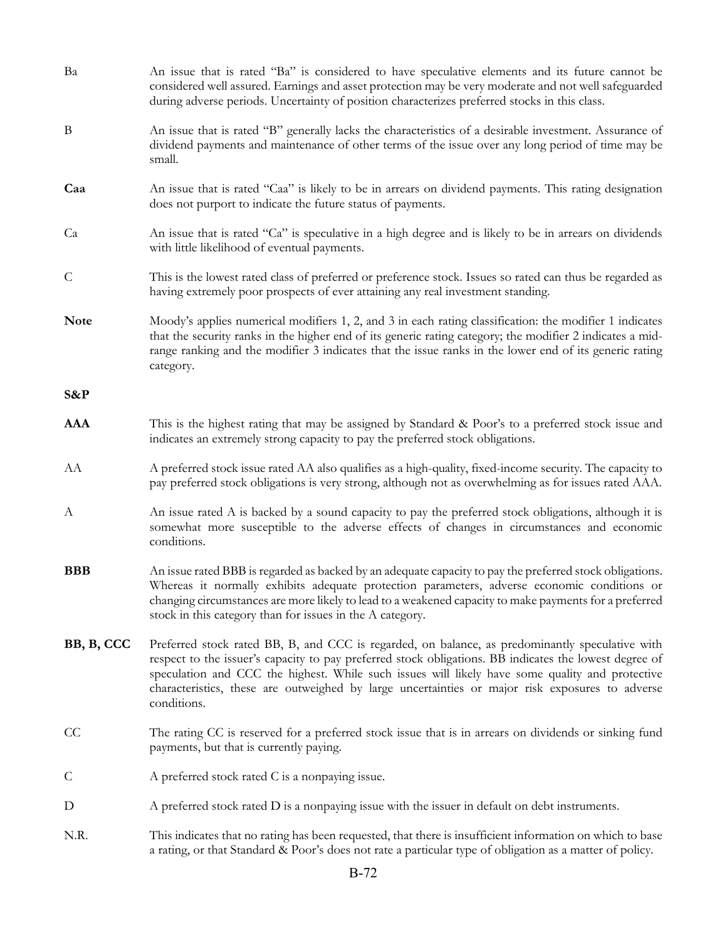| Ba            | An issue that is rated "Ba" is considered to have speculative elements and its future cannot be<br>considered well assured. Earnings and asset protection may be very moderate and not well safeguarded<br>during adverse periods. Uncertainty of position characterizes preferred stocks in this class.                                                                                                                       |
|---------------|--------------------------------------------------------------------------------------------------------------------------------------------------------------------------------------------------------------------------------------------------------------------------------------------------------------------------------------------------------------------------------------------------------------------------------|
| B             | An issue that is rated "B" generally lacks the characteristics of a desirable investment. Assurance of<br>dividend payments and maintenance of other terms of the issue over any long period of time may be<br>small.                                                                                                                                                                                                          |
| Caa           | An issue that is rated "Caa" is likely to be in arrears on dividend payments. This rating designation<br>does not purport to indicate the future status of payments.                                                                                                                                                                                                                                                           |
| Ca            | An issue that is rated "Ca" is speculative in a high degree and is likely to be in arrears on dividends<br>with little likelihood of eventual payments.                                                                                                                                                                                                                                                                        |
| $\mathcal{C}$ | This is the lowest rated class of preferred or preference stock. Issues so rated can thus be regarded as<br>having extremely poor prospects of ever attaining any real investment standing.                                                                                                                                                                                                                                    |
| <b>Note</b>   | Moody's applies numerical modifiers 1, 2, and 3 in each rating classification: the modifier 1 indicates<br>that the security ranks in the higher end of its generic rating category; the modifier 2 indicates a mid-<br>range ranking and the modifier 3 indicates that the issue ranks in the lower end of its generic rating<br>category.                                                                                    |
| S&P           |                                                                                                                                                                                                                                                                                                                                                                                                                                |
| <b>AAA</b>    | This is the highest rating that may be assigned by Standard & Poor's to a preferred stock issue and<br>indicates an extremely strong capacity to pay the preferred stock obligations.                                                                                                                                                                                                                                          |
| AA            | A preferred stock issue rated AA also qualifies as a high-quality, fixed-income security. The capacity to<br>pay preferred stock obligations is very strong, although not as overwhelming as for issues rated AAA.                                                                                                                                                                                                             |
| A             | An issue rated A is backed by a sound capacity to pay the preferred stock obligations, although it is<br>somewhat more susceptible to the adverse effects of changes in circumstances and economic<br>conditions.                                                                                                                                                                                                              |
| <b>BBB</b>    | An issue rated BBB is regarded as backed by an adequate capacity to pay the preferred stock obligations.<br>Whereas it normally exhibits adequate protection parameters, adverse economic conditions or<br>changing circumstances are more likely to lead to a weakened capacity to make payments for a preferred<br>stock in this category than for issues in the A category.                                                 |
| BB, B, CCC    | Preferred stock rated BB, B, and CCC is regarded, on balance, as predominantly speculative with<br>respect to the issuer's capacity to pay preferred stock obligations. BB indicates the lowest degree of<br>speculation and CCC the highest. While such issues will likely have some quality and protective<br>characteristics, these are outweighed by large uncertainties or major risk exposures to adverse<br>conditions. |
| CC            | The rating CC is reserved for a preferred stock issue that is in arrears on dividends or sinking fund<br>payments, but that is currently paying.                                                                                                                                                                                                                                                                               |
| $\mathcal{C}$ | A preferred stock rated C is a nonpaying issue.                                                                                                                                                                                                                                                                                                                                                                                |
| D             | A preferred stock rated D is a nonpaying issue with the issuer in default on debt instruments.                                                                                                                                                                                                                                                                                                                                 |
| N.R.          | This indicates that no rating has been requested, that there is insufficient information on which to base<br>a rating, or that Standard & Poor's does not rate a particular type of obligation as a matter of policy.                                                                                                                                                                                                          |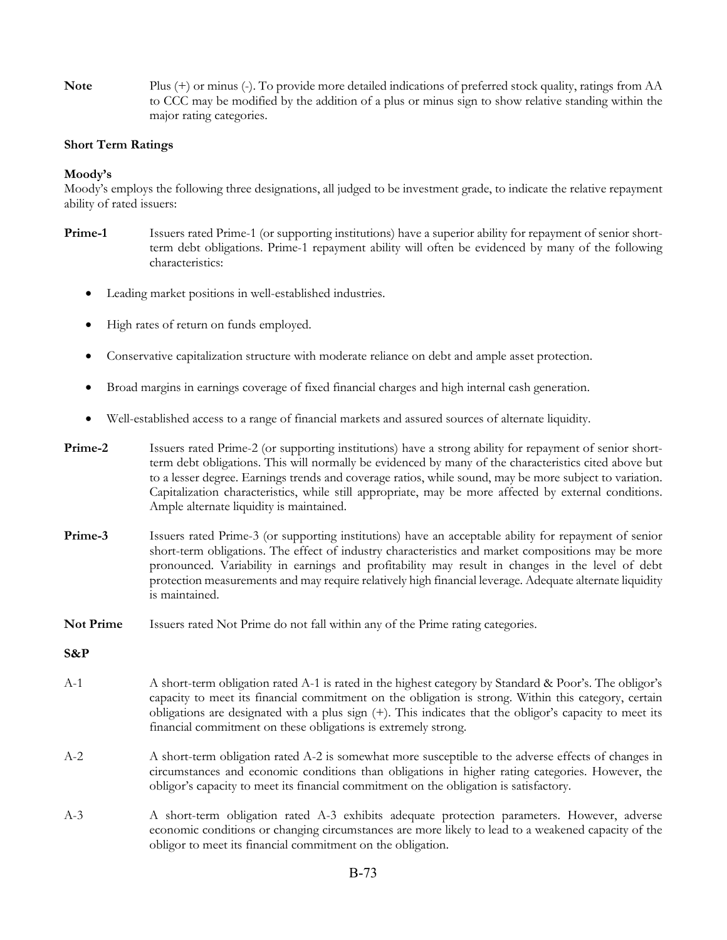**Note** Plus (+) or minus (-). To provide more detailed indications of preferred stock quality, ratings from AA to CCC may be modified by the addition of a plus or minus sign to show relative standing within the major rating categories.

### **Short Term Ratings**

### **Moody's**

Moody's employs the following three designations, all judged to be investment grade, to indicate the relative repayment ability of rated issuers:

- **Prime-1** Issuers rated Prime-1 (or supporting institutions) have a superior ability for repayment of senior shortterm debt obligations. Prime-1 repayment ability will often be evidenced by many of the following characteristics:
	- Leading market positions in well-established industries.
	- High rates of return on funds employed.
	- Conservative capitalization structure with moderate reliance on debt and ample asset protection.
	- Broad margins in earnings coverage of fixed financial charges and high internal cash generation.
	- Well-established access to a range of financial markets and assured sources of alternate liquidity.

| Prime-2   | Issuers rated Prime-2 (or supporting institutions) have a strong ability for repayment of senior short-<br>term debt obligations. This will normally be evidenced by many of the characteristics cited above but<br>to a lesser degree. Earnings trends and coverage ratios, while sound, may be more subject to variation.<br>Capitalization characteristics, while still appropriate, may be more affected by external conditions.<br>Ample alternate liquidity is maintained. |
|-----------|----------------------------------------------------------------------------------------------------------------------------------------------------------------------------------------------------------------------------------------------------------------------------------------------------------------------------------------------------------------------------------------------------------------------------------------------------------------------------------|
| Prime-3   | Issuers rated Prime-3 (or supporting institutions) have an acceptable ability for repayment of senior<br>short-term obligations. The effect of industry characteristics and market compositions may be more<br>pronounced. Variability in earnings and profitability may result in changes in the level of debt<br>protection measurements and may require relatively high financial leverage. Adequate alternate liquidity<br>is maintained.                                    |
| Not Prime | Issuers rated Not Prime do not fall within any of the Prime rating categories.                                                                                                                                                                                                                                                                                                                                                                                                   |
| S&P       |                                                                                                                                                                                                                                                                                                                                                                                                                                                                                  |
| $A-1$     | A short-term obligation rated A-1 is rated in the highest category by Standard & Poor's. The obligor's<br>capacity to meet its financial commitment on the obligation is strong. Within this category, certain<br>obligations are designated with a plus sign $(+)$ . This indicates that the obligor's capacity to meet its<br>financial commitment on these obligations is extremely strong.                                                                                   |
| $A-2$     | A short-term obligation rated A-2 is somewhat more susceptible to the adverse effects of changes in<br>circumstances and economic conditions than obligations in higher rating categories. However, the<br>obligor's capacity to meet its financial commitment on the obligation is satisfactory.                                                                                                                                                                                |

A-3 A short-term obligation rated A-3 exhibits adequate protection parameters. However, adverse economic conditions or changing circumstances are more likely to lead to a weakened capacity of the obligor to meet its financial commitment on the obligation.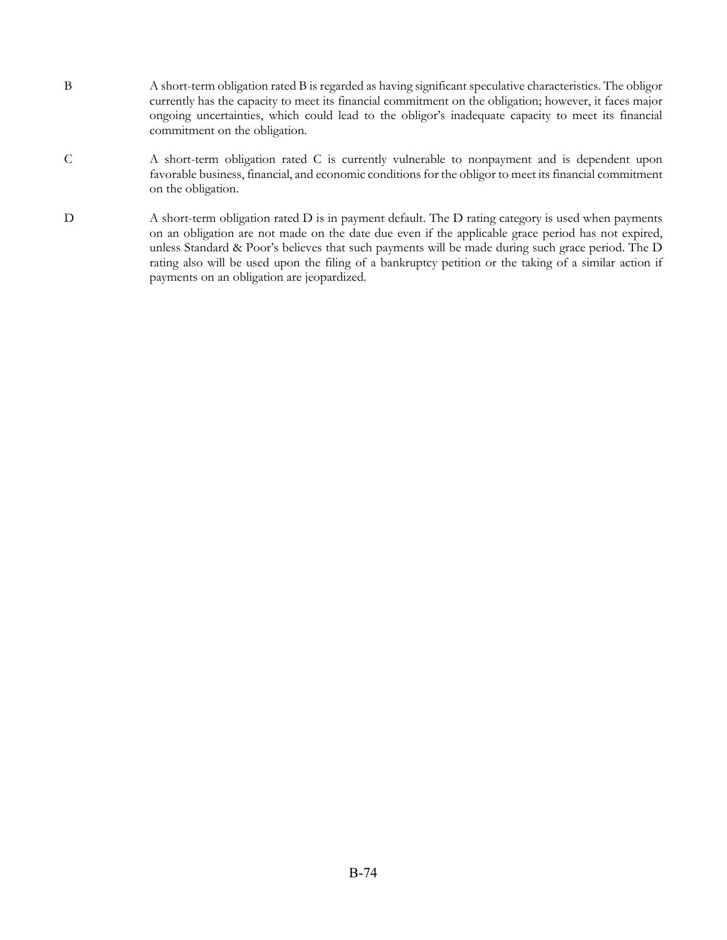- B A short-term obligation rated B is regarded as having significant speculative characteristics. The obligor currently has the capacity to meet its financial commitment on the obligation; however, it faces major ongoing uncertainties, which could lead to the obligor's inadequate capacity to meet its financial commitment on the obligation.
- C A short-term obligation rated C is currently vulnerable to nonpayment and is dependent upon favorable business, financial, and economic conditions for the obligor to meet its financial commitment on the obligation.
- D A short-term obligation rated D is in payment default. The D rating category is used when payments on an obligation are not made on the date due even if the applicable grace period has not expired, unless Standard & Poor's believes that such payments will be made during such grace period. The D rating also will be used upon the filing of a bankruptcy petition or the taking of a similar action if payments on an obligation are jeopardized.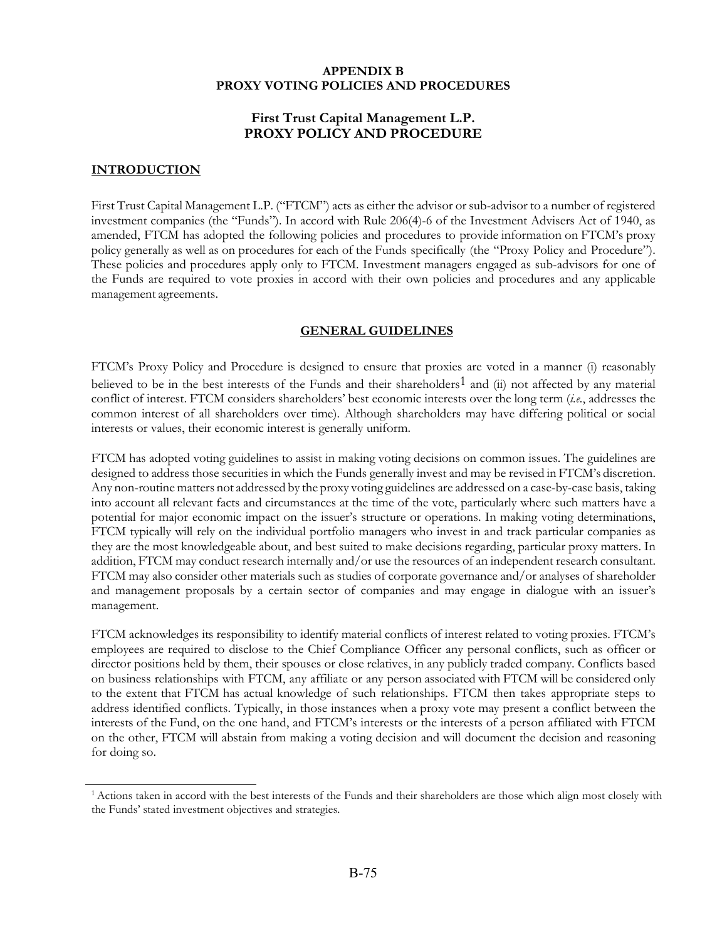### **APPENDIX B PROXY VOTING POLICIES AND PROCEDURES**

# **First Trust Capital Management L.P. PROXY POLICY AND PROCEDURE**

#### **INTRODUCTION**

First Trust Capital Management L.P. ("FTCM") acts as either the advisor or sub-advisor to a number of registered investment companies (the "Funds"). In accord with Rule 206(4)-6 of the Investment Advisers Act of 1940, as amended, FTCM has adopted the following policies and procedures to provide information on FTCM's proxy policy generally as well as on procedures for each of the Funds specifically (the "Proxy Policy and Procedure"). These policies and procedures apply only to FTCM. Investment managers engaged as sub-advisors for one of the Funds are required to vote proxies in accord with their own policies and procedures and any applicable management agreements.

#### **GENERAL GUIDELINES**

FTCM's Proxy Policy and Procedure is designed to ensure that proxies are voted in a manner (i) reasonably believed to be in the best interests of the Funds and their shareholders<sup>1</sup> and (ii) not affected by any material conflict of interest. FTCM considers shareholders' best economic interests over the long term (*i.e.*, addresses the common interest of all shareholders over time). Although shareholders may have differing political or social interests or values, their economic interest is generally uniform.

FTCM has adopted voting guidelines to assist in making voting decisions on common issues. The guidelines are designed to address those securities in which the Funds generally invest and may be revised in FTCM's discretion. Any non-routine matters not addressed by the proxy voting guidelines are addressed on a case-by-case basis, taking into account all relevant facts and circumstances at the time of the vote, particularly where such matters have a potential for major economic impact on the issuer's structure or operations. In making voting determinations, FTCM typically will rely on the individual portfolio managers who invest in and track particular companies as they are the most knowledgeable about, and best suited to make decisions regarding, particular proxy matters. In addition, FTCM may conduct research internally and/or use the resources of an independent research consultant. FTCM may also consider other materials such as studies of corporate governance and/or analyses of shareholder and management proposals by a certain sector of companies and may engage in dialogue with an issuer's management.

FTCM acknowledges its responsibility to identify material conflicts of interest related to voting proxies. FTCM's employees are required to disclose to the Chief Compliance Officer any personal conflicts, such as officer or director positions held by them, their spouses or close relatives, in any publicly traded company. Conflicts based on business relationships with FTCM, any affiliate or any person associated with FTCM will be considered only to the extent that FTCM has actual knowledge of such relationships. FTCM then takes appropriate steps to address identified conflicts. Typically, in those instances when a proxy vote may present a conflict between the interests of the Fund, on the one hand, and FTCM's interests or the interests of a person affiliated with FTCM on the other, FTCM will abstain from making a voting decision and will document the decision and reasoning for doing so.

<sup>1</sup> Actions taken in accord with the best interests of the Funds and their shareholders are those which align most closely with the Funds' stated investment objectives and strategies.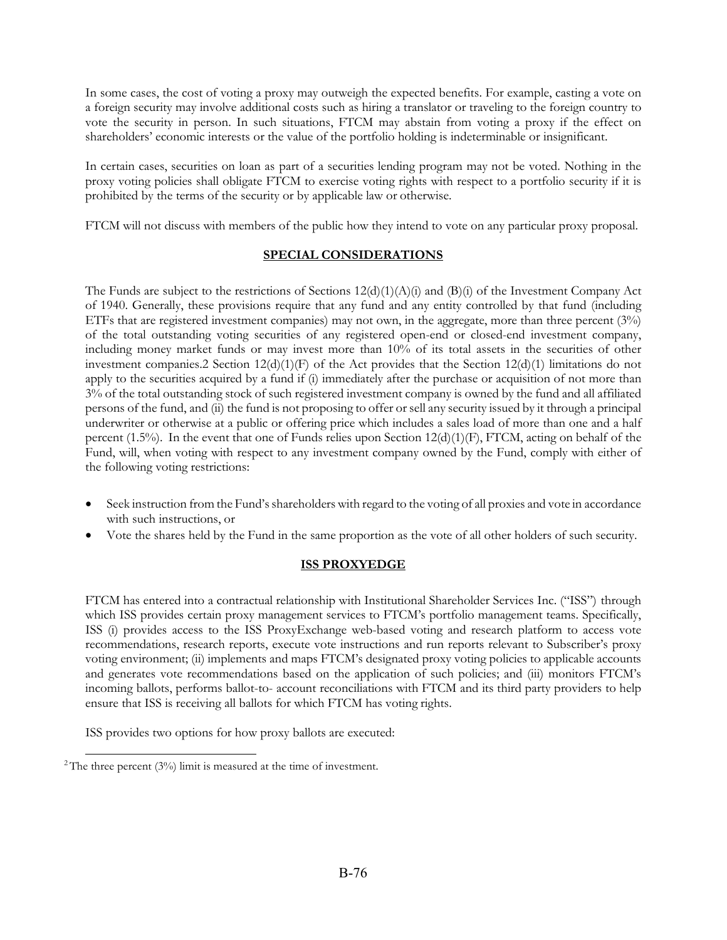In some cases, the cost of voting a proxy may outweigh the expected benefits. For example, casting a vote on a foreign security may involve additional costs such as hiring a translator or traveling to the foreign country to vote the security in person. In such situations, FTCM may abstain from voting a proxy if the effect on shareholders' economic interests or the value of the portfolio holding is indeterminable or insignificant.

In certain cases, securities on loan as part of a securities lending program may not be voted. Nothing in the proxy voting policies shall obligate FTCM to exercise voting rights with respect to a portfolio security if it is prohibited by the terms of the security or by applicable law or otherwise.

FTCM will not discuss with members of the public how they intend to vote on any particular proxy proposal.

# **SPECIAL CONSIDERATIONS**

The Funds are subject to the restrictions of Sections  $12(d)(1)(A)(i)$  and  $(B)(i)$  of the Investment Company Act of 1940. Generally, these provisions require that any fund and any entity controlled by that fund (including ETFs that are registered investment companies) may not own, in the aggregate, more than three percent (3%) of the total outstanding voting securities of any registered open-end or closed-end investment company, including money market funds or may invest more than 10% of its total assets in the securities of other investment companies.2 Section  $12(d)(1)(F)$  of the Act provides that the Section  $12(d)(1)$  limitations do not apply to the securities acquired by a fund if (i) immediately after the purchase or acquisition of not more than 3% of the total outstanding stock of such registered investment company is owned by the fund and all affiliated persons of the fund, and (ii) the fund is not proposing to offer or sell any security issued by it through a principal underwriter or otherwise at a public or offering price which includes a sales load of more than one and a half percent (1.5%). In the event that one of Funds relies upon Section 12(d)(1)(F), FTCM, acting on behalf of the Fund, will, when voting with respect to any investment company owned by the Fund, comply with either of the following voting restrictions:

- Seek instruction from the Fund's shareholders with regard to the voting of all proxies and vote in accordance with such instructions, or
- Vote the shares held by the Fund in the same proportion as the vote of all other holders of such security.

# **ISS PROXYEDGE**

FTCM has entered into a contractual relationship with Institutional Shareholder Services Inc. ("ISS") through which ISS provides certain proxy management services to FTCM's portfolio management teams. Specifically, ISS (i) provides access to the ISS ProxyExchange web-based voting and research platform to access vote recommendations, research reports, execute vote instructions and run reports relevant to Subscriber's proxy voting environment; (ii) implements and maps FTCM's designated proxy voting policies to applicable accounts and generates vote recommendations based on the application of such policies; and (iii) monitors FTCM's incoming ballots, performs ballot-to- account reconciliations with FTCM and its third party providers to help ensure that ISS is receiving all ballots for which FTCM has voting rights.

ISS provides two options for how proxy ballots are executed:

 $2$ The three percent (3%) limit is measured at the time of investment.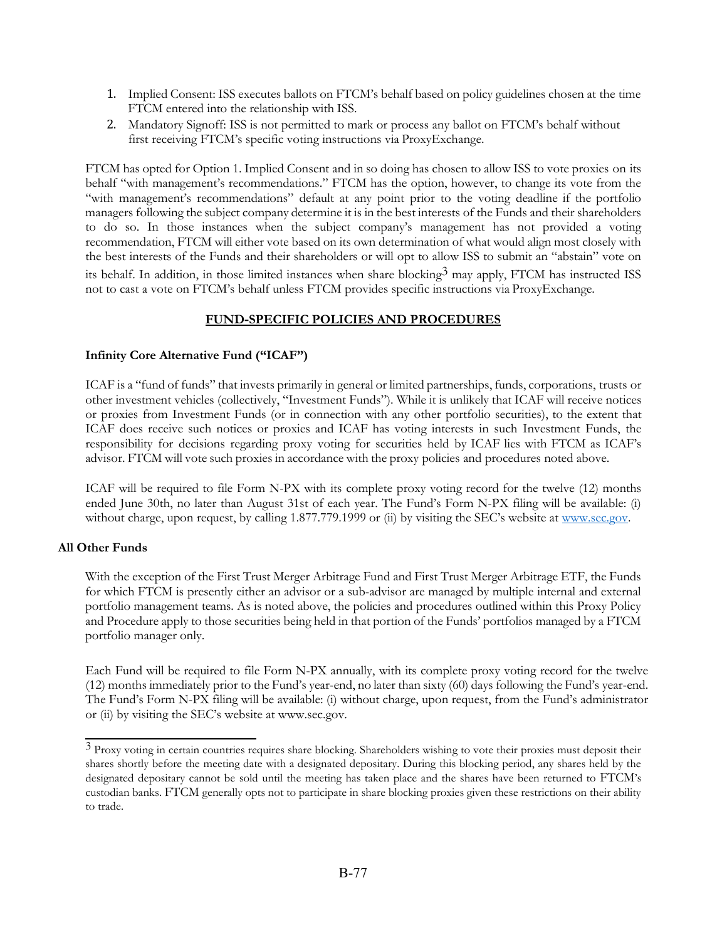- 1. Implied Consent: ISS executes ballots on FTCM's behalf based on policy guidelines chosen at the time FTCM entered into the relationship with ISS.
- 2. Mandatory Signoff: ISS is not permitted to mark or process any ballot on FTCM's behalf without first receiving FTCM's specific voting instructions via ProxyExchange.

FTCM has opted for Option 1. Implied Consent and in so doing has chosen to allow ISS to vote proxies on its behalf "with management's recommendations." FTCM has the option, however, to change its vote from the "with management's recommendations" default at any point prior to the voting deadline if the portfolio managers following the subject company determine it is in the best interests of the Funds and their shareholders to do so. In those instances when the subject company's management has not provided a voting recommendation, FTCM will either vote based on its own determination of what would align most closely with the best interests of the Funds and their shareholders or will opt to allow ISS to submit an "abstain" vote on its behalf. In addition, in those limited instances when share blocking<sup>3</sup> may apply, FTCM has instructed ISS not to cast a vote on FTCM's behalf unless FTCM provides specific instructions via ProxyExchange.

## **FUND‐SPECIFIC POLICIES AND PROCEDURES**

## **Infinity Core Alternative Fund ("ICAF")**

ICAF is a "fund of funds" that invests primarily in general or limited partnerships, funds, corporations, trusts or other investment vehicles (collectively, "Investment Funds"). While it is unlikely that ICAF will receive notices or proxies from Investment Funds (or in connection with any other portfolio securities), to the extent that ICAF does receive such notices or proxies and ICAF has voting interests in such Investment Funds, the responsibility for decisions regarding proxy voting for securities held by ICAF lies with FTCM as ICAF's advisor. FTCM will vote such proxies in accordance with the proxy policies and procedures noted above.

ICAF will be required to file Form N-PX with its complete proxy voting record for the twelve (12) months ended June 30th, no later than August 31st of each year. The Fund's Form N-PX filing will be available: (i) without charge, upon request, by calling 1.877.779.1999 or (ii) by visiting the SEC's website at www.sec.gov.

## **All Other Funds**

With the exception of the First Trust Merger Arbitrage Fund and First Trust Merger Arbitrage ETF, the Funds for which FTCM is presently either an advisor or a sub-advisor are managed by multiple internal and external portfolio management teams. As is noted above, the policies and procedures outlined within this Proxy Policy and Procedure apply to those securities being held in that portion of the Funds' portfolios managed by a FTCM portfolio manager only.

Each Fund will be required to file Form N-PX annually, with its complete proxy voting record for the twelve (12) months immediately prior to the Fund's year-end, no later than sixty (60) days following the Fund's year-end. The Fund's Form N-PX filing will be available: (i) without charge, upon request, from the Fund's administrator or (ii) by visiting the SEC's website at www.sec.gov.

 $\frac{3}{3}$  Proxy voting in certain countries requires share blocking. Shareholders wishing to vote their proxies must deposit their shares shortly before the meeting date with a designated depositary. During this blocking period, any shares held by the designated depositary cannot be sold until the meeting has taken place and the shares have been returned to FTCM's custodian banks. FTCM generally opts not to participate in share blocking proxies given these restrictions on their ability to trade.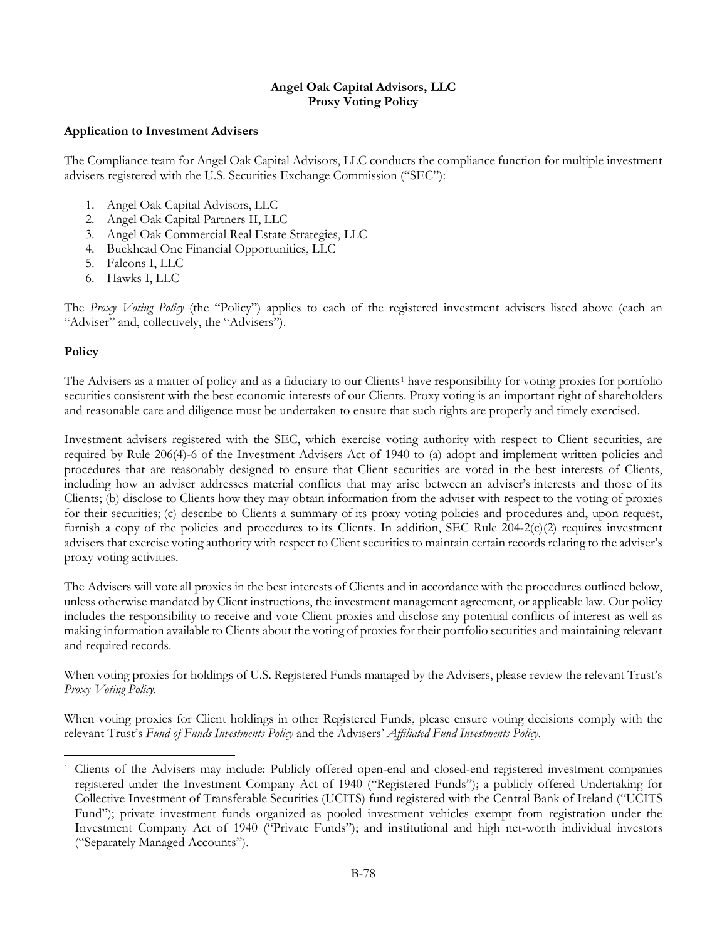## **Angel Oak Capital Advisors, LLC Proxy Voting Policy**

## **Application to Investment Advisers**

The Compliance team for Angel Oak Capital Advisors, LLC conducts the compliance function for multiple investment advisers registered with the U.S. Securities Exchange Commission ("SEC"):

- 1. Angel Oak Capital Advisors, LLC
- 2. Angel Oak Capital Partners II, LLC
- 3. Angel Oak Commercial Real Estate Strategies, LLC
- 4. Buckhead One Financial Opportunities, LLC
- 5. Falcons I, LLC
- 6. Hawks I, LLC

The *Proxy Voting Policy* (the "Policy") applies to each of the registered investment advisers listed above (each an "Adviser" and, collectively, the "Advisers").

# **Policy**

The Advisers as a matter of policy and as a fiduciary to our Clients<sup>1</sup> have responsibility for voting proxies for portfolio securities consistent with the best economic interests of our Clients. Proxy voting is an important right of shareholders and reasonable care and diligence must be undertaken to ensure that such rights are properly and timely exercised.

Investment advisers registered with the SEC, which exercise voting authority with respect to Client securities, are required by Rule 206(4)-6 of the Investment Advisers Act of 1940 to (a) adopt and implement written policies and procedures that are reasonably designed to ensure that Client securities are voted in the best interests of Clients, including how an adviser addresses material conflicts that may arise between an adviser's interests and those of its Clients; (b) disclose to Clients how they may obtain information from the adviser with respect to the voting of proxies for their securities; (c) describe to Clients a summary of its proxy voting policies and procedures and, upon request, furnish a copy of the policies and procedures to its Clients. In addition, SEC Rule 204-2(c)(2) requires investment advisers that exercise voting authority with respect to Client securities to maintain certain records relating to the adviser's proxy voting activities.

The Advisers will vote all proxies in the best interests of Clients and in accordance with the procedures outlined below, unless otherwise mandated by Client instructions, the investment management agreement, or applicable law. Our policy includes the responsibility to receive and vote Client proxies and disclose any potential conflicts of interest as well as making information available to Clients about the voting of proxies for their portfolio securities and maintaining relevant and required records.

When voting proxies for holdings of U.S. Registered Funds managed by the Advisers, please review the relevant Trust's *Proxy Voting Policy*.

When voting proxies for Client holdings in other Registered Funds, please ensure voting decisions comply with the relevant Trust's *Fund of Funds Investments Policy* and the Advisers' *Affiliated Fund Investments Policy*.

<span id="page-77-0"></span><sup>1</sup> Clients of the Advisers may include: Publicly offered open-end and closed-end registered investment companies registered under the Investment Company Act of 1940 ("Registered Funds"); a publicly offered Undertaking for Collective Investment of Transferable Securities (UCITS) fund registered with the Central Bank of Ireland ("UCITS Fund"); private investment funds organized as pooled investment vehicles exempt from registration under the Investment Company Act of 1940 ("Private Funds"); and institutional and high net-worth individual investors ("Separately Managed Accounts").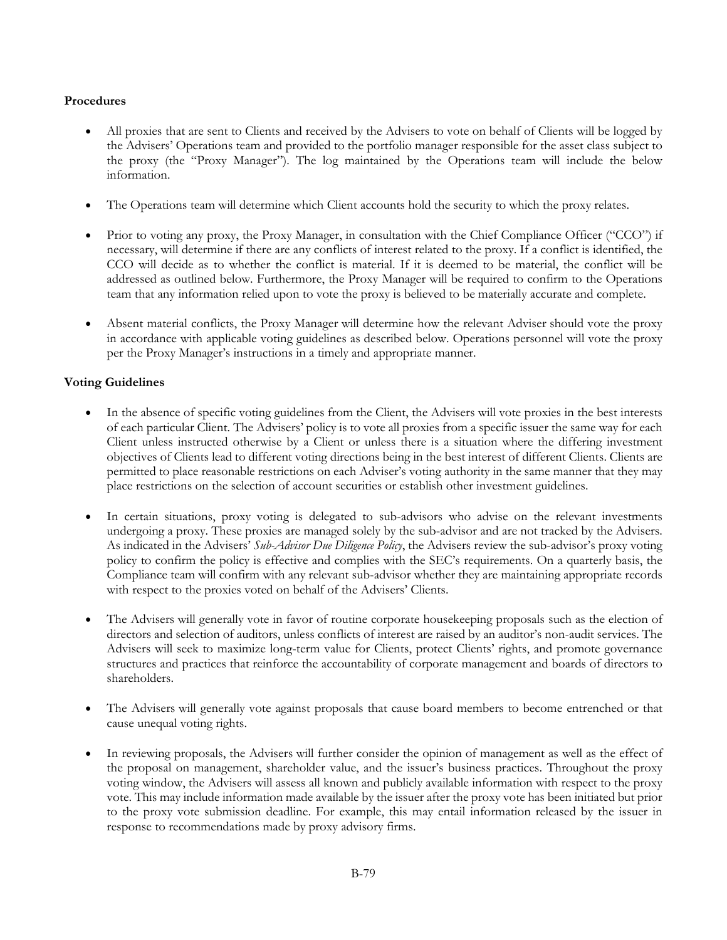# **Procedures**

- All proxies that are sent to Clients and received by the Advisers to vote on behalf of Clients will be logged by the Advisers' Operations team and provided to the portfolio manager responsible for the asset class subject to the proxy (the "Proxy Manager"). The log maintained by the Operations team will include the below information.
- The Operations team will determine which Client accounts hold the security to which the proxy relates.
- Prior to voting any proxy, the Proxy Manager, in consultation with the Chief Compliance Officer ("CCO") if necessary, will determine if there are any conflicts of interest related to the proxy. If a conflict is identified, the CCO will decide as to whether the conflict is material. If it is deemed to be material, the conflict will be addressed as outlined below. Furthermore, the Proxy Manager will be required to confirm to the Operations team that any information relied upon to vote the proxy is believed to be materially accurate and complete.
- Absent material conflicts, the Proxy Manager will determine how the relevant Adviser should vote the proxy in accordance with applicable voting guidelines as described below. Operations personnel will vote the proxy per the Proxy Manager's instructions in a timely and appropriate manner.

## **Voting Guidelines**

- In the absence of specific voting guidelines from the Client, the Advisers will vote proxies in the best interests of each particular Client. The Advisers' policy is to vote all proxies from a specific issuer the same way for each Client unless instructed otherwise by a Client or unless there is a situation where the differing investment objectives of Clients lead to different voting directions being in the best interest of different Clients. Clients are permitted to place reasonable restrictions on each Adviser's voting authority in the same manner that they may place restrictions on the selection of account securities or establish other investment guidelines.
- In certain situations, proxy voting is delegated to sub-advisors who advise on the relevant investments undergoing a proxy. These proxies are managed solely by the sub-advisor and are not tracked by the Advisers. As indicated in the Advisers' *Sub-Advisor Due Diligence Policy*, the Advisers review the sub-advisor's proxy voting policy to confirm the policy is effective and complies with the SEC's requirements. On a quarterly basis, the Compliance team will confirm with any relevant sub-advisor whether they are maintaining appropriate records with respect to the proxies voted on behalf of the Advisers' Clients.
- The Advisers will generally vote in favor of routine corporate housekeeping proposals such as the election of directors and selection of auditors, unless conflicts of interest are raised by an auditor's non-audit services. The Advisers will seek to maximize long-term value for Clients, protect Clients' rights, and promote governance structures and practices that reinforce the accountability of corporate management and boards of directors to shareholders.
- The Advisers will generally vote against proposals that cause board members to become entrenched or that cause unequal voting rights.
- In reviewing proposals, the Advisers will further consider the opinion of management as well as the effect of the proposal on management, shareholder value, and the issuer's business practices. Throughout the proxy voting window, the Advisers will assess all known and publicly available information with respect to the proxy vote. This may include information made available by the issuer after the proxy vote has been initiated but prior to the proxy vote submission deadline. For example, this may entail information released by the issuer in response to recommendations made by proxy advisory firms.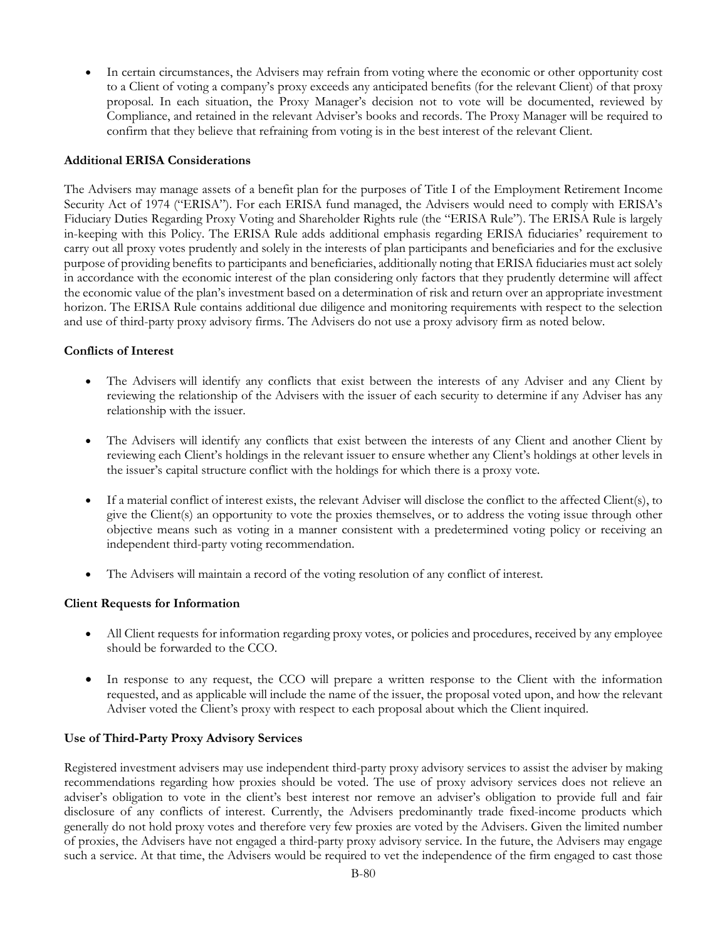In certain circumstances, the Advisers may refrain from voting where the economic or other opportunity cost to a Client of voting a company's proxy exceeds any anticipated benefits (for the relevant Client) of that proxy proposal. In each situation, the Proxy Manager's decision not to vote will be documented, reviewed by Compliance, and retained in the relevant Adviser's books and records. The Proxy Manager will be required to confirm that they believe that refraining from voting is in the best interest of the relevant Client.

## **Additional ERISA Considerations**

The Advisers may manage assets of a benefit plan for the purposes of Title I of the Employment Retirement Income Security Act of 1974 ("ERISA"). For each ERISA fund managed, the Advisers would need to comply with ERISA's Fiduciary Duties Regarding Proxy Voting and Shareholder Rights rule (the "ERISA Rule"). The ERISA Rule is largely in-keeping with this Policy. The ERISA Rule adds additional emphasis regarding ERISA fiduciaries' requirement to carry out all proxy votes prudently and solely in the interests of plan participants and beneficiaries and for the exclusive purpose of providing benefits to participants and beneficiaries, additionally noting that ERISA fiduciaries must act solely in accordance with the economic interest of the plan considering only factors that they prudently determine will affect the economic value of the plan's investment based on a determination of risk and return over an appropriate investment horizon. The ERISA Rule contains additional due diligence and monitoring requirements with respect to the selection and use of third-party proxy advisory firms. The Advisers do not use a proxy advisory firm as noted below.

### **Conflicts of Interest**

- The Advisers will identify any conflicts that exist between the interests of any Adviser and any Client by reviewing the relationship of the Advisers with the issuer of each security to determine if any Adviser has any relationship with the issuer.
- The Advisers will identify any conflicts that exist between the interests of any Client and another Client by reviewing each Client's holdings in the relevant issuer to ensure whether any Client's holdings at other levels in the issuer's capital structure conflict with the holdings for which there is a proxy vote.
- If a material conflict of interest exists, the relevant Adviser will disclose the conflict to the affected Client(s), to give the Client(s) an opportunity to vote the proxies themselves, or to address the voting issue through other objective means such as voting in a manner consistent with a predetermined voting policy or receiving an independent third-party voting recommendation.
- The Advisers will maintain a record of the voting resolution of any conflict of interest.

#### **Client Requests for Information**

- All Client requests for information regarding proxy votes, or policies and procedures, received by any employee should be forwarded to the CCO.
- In response to any request, the CCO will prepare a written response to the Client with the information requested, and as applicable will include the name of the issuer, the proposal voted upon, and how the relevant Adviser voted the Client's proxy with respect to each proposal about which the Client inquired.

#### **Use of Third-Party Proxy Advisory Services**

Registered investment advisers may use independent third-party proxy advisory services to assist the adviser by making recommendations regarding how proxies should be voted. The use of proxy advisory services does not relieve an adviser's obligation to vote in the client's best interest nor remove an adviser's obligation to provide full and fair disclosure of any conflicts of interest. Currently, the Advisers predominantly trade fixed-income products which generally do not hold proxy votes and therefore very few proxies are voted by the Advisers. Given the limited number of proxies, the Advisers have not engaged a third-party proxy advisory service. In the future, the Advisers may engage such a service. At that time, the Advisers would be required to vet the independence of the firm engaged to cast those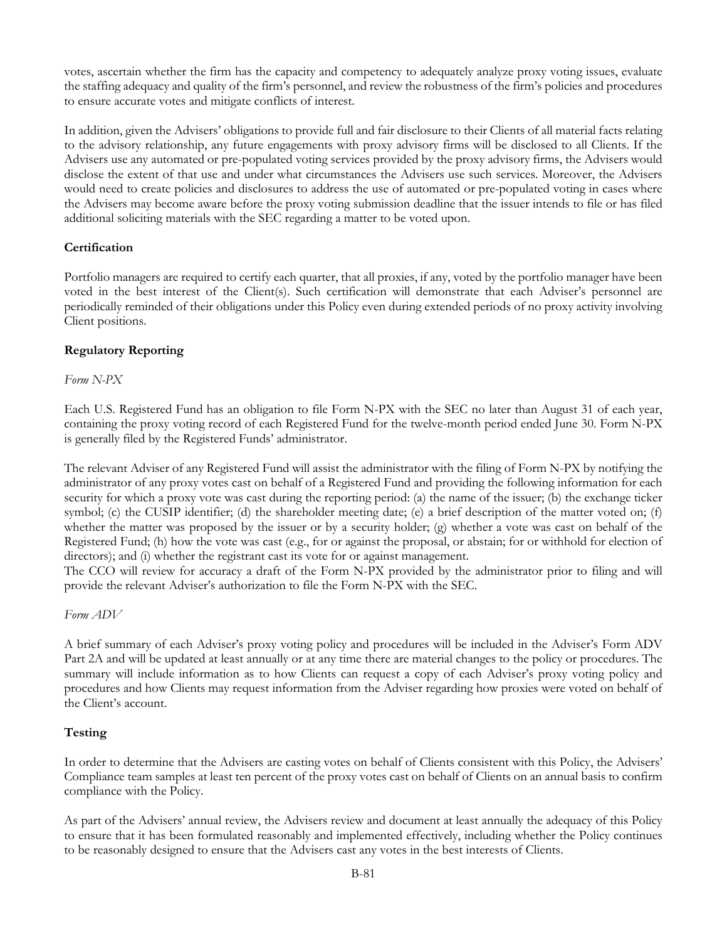votes, ascertain whether the firm has the capacity and competency to adequately analyze proxy voting issues, evaluate the staffing adequacy and quality of the firm's personnel, and review the robustness of the firm's policies and procedures to ensure accurate votes and mitigate conflicts of interest.

In addition, given the Advisers' obligations to provide full and fair disclosure to their Clients of all material facts relating to the advisory relationship, any future engagements with proxy advisory firms will be disclosed to all Clients. If the Advisers use any automated or pre-populated voting services provided by the proxy advisory firms, the Advisers would disclose the extent of that use and under what circumstances the Advisers use such services. Moreover, the Advisers would need to create policies and disclosures to address the use of automated or pre-populated voting in cases where the Advisers may become aware before the proxy voting submission deadline that the issuer intends to file or has filed additional soliciting materials with the SEC regarding a matter to be voted upon.

## **Certification**

Portfolio managers are required to certify each quarter, that all proxies, if any, voted by the portfolio manager have been voted in the best interest of the Client(s). Such certification will demonstrate that each Adviser's personnel are periodically reminded of their obligations under this Policy even during extended periods of no proxy activity involving Client positions.

## **Regulatory Reporting**

*Form N-PX*

Each U.S. Registered Fund has an obligation to file Form N-PX with the SEC no later than August 31 of each year, containing the proxy voting record of each Registered Fund for the twelve-month period ended June 30. Form N-PX is generally filed by the Registered Funds' administrator.

The relevant Adviser of any Registered Fund will assist the administrator with the filing of Form N-PX by notifying the administrator of any proxy votes cast on behalf of a Registered Fund and providing the following information for each security for which a proxy vote was cast during the reporting period: (a) the name of the issuer; (b) the exchange ticker symbol; (c) the CUSIP identifier; (d) the shareholder meeting date; (e) a brief description of the matter voted on; (f) whether the matter was proposed by the issuer or by a security holder; (g) whether a vote was cast on behalf of the Registered Fund; (h) how the vote was cast (e.g., for or against the proposal, or abstain; for or withhold for election of directors); and (i) whether the registrant cast its vote for or against management.

The CCO will review for accuracy a draft of the Form N-PX provided by the administrator prior to filing and will provide the relevant Adviser's authorization to file the Form N-PX with the SEC.

*Form ADV*

A brief summary of each Adviser's proxy voting policy and procedures will be included in the Adviser's Form ADV Part 2A and will be updated at least annually or at any time there are material changes to the policy or procedures. The summary will include information as to how Clients can request a copy of each Adviser's proxy voting policy and procedures and how Clients may request information from the Adviser regarding how proxies were voted on behalf of the Client's account.

## **Testing**

In order to determine that the Advisers are casting votes on behalf of Clients consistent with this Policy, the Advisers' Compliance team samples at least ten percent of the proxy votes cast on behalf of Clients on an annual basis to confirm compliance with the Policy.

As part of the Advisers' annual review, the Advisers review and document at least annually the adequacy of this Policy to ensure that it has been formulated reasonably and implemented effectively, including whether the Policy continues to be reasonably designed to ensure that the Advisers cast any votes in the best interests of Clients.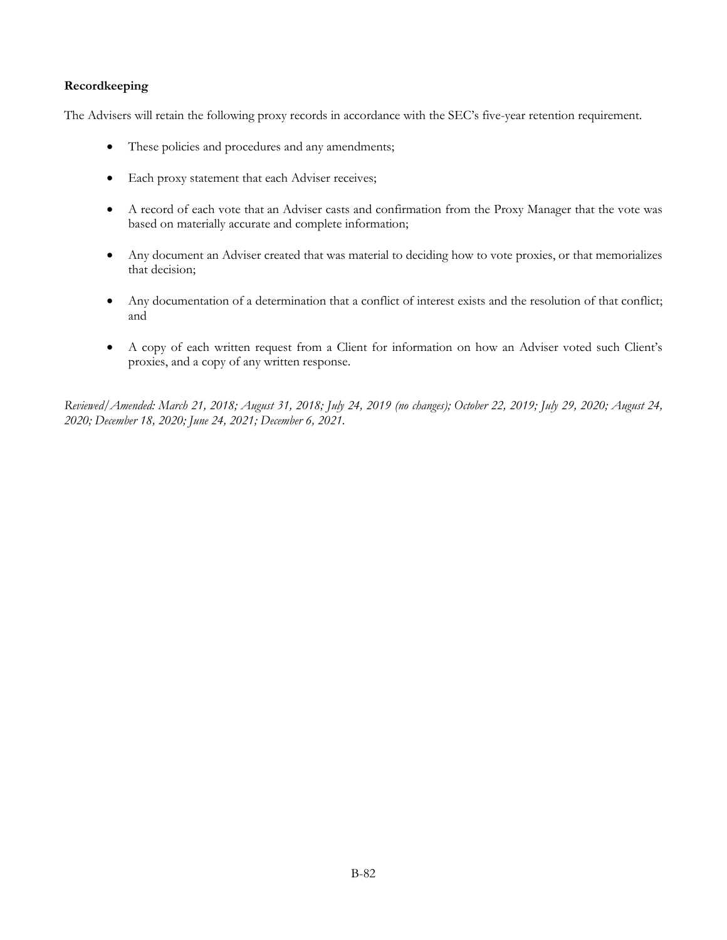## **Recordkeeping**

The Advisers will retain the following proxy records in accordance with the SEC's five-year retention requirement.

- These policies and procedures and any amendments;
- Each proxy statement that each Adviser receives;
- A record of each vote that an Adviser casts and confirmation from the Proxy Manager that the vote was based on materially accurate and complete information;
- Any document an Adviser created that was material to deciding how to vote proxies, or that memorializes that decision;
- Any documentation of a determination that a conflict of interest exists and the resolution of that conflict; and
- A copy of each written request from a Client for information on how an Adviser voted such Client's proxies, and a copy of any written response.

*Reviewed/Amended: March 21, 2018; August 31, 2018; July 24, 2019 (no changes); October 22, 2019; July 29, 2020; August 24, 2020; December 18, 2020; June 24, 2021; December 6, 2021.*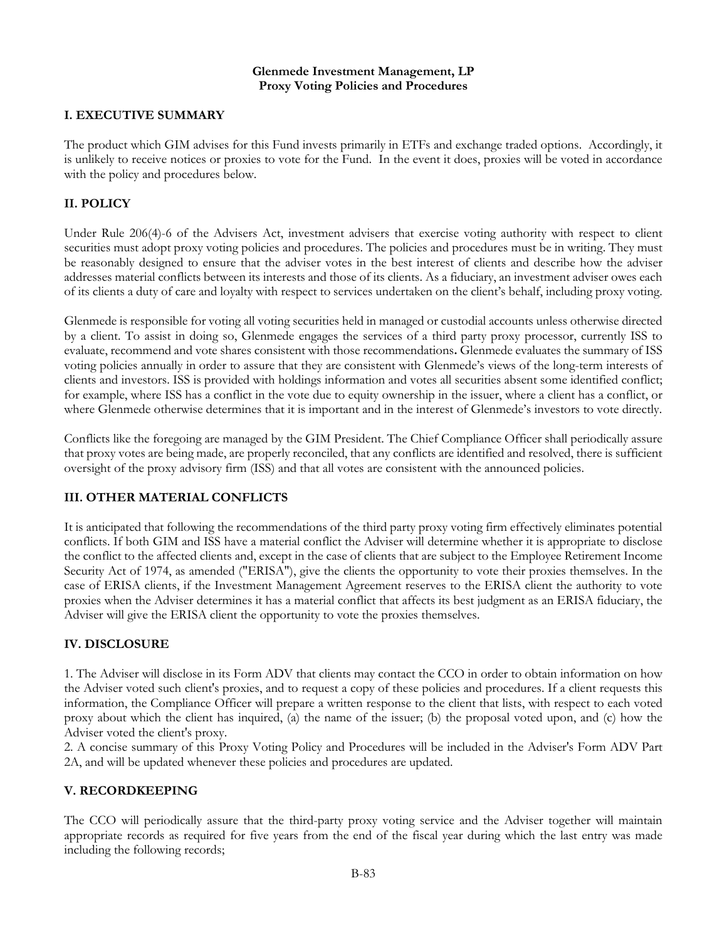### **Glenmede Investment Management, LP Proxy Voting Policies and Procedures**

## **I. EXECUTIVE SUMMARY**

The product which GIM advises for this Fund invests primarily in ETFs and exchange traded options. Accordingly, it is unlikely to receive notices or proxies to vote for the Fund. In the event it does, proxies will be voted in accordance with the policy and procedures below.

# **II. POLICY**

Under Rule 206(4)-6 of the Advisers Act, investment advisers that exercise voting authority with respect to client securities must adopt proxy voting policies and procedures. The policies and procedures must be in writing. They must be reasonably designed to ensure that the adviser votes in the best interest of clients and describe how the adviser addresses material conflicts between its interests and those of its clients. As a fiduciary, an investment adviser owes each of its clients a duty of care and loyalty with respect to services undertaken on the client's behalf, including proxy voting.

Glenmede is responsible for voting all voting securities held in managed or custodial accounts unless otherwise directed by a client. To assist in doing so, Glenmede engages the services of a third party proxy processor, currently ISS to evaluate, recommend and vote shares consistent with those recommendations**.** Glenmede evaluates the summary of ISS voting policies annually in order to assure that they are consistent with Glenmede's views of the long-term interests of clients and investors. ISS is provided with holdings information and votes all securities absent some identified conflict; for example, where ISS has a conflict in the vote due to equity ownership in the issuer, where a client has a conflict, or where Glenmede otherwise determines that it is important and in the interest of Glenmede's investors to vote directly.

Conflicts like the foregoing are managed by the GIM President. The Chief Compliance Officer shall periodically assure that proxy votes are being made, are properly reconciled, that any conflicts are identified and resolved, there is sufficient oversight of the proxy advisory firm (ISS) and that all votes are consistent with the announced policies.

# **III. OTHER MATERIAL CONFLICTS**

It is anticipated that following the recommendations of the third party proxy voting firm effectively eliminates potential conflicts. If both GIM and ISS have a material conflict the Adviser will determine whether it is appropriate to disclose the conflict to the affected clients and, except in the case of clients that are subject to the Employee Retirement Income Security Act of 1974, as amended ("ERISA"), give the clients the opportunity to vote their proxies themselves. In the case of ERISA clients, if the Investment Management Agreement reserves to the ERISA client the authority to vote proxies when the Adviser determines it has a material conflict that affects its best judgment as an ERISA fiduciary, the Adviser will give the ERISA client the opportunity to vote the proxies themselves.

## **IV. DISCLOSURE**

1. The Adviser will disclose in its Form ADV that clients may contact the CCO in order to obtain information on how the Adviser voted such client's proxies, and to request a copy of these policies and procedures. If a client requests this information, the Compliance Officer will prepare a written response to the client that lists, with respect to each voted proxy about which the client has inquired, (a) the name of the issuer; (b) the proposal voted upon, and (c) how the Adviser voted the client's proxy.

2. A concise summary of this Proxy Voting Policy and Procedures will be included in the Adviser's Form ADV Part 2A, and will be updated whenever these policies and procedures are updated.

## **V. RECORDKEEPING**

The CCO will periodically assure that the third-party proxy voting service and the Adviser together will maintain appropriate records as required for five years from the end of the fiscal year during which the last entry was made including the following records;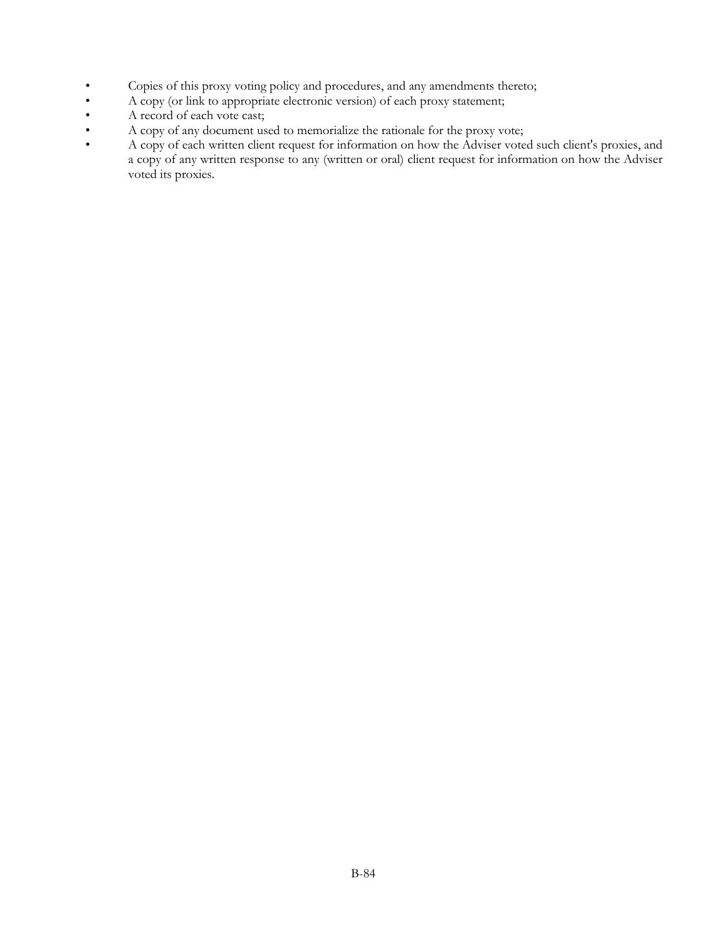- Copies of this proxy voting policy and procedures, and any amendments thereto;
- A copy (or link to appropriate electronic version) of each proxy statement;
- A record of each vote cast;
- A copy of any document used to memorialize the rationale for the proxy vote;
- A copy of each written client request for information on how the Adviser voted such client's proxies, and a copy of any written response to any (written or oral) client request for information on how the Adviser voted its proxies.